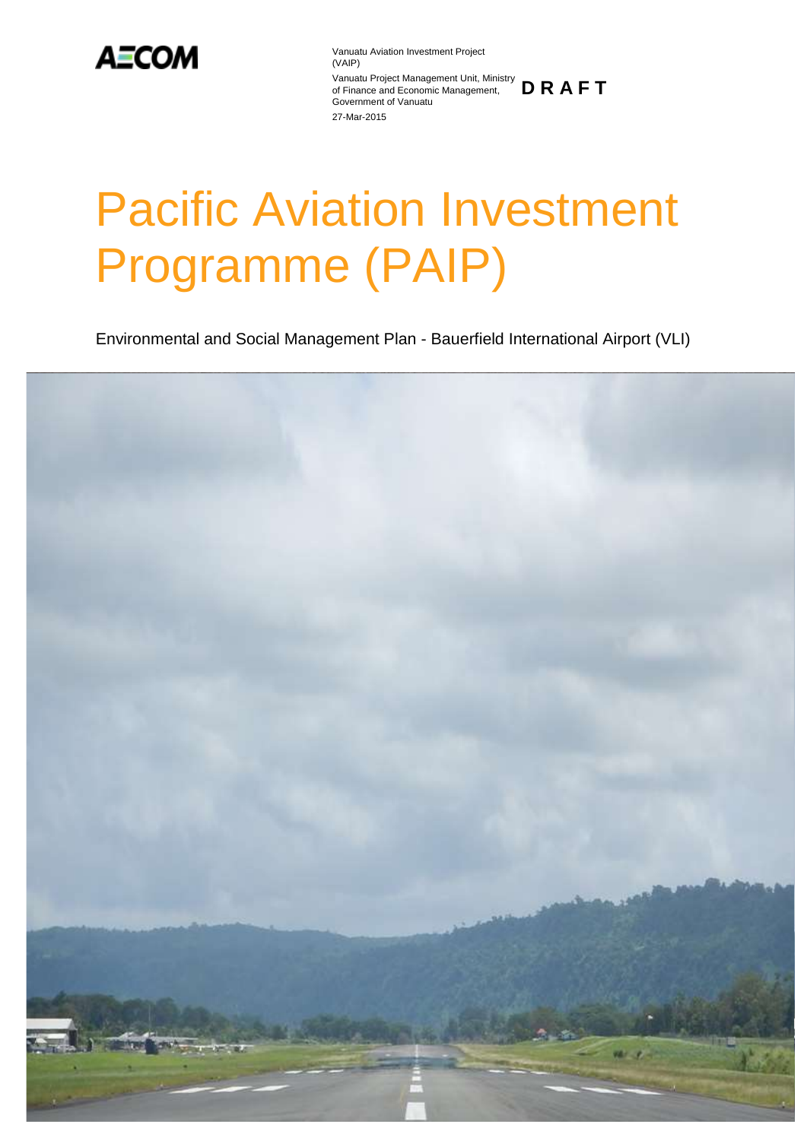

Vanuatu Aviation Investment Project (VAIP) Vanuatu Project Management Unit, Ministry of Finance and Economic Management, **D R A F T** Government of Vanuatu 27-Mar-2015

# Pacific Aviation Investment Programme (PAIP)

Environmental and Social Management Plan - Bauerfield International Airport (VLI)

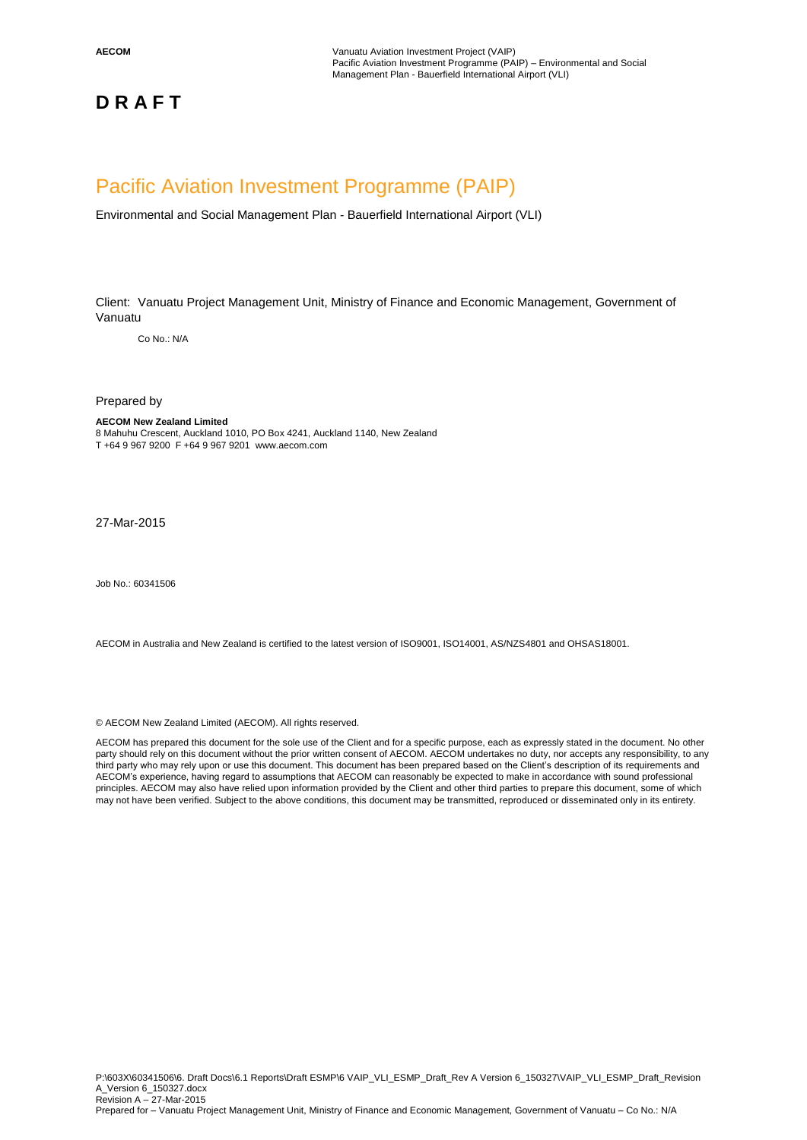**AECOM** Vanuatu Aviation Investment Project (VAIP) Pacific Aviation Investment Programme (PAIP) – Environmental and Social Management Plan - Bauerfield International Airport (VLI)

### **D R A F T**

### Pacific Aviation Investment Programme (PAIP)

Environmental and Social Management Plan - Bauerfield International Airport (VLI)

Client: Vanuatu Project Management Unit, Ministry of Finance and Economic Management, Government of Vanuatu

Co No.: N/A

Prepared by

#### **AECOM New Zealand Limited**

8 Mahuhu Crescent, Auckland 1010, PO Box 4241, Auckland 1140, New Zealand T +64 9 967 9200 F +64 9 967 9201 www.aecom.com

27-Mar-2015

Job No.: 60341506

AECOM in Australia and New Zealand is certified to the latest version of ISO9001, ISO14001, AS/NZS4801 and OHSAS18001.

© AECOM New Zealand Limited (AECOM). All rights reserved.

AECOM has prepared this document for the sole use of the Client and for a specific purpose, each as expressly stated in the document. No other party should rely on this document without the prior written consent of AECOM. AECOM undertakes no duty, nor accepts any responsibility, to any third party who may rely upon or use this document. This document has been prepared based on the Client's description of its requirements and AECOM's experience, having regard to assumptions that AECOM can reasonably be expected to make in accordance with sound professional principles. AECOM may also have relied upon information provided by the Client and other third parties to prepare this document, some of which may not have been verified. Subject to the above conditions, this document may be transmitted, reproduced or disseminated only in its entirety.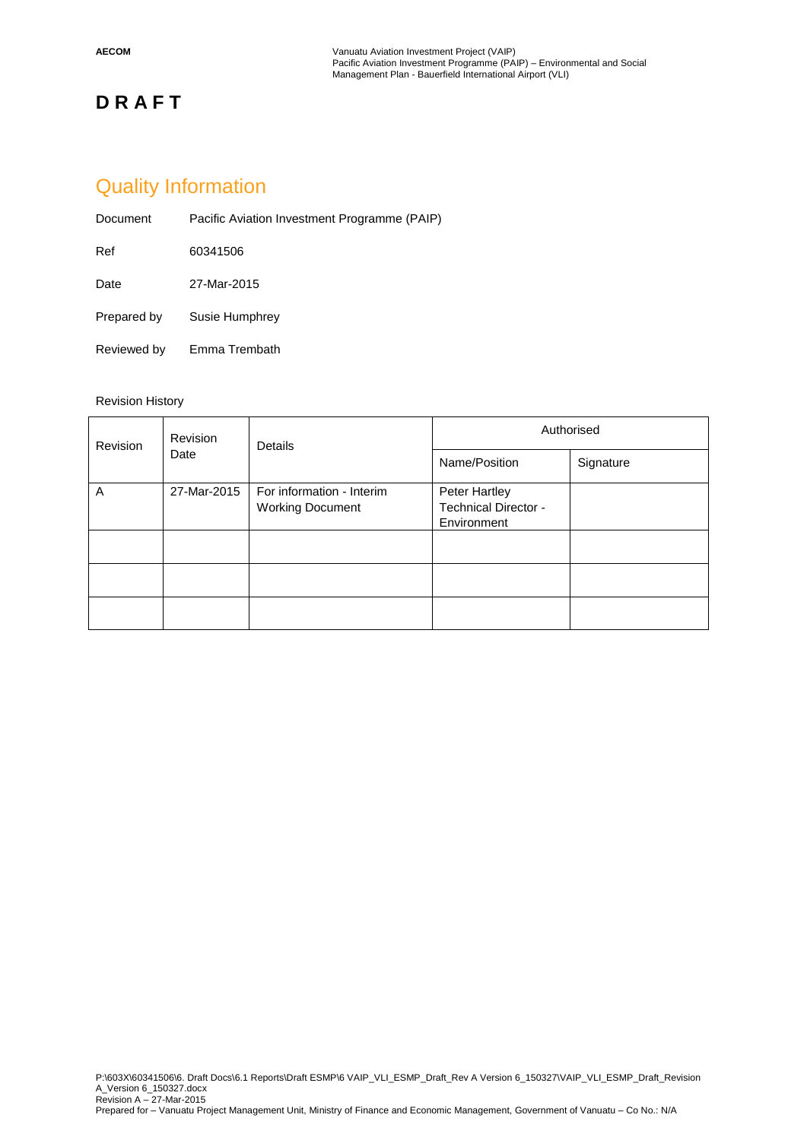### Quality Information

| Document    | Pacific Aviation Investment Programme (PAIP) |
|-------------|----------------------------------------------|
| Ref         | 60341506                                     |
| Date        | 27-Mar-2015                                  |
| Prepared by | Susie Humphrey                               |
| Reviewed by | Emma Trembath                                |

### Revision History

| Revision<br>Revision<br>Date |             | Details                                              | Authorised                                           |  |  |  |  |
|------------------------------|-------------|------------------------------------------------------|------------------------------------------------------|--|--|--|--|
|                              |             | Name/Position                                        | Signature                                            |  |  |  |  |
| A                            | 27-Mar-2015 | For information - Interim<br><b>Working Document</b> | Peter Hartley<br>Technical Director -<br>Environment |  |  |  |  |
|                              |             |                                                      |                                                      |  |  |  |  |
|                              |             |                                                      |                                                      |  |  |  |  |
|                              |             |                                                      |                                                      |  |  |  |  |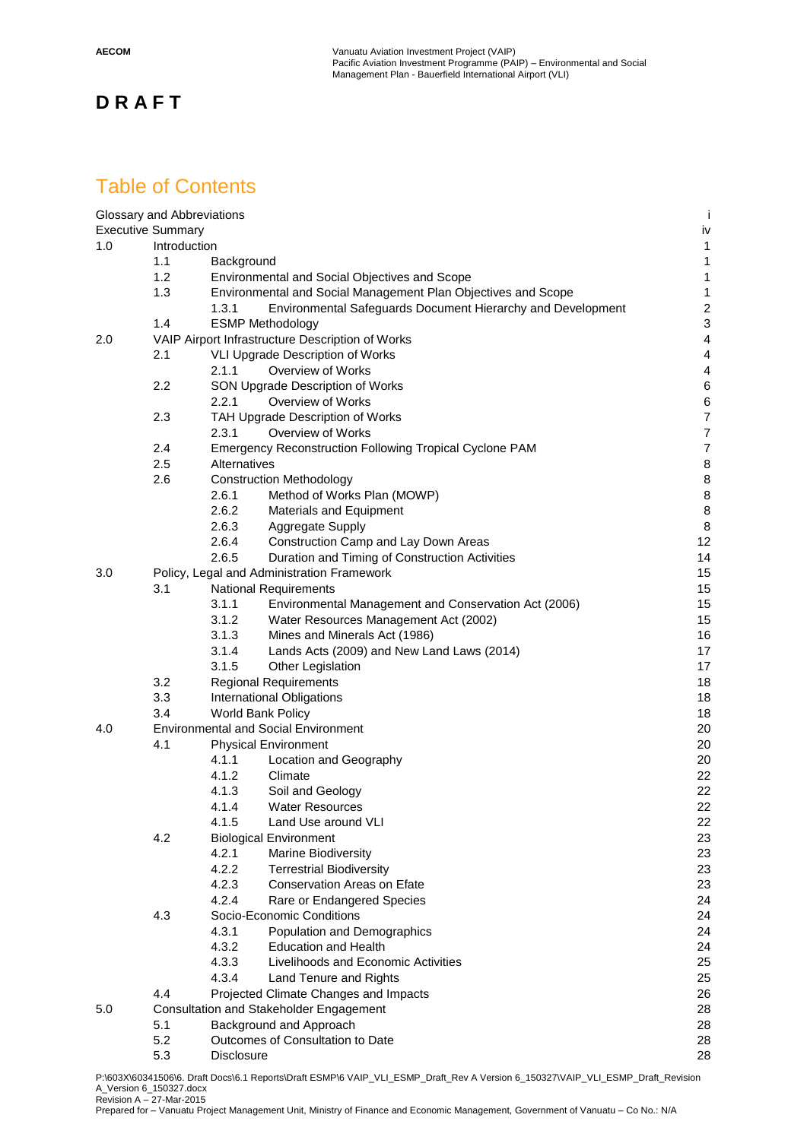### Table of Contents

|     | Glossary and Abbreviations |                   |                                                                | ÷                       |
|-----|----------------------------|-------------------|----------------------------------------------------------------|-------------------------|
|     | <b>Executive Summary</b>   |                   |                                                                | iv                      |
| 1.0 | Introduction               |                   |                                                                | $\mathbf{1}$            |
|     | 1.1                        | Background        |                                                                | $\mathbf{1}$            |
|     | 1.2                        |                   | Environmental and Social Objectives and Scope                  | $\mathbf{1}$            |
|     | 1.3                        |                   | Environmental and Social Management Plan Objectives and Scope  | $\mathbf{1}$            |
|     |                            | 1.3.1             | Environmental Safeguards Document Hierarchy and Development    | $\overline{\mathbf{c}}$ |
|     | 1.4                        |                   | <b>ESMP Methodology</b>                                        | 3                       |
| 2.0 |                            |                   | VAIP Airport Infrastructure Description of Works               | $\overline{4}$          |
|     | 2.1                        |                   | VLI Upgrade Description of Works                               | $\overline{4}$          |
|     |                            | 2.1.1             | Overview of Works                                              | $\overline{4}$          |
|     | 2.2                        |                   | SON Upgrade Description of Works                               | $\,6$                   |
|     |                            | 2.2.1             | Overview of Works                                              | $\,6$                   |
|     | 2.3                        |                   | TAH Upgrade Description of Works                               | $\overline{7}$          |
|     |                            | 2.3.1             | Overview of Works                                              | $\overline{7}$          |
|     | 2.4                        |                   | <b>Emergency Reconstruction Following Tropical Cyclone PAM</b> | $\overline{7}$          |
|     | 2.5                        | Alternatives      |                                                                | 8                       |
|     | 2.6                        |                   | <b>Construction Methodology</b>                                | 8                       |
|     |                            | 2.6.1             | Method of Works Plan (MOWP)                                    | $\bf8$                  |
|     |                            | 2.6.2             | Materials and Equipment                                        | 8                       |
|     |                            | 2.6.3             | Aggregate Supply                                               | 8                       |
|     |                            | 2.6.4             | Construction Camp and Lay Down Areas                           | 12                      |
|     |                            | 2.6.5             | Duration and Timing of Construction Activities                 | 14                      |
| 3.0 |                            |                   | Policy, Legal and Administration Framework                     | 15                      |
|     | 3.1                        |                   | <b>National Requirements</b>                                   | 15                      |
|     |                            | 3.1.1             | Environmental Management and Conservation Act (2006)           | 15                      |
|     |                            | 3.1.2             | Water Resources Management Act (2002)                          | 15                      |
|     |                            | 3.1.3             | Mines and Minerals Act (1986)                                  | 16                      |
|     |                            | 3.1.4             | Lands Acts (2009) and New Land Laws (2014)                     | 17                      |
|     |                            | 3.1.5             | Other Legislation                                              | 17                      |
|     | 3.2                        |                   | <b>Regional Requirements</b>                                   | 18                      |
|     | 3.3                        |                   | International Obligations                                      | 18                      |
|     | 3.4                        |                   | World Bank Policy                                              | 18                      |
| 4.0 |                            |                   | <b>Environmental and Social Environment</b>                    | 20                      |
|     | 4.1                        |                   | <b>Physical Environment</b>                                    | 20                      |
|     |                            | 4.1.1             | Location and Geography                                         | 20                      |
|     |                            | 4.1.2             | Climate                                                        | 22                      |
|     |                            | 4.1.3             | Soil and Geology                                               | 22                      |
|     |                            | 4.1.4             | <b>Water Resources</b>                                         | 22                      |
|     |                            | 4.1.5             | Land Use around VLI                                            | 22                      |
|     | 4.2                        |                   | <b>Biological Environment</b>                                  | 23                      |
|     |                            | 4.2.1             | <b>Marine Biodiversity</b>                                     | 23                      |
|     |                            | 4.2.2             |                                                                | 23                      |
|     |                            | 4.2.3             | <b>Terrestrial Biodiversity</b><br>Conservation Areas on Efate | 23                      |
|     |                            |                   |                                                                |                         |
|     |                            | 4.2.4             | Rare or Endangered Species                                     | 24                      |
|     | 4.3                        |                   | Socio-Economic Conditions                                      | 24                      |
|     |                            | 4.3.1             | Population and Demographics                                    | 24                      |
|     |                            | 4.3.2             | <b>Education and Health</b>                                    | 24                      |
|     |                            | 4.3.3             | Livelihoods and Economic Activities                            | 25                      |
|     |                            | 4.3.4             | Land Tenure and Rights                                         | 25                      |
|     | 4.4                        |                   | Projected Climate Changes and Impacts                          | 26                      |
| 5.0 |                            |                   | Consultation and Stakeholder Engagement                        | 28                      |
|     | 5.1                        |                   | Background and Approach                                        | 28                      |
|     | 5.2                        |                   | Outcomes of Consultation to Date                               | 28                      |
|     | 5.3                        | <b>Disclosure</b> |                                                                | 28                      |

P:\603X\60341506\6. Draft Docs\6.1 Reports\Draft ESMP\6 VAIP\_VLI\_ESMP\_Draft\_Rev A Version 6\_150327\VAIP\_VLI\_ESMP\_Draft\_Revision A\_Version 6\_150327.docx Revision A – 27-Mar-2015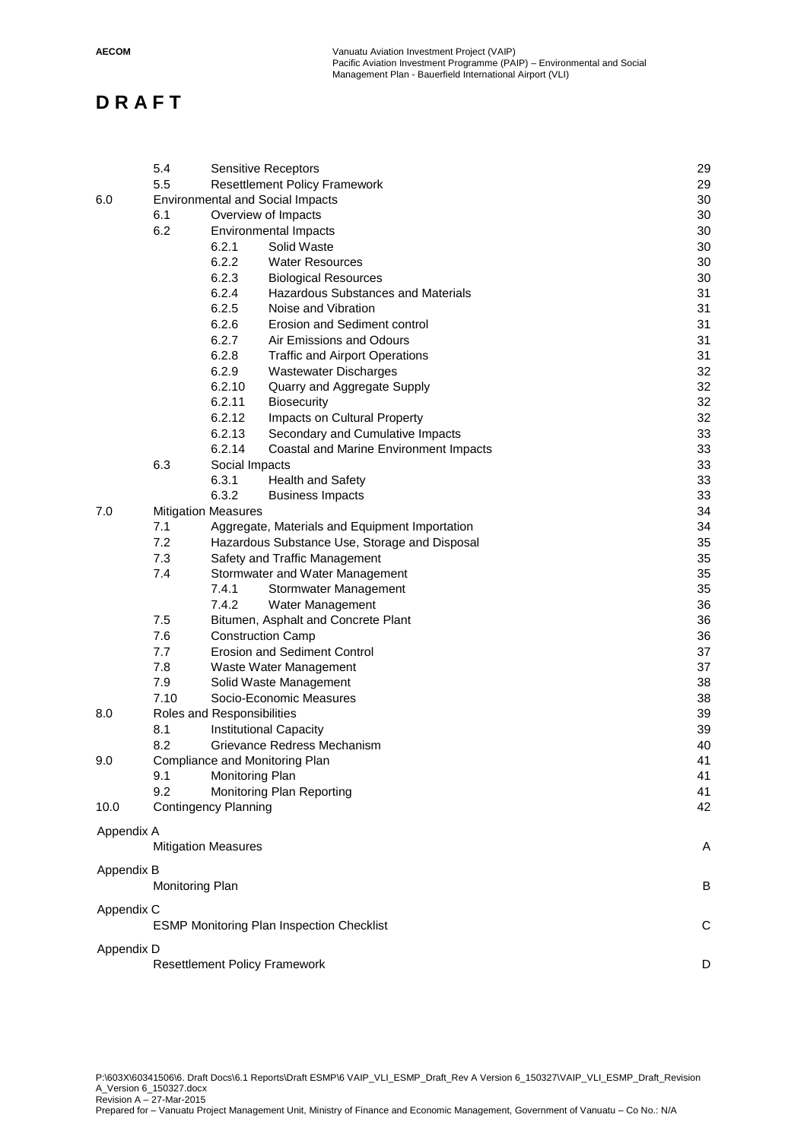|            | 5.4<br>5.5      | <b>Sensitive Receptors</b><br><b>Resettlement Policy Framework</b> | 29<br>29 |
|------------|-----------------|--------------------------------------------------------------------|----------|
| 6.0        |                 | <b>Environmental and Social Impacts</b>                            | 30       |
|            | 6.1             | Overview of Impacts                                                | 30       |
|            | 6.2             | <b>Environmental Impacts</b>                                       | 30       |
|            |                 | 6.2.1<br>Solid Waste                                               | 30       |
|            |                 | 6.2.2<br><b>Water Resources</b>                                    | 30       |
|            |                 | 6.2.3<br><b>Biological Resources</b>                               | 30       |
|            |                 | 6.2.4<br>Hazardous Substances and Materials                        | 31       |
|            |                 | 6.2.5<br>Noise and Vibration                                       | 31       |
|            |                 | 6.2.6<br>Erosion and Sediment control                              | 31       |
|            |                 | 6.2.7<br>Air Emissions and Odours                                  | 31       |
|            |                 | 6.2.8<br><b>Traffic and Airport Operations</b>                     | 31       |
|            |                 | 6.2.9<br><b>Wastewater Discharges</b>                              | 32       |
|            |                 | 6.2.10<br>Quarry and Aggregate Supply                              | 32       |
|            |                 | 6.2.11<br><b>Biosecurity</b>                                       | 32       |
|            |                 | 6.2.12<br>Impacts on Cultural Property                             | 32       |
|            |                 | 6.2.13<br>Secondary and Cumulative Impacts                         | 33       |
|            |                 | 6.2.14<br>Coastal and Marine Environment Impacts                   | 33       |
|            | 6.3             |                                                                    | 33       |
|            |                 | Social Impacts<br>6.3.1<br>Health and Safety                       | 33       |
|            |                 | 6.3.2<br><b>Business Impacts</b>                                   | 33       |
| 7.0        |                 | <b>Mitigation Measures</b>                                         | 34       |
|            | 7.1             | Aggregate, Materials and Equipment Importation                     | 34       |
|            | 7.2             | Hazardous Substance Use, Storage and Disposal                      | 35       |
|            | 7.3             | Safety and Traffic Management                                      | 35       |
|            | 7.4             | Stormwater and Water Management                                    | 35       |
|            |                 | 7.4.1<br>Stormwater Management                                     | 35       |
|            |                 | 7.4.2<br>Water Management                                          | 36       |
|            | 7.5             | Bitumen, Asphalt and Concrete Plant                                | 36       |
|            | 7.6             | <b>Construction Camp</b>                                           | 36       |
|            | 7.7             | <b>Erosion and Sediment Control</b>                                | 37       |
|            | 7.8             | Waste Water Management                                             | 37       |
|            | 7.9             | Solid Waste Management                                             | 38       |
|            | 7.10            | Socio-Economic Measures                                            | 38       |
| 8.0        |                 | Roles and Responsibilities                                         | 39       |
|            | 8.1             | Institutional Capacity                                             | 39       |
|            | 8.2             | Grievance Redress Mechanism                                        | 40       |
| 9.0        |                 | Compliance and Monitoring Plan                                     | 41       |
|            | 9.1             | Monitoring Plan                                                    | 41       |
|            | 9.2             | Monitoring Plan Reporting                                          | 41       |
| 10.0       |                 | <b>Contingency Planning</b>                                        | 42       |
|            |                 |                                                                    |          |
| Appendix A |                 |                                                                    |          |
|            |                 | <b>Mitigation Measures</b>                                         | Α        |
|            |                 |                                                                    |          |
| Appendix B | Monitoring Plan |                                                                    | В        |
|            |                 |                                                                    |          |
| Appendix C |                 |                                                                    |          |
|            |                 | <b>ESMP Monitoring Plan Inspection Checklist</b>                   | С        |
| Appendix D |                 |                                                                    |          |
|            |                 | <b>Resettlement Policy Framework</b>                               | D        |
|            |                 |                                                                    |          |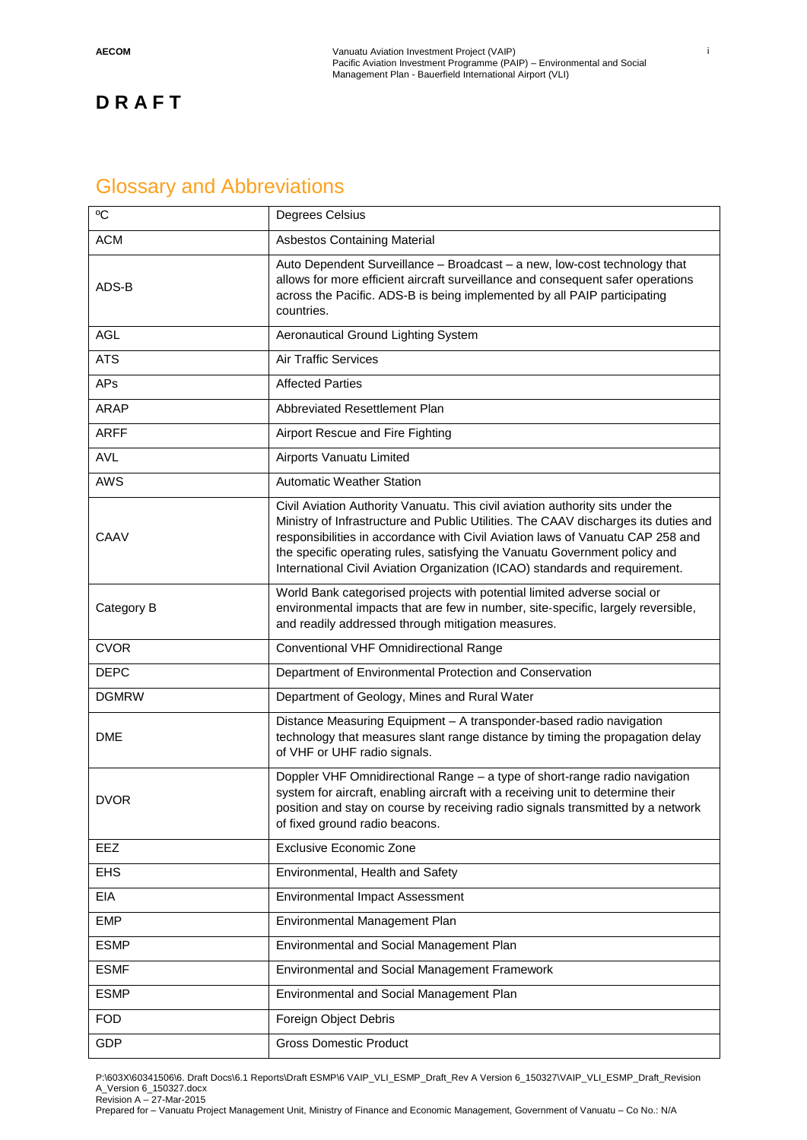### Glossary and Abbreviations

| $\rm ^{o}C$  | Degrees Celsius                                                                                                                                                                                                                                                                                                                                                                                                      |  |  |  |  |  |
|--------------|----------------------------------------------------------------------------------------------------------------------------------------------------------------------------------------------------------------------------------------------------------------------------------------------------------------------------------------------------------------------------------------------------------------------|--|--|--|--|--|
| <b>ACM</b>   | <b>Asbestos Containing Material</b>                                                                                                                                                                                                                                                                                                                                                                                  |  |  |  |  |  |
| ADS-B        | Auto Dependent Surveillance - Broadcast - a new, low-cost technology that<br>allows for more efficient aircraft surveillance and consequent safer operations<br>across the Pacific. ADS-B is being implemented by all PAIP participating<br>countries.                                                                                                                                                               |  |  |  |  |  |
| <b>AGL</b>   | Aeronautical Ground Lighting System                                                                                                                                                                                                                                                                                                                                                                                  |  |  |  |  |  |
| <b>ATS</b>   | <b>Air Traffic Services</b>                                                                                                                                                                                                                                                                                                                                                                                          |  |  |  |  |  |
| APs          | <b>Affected Parties</b>                                                                                                                                                                                                                                                                                                                                                                                              |  |  |  |  |  |
| <b>ARAP</b>  | Abbreviated Resettlement Plan                                                                                                                                                                                                                                                                                                                                                                                        |  |  |  |  |  |
| <b>ARFF</b>  | Airport Rescue and Fire Fighting                                                                                                                                                                                                                                                                                                                                                                                     |  |  |  |  |  |
| <b>AVL</b>   | Airports Vanuatu Limited                                                                                                                                                                                                                                                                                                                                                                                             |  |  |  |  |  |
| <b>AWS</b>   | <b>Automatic Weather Station</b>                                                                                                                                                                                                                                                                                                                                                                                     |  |  |  |  |  |
| CAAV         | Civil Aviation Authority Vanuatu. This civil aviation authority sits under the<br>Ministry of Infrastructure and Public Utilities. The CAAV discharges its duties and<br>responsibilities in accordance with Civil Aviation laws of Vanuatu CAP 258 and<br>the specific operating rules, satisfying the Vanuatu Government policy and<br>International Civil Aviation Organization (ICAO) standards and requirement. |  |  |  |  |  |
| Category B   | World Bank categorised projects with potential limited adverse social or<br>environmental impacts that are few in number, site-specific, largely reversible,<br>and readily addressed through mitigation measures.                                                                                                                                                                                                   |  |  |  |  |  |
| <b>CVOR</b>  | Conventional VHF Omnidirectional Range                                                                                                                                                                                                                                                                                                                                                                               |  |  |  |  |  |
| <b>DEPC</b>  | Department of Environmental Protection and Conservation                                                                                                                                                                                                                                                                                                                                                              |  |  |  |  |  |
| <b>DGMRW</b> | Department of Geology, Mines and Rural Water                                                                                                                                                                                                                                                                                                                                                                         |  |  |  |  |  |
| <b>DME</b>   | Distance Measuring Equipment - A transponder-based radio navigation<br>technology that measures slant range distance by timing the propagation delay<br>of VHF or UHF radio signals.                                                                                                                                                                                                                                 |  |  |  |  |  |
| <b>DVOR</b>  | Doppler VHF Omnidirectional Range - a type of short-range radio navigation<br>system for aircraft, enabling aircraft with a receiving unit to determine their<br>position and stay on course by receiving radio signals transmitted by a network<br>of fixed ground radio beacons.                                                                                                                                   |  |  |  |  |  |
| <b>EEZ</b>   | <b>Exclusive Economic Zone</b>                                                                                                                                                                                                                                                                                                                                                                                       |  |  |  |  |  |
| <b>EHS</b>   | Environmental, Health and Safety                                                                                                                                                                                                                                                                                                                                                                                     |  |  |  |  |  |
| EIA          | <b>Environmental Impact Assessment</b>                                                                                                                                                                                                                                                                                                                                                                               |  |  |  |  |  |
| <b>EMP</b>   | Environmental Management Plan                                                                                                                                                                                                                                                                                                                                                                                        |  |  |  |  |  |
| <b>ESMP</b>  | Environmental and Social Management Plan                                                                                                                                                                                                                                                                                                                                                                             |  |  |  |  |  |
| <b>ESMF</b>  | Environmental and Social Management Framework                                                                                                                                                                                                                                                                                                                                                                        |  |  |  |  |  |
| <b>ESMP</b>  | Environmental and Social Management Plan                                                                                                                                                                                                                                                                                                                                                                             |  |  |  |  |  |
| <b>FOD</b>   |                                                                                                                                                                                                                                                                                                                                                                                                                      |  |  |  |  |  |
|              | Foreign Object Debris                                                                                                                                                                                                                                                                                                                                                                                                |  |  |  |  |  |

P:\603X\60341506\6. Draft Docs\6.1 Reports\Draft ESMP\6 VAIP\_VLI\_ESMP\_Draft\_Rev A Version 6\_150327\VAIP\_VLI\_ESMP\_Draft\_Revision A\_Version 6\_150327.docx Revision A – 27-Mar-2015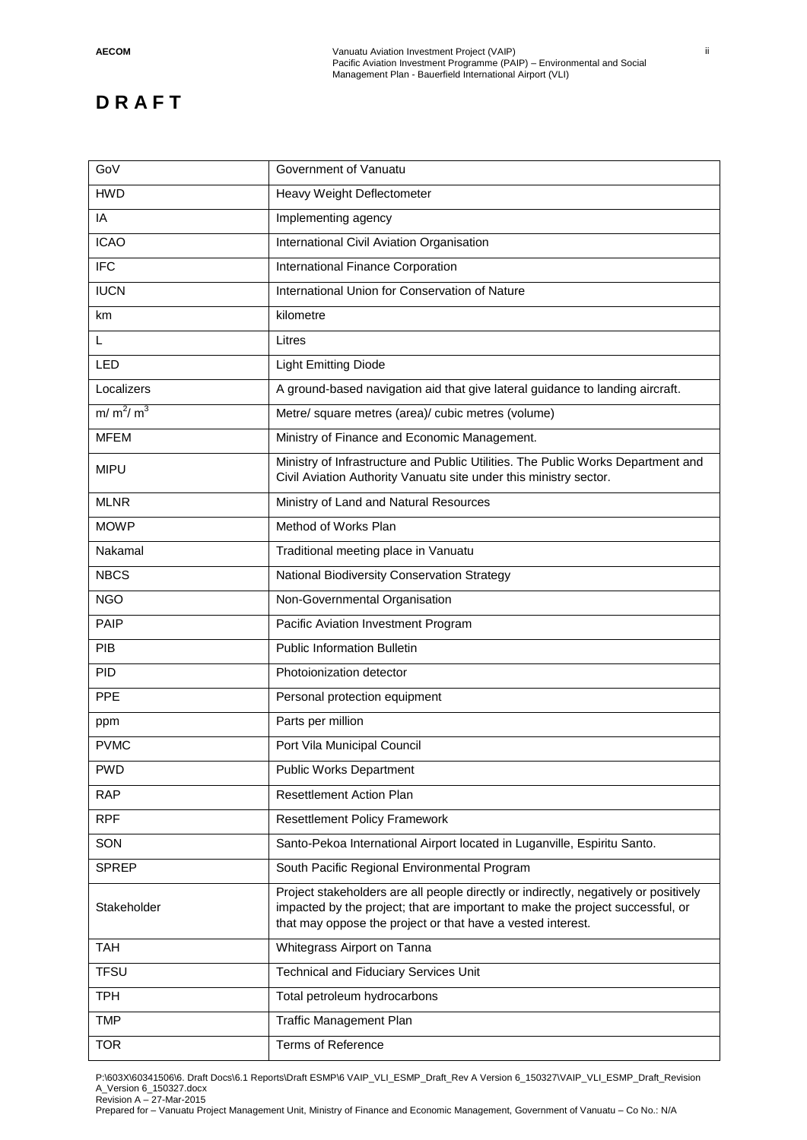| GoV          | Government of Vanuatu                                                                                                                                                                                                                 |
|--------------|---------------------------------------------------------------------------------------------------------------------------------------------------------------------------------------------------------------------------------------|
| <b>HWD</b>   | Heavy Weight Deflectometer                                                                                                                                                                                                            |
| IA           | Implementing agency                                                                                                                                                                                                                   |
| <b>ICAO</b>  | International Civil Aviation Organisation                                                                                                                                                                                             |
| <b>IFC</b>   | International Finance Corporation                                                                                                                                                                                                     |
| <b>IUCN</b>  | International Union for Conservation of Nature                                                                                                                                                                                        |
| km           | kilometre                                                                                                                                                                                                                             |
| L            | Litres                                                                                                                                                                                                                                |
| LED          | <b>Light Emitting Diode</b>                                                                                                                                                                                                           |
| Localizers   | A ground-based navigation aid that give lateral guidance to landing aircraft.                                                                                                                                                         |
| $m/m^2/m^3$  | Metre/ square metres (area)/ cubic metres (volume)                                                                                                                                                                                    |
| <b>MFEM</b>  | Ministry of Finance and Economic Management.                                                                                                                                                                                          |
| <b>MIPU</b>  | Ministry of Infrastructure and Public Utilities. The Public Works Department and<br>Civil Aviation Authority Vanuatu site under this ministry sector.                                                                                 |
| <b>MLNR</b>  | Ministry of Land and Natural Resources                                                                                                                                                                                                |
| <b>MOWP</b>  | Method of Works Plan                                                                                                                                                                                                                  |
| Nakamal      | Traditional meeting place in Vanuatu                                                                                                                                                                                                  |
| <b>NBCS</b>  | National Biodiversity Conservation Strategy                                                                                                                                                                                           |
| <b>NGO</b>   | Non-Governmental Organisation                                                                                                                                                                                                         |
| <b>PAIP</b>  | Pacific Aviation Investment Program                                                                                                                                                                                                   |
| <b>PIB</b>   | <b>Public Information Bulletin</b>                                                                                                                                                                                                    |
| <b>PID</b>   | Photoionization detector                                                                                                                                                                                                              |
| <b>PPE</b>   | Personal protection equipment                                                                                                                                                                                                         |
| ppm          | Parts per million                                                                                                                                                                                                                     |
| <b>PVMC</b>  | Port Vila Municipal Council                                                                                                                                                                                                           |
| <b>PWD</b>   | <b>Public Works Department</b>                                                                                                                                                                                                        |
| <b>RAP</b>   | <b>Resettlement Action Plan</b>                                                                                                                                                                                                       |
| <b>RPF</b>   | <b>Resettlement Policy Framework</b>                                                                                                                                                                                                  |
| SON          | Santo-Pekoa International Airport located in Luganville, Espiritu Santo.                                                                                                                                                              |
| <b>SPREP</b> | South Pacific Regional Environmental Program                                                                                                                                                                                          |
| Stakeholder  | Project stakeholders are all people directly or indirectly, negatively or positively<br>impacted by the project; that are important to make the project successful, or<br>that may oppose the project or that have a vested interest. |
| TAH          | Whitegrass Airport on Tanna                                                                                                                                                                                                           |
| <b>TFSU</b>  | <b>Technical and Fiduciary Services Unit</b>                                                                                                                                                                                          |
| <b>TPH</b>   | Total petroleum hydrocarbons                                                                                                                                                                                                          |
| <b>TMP</b>   | <b>Traffic Management Plan</b>                                                                                                                                                                                                        |
| <b>TOR</b>   | <b>Terms of Reference</b>                                                                                                                                                                                                             |

P:\603X\60341506\6. Draft Docs\6.1 Reports\Draft ESMP\6 VAIP\_VLI\_ESMP\_Draft\_Rev A Version 6\_150327\VAIP\_VLI\_ESMP\_Draft\_Revision A\_Version 6\_150327.docx Revision A – 27-Mar-2015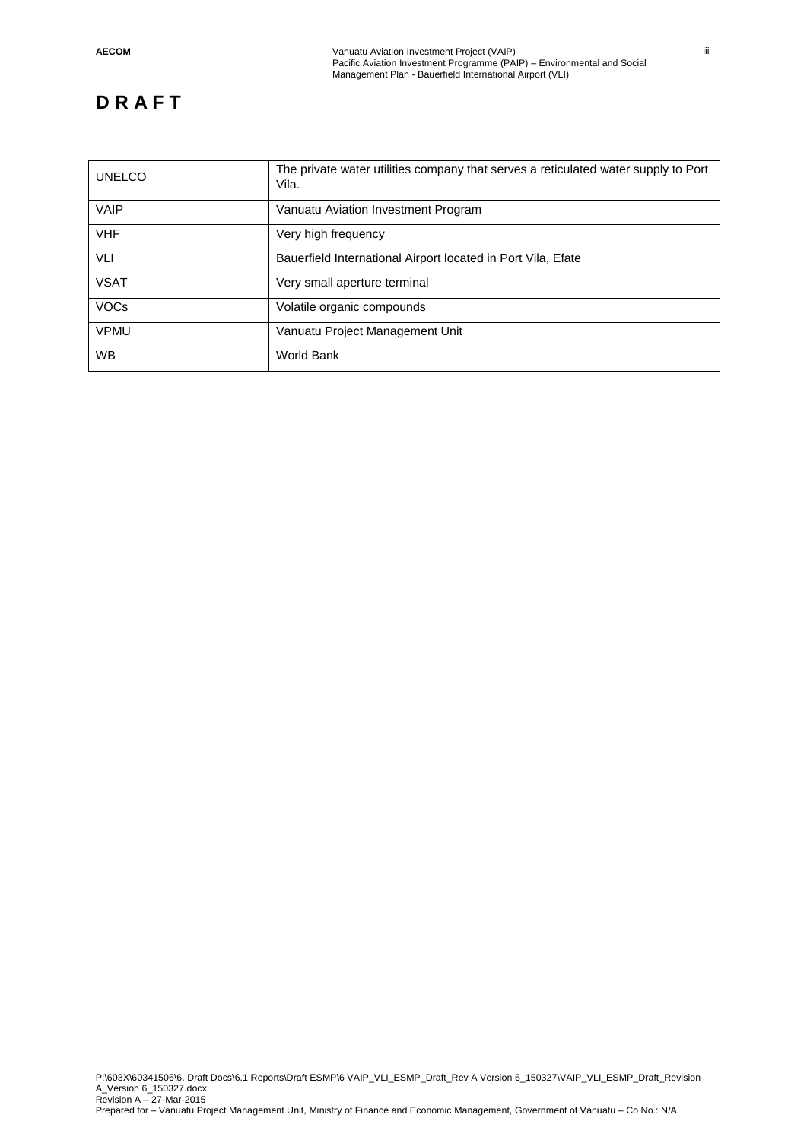| <b>UNELCO</b> | The private water utilities company that serves a reticulated water supply to Port<br>Vila. |
|---------------|---------------------------------------------------------------------------------------------|
| <b>VAIP</b>   | Vanuatu Aviation Investment Program                                                         |
| <b>VHF</b>    | Very high frequency                                                                         |
| VLI           | Bauerfield International Airport located in Port Vila, Efate                                |
| <b>VSAT</b>   | Very small aperture terminal                                                                |
| <b>VOCs</b>   | Volatile organic compounds                                                                  |
| <b>VPMU</b>   | Vanuatu Project Management Unit                                                             |
| <b>WB</b>     | World Bank                                                                                  |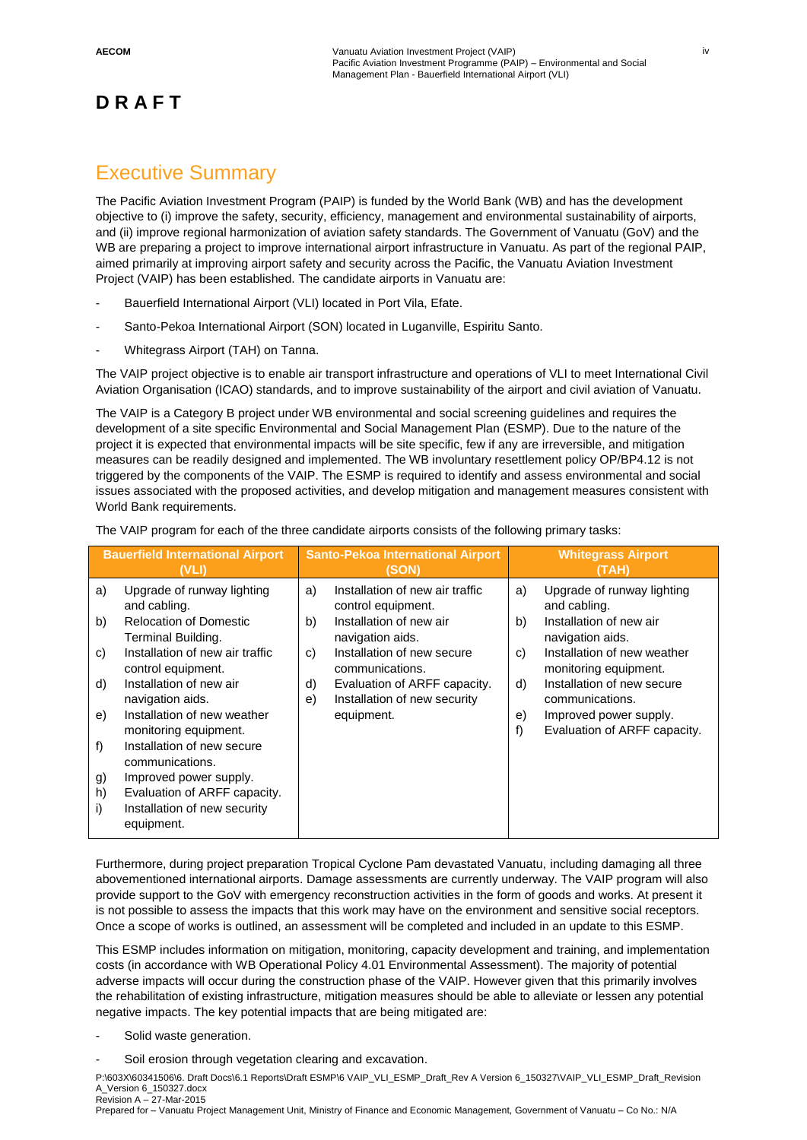### Executive Summary

The Pacific Aviation Investment Program (PAIP) is funded by the World Bank (WB) and has the development objective to (i) improve the safety, security, efficiency, management and environmental sustainability of airports, and (ii) improve regional harmonization of aviation safety standards. The Government of Vanuatu (GoV) and the WB are preparing a project to improve international airport infrastructure in Vanuatu. As part of the regional PAIP, aimed primarily at improving airport safety and security across the Pacific, the Vanuatu Aviation Investment Project (VAIP) has been established. The candidate airports in Vanuatu are:

- Bauerfield International Airport (VLI) located in Port Vila, Efate.
- Santo-Pekoa International Airport (SON) located in Luganville, Espiritu Santo.
- Whitegrass Airport (TAH) on Tanna.

The VAIP project objective is to enable air transport infrastructure and operations of VLI to meet International Civil Aviation Organisation (ICAO) standards, and to improve sustainability of the airport and civil aviation of Vanuatu.

The VAIP is a Category B project under WB environmental and social screening guidelines and requires the development of a site specific Environmental and Social Management Plan (ESMP). Due to the nature of the project it is expected that environmental impacts will be site specific, few if any are irreversible, and mitigation measures can be readily designed and implemented. The WB involuntary resettlement policy OP/BP4.12 is not triggered by the components of the VAIP. The ESMP is required to identify and assess environmental and social issues associated with the proposed activities, and develop mitigation and management measures consistent with World Bank requirements.

| The VAIP program for each of the three candidate airports consists of the following primary tasks: |  |  |
|----------------------------------------------------------------------------------------------------|--|--|
|----------------------------------------------------------------------------------------------------|--|--|

|                                              | <b>Bauerfield International Airport</b><br>(VLI)                                                                                                                                                                                                                                                                                                                             |                            | <b>Santo-Pekoa International Airport</b><br>(SON)                                                                                                                                                                                   |                                  | <b>Whitegrass Airport</b><br>(TAH)                                                                                                                                                                                                                           |
|----------------------------------------------|------------------------------------------------------------------------------------------------------------------------------------------------------------------------------------------------------------------------------------------------------------------------------------------------------------------------------------------------------------------------------|----------------------------|-------------------------------------------------------------------------------------------------------------------------------------------------------------------------------------------------------------------------------------|----------------------------------|--------------------------------------------------------------------------------------------------------------------------------------------------------------------------------------------------------------------------------------------------------------|
| a)<br>b)<br>C)<br>d)<br>e)<br>f)<br>g)<br>h) | Upgrade of runway lighting<br>and cabling.<br><b>Relocation of Domestic</b><br>Terminal Building.<br>Installation of new air traffic<br>control equipment.<br>Installation of new air<br>navigation aids.<br>Installation of new weather<br>monitoring equipment.<br>Installation of new secure<br>communications.<br>Improved power supply.<br>Evaluation of ARFF capacity. | a)<br>b)<br>C)<br>d)<br>e) | Installation of new air traffic<br>control equipment.<br>Installation of new air<br>navigation aids.<br>Installation of new secure<br>communications.<br>Evaluation of ARFF capacity.<br>Installation of new security<br>equipment. | a)<br>b)<br>C)<br>d)<br>e)<br>f) | Upgrade of runway lighting<br>and cabling.<br>Installation of new air<br>navigation aids.<br>Installation of new weather<br>monitoring equipment.<br>Installation of new secure<br>communications.<br>Improved power supply.<br>Evaluation of ARFF capacity. |
| i)                                           | Installation of new security<br>equipment.                                                                                                                                                                                                                                                                                                                                   |                            |                                                                                                                                                                                                                                     |                                  |                                                                                                                                                                                                                                                              |

Furthermore, during project preparation Tropical Cyclone Pam devastated Vanuatu, including damaging all three abovementioned international airports. Damage assessments are currently underway. The VAIP program will also provide support to the GoV with emergency reconstruction activities in the form of goods and works. At present it is not possible to assess the impacts that this work may have on the environment and sensitive social receptors. Once a scope of works is outlined, an assessment will be completed and included in an update to this ESMP.

This ESMP includes information on mitigation, monitoring, capacity development and training, and implementation costs (in accordance with WB Operational Policy 4.01 Environmental Assessment). The majority of potential adverse impacts will occur during the construction phase of the VAIP. However given that this primarily involves the rehabilitation of existing infrastructure, mitigation measures should be able to alleviate or lessen any potential negative impacts. The key potential impacts that are being mitigated are:

- Solid waste generation.
- Soil erosion through vegetation clearing and excavation.

P:\603X\60341506\6. Draft Docs\6.1 Reports\Draft ESMP\6 VAIP\_VLI\_ESMP\_Draft\_Rev A Version 6\_150327\VAIP\_VLI\_ESMP\_Draft\_Revision A\_Version 6\_150327.docx Revision A – 27-Mar-2015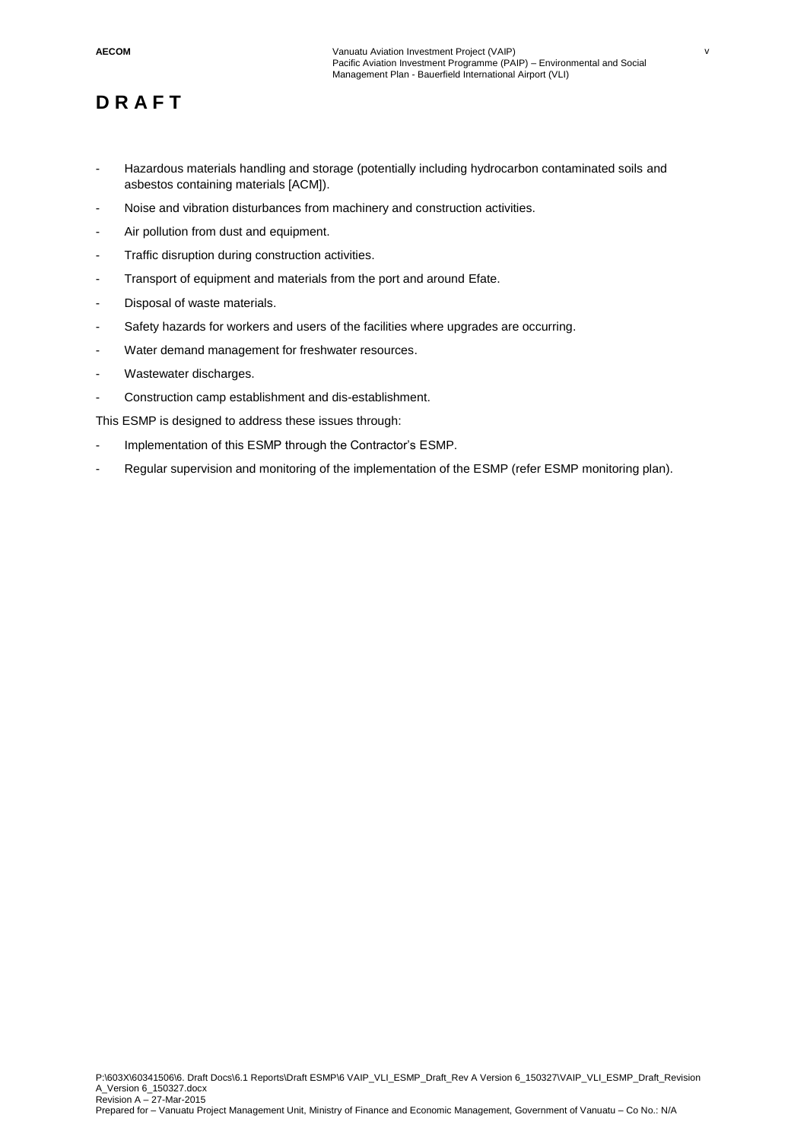- Hazardous materials handling and storage (potentially including hydrocarbon contaminated soils and asbestos containing materials [ACM]).
- Noise and vibration disturbances from machinery and construction activities.
- Air pollution from dust and equipment.
- Traffic disruption during construction activities.
- Transport of equipment and materials from the port and around Efate.
- Disposal of waste materials.
- Safety hazards for workers and users of the facilities where upgrades are occurring.
- Water demand management for freshwater resources.
- Wastewater discharges.
- Construction camp establishment and dis-establishment.

This ESMP is designed to address these issues through:

- Implementation of this ESMP through the Contractor's ESMP.
- Regular supervision and monitoring of the implementation of the ESMP (refer ESMP monitoring plan).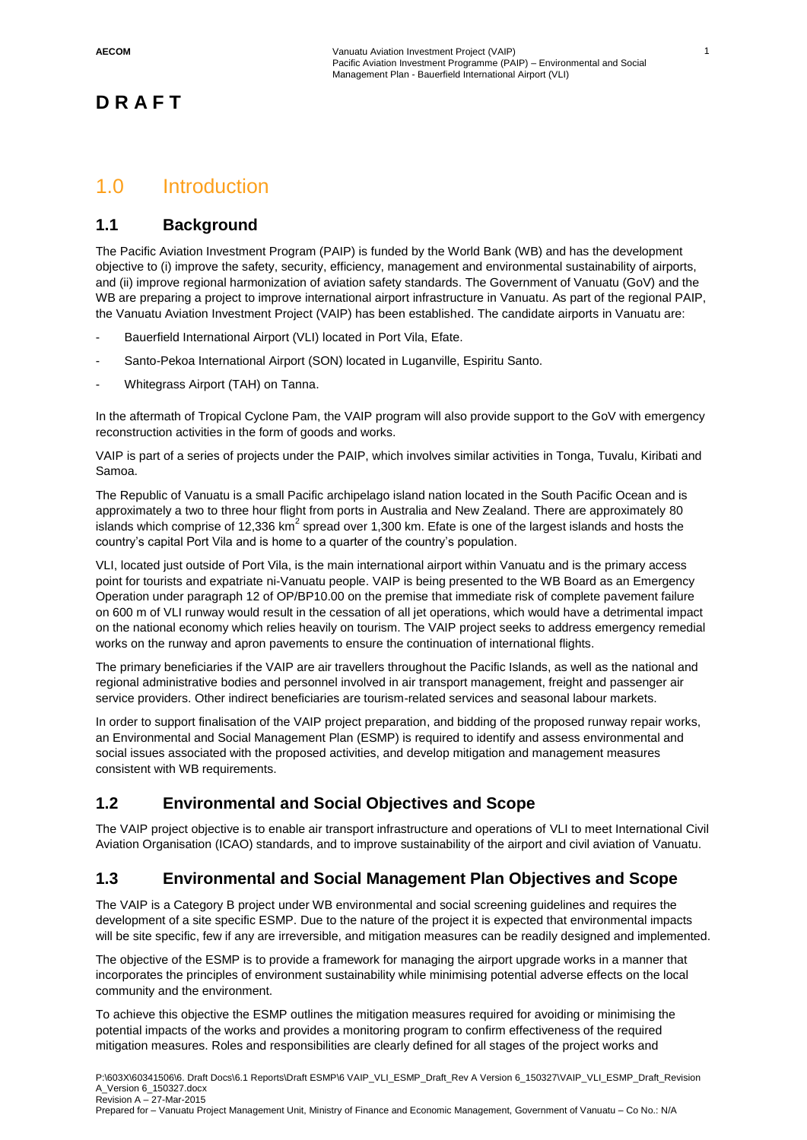1

### **D R A F T**

### 1.0 Introduction

### **1.1 Background**

The Pacific Aviation Investment Program (PAIP) is funded by the World Bank (WB) and has the development objective to (i) improve the safety, security, efficiency, management and environmental sustainability of airports, and (ii) improve regional harmonization of aviation safety standards. The Government of Vanuatu (GoV) and the WB are preparing a project to improve international airport infrastructure in Vanuatu. As part of the regional PAIP, the Vanuatu Aviation Investment Project (VAIP) has been established. The candidate airports in Vanuatu are:

- Bauerfield International Airport (VLI) located in Port Vila, Efate.
- Santo-Pekoa International Airport (SON) located in Luganville, Espiritu Santo.
- Whitegrass Airport (TAH) on Tanna.

In the aftermath of Tropical Cyclone Pam, the VAIP program will also provide support to the GoV with emergency reconstruction activities in the form of goods and works.

VAIP is part of a series of projects under the PAIP, which involves similar activities in Tonga, Tuvalu, Kiribati and Samoa.

The Republic of Vanuatu is a small Pacific archipelago island nation located in the South Pacific Ocean and is approximately a two to three hour flight from ports in Australia and New Zealand. There are approximately 80 islands which comprise of 12,336 km $^2$  spread over 1,300 km. Efate is one of the largest islands and hosts the country's capital Port Vila and is home to a quarter of the country's population.

VLI, located just outside of Port Vila, is the main international airport within Vanuatu and is the primary access point for tourists and expatriate ni-Vanuatu people. VAIP is being presented to the WB Board as an Emergency Operation under paragraph 12 of OP/BP10.00 on the premise that immediate risk of complete pavement failure on 600 m of VLI runway would result in the cessation of all jet operations, which would have a detrimental impact on the national economy which relies heavily on tourism. The VAIP project seeks to address emergency remedial works on the runway and apron pavements to ensure the continuation of international flights.

The primary beneficiaries if the VAIP are air travellers throughout the Pacific Islands, as well as the national and regional administrative bodies and personnel involved in air transport management, freight and passenger air service providers. Other indirect beneficiaries are tourism-related services and seasonal labour markets.

In order to support finalisation of the VAIP project preparation, and bidding of the proposed runway repair works, an Environmental and Social Management Plan (ESMP) is required to identify and assess environmental and social issues associated with the proposed activities, and develop mitigation and management measures consistent with WB requirements.

### **1.2 Environmental and Social Objectives and Scope**

The VAIP project objective is to enable air transport infrastructure and operations of VLI to meet International Civil Aviation Organisation (ICAO) standards, and to improve sustainability of the airport and civil aviation of Vanuatu.

### **1.3 Environmental and Social Management Plan Objectives and Scope**

The VAIP is a Category B project under WB environmental and social screening guidelines and requires the development of a site specific ESMP. Due to the nature of the project it is expected that environmental impacts will be site specific, few if any are irreversible, and mitigation measures can be readily designed and implemented.

The objective of the ESMP is to provide a framework for managing the airport upgrade works in a manner that incorporates the principles of environment sustainability while minimising potential adverse effects on the local community and the environment.

To achieve this objective the ESMP outlines the mitigation measures required for avoiding or minimising the potential impacts of the works and provides a monitoring program to confirm effectiveness of the required mitigation measures. Roles and responsibilities are clearly defined for all stages of the project works and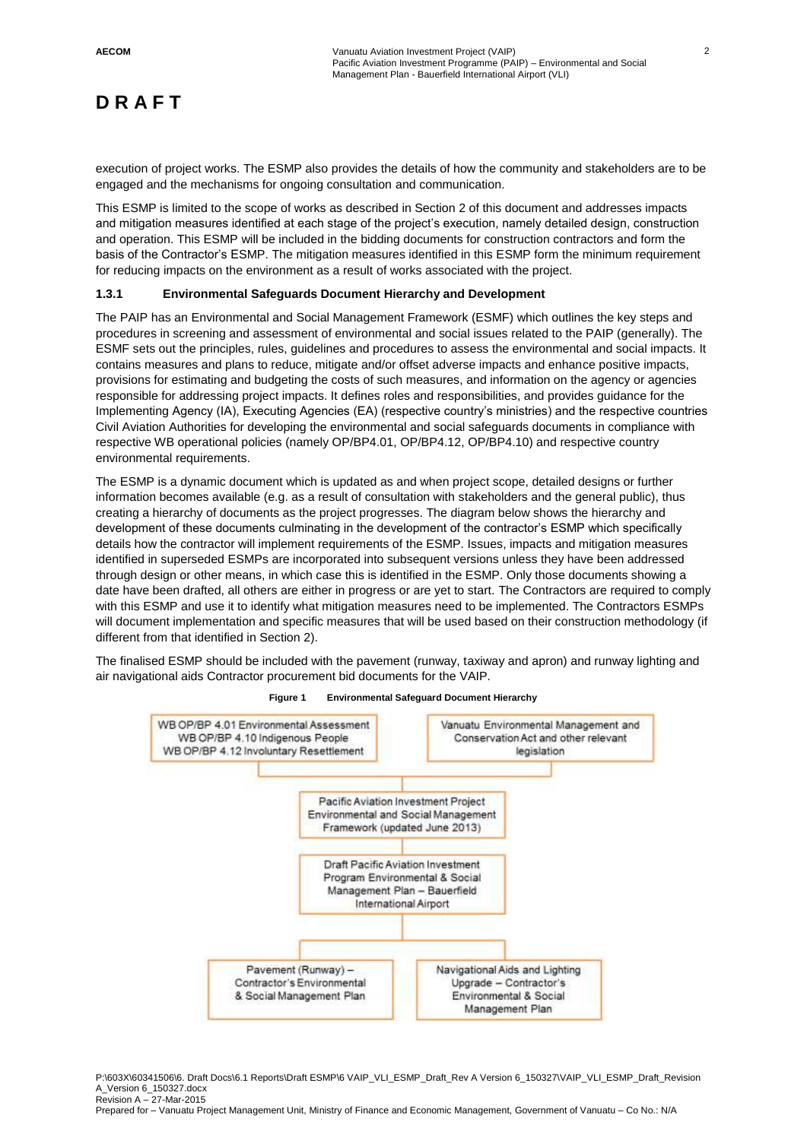execution of project works. The ESMP also provides the details of how the community and stakeholders are to be engaged and the mechanisms for ongoing consultation and communication.

This ESMP is limited to the scope of works as described in Section 2 of this document and addresses impacts and mitigation measures identified at each stage of the project's execution, namely detailed design, construction and operation. This ESMP will be included in the bidding documents for construction contractors and form the basis of the Contractor's ESMP. The mitigation measures identified in this ESMP form the minimum requirement for reducing impacts on the environment as a result of works associated with the project.

#### **1.3.1 Environmental Safeguards Document Hierarchy and Development**

The PAIP has an Environmental and Social Management Framework (ESMF) which outlines the key steps and procedures in screening and assessment of environmental and social issues related to the PAIP (generally). The ESMF sets out the principles, rules, guidelines and procedures to assess the environmental and social impacts. It contains measures and plans to reduce, mitigate and/or offset adverse impacts and enhance positive impacts, provisions for estimating and budgeting the costs of such measures, and information on the agency or agencies responsible for addressing project impacts. It defines roles and responsibilities, and provides guidance for the Implementing Agency (IA), Executing Agencies (EA) (respective country's ministries) and the respective countries Civil Aviation Authorities for developing the environmental and social safeguards documents in compliance with respective WB operational policies (namely OP/BP4.01, OP/BP4.12, OP/BP4.10) and respective country environmental requirements.

The ESMP is a dynamic document which is updated as and when project scope, detailed designs or further information becomes available (e.g. as a result of consultation with stakeholders and the general public), thus creating a hierarchy of documents as the project progresses. The diagram below shows the hierarchy and development of these documents culminating in the development of the contractor's ESMP which specifically details how the contractor will implement requirements of the ESMP. Issues, impacts and mitigation measures identified in superseded ESMPs are incorporated into subsequent versions unless they have been addressed through design or other means, in which case this is identified in the ESMP. Only those documents showing a date have been drafted, all others are either in progress or are yet to start. The Contractors are required to comply with this ESMP and use it to identify what mitigation measures need to be implemented. The Contractors ESMPs will document implementation and specific measures that will be used based on their construction methodology (if different from that identified in Section 2).

The finalised ESMP should be included with the pavement (runway, taxiway and apron) and runway lighting and air navigational aids Contractor procurement bid documents for the VAIP.



#### **Figure 1 Environmental Safeguard Document Hierarchy**

P:\603X\60341506\6. Draft Docs\6.1 Reports\Draft ESMP\6 VAIP\_VLI\_ESMP\_Draft\_Rev A Version 6\_150327\VAIP\_VLI\_ESMP\_Draft\_Revision A\_Version 6\_150327.docx Revision A – 27-Mar-2015 Prepared for – Vanuatu Project Management Unit, Ministry of Finance and Economic Management, Government of Vanuatu – Co No.: N/A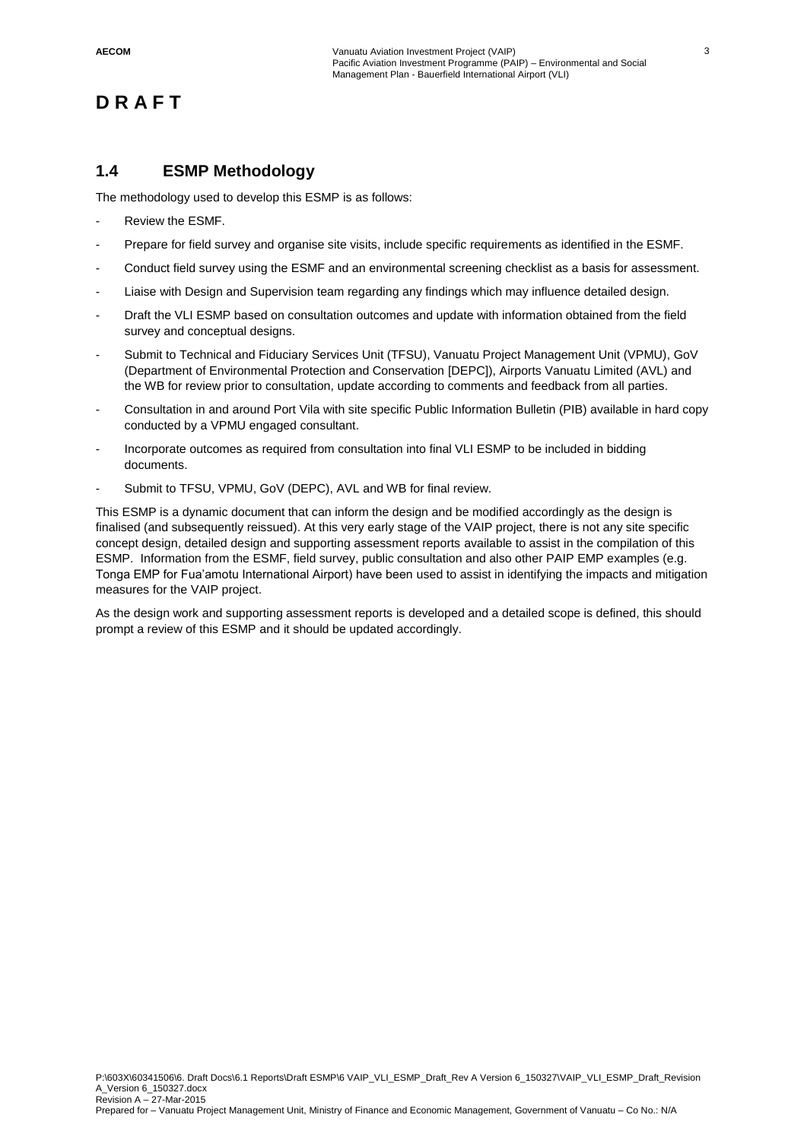### **1.4 ESMP Methodology**

The methodology used to develop this ESMP is as follows:

- Review the ESMF.
- Prepare for field survey and organise site visits, include specific requirements as identified in the ESMF.
- Conduct field survey using the ESMF and an environmental screening checklist as a basis for assessment.
- Liaise with Design and Supervision team regarding any findings which may influence detailed design.
- Draft the VLI ESMP based on consultation outcomes and update with information obtained from the field survey and conceptual designs.
- Submit to Technical and Fiduciary Services Unit (TFSU), Vanuatu Project Management Unit (VPMU), GoV (Department of Environmental Protection and Conservation [DEPC]), Airports Vanuatu Limited (AVL) and the WB for review prior to consultation, update according to comments and feedback from all parties.
- Consultation in and around Port Vila with site specific Public Information Bulletin (PIB) available in hard copy conducted by a VPMU engaged consultant.
- Incorporate outcomes as required from consultation into final VLI ESMP to be included in bidding documents.
- Submit to TFSU, VPMU, GoV (DEPC), AVL and WB for final review.

This ESMP is a dynamic document that can inform the design and be modified accordingly as the design is finalised (and subsequently reissued). At this very early stage of the VAIP project, there is not any site specific concept design, detailed design and supporting assessment reports available to assist in the compilation of this ESMP. Information from the ESMF, field survey, public consultation and also other PAIP EMP examples (e.g. Tonga EMP for Fua'amotu International Airport) have been used to assist in identifying the impacts and mitigation measures for the VAIP project.

As the design work and supporting assessment reports is developed and a detailed scope is defined, this should prompt a review of this ESMP and it should be updated accordingly.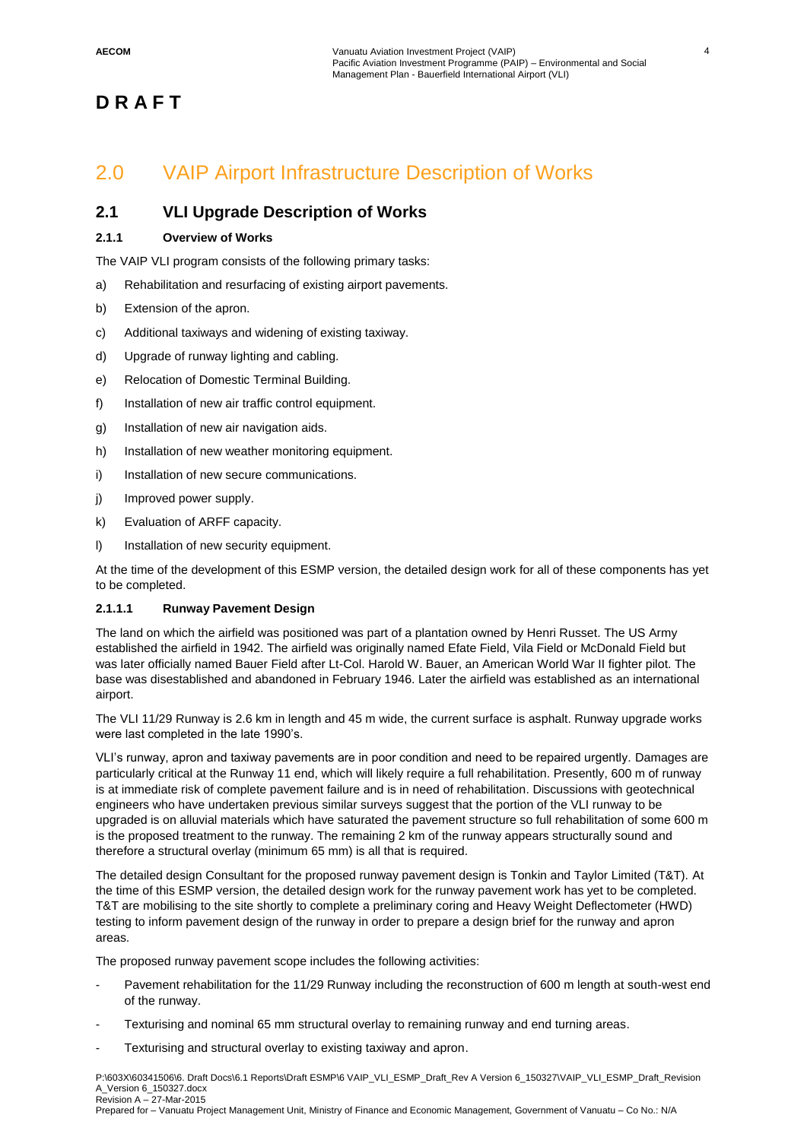### 2.0 VAIP Airport Infrastructure Description of Works

### **2.1 VLI Upgrade Description of Works**

### **2.1.1 Overview of Works**

The VAIP VLI program consists of the following primary tasks:

- a) Rehabilitation and resurfacing of existing airport pavements.
- b) Extension of the apron.
- c) Additional taxiways and widening of existing taxiway.
- d) Upgrade of runway lighting and cabling.
- e) Relocation of Domestic Terminal Building.
- f) Installation of new air traffic control equipment.
- g) Installation of new air navigation aids.
- h) Installation of new weather monitoring equipment.
- i) Installation of new secure communications.
- j) Improved power supply.
- k) Evaluation of ARFF capacity.
- l) Installation of new security equipment.

At the time of the development of this ESMP version, the detailed design work for all of these components has yet to be completed.

### **2.1.1.1 Runway Pavement Design**

The land on which the airfield was positioned was part of a plantation owned by Henri Russet. The US Army established the airfield in 1942. The airfield was originally named Efate Field, Vila Field or McDonald Field but was later officially named Bauer Field after Lt-Col. Harold W. Bauer, an American World War II fighter pilot. The base was disestablished and abandoned in February 1946. Later the airfield was established as an international airport.

The VLI 11/29 Runway is 2.6 km in length and 45 m wide, the current surface is asphalt. Runway upgrade works were last completed in the late 1990's.

VLI's runway, apron and taxiway pavements are in poor condition and need to be repaired urgently. Damages are particularly critical at the Runway 11 end, which will likely require a full rehabilitation. Presently, 600 m of runway is at immediate risk of complete pavement failure and is in need of rehabilitation. Discussions with geotechnical engineers who have undertaken previous similar surveys suggest that the portion of the VLI runway to be upgraded is on alluvial materials which have saturated the pavement structure so full rehabilitation of some 600 m is the proposed treatment to the runway. The remaining 2 km of the runway appears structurally sound and therefore a structural overlay (minimum 65 mm) is all that is required.

The detailed design Consultant for the proposed runway pavement design is Tonkin and Taylor Limited (T&T). At the time of this ESMP version, the detailed design work for the runway pavement work has yet to be completed. T&T are mobilising to the site shortly to complete a preliminary coring and Heavy Weight Deflectometer (HWD) testing to inform pavement design of the runway in order to prepare a design brief for the runway and apron areas.

The proposed runway pavement scope includes the following activities:

- Pavement rehabilitation for the 11/29 Runway including the reconstruction of 600 m length at south-west end of the runway.
- Texturising and nominal 65 mm structural overlay to remaining runway and end turning areas.
- Texturising and structural overlay to existing taxiway and apron.

P:\603X\60341506\6. Draft Docs\6.1 Reports\Draft ESMP\6 VAIP\_VLI\_ESMP\_Draft\_Rev A Version 6\_150327\VAIP\_VLI\_ESMP\_Draft\_Revision A\_Version 6\_150327.docx Revision A – 27-Mar-2015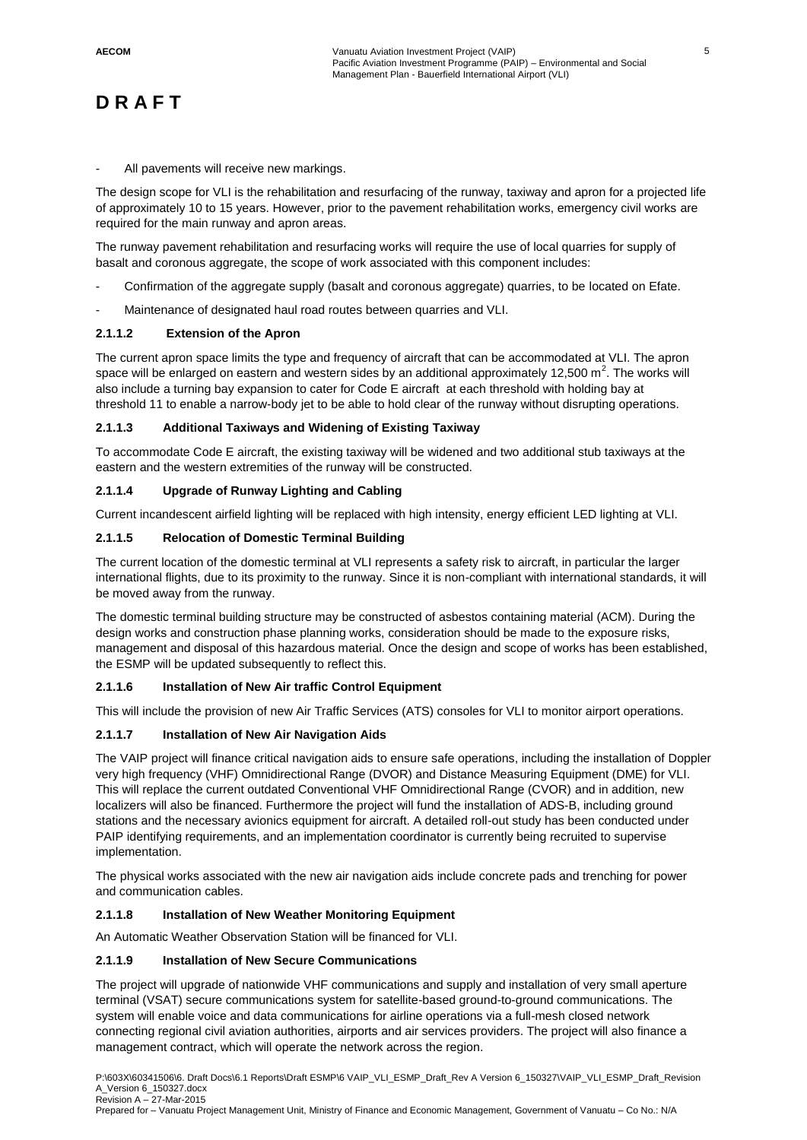All pavements will receive new markings.

The design scope for VLI is the rehabilitation and resurfacing of the runway, taxiway and apron for a projected life of approximately 10 to 15 years. However, prior to the pavement rehabilitation works, emergency civil works are required for the main runway and apron areas.

The runway pavement rehabilitation and resurfacing works will require the use of local quarries for supply of basalt and coronous aggregate, the scope of work associated with this component includes:

- Confirmation of the aggregate supply (basalt and coronous aggregate) quarries, to be located on Efate.
- Maintenance of designated haul road routes between quarries and VLI.

### **2.1.1.2 Extension of the Apron**

The current apron space limits the type and frequency of aircraft that can be accommodated at VLI. The apron space will be enlarged on eastern and western sides by an additional approximately 12,500 m<sup>2</sup>. The works will also include a turning bay expansion to cater for Code E aircraft at each threshold with holding bay at threshold 11 to enable a narrow-body jet to be able to hold clear of the runway without disrupting operations.

#### **2.1.1.3 Additional Taxiways and Widening of Existing Taxiway**

To accommodate Code E aircraft, the existing taxiway will be widened and two additional stub taxiways at the eastern and the western extremities of the runway will be constructed.

### **2.1.1.4 Upgrade of Runway Lighting and Cabling**

Current incandescent airfield lighting will be replaced with high intensity, energy efficient LED lighting at VLI.

#### **2.1.1.5 Relocation of Domestic Terminal Building**

The current location of the domestic terminal at VLI represents a safety risk to aircraft, in particular the larger international flights, due to its proximity to the runway. Since it is non-compliant with international standards, it will be moved away from the runway.

The domestic terminal building structure may be constructed of asbestos containing material (ACM). During the design works and construction phase planning works, consideration should be made to the exposure risks, management and disposal of this hazardous material. Once the design and scope of works has been established, the ESMP will be updated subsequently to reflect this.

### **2.1.1.6 Installation of New Air traffic Control Equipment**

This will include the provision of new Air Traffic Services (ATS) consoles for VLI to monitor airport operations.

### **2.1.1.7 Installation of New Air Navigation Aids**

The VAIP project will finance critical navigation aids to ensure safe operations, including the installation of Doppler very high frequency (VHF) Omnidirectional Range (DVOR) and Distance Measuring Equipment (DME) for VLI. This will replace the current outdated Conventional VHF Omnidirectional Range (CVOR) and in addition, new localizers will also be financed. Furthermore the project will fund the installation of ADS-B, including ground stations and the necessary avionics equipment for aircraft. A detailed roll-out study has been conducted under PAIP identifying requirements, and an implementation coordinator is currently being recruited to supervise implementation.

The physical works associated with the new air navigation aids include concrete pads and trenching for power and communication cables.

#### **2.1.1.8 Installation of New Weather Monitoring Equipment**

An Automatic Weather Observation Station will be financed for VLI.

#### **2.1.1.9 Installation of New Secure Communications**

The project will upgrade of nationwide VHF communications and supply and installation of very small aperture terminal (VSAT) secure communications system for satellite-based ground-to-ground communications. The system will enable voice and data communications for airline operations via a full-mesh closed network connecting regional civil aviation authorities, airports and air services providers. The project will also finance a management contract, which will operate the network across the region.

P:\603X\60341506\6. Draft Docs\6.1 Reports\Draft ESMP\6 VAIP\_VLI\_ESMP\_Draft\_Rev A Version 6\_150327\VAIP\_VLI\_ESMP\_Draft\_Revision A\_Version 6\_150327.docx Revision A – 27-Mar-2015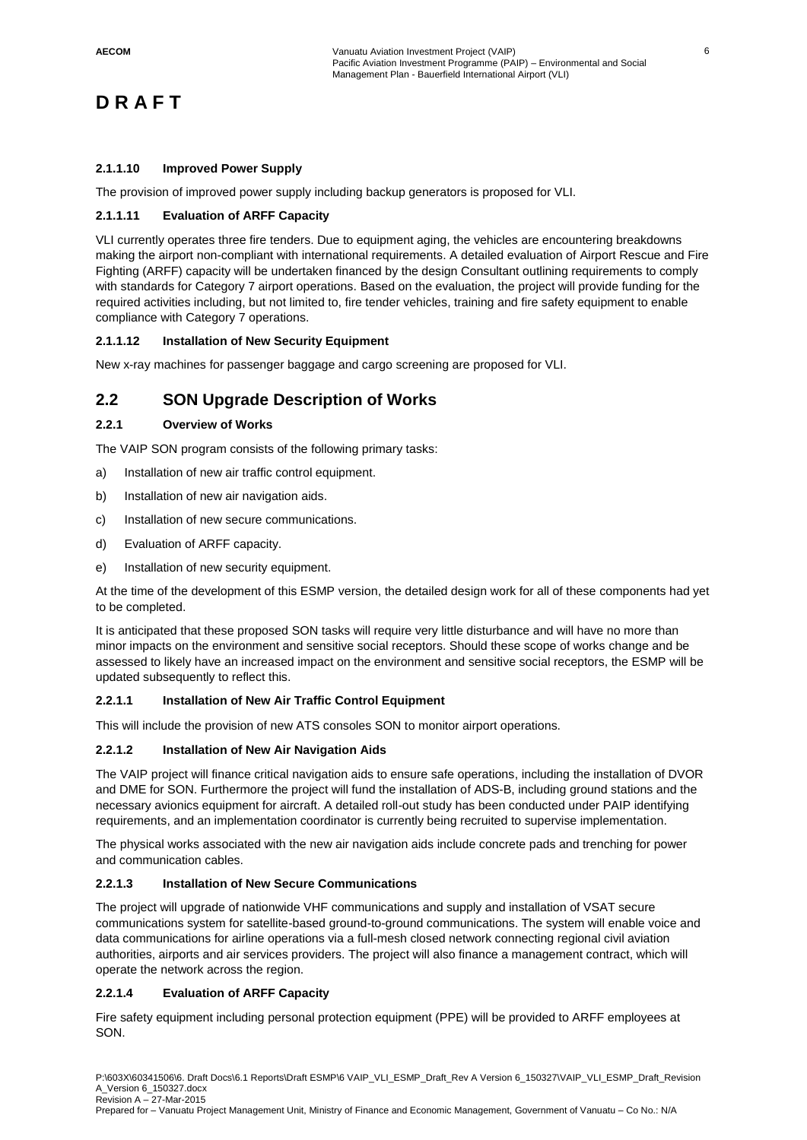### **2.1.1.10 Improved Power Supply**

The provision of improved power supply including backup generators is proposed for VLI.

#### **2.1.1.11 Evaluation of ARFF Capacity**

VLI currently operates three fire tenders. Due to equipment aging, the vehicles are encountering breakdowns making the airport non-compliant with international requirements. A detailed evaluation of Airport Rescue and Fire Fighting (ARFF) capacity will be undertaken financed by the design Consultant outlining requirements to comply with standards for Category 7 airport operations. Based on the evaluation, the project will provide funding for the required activities including, but not limited to, fire tender vehicles, training and fire safety equipment to enable compliance with Category 7 operations.

#### **2.1.1.12 Installation of New Security Equipment**

New x-ray machines for passenger baggage and cargo screening are proposed for VLI.

### **2.2 SON Upgrade Description of Works**

#### **2.2.1 Overview of Works**

The VAIP SON program consists of the following primary tasks:

- a) Installation of new air traffic control equipment.
- b) Installation of new air navigation aids.
- c) Installation of new secure communications.
- d) Evaluation of ARFF capacity.
- e) Installation of new security equipment.

At the time of the development of this ESMP version, the detailed design work for all of these components had yet to be completed.

It is anticipated that these proposed SON tasks will require very little disturbance and will have no more than minor impacts on the environment and sensitive social receptors. Should these scope of works change and be assessed to likely have an increased impact on the environment and sensitive social receptors, the ESMP will be updated subsequently to reflect this.

#### **2.2.1.1 Installation of New Air Traffic Control Equipment**

This will include the provision of new ATS consoles SON to monitor airport operations.

#### **2.2.1.2 Installation of New Air Navigation Aids**

The VAIP project will finance critical navigation aids to ensure safe operations, including the installation of DVOR and DME for SON. Furthermore the project will fund the installation of ADS-B, including ground stations and the necessary avionics equipment for aircraft. A detailed roll-out study has been conducted under PAIP identifying requirements, and an implementation coordinator is currently being recruited to supervise implementation.

The physical works associated with the new air navigation aids include concrete pads and trenching for power and communication cables.

#### **2.2.1.3 Installation of New Secure Communications**

The project will upgrade of nationwide VHF communications and supply and installation of VSAT secure communications system for satellite-based ground-to-ground communications. The system will enable voice and data communications for airline operations via a full-mesh closed network connecting regional civil aviation authorities, airports and air services providers. The project will also finance a management contract, which will operate the network across the region.

#### **2.2.1.4 Evaluation of ARFF Capacity**

Fire safety equipment including personal protection equipment (PPE) will be provided to ARFF employees at SON.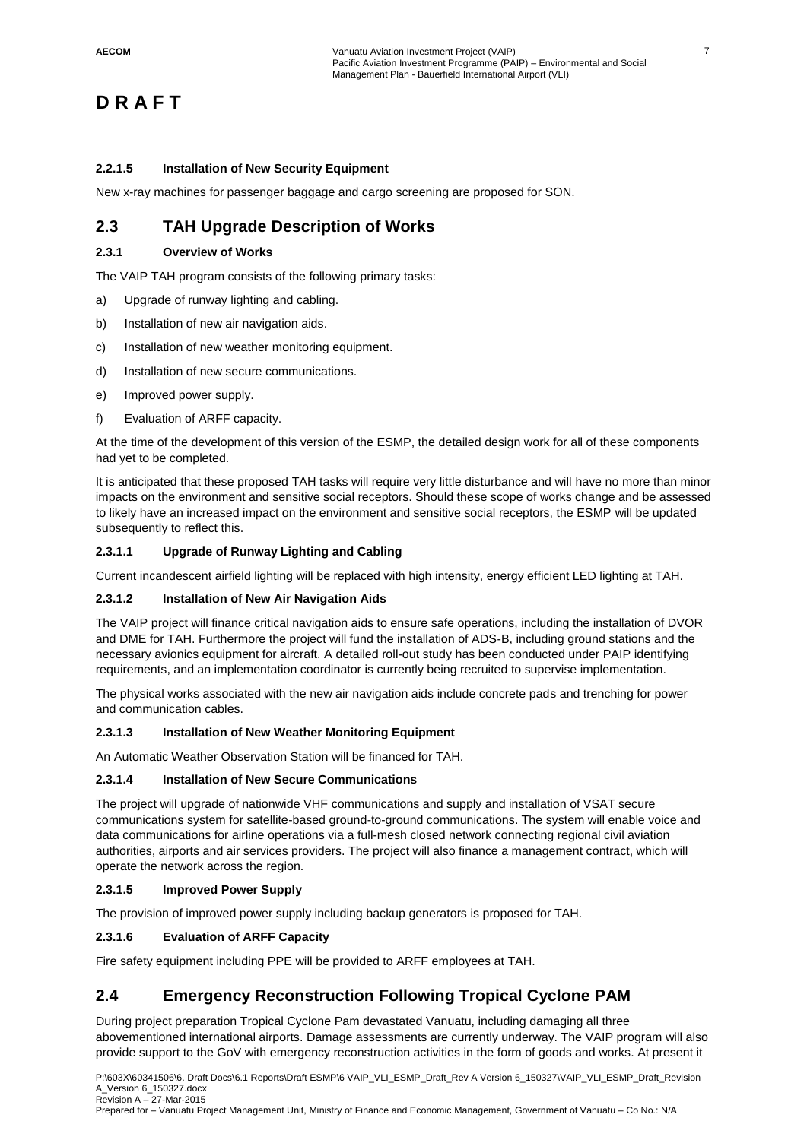#### **2.2.1.5 Installation of New Security Equipment**

New x-ray machines for passenger baggage and cargo screening are proposed for SON.

### **2.3 TAH Upgrade Description of Works**

### **2.3.1 Overview of Works**

The VAIP TAH program consists of the following primary tasks:

- a) Upgrade of runway lighting and cabling.
- b) Installation of new air navigation aids.
- c) Installation of new weather monitoring equipment.
- d) Installation of new secure communications.
- e) Improved power supply.
- f) Evaluation of ARFF capacity.

At the time of the development of this version of the ESMP, the detailed design work for all of these components had yet to be completed.

It is anticipated that these proposed TAH tasks will require very little disturbance and will have no more than minor impacts on the environment and sensitive social receptors. Should these scope of works change and be assessed to likely have an increased impact on the environment and sensitive social receptors, the ESMP will be updated subsequently to reflect this.

### **2.3.1.1 Upgrade of Runway Lighting and Cabling**

Current incandescent airfield lighting will be replaced with high intensity, energy efficient LED lighting at TAH.

#### **2.3.1.2 Installation of New Air Navigation Aids**

The VAIP project will finance critical navigation aids to ensure safe operations, including the installation of DVOR and DME for TAH. Furthermore the project will fund the installation of ADS-B, including ground stations and the necessary avionics equipment for aircraft. A detailed roll-out study has been conducted under PAIP identifying requirements, and an implementation coordinator is currently being recruited to supervise implementation.

The physical works associated with the new air navigation aids include concrete pads and trenching for power and communication cables.

#### **2.3.1.3 Installation of New Weather Monitoring Equipment**

An Automatic Weather Observation Station will be financed for TAH.

#### **2.3.1.4 Installation of New Secure Communications**

The project will upgrade of nationwide VHF communications and supply and installation of VSAT secure communications system for satellite-based ground-to-ground communications. The system will enable voice and data communications for airline operations via a full-mesh closed network connecting regional civil aviation authorities, airports and air services providers. The project will also finance a management contract, which will operate the network across the region.

#### **2.3.1.5 Improved Power Supply**

The provision of improved power supply including backup generators is proposed for TAH.

#### **2.3.1.6 Evaluation of ARFF Capacity**

Fire safety equipment including PPE will be provided to ARFF employees at TAH.

### **2.4 Emergency Reconstruction Following Tropical Cyclone PAM**

During project preparation Tropical Cyclone Pam devastated Vanuatu, including damaging all three abovementioned international airports. Damage assessments are currently underway. The VAIP program will also provide support to the GoV with emergency reconstruction activities in the form of goods and works. At present it

P:\603X\60341506\6. Draft Docs\6.1 Reports\Draft ESMP\6 VAIP\_VLI\_ESMP\_Draft\_Rev A Version 6\_150327\VAIP\_VLI\_ESMP\_Draft\_Revision A\_Version 6\_150327.docx Revision A – 27-Mar-2015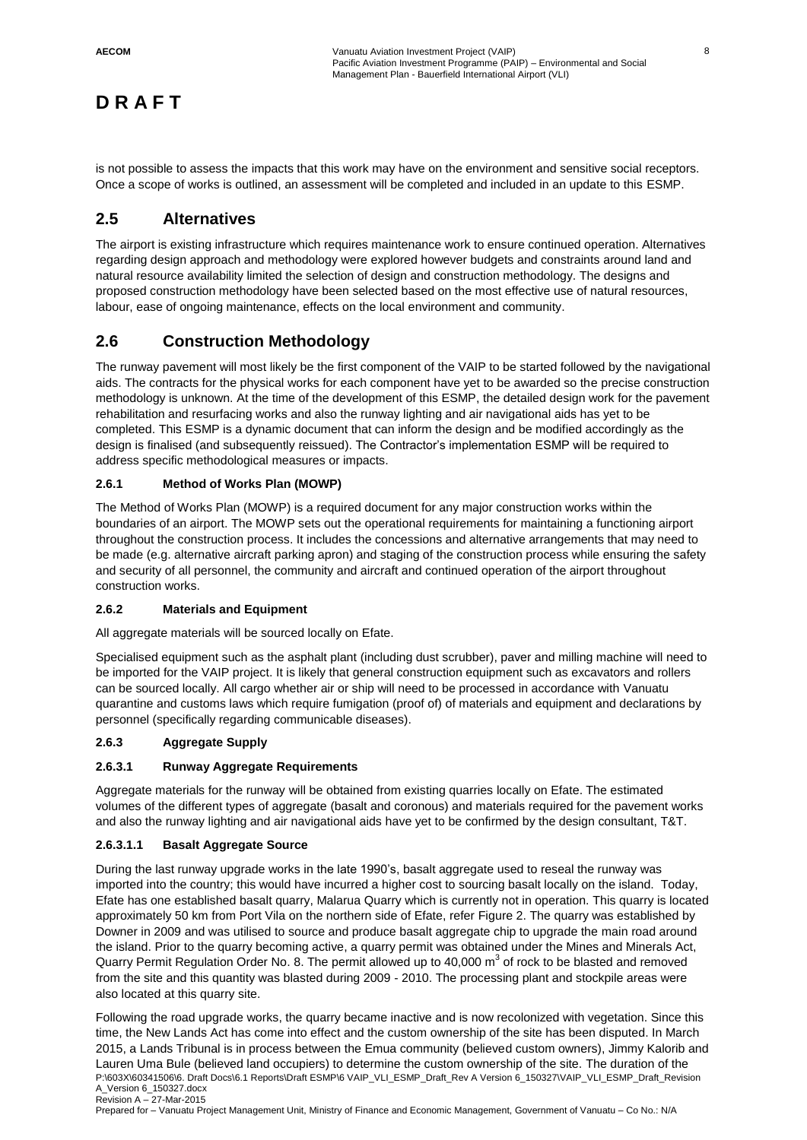is not possible to assess the impacts that this work may have on the environment and sensitive social receptors. Once a scope of works is outlined, an assessment will be completed and included in an update to this ESMP.

### **2.5 Alternatives**

The airport is existing infrastructure which requires maintenance work to ensure continued operation. Alternatives regarding design approach and methodology were explored however budgets and constraints around land and natural resource availability limited the selection of design and construction methodology. The designs and proposed construction methodology have been selected based on the most effective use of natural resources, labour, ease of ongoing maintenance, effects on the local environment and community.

### **2.6 Construction Methodology**

The runway pavement will most likely be the first component of the VAIP to be started followed by the navigational aids. The contracts for the physical works for each component have yet to be awarded so the precise construction methodology is unknown. At the time of the development of this ESMP, the detailed design work for the pavement rehabilitation and resurfacing works and also the runway lighting and air navigational aids has yet to be completed. This ESMP is a dynamic document that can inform the design and be modified accordingly as the design is finalised (and subsequently reissued). The Contractor's implementation ESMP will be required to address specific methodological measures or impacts.

### **2.6.1 Method of Works Plan (MOWP)**

The Method of Works Plan (MOWP) is a required document for any major construction works within the boundaries of an airport. The MOWP sets out the operational requirements for maintaining a functioning airport throughout the construction process. It includes the concessions and alternative arrangements that may need to be made (e.g. alternative aircraft parking apron) and staging of the construction process while ensuring the safety and security of all personnel, the community and aircraft and continued operation of the airport throughout construction works.

### **2.6.2 Materials and Equipment**

All aggregate materials will be sourced locally on Efate.

Specialised equipment such as the asphalt plant (including dust scrubber), paver and milling machine will need to be imported for the VAIP project. It is likely that general construction equipment such as excavators and rollers can be sourced locally. All cargo whether air or ship will need to be processed in accordance with Vanuatu quarantine and customs laws which require fumigation (proof of) of materials and equipment and declarations by personnel (specifically regarding communicable diseases).

### **2.6.3 Aggregate Supply**

### **2.6.3.1 Runway Aggregate Requirements**

Aggregate materials for the runway will be obtained from existing quarries locally on Efate. The estimated volumes of the different types of aggregate (basalt and coronous) and materials required for the pavement works and also the runway lighting and air navigational aids have yet to be confirmed by the design consultant, T&T.

### **2.6.3.1.1 Basalt Aggregate Source**

During the last runway upgrade works in the late 1990's, basalt aggregate used to reseal the runway was imported into the country; this would have incurred a higher cost to sourcing basalt locally on the island. Today, Efate has one established basalt quarry, Malarua Quarry which is currently not in operation. This quarry is located approximately 50 km from Port Vila on the northern side of Efate, refer Figure 2. The quarry was established by Downer in 2009 and was utilised to source and produce basalt aggregate chip to upgrade the main road around the island. Prior to the quarry becoming active, a quarry permit was obtained under the Mines and Minerals Act, Quarry Permit Regulation Order No. 8. The permit allowed up to 40,000  $m^3$  of rock to be blasted and removed from the site and this quantity was blasted during 2009 - 2010. The processing plant and stockpile areas were also located at this quarry site.

P:\603X\60341506\6. Draft Docs\6.1 Reports\Draft ESMP\6 VAIP\_VLI\_ESMP\_Draft\_Rev A Version 6\_150327\VAIP\_VLI\_ESMP\_Draft\_Revision A\_Version 6\_150327.docx Revision A – 27-Mar-2015 Following the road upgrade works, the quarry became inactive and is now recolonized with vegetation. Since this time, the New Lands Act has come into effect and the custom ownership of the site has been disputed. In March 2015, a Lands Tribunal is in process between the Emua community (believed custom owners), Jimmy Kalorib and Lauren Uma Bule (believed land occupiers) to determine the custom ownership of the site. The duration of the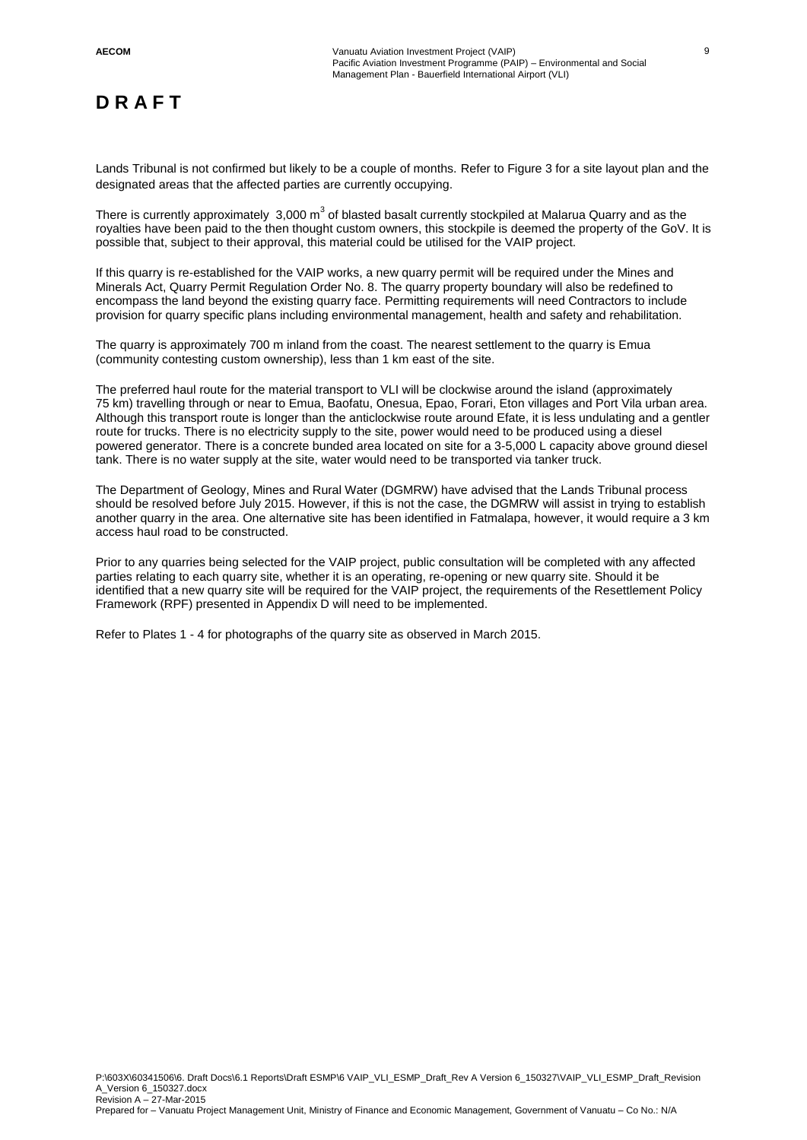Lands Tribunal is not confirmed but likely to be a couple of months. Refer to Figure 3 for a site layout plan and the designated areas that the affected parties are currently occupying.

There is currently approximately 3,000 m<sup>3</sup> of blasted basalt currently stockpiled at Malarua Quarry and as the royalties have been paid to the then thought custom owners, this stockpile is deemed the property of the GoV. It is possible that, subject to their approval, this material could be utilised for the VAIP project.

If this quarry is re-established for the VAIP works, a new quarry permit will be required under the Mines and Minerals Act, Quarry Permit Regulation Order No. 8. The quarry property boundary will also be redefined to encompass the land beyond the existing quarry face. Permitting requirements will need Contractors to include provision for quarry specific plans including environmental management, health and safety and rehabilitation.

The quarry is approximately 700 m inland from the coast. The nearest settlement to the quarry is Emua (community contesting custom ownership), less than 1 km east of the site.

The preferred haul route for the material transport to VLI will be clockwise around the island (approximately 75 km) travelling through or near to Emua, Baofatu, Onesua, Epao, Forari, Eton villages and Port Vila urban area. Although this transport route is longer than the anticlockwise route around Efate, it is less undulating and a gentler route for trucks. There is no electricity supply to the site, power would need to be produced using a diesel powered generator. There is a concrete bunded area located on site for a 3-5,000 L capacity above ground diesel tank. There is no water supply at the site, water would need to be transported via tanker truck.

The Department of Geology, Mines and Rural Water (DGMRW) have advised that the Lands Tribunal process should be resolved before July 2015. However, if this is not the case, the DGMRW will assist in trying to establish another quarry in the area. One alternative site has been identified in Fatmalapa, however, it would require a 3 km access haul road to be constructed.

Prior to any quarries being selected for the VAIP project, public consultation will be completed with any affected parties relating to each quarry site, whether it is an operating, re-opening or new quarry site. Should it be identified that a new quarry site will be required for the VAIP project, the requirements of the Resettlement Policy Framework (RPF) presented in Appendix D will need to be implemented.

Refer to Plates 1 - 4 for photographs of the quarry site as observed in March 2015.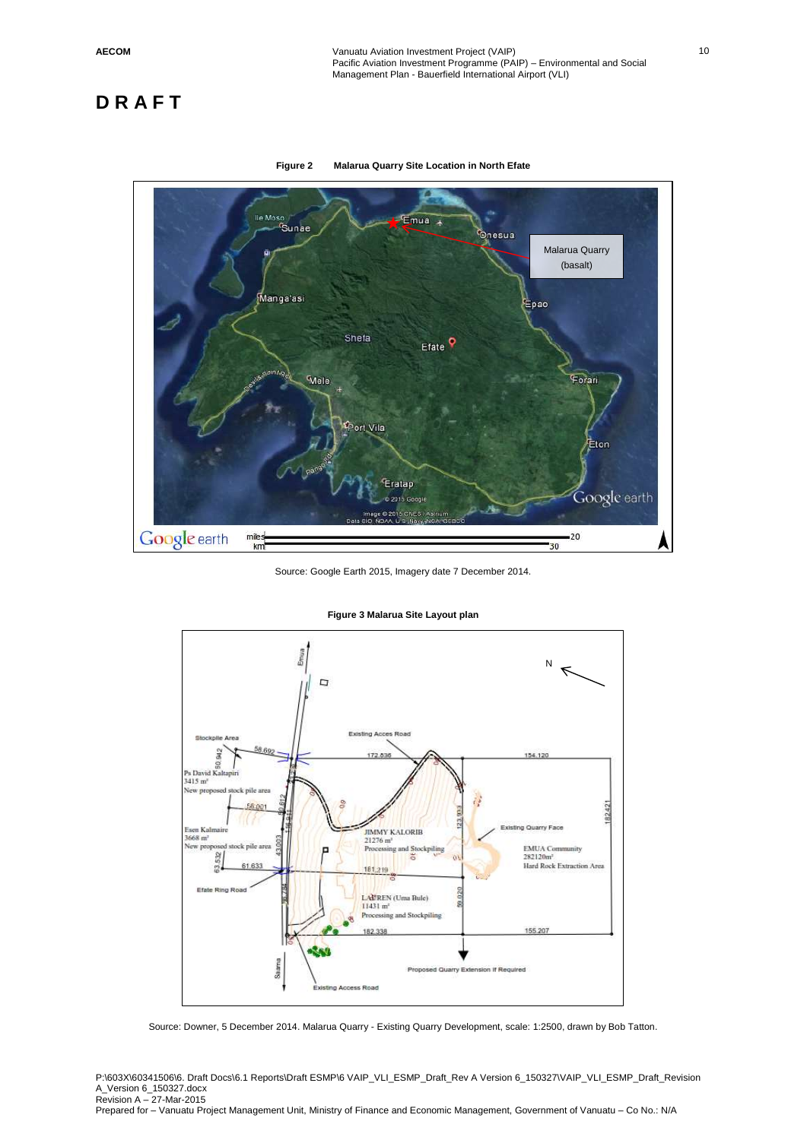



Source: Google Earth 2015, Imagery date 7 December 2014.



**Figure 3 Malarua Site Layout plan** 

Source: Downer, 5 December 2014. Malarua Quarry - Existing Quarry Development, scale: 1:2500, drawn by Bob Tatton.

P:\603X\60341506\6. Draft Docs\6.1 Reports\Draft ESMP\6 VAIP\_VLI\_ESMP\_Draft\_Rev A Version 6\_150327\VAIP\_VLI\_ESMP\_Draft\_Revision A\_Version 6\_150327.docx Revision A – 27-Mar-2015 Prepared for – Vanuatu Project Management Unit, Ministry of Finance and Economic Management, Government of Vanuatu – Co No.: N/A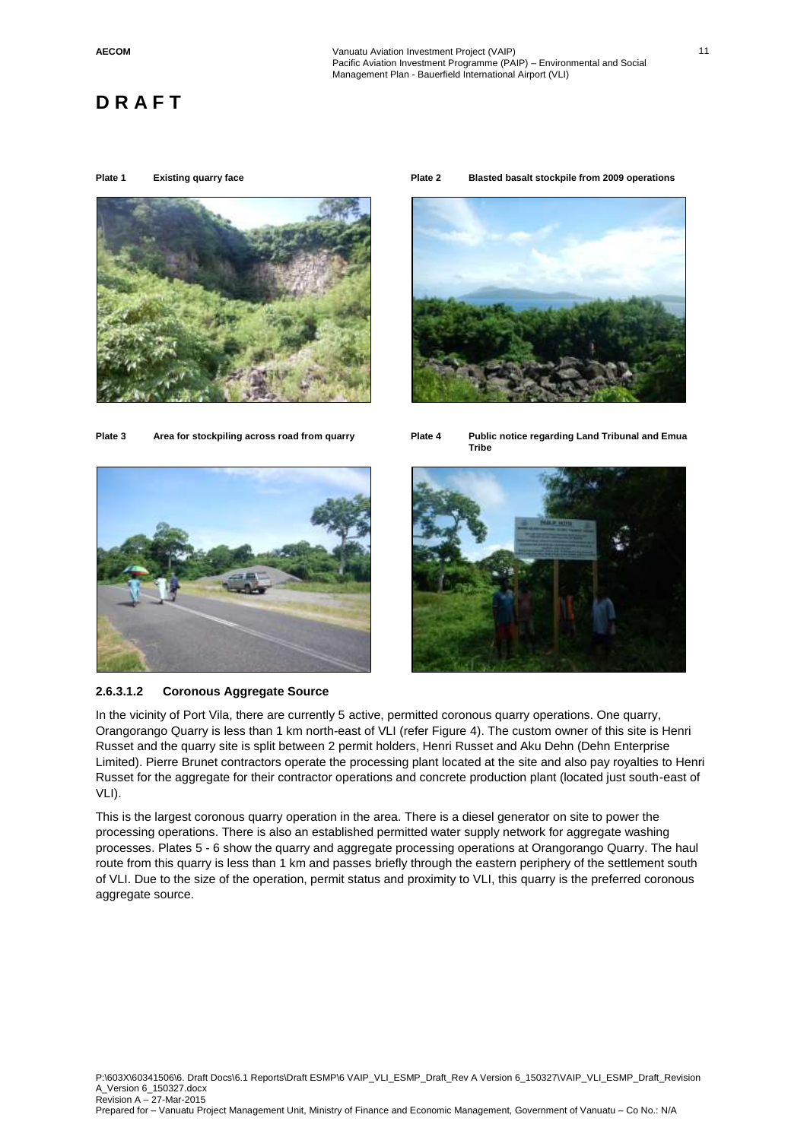



**Plate 1 Existing quarry face Plate 2 Blasted basalt stockpile from 2009 operations** 







**2.6.3.1.2 Coronous Aggregate Source**



In the vicinity of Port Vila, there are currently 5 active, permitted coronous quarry operations. One quarry, Orangorango Quarry is less than 1 km north-east of VLI (refer Figure 4). The custom owner of this site is Henri Russet and the quarry site is split between 2 permit holders, Henri Russet and Aku Dehn (Dehn Enterprise Limited). Pierre Brunet contractors operate the processing plant located at the site and also pay royalties to Henri Russet for the aggregate for their contractor operations and concrete production plant (located just south-east of VLI).

This is the largest coronous quarry operation in the area. There is a diesel generator on site to power the processing operations. There is also an established permitted water supply network for aggregate washing processes. Plates 5 - 6 show the quarry and aggregate processing operations at Orangorango Quarry. The haul route from this quarry is less than 1 km and passes briefly through the eastern periphery of the settlement south of VLI. Due to the size of the operation, permit status and proximity to VLI, this quarry is the preferred coronous aggregate source.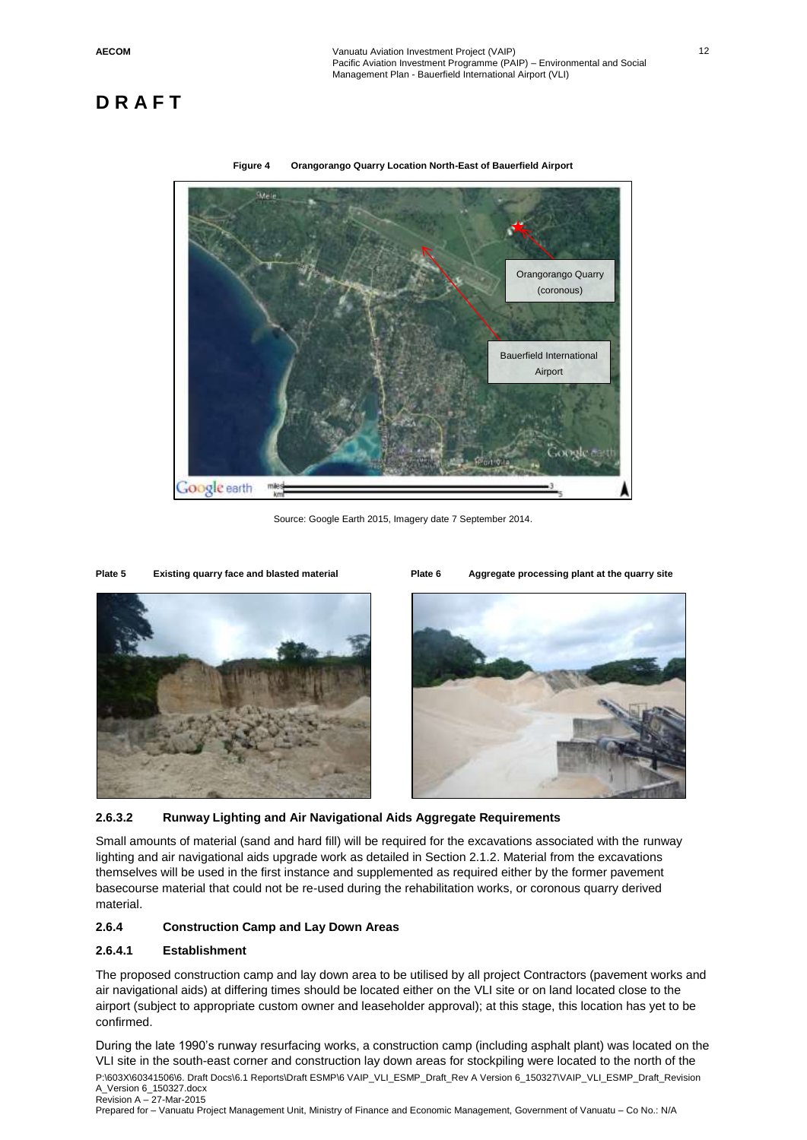



Source: Google Earth 2015, Imagery date 7 September 2014.

**Plate 5 Existing quarry face and blasted material Plate 6 Aggregate processing plant at the quarry site**





#### **2.6.3.2 Runway Lighting and Air Navigational Aids Aggregate Requirements**

Small amounts of material (sand and hard fill) will be required for the excavations associated with the runway lighting and air navigational aids upgrade work as detailed in Section 2.1.2. Material from the excavations themselves will be used in the first instance and supplemented as required either by the former pavement basecourse material that could not be re-used during the rehabilitation works, or coronous quarry derived material.

#### **2.6.4 Construction Camp and Lay Down Areas**

#### **2.6.4.1 Establishment**

The proposed construction camp and lay down area to be utilised by all project Contractors (pavement works and air navigational aids) at differing times should be located either on the VLI site or on land located close to the airport (subject to appropriate custom owner and leaseholder approval); at this stage, this location has yet to be confirmed.

P:\603X\60341506\6. Draft Docs\6.1 Reports\Draft ESMP\6 VAIP\_VLI\_ESMP\_Draft\_Rev A Version 6\_150327\VAIP\_VLI\_ESMP\_Draft\_Revision A\_Version 6\_150327.docx Revision A – 27-Mar-2015 During the late 1990's runway resurfacing works, a construction camp (including asphalt plant) was located on the VLI site in the south-east corner and construction lay down areas for stockpiling were located to the north of the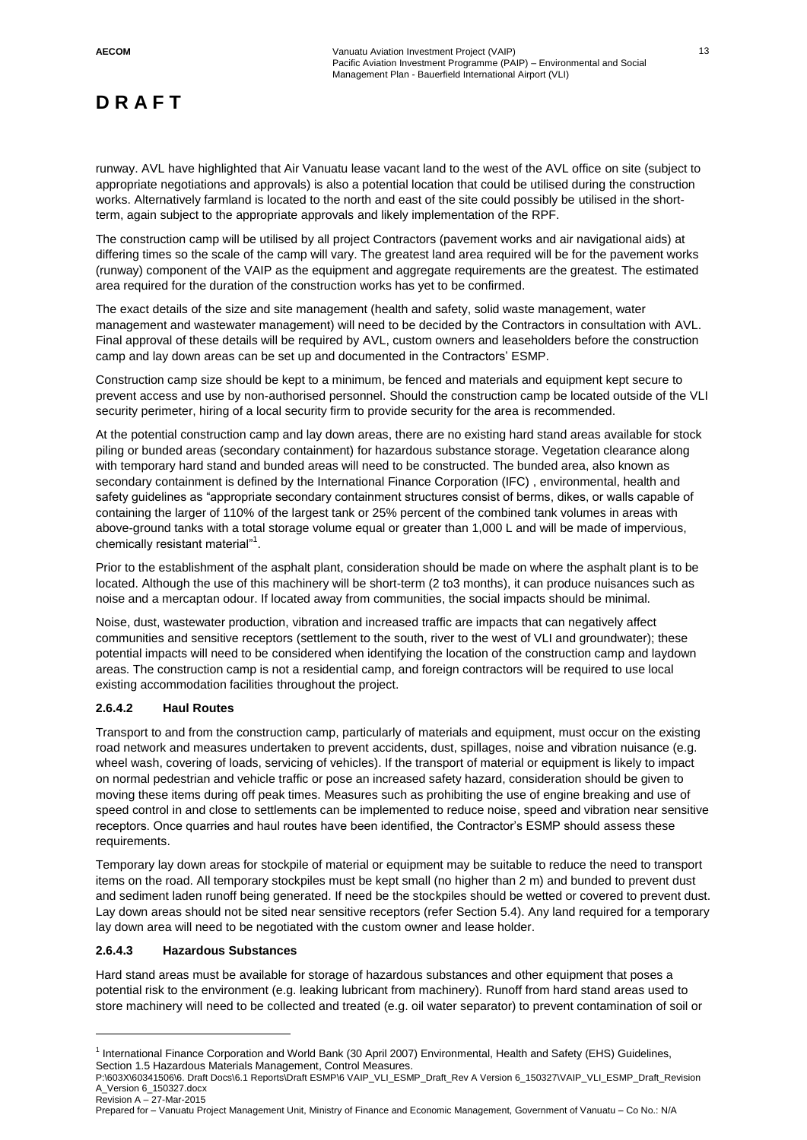runway. AVL have highlighted that Air Vanuatu lease vacant land to the west of the AVL office on site (subject to appropriate negotiations and approvals) is also a potential location that could be utilised during the construction works. Alternatively farmland is located to the north and east of the site could possibly be utilised in the shortterm, again subject to the appropriate approvals and likely implementation of the RPF.

The construction camp will be utilised by all project Contractors (pavement works and air navigational aids) at differing times so the scale of the camp will vary. The greatest land area required will be for the pavement works (runway) component of the VAIP as the equipment and aggregate requirements are the greatest. The estimated area required for the duration of the construction works has yet to be confirmed.

The exact details of the size and site management (health and safety, solid waste management, water management and wastewater management) will need to be decided by the Contractors in consultation with AVL. Final approval of these details will be required by AVL, custom owners and leaseholders before the construction camp and lay down areas can be set up and documented in the Contractors' ESMP.

Construction camp size should be kept to a minimum, be fenced and materials and equipment kept secure to prevent access and use by non-authorised personnel. Should the construction camp be located outside of the VLI security perimeter, hiring of a local security firm to provide security for the area is recommended.

At the potential construction camp and lay down areas, there are no existing hard stand areas available for stock piling or bunded areas (secondary containment) for hazardous substance storage. Vegetation clearance along with temporary hard stand and bunded areas will need to be constructed. The bunded area, also known as secondary containment is defined by the International Finance Corporation (IFC) , environmental, health and safety guidelines as "appropriate secondary containment structures consist of berms, dikes, or walls capable of containing the larger of 110% of the largest tank or 25% percent of the combined tank volumes in areas with above-ground tanks with a total storage volume equal or greater than 1,000 L and will be made of impervious, chemically resistant material"<sup>1</sup>.

Prior to the establishment of the asphalt plant, consideration should be made on where the asphalt plant is to be located. Although the use of this machinery will be short-term (2 to3 months), it can produce nuisances such as noise and a mercaptan odour. If located away from communities, the social impacts should be minimal.

Noise, dust, wastewater production, vibration and increased traffic are impacts that can negatively affect communities and sensitive receptors (settlement to the south, river to the west of VLI and groundwater); these potential impacts will need to be considered when identifying the location of the construction camp and laydown areas. The construction camp is not a residential camp, and foreign contractors will be required to use local existing accommodation facilities throughout the project.

### **2.6.4.2 Haul Routes**

Transport to and from the construction camp, particularly of materials and equipment, must occur on the existing road network and measures undertaken to prevent accidents, dust, spillages, noise and vibration nuisance (e.g. wheel wash, covering of loads, servicing of vehicles). If the transport of material or equipment is likely to impact on normal pedestrian and vehicle traffic or pose an increased safety hazard, consideration should be given to moving these items during off peak times. Measures such as prohibiting the use of engine breaking and use of speed control in and close to settlements can be implemented to reduce noise, speed and vibration near sensitive receptors. Once quarries and haul routes have been identified, the Contractor's ESMP should assess these requirements.

Temporary lay down areas for stockpile of material or equipment may be suitable to reduce the need to transport items on the road. All temporary stockpiles must be kept small (no higher than 2 m) and bunded to prevent dust and sediment laden runoff being generated. If need be the stockpiles should be wetted or covered to prevent dust. Lay down areas should not be sited near sensitive receptors (refer Section 5.4). Any land required for a temporary lay down area will need to be negotiated with the custom owner and lease holder.

### **2.6.4.3 Hazardous Substances**

 $\overline{a}$ 

Hard stand areas must be available for storage of hazardous substances and other equipment that poses a potential risk to the environment (e.g. leaking lubricant from machinery). Runoff from hard stand areas used to store machinery will need to be collected and treated (e.g. oil water separator) to prevent contamination of soil or

<sup>&</sup>lt;sup>1</sup> International Finance Corporation and World Bank (30 April 2007) Environmental, Health and Safety (EHS) Guidelines, Section 1.5 Hazardous Materials Management, Control Measures.

P:\603X\60341506\6. Draft Docs\6.1 Reports\Draft ESMP\6 VAIP\_VLI\_ESMP\_Draft\_Rev A Version 6\_150327\VAIP\_VLI\_ESMP\_Draft\_Revision A\_Version 6\_150327.docx Revision A – 27-Mar-2015

Prepared for – Vanuatu Project Management Unit, Ministry of Finance and Economic Management, Government of Vanuatu – Co No.: N/A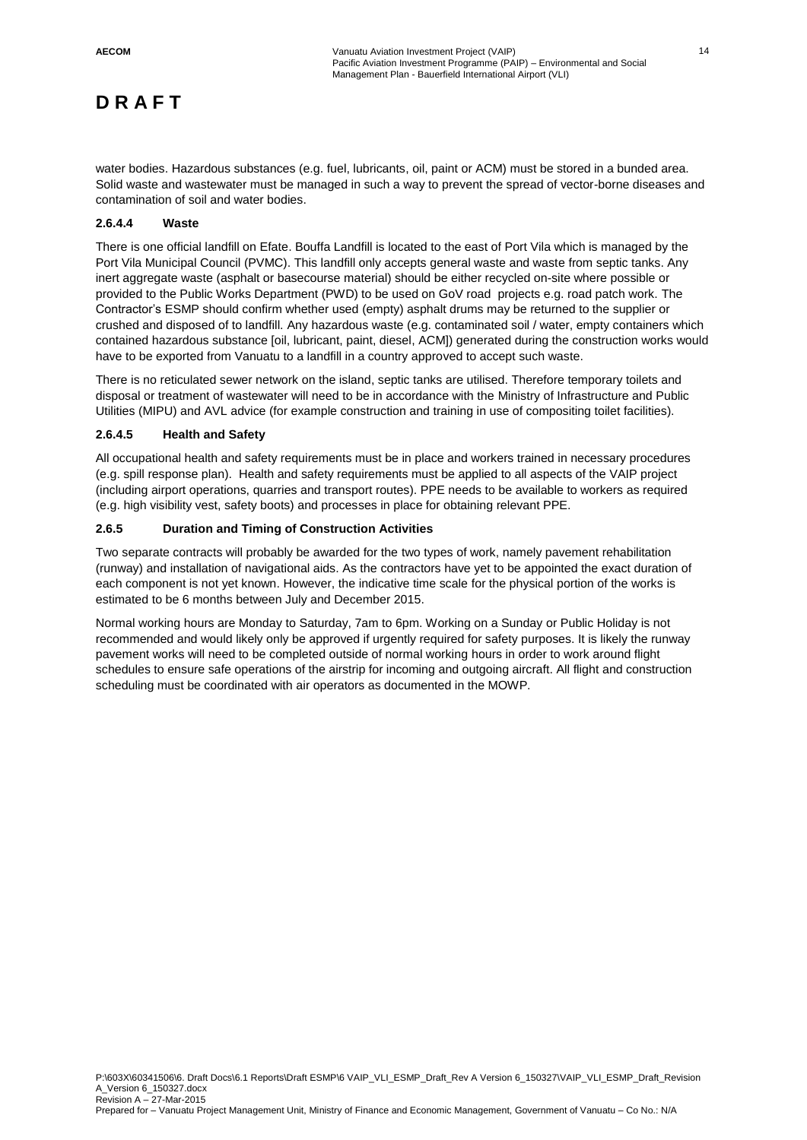water bodies. Hazardous substances (e.g. fuel, lubricants, oil, paint or ACM) must be stored in a bunded area. Solid waste and wastewater must be managed in such a way to prevent the spread of vector-borne diseases and contamination of soil and water bodies.

#### **2.6.4.4 Waste**

There is one official landfill on Efate. Bouffa Landfill is located to the east of Port Vila which is managed by the Port Vila Municipal Council (PVMC). This landfill only accepts general waste and waste from septic tanks. Any inert aggregate waste (asphalt or basecourse material) should be either recycled on-site where possible or provided to the Public Works Department (PWD) to be used on GoV road projects e.g. road patch work. The Contractor's ESMP should confirm whether used (empty) asphalt drums may be returned to the supplier or crushed and disposed of to landfill. Any hazardous waste (e.g. contaminated soil / water, empty containers which contained hazardous substance [oil, lubricant, paint, diesel, ACM]) generated during the construction works would have to be exported from Vanuatu to a landfill in a country approved to accept such waste.

There is no reticulated sewer network on the island, septic tanks are utilised. Therefore temporary toilets and disposal or treatment of wastewater will need to be in accordance with the Ministry of Infrastructure and Public Utilities (MIPU) and AVL advice (for example construction and training in use of compositing toilet facilities).

#### **2.6.4.5 Health and Safety**

All occupational health and safety requirements must be in place and workers trained in necessary procedures (e.g. spill response plan). Health and safety requirements must be applied to all aspects of the VAIP project (including airport operations, quarries and transport routes). PPE needs to be available to workers as required (e.g. high visibility vest, safety boots) and processes in place for obtaining relevant PPE.

### **2.6.5 Duration and Timing of Construction Activities**

Two separate contracts will probably be awarded for the two types of work, namely pavement rehabilitation (runway) and installation of navigational aids. As the contractors have yet to be appointed the exact duration of each component is not yet known. However, the indicative time scale for the physical portion of the works is estimated to be 6 months between July and December 2015.

Normal working hours are Monday to Saturday, 7am to 6pm. Working on a Sunday or Public Holiday is not recommended and would likely only be approved if urgently required for safety purposes. It is likely the runway pavement works will need to be completed outside of normal working hours in order to work around flight schedules to ensure safe operations of the airstrip for incoming and outgoing aircraft. All flight and construction scheduling must be coordinated with air operators as documented in the MOWP.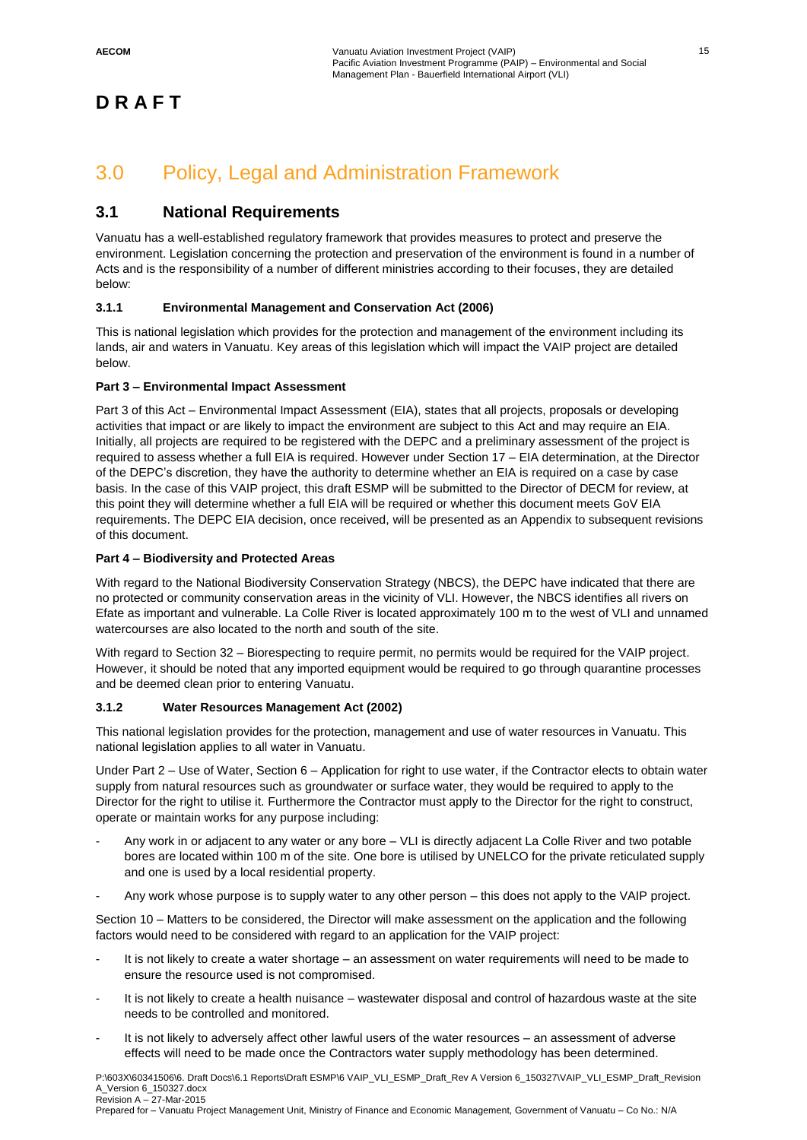# 3.0 Policy, Legal and Administration Framework

### **3.1 National Requirements**

Vanuatu has a well-established regulatory framework that provides measures to protect and preserve the environment. Legislation concerning the protection and preservation of the environment is found in a number of Acts and is the responsibility of a number of different ministries according to their focuses, they are detailed below:

### **3.1.1 Environmental Management and Conservation Act (2006)**

This is national legislation which provides for the protection and management of the environment including its lands, air and waters in Vanuatu. Key areas of this legislation which will impact the VAIP project are detailed below.

### **Part 3 – Environmental Impact Assessment**

Part 3 of this Act – Environmental Impact Assessment (EIA), states that all projects, proposals or developing activities that impact or are likely to impact the environment are subject to this Act and may require an EIA. Initially, all projects are required to be registered with the DEPC and a preliminary assessment of the project is required to assess whether a full EIA is required. However under Section 17 – EIA determination, at the Director of the DEPC's discretion, they have the authority to determine whether an EIA is required on a case by case basis. In the case of this VAIP project, this draft ESMP will be submitted to the Director of DECM for review, at this point they will determine whether a full EIA will be required or whether this document meets GoV EIA requirements. The DEPC EIA decision, once received, will be presented as an Appendix to subsequent revisions of this document.

### **Part 4 – Biodiversity and Protected Areas**

With regard to the National Biodiversity Conservation Strategy (NBCS), the DEPC have indicated that there are no protected or community conservation areas in the vicinity of VLI. However, the NBCS identifies all rivers on Efate as important and vulnerable. La Colle River is located approximately 100 m to the west of VLI and unnamed watercourses are also located to the north and south of the site.

With regard to Section 32 – Biorespecting to require permit, no permits would be required for the VAIP project. However, it should be noted that any imported equipment would be required to go through quarantine processes and be deemed clean prior to entering Vanuatu.

### **3.1.2 Water Resources Management Act (2002)**

This national legislation provides for the protection, management and use of water resources in Vanuatu. This national legislation applies to all water in Vanuatu.

Under Part 2 – Use of Water, Section 6 – Application for right to use water, if the Contractor elects to obtain water supply from natural resources such as groundwater or surface water, they would be required to apply to the Director for the right to utilise it. Furthermore the Contractor must apply to the Director for the right to construct, operate or maintain works for any purpose including:

- Any work in or adjacent to any water or any bore VLI is directly adjacent La Colle River and two potable bores are located within 100 m of the site. One bore is utilised by UNELCO for the private reticulated supply and one is used by a local residential property.
- Any work whose purpose is to supply water to any other person this does not apply to the VAIP project.

Section 10 – Matters to be considered, the Director will make assessment on the application and the following factors would need to be considered with regard to an application for the VAIP project:

- It is not likely to create a water shortage an assessment on water requirements will need to be made to ensure the resource used is not compromised.
- It is not likely to create a health nuisance wastewater disposal and control of hazardous waste at the site needs to be controlled and monitored.
- It is not likely to adversely affect other lawful users of the water resources an assessment of adverse effects will need to be made once the Contractors water supply methodology has been determined.

P:\603X\60341506\6. Draft Docs\6.1 Reports\Draft ESMP\6 VAIP\_VLI\_ESMP\_Draft\_Rev A Version 6\_150327\VAIP\_VLI\_ESMP\_Draft\_Revision A\_Version 6\_150327.docx Revision A – 27-Mar-2015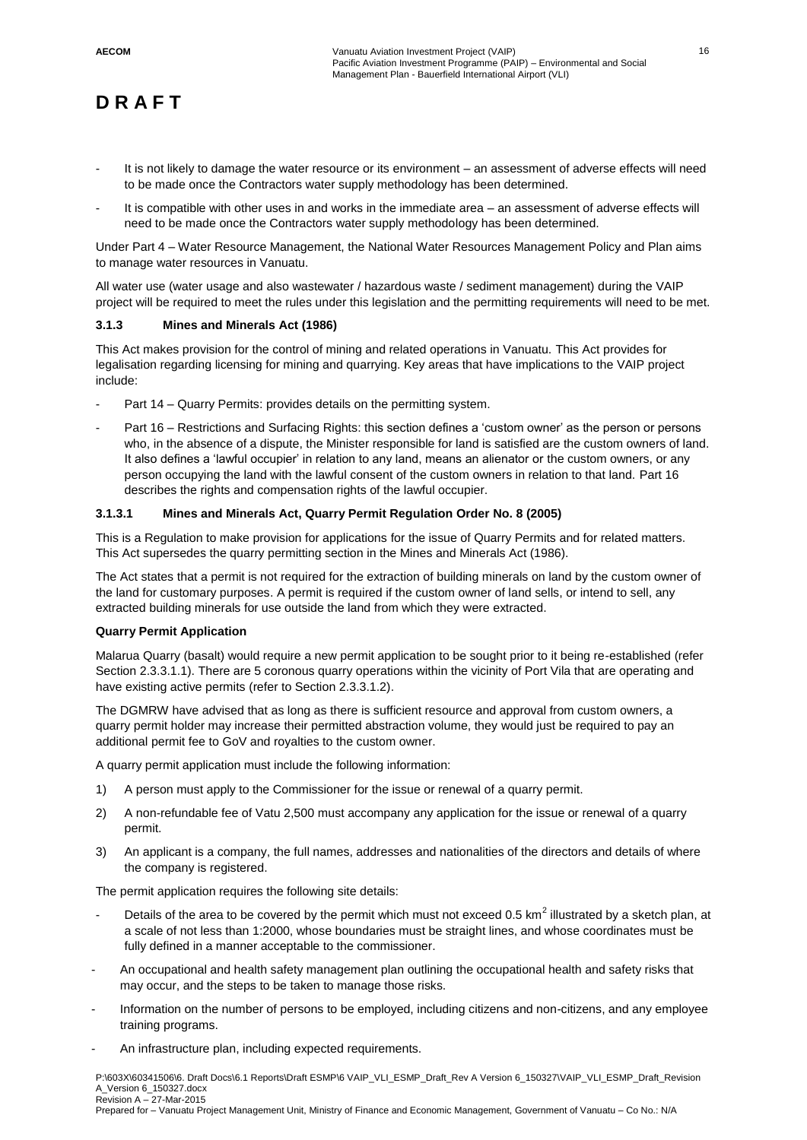- It is not likely to damage the water resource or its environment an assessment of adverse effects will need to be made once the Contractors water supply methodology has been determined.
- It is compatible with other uses in and works in the immediate area an assessment of adverse effects will need to be made once the Contractors water supply methodology has been determined.

Under Part 4 – Water Resource Management, the National Water Resources Management Policy and Plan aims to manage water resources in Vanuatu.

All water use (water usage and also wastewater / hazardous waste / sediment management) during the VAIP project will be required to meet the rules under this legislation and the permitting requirements will need to be met.

#### **3.1.3 Mines and Minerals Act (1986)**

This Act makes provision for the control of mining and related operations in Vanuatu. This Act provides for legalisation regarding licensing for mining and quarrying. Key areas that have implications to the VAIP project include:

- Part 14 Quarry Permits: provides details on the permitting system.
- Part 16 Restrictions and Surfacing Rights: this section defines a 'custom owner' as the person or persons who, in the absence of a dispute, the Minister responsible for land is satisfied are the custom owners of land. It also defines a 'lawful occupier' in relation to any land, means an alienator or the custom owners, or any person occupying the land with the lawful consent of the custom owners in relation to that land. Part 16 describes the rights and compensation rights of the lawful occupier.

### **3.1.3.1 Mines and Minerals Act, Quarry Permit Regulation Order No. 8 (2005)**

This is a Regulation to make provision for applications for the issue of Quarry Permits and for related matters. This Act supersedes the quarry permitting section in the Mines and Minerals Act (1986).

The Act states that a permit is not required for the extraction of building minerals on land by the custom owner of the land for customary purposes. A permit is required if the custom owner of land sells, or intend to sell, any extracted building minerals for use outside the land from which they were extracted.

#### **Quarry Permit Application**

Malarua Quarry (basalt) would require a new permit application to be sought prior to it being re-established (refer Section 2.3.3.1.1). There are 5 coronous quarry operations within the vicinity of Port Vila that are operating and have existing active permits (refer to Section 2.3.3.1.2).

The DGMRW have advised that as long as there is sufficient resource and approval from custom owners, a quarry permit holder may increase their permitted abstraction volume, they would just be required to pay an additional permit fee to GoV and royalties to the custom owner.

A quarry permit application must include the following information:

- 1) A person must apply to the Commissioner for the issue or renewal of a quarry permit.
- 2) A non-refundable fee of Vatu 2,500 must accompany any application for the issue or renewal of a quarry permit.
- 3) An applicant is a company, the full names, addresses and nationalities of the directors and details of where the company is registered.

The permit application requires the following site details:

- Details of the area to be covered by the permit which must not exceed 0.5 km<sup>2</sup> illustrated by a sketch plan, at a scale of not less than 1:2000, whose boundaries must be straight lines, and whose coordinates must be fully defined in a manner acceptable to the commissioner.
- An occupational and health safety management plan outlining the occupational health and safety risks that may occur, and the steps to be taken to manage those risks.
- Information on the number of persons to be employed, including citizens and non-citizens, and any employee training programs.
- An infrastructure plan, including expected requirements.

P:\603X\60341506\6. Draft Docs\6.1 Reports\Draft ESMP\6 VAIP\_VLI\_ESMP\_Draft\_Rev A Version 6\_150327\VAIP\_VLI\_ESMP\_Draft\_Revision A\_Version 6\_150327.docx Revision A – 27-Mar-2015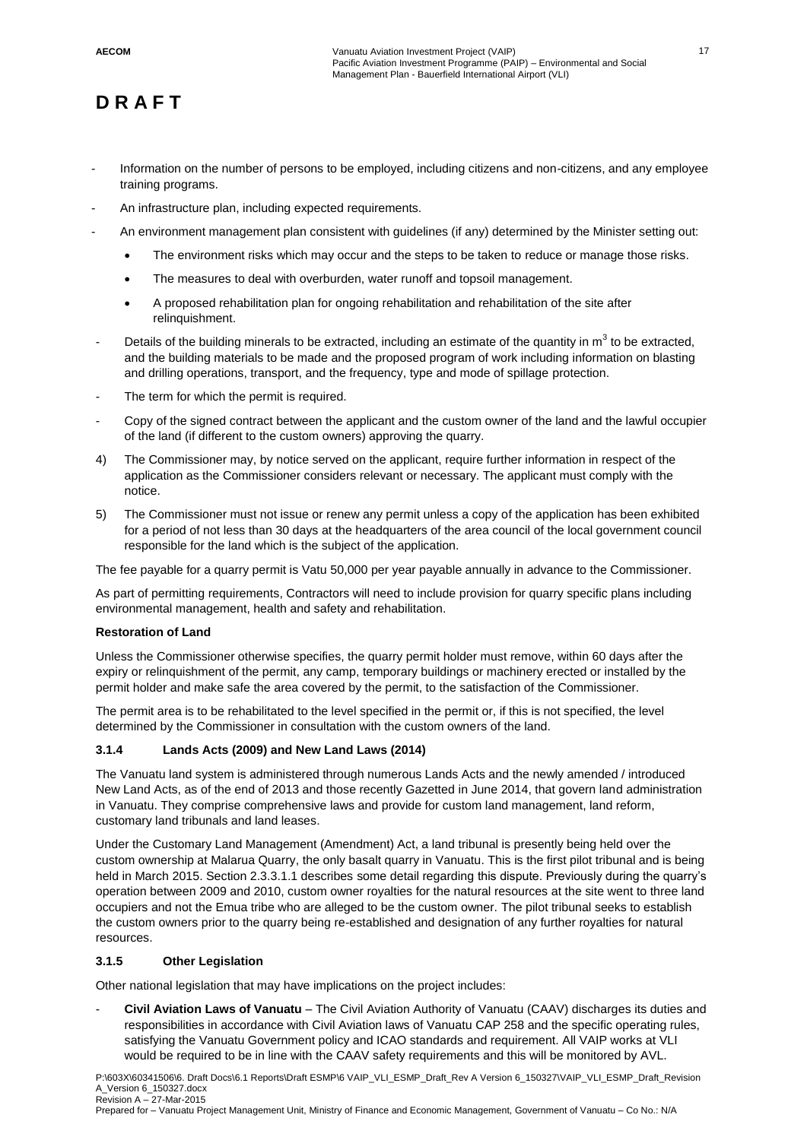- Information on the number of persons to be employed, including citizens and non-citizens, and any employee training programs.
- An infrastructure plan, including expected requirements.
	- An environment management plan consistent with guidelines (if any) determined by the Minister setting out:
		- The environment risks which may occur and the steps to be taken to reduce or manage those risks.
		- The measures to deal with overburden, water runoff and topsoil management.
		- A proposed rehabilitation plan for ongoing rehabilitation and rehabilitation of the site after relinquishment.
- Details of the building minerals to be extracted, including an estimate of the quantity in m<sup>3</sup> to be extracted, and the building materials to be made and the proposed program of work including information on blasting and drilling operations, transport, and the frequency, type and mode of spillage protection.
- The term for which the permit is required.
- Copy of the signed contract between the applicant and the custom owner of the land and the lawful occupier of the land (if different to the custom owners) approving the quarry.
- 4) The Commissioner may, by notice served on the applicant, require further information in respect of the application as the Commissioner considers relevant or necessary. The applicant must comply with the notice.
- 5) The Commissioner must not issue or renew any permit unless a copy of the application has been exhibited for a period of not less than 30 days at the headquarters of the area council of the local government council responsible for the land which is the subject of the application.

The fee payable for a quarry permit is Vatu 50,000 per year payable annually in advance to the Commissioner.

As part of permitting requirements, Contractors will need to include provision for quarry specific plans including environmental management, health and safety and rehabilitation.

#### **Restoration of Land**

Unless the Commissioner otherwise specifies, the quarry permit holder must remove, within 60 days after the expiry or relinquishment of the permit, any camp, temporary buildings or machinery erected or installed by the permit holder and make safe the area covered by the permit, to the satisfaction of the Commissioner.

The permit area is to be rehabilitated to the level specified in the permit or, if this is not specified, the level determined by the Commissioner in consultation with the custom owners of the land.

### **3.1.4 Lands Acts (2009) and New Land Laws (2014)**

The Vanuatu land system is administered through numerous Lands Acts and the newly amended / introduced New Land Acts, as of the end of 2013 and those recently Gazetted in June 2014, that govern land administration in Vanuatu. They comprise comprehensive laws and provide for custom land management, land reform, customary land tribunals and land leases.

Under the Customary Land Management (Amendment) Act, a land tribunal is presently being held over the custom ownership at Malarua Quarry, the only basalt quarry in Vanuatu. This is the first pilot tribunal and is being held in March 2015. Section 2.3.3.1.1 describes some detail regarding this dispute. Previously during the quarry's operation between 2009 and 2010, custom owner royalties for the natural resources at the site went to three land occupiers and not the Emua tribe who are alleged to be the custom owner. The pilot tribunal seeks to establish the custom owners prior to the quarry being re-established and designation of any further royalties for natural resources.

### **3.1.5 Other Legislation**

Other national legislation that may have implications on the project includes:

- **Civil Aviation Laws of Vanuatu** – The Civil Aviation Authority of Vanuatu (CAAV) discharges its duties and responsibilities in accordance with Civil Aviation laws of Vanuatu CAP 258 and the specific operating rules, satisfying the Vanuatu Government policy and ICAO standards and requirement. All VAIP works at VLI would be required to be in line with the CAAV safety requirements and this will be monitored by AVL.

P:\603X\60341506\6. Draft Docs\6.1 Reports\Draft ESMP\6 VAIP\_VLI\_ESMP\_Draft\_Rev A Version 6\_150327\VAIP\_VLI\_ESMP\_Draft\_Revision A\_Version 6\_150327.docx Revision A – 27-Mar-2015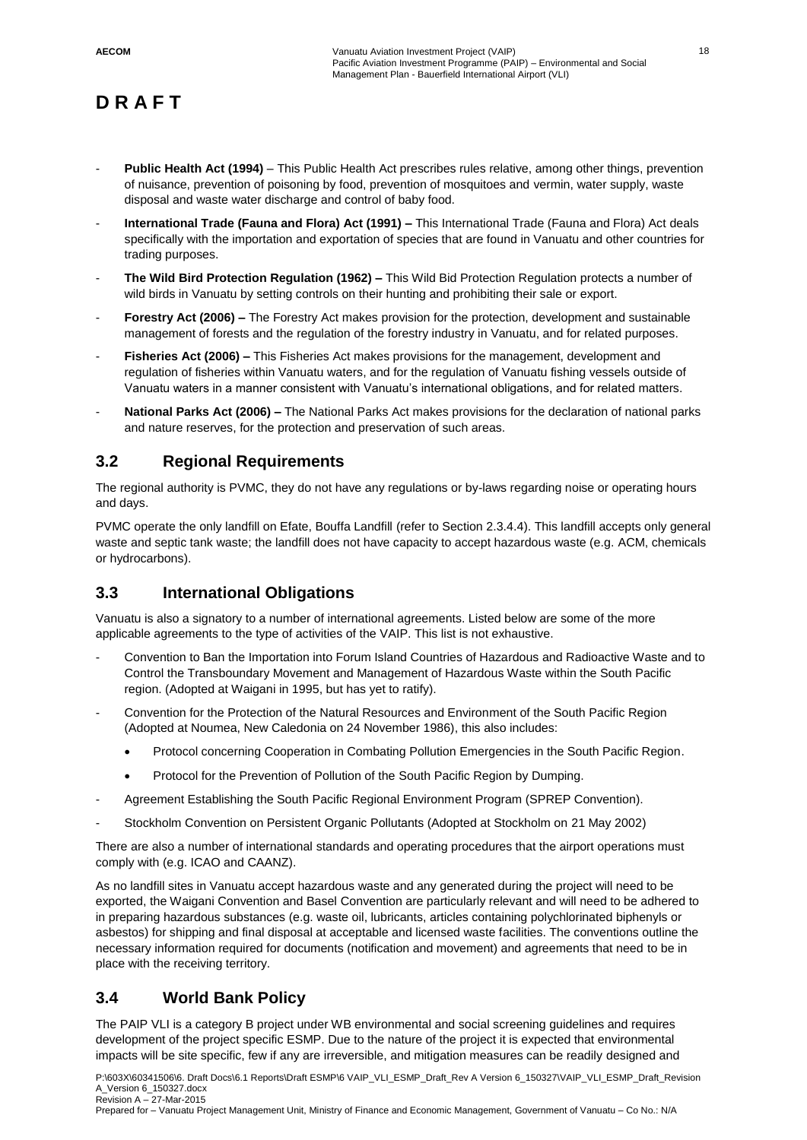- **Public Health Act (1994)** This Public Health Act prescribes rules relative, among other things, prevention of nuisance, prevention of poisoning by food, prevention of mosquitoes and vermin, water supply, waste disposal and waste water discharge and control of baby food.
- **International Trade (Fauna and Flora) Act (1991) –** This International Trade (Fauna and Flora) Act deals specifically with the importation and exportation of species that are found in Vanuatu and other countries for trading purposes.
- **The Wild Bird Protection Regulation (1962) –** This Wild Bid Protection Regulation protects a number of wild birds in Vanuatu by setting controls on their hunting and prohibiting their sale or export.
- **Forestry Act (2006) –** The Forestry Act makes provision for the protection, development and sustainable management of forests and the regulation of the forestry industry in Vanuatu, and for related purposes.
- **Fisheries Act (2006) –** This Fisheries Act makes provisions for the management, development and regulation of fisheries within Vanuatu waters, and for the regulation of Vanuatu fishing vessels outside of Vanuatu waters in a manner consistent with Vanuatu's international obligations, and for related matters.
- **National Parks Act (2006) –** The National Parks Act makes provisions for the declaration of national parks and nature reserves, for the protection and preservation of such areas.

### **3.2 Regional Requirements**

The regional authority is PVMC, they do not have any regulations or by-laws regarding noise or operating hours and days.

PVMC operate the only landfill on Efate, Bouffa Landfill (refer to Section 2.3.4.4). This landfill accepts only general waste and septic tank waste; the landfill does not have capacity to accept hazardous waste (e.g. ACM, chemicals or hydrocarbons).

### **3.3 International Obligations**

Vanuatu is also a signatory to a number of international agreements. Listed below are some of the more applicable agreements to the type of activities of the VAIP. This list is not exhaustive.

- Convention to Ban the Importation into Forum Island Countries of Hazardous and Radioactive Waste and to Control the Transboundary Movement and Management of Hazardous Waste within the South Pacific region. (Adopted at Waigani in 1995, but has yet to ratify).
- Convention for the Protection of the Natural Resources and Environment of the South Pacific Region (Adopted at Noumea, New Caledonia on 24 November 1986), this also includes:
	- Protocol concerning Cooperation in Combating Pollution Emergencies in the South Pacific Region.
	- Protocol for the Prevention of Pollution of the South Pacific Region by Dumping.
- Agreement Establishing the South Pacific Regional Environment Program (SPREP Convention).
- Stockholm Convention on Persistent Organic Pollutants (Adopted at Stockholm on 21 May 2002)

There are also a number of international standards and operating procedures that the airport operations must comply with (e.g. ICAO and CAANZ).

As no landfill sites in Vanuatu accept hazardous waste and any generated during the project will need to be exported, the Waigani Convention and Basel Convention are particularly relevant and will need to be adhered to in preparing hazardous substances (e.g. waste oil, lubricants, articles containing polychlorinated biphenyls or asbestos) for shipping and final disposal at acceptable and licensed waste facilities. The conventions outline the necessary information required for documents (notification and movement) and agreements that need to be in place with the receiving territory.

### **3.4 World Bank Policy**

The PAIP VLI is a category B project under WB environmental and social screening guidelines and requires development of the project specific ESMP. Due to the nature of the project it is expected that environmental impacts will be site specific, few if any are irreversible, and mitigation measures can be readily designed and

P:\603X\60341506\6. Draft Docs\6.1 Reports\Draft ESMP\6 VAIP\_VLI\_ESMP\_Draft\_Rev A Version 6\_150327\VAIP\_VLI\_ESMP\_Draft\_Revision A\_Version 6\_150327.docx Revision A – 27-Mar-2015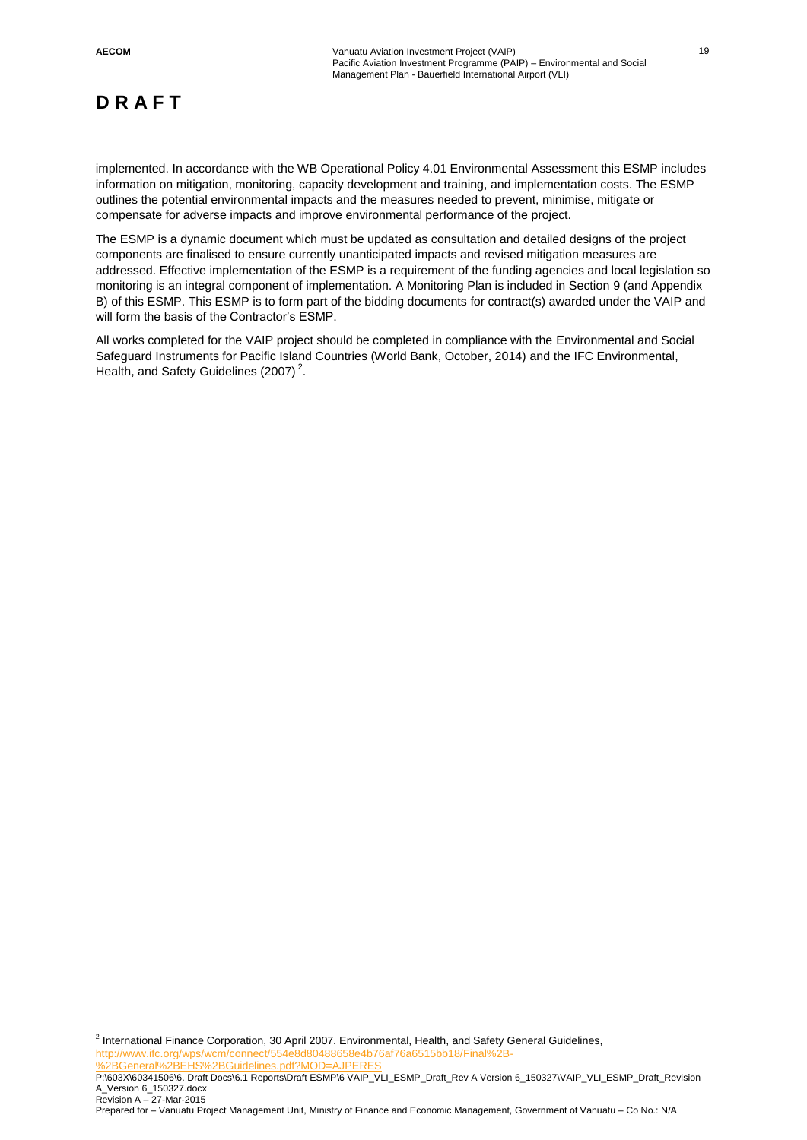$\overline{a}$ 

# **D R A F T**

implemented. In accordance with the WB Operational Policy 4.01 Environmental Assessment this ESMP includes information on mitigation, monitoring, capacity development and training, and implementation costs. The ESMP outlines the potential environmental impacts and the measures needed to prevent, minimise, mitigate or compensate for adverse impacts and improve environmental performance of the project.

The ESMP is a dynamic document which must be updated as consultation and detailed designs of the project components are finalised to ensure currently unanticipated impacts and revised mitigation measures are addressed. Effective implementation of the ESMP is a requirement of the funding agencies and local legislation so monitoring is an integral component of implementation. A Monitoring Plan is included in Section 9 (and Appendix B) of this ESMP. This ESMP is to form part of the bidding documents for contract(s) awarded under the VAIP and will form the basis of the Contractor's ESMP.

All works completed for the VAIP project should be completed in compliance with the Environmental and Social Safeguard Instruments for Pacific Island Countries (World Bank, October, 2014) and the IFC Environmental, Health, and Safety Guidelines (2007)<sup>2</sup>.

<sup>&</sup>lt;sup>2</sup> International Finance Corporation, 30 April 2007. Environmental, Health, and Safety General Guidelines, http://www.ifc.org/wps/wcm/connect/554e8d80488658e4b7 [%2BGeneral%2BEHS%2BGuidelines.pdf?MOD=AJPERES](http://www.ifc.org/wps/wcm/connect/554e8d80488658e4b76af76a6515bb18/Final%2B-%2BGeneral%2BEHS%2BGuidelines.pdf?MOD=AJPERES)

P:\603X\60341506\6. Draft Docs\6.1 Reports\Draft ESMP\6 VAIP\_VLI\_ESMP\_Draft\_Rev A Version 6\_150327\VAIP\_VLI\_ESMP\_Draft\_Revision A\_Version 6\_150327.docx Revision A – 27-Mar-2015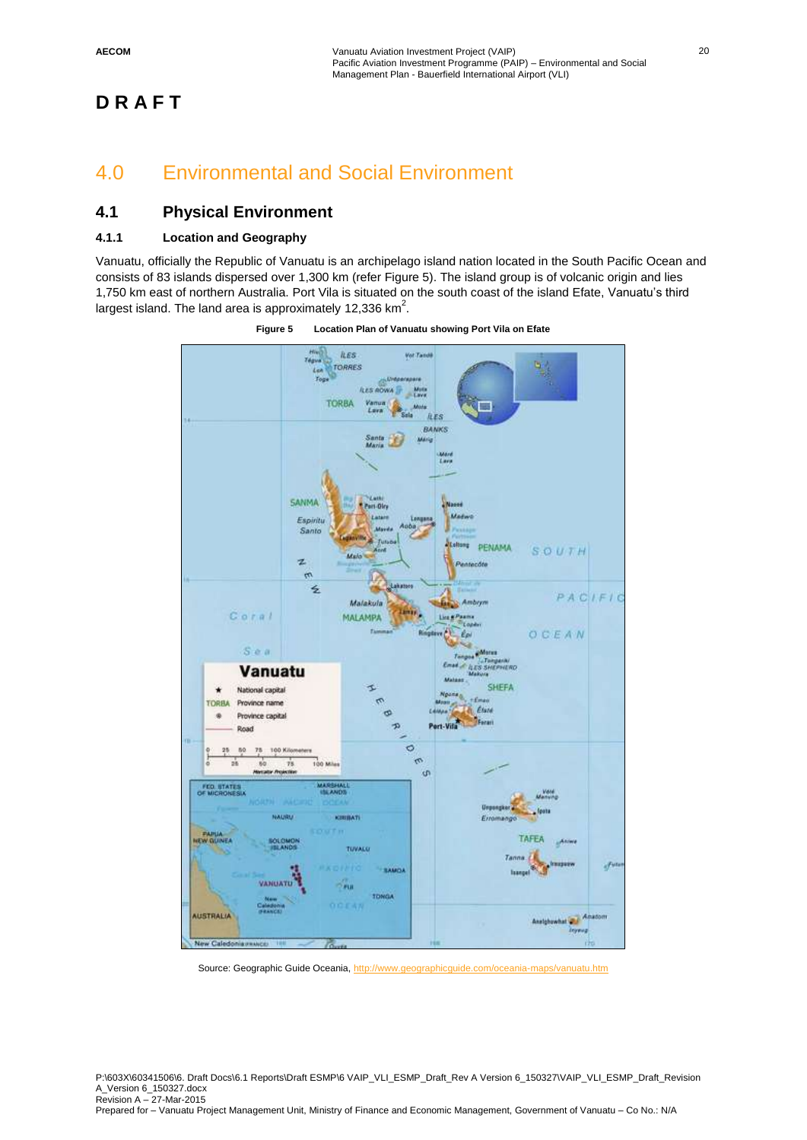### 4.0 Environmental and Social Environment

### **4.1 Physical Environment**

### **4.1.1 Location and Geography**

Vanuatu, officially the Republic of Vanuatu is an archipelago island nation located in the South Pacific Ocean and consists of 83 islands dispersed over 1,300 km (refer Figure 5). The island group is of volcanic origin and lies 1,750 km east of northern Australia. Port Vila is situated on the south coast of the island Efate, Vanuatu's third largest island. The land area is approximately 12,336 km<sup>2</sup>.



**Figure 5 Location Plan of Vanuatu showing Port Vila on Efate**

Source: Geographic Guide Oceania,<http://www.geographicguide.com/oceania-maps/vanuatu.htm>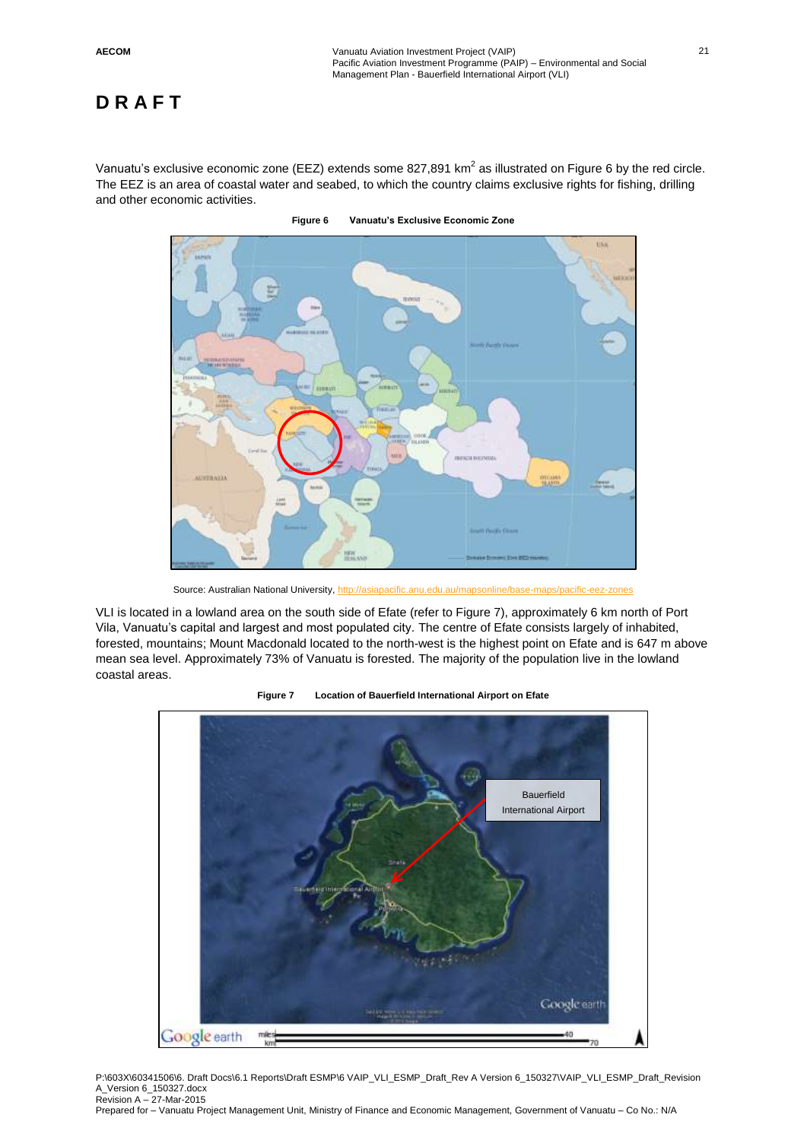Vanuatu's exclusive economic zone (EEZ) extends some 827,891 km<sup>2</sup> as illustrated on Figure 6 by the red circle. The EEZ is an area of coastal water and seabed, to which the country claims exclusive rights for fishing, drilling and other economic activities.



**Figure 6 Vanuatu's Exclusive Economic Zone**

Source: Australian National University[, http://asiapacific.anu.edu.au/mapsonline/base-maps/pacific-eez-zones](http://asiapacific.anu.edu.au/mapsonline/base-maps/pacific-eez-zones)

VLI is located in a lowland area on the south side of Efate (refer to Figure 7), approximately 6 km north of Port Vila, Vanuatu's capital and largest and most populated city. The centre of Efate consists largely of inhabited, forested, mountains; Mount Macdonald located to the north-west is the highest point on Efate and is 647 m above mean sea level. Approximately 73% of Vanuatu is forested. The majority of the population live in the lowland coastal areas.





P:\603X\60341506\6. Draft Docs\6.1 Reports\Draft ESMP\6 VAIP\_VLI\_ESMP\_Draft\_Rev A Version 6\_150327\VAIP\_VLI\_ESMP\_Draft\_Revision A\_Version 6\_150327.docx Revision A – 27-Mar-2015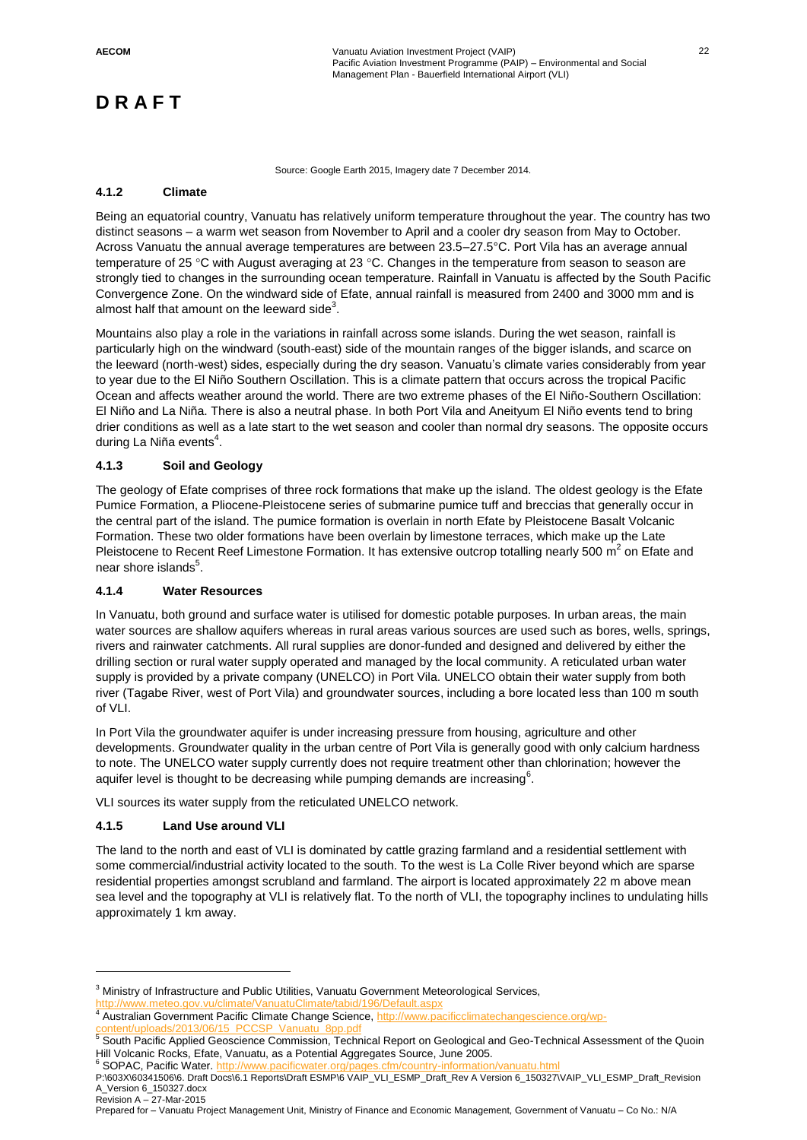Source: Google Earth 2015, Imagery date 7 December 2014.

#### **4.1.2 Climate**

Being an equatorial country, Vanuatu has relatively uniform temperature throughout the year. The country has two distinct seasons – a warm wet season from November to April and a cooler dry season from May to October. Across Vanuatu the annual average temperatures are between 23.5–27.5°C. Port Vila has an average annual temperature of 25 °C with August averaging at 23 °C. Changes in the temperature from season to season are strongly tied to changes in the surrounding ocean temperature. Rainfall in Vanuatu is affected by the South Pacific Convergence Zone. On the windward side of Efate, annual rainfall is measured from 2400 and 3000 mm and is almost half that amount on the leeward side<sup>3</sup>.

Mountains also play a role in the variations in rainfall across some islands. During the wet season, rainfall is particularly high on the windward (south-east) side of the mountain ranges of the bigger islands, and scarce on the leeward (north-west) sides, especially during the dry season. Vanuatu's climate varies considerably from year to year due to the El Niño Southern Oscillation. This is a climate pattern that occurs across the tropical Pacific Ocean and affects weather around the world. There are two extreme phases of the El Niño-Southern Oscillation: El Niño and La Niña. There is also a neutral phase. In both Port Vila and Aneityum El Niño events tend to bring drier conditions as well as a late start to the wet season and cooler than normal dry seasons. The opposite occurs during La Niña events<sup>4</sup>.

#### **4.1.3 Soil and Geology**

The geology of Efate comprises of three rock formations that make up the island. The oldest geology is the Efate Pumice Formation, a Pliocene-Pleistocene series of submarine pumice tuff and breccias that generally occur in the central part of the island. The pumice formation is overlain in north Efate by Pleistocene Basalt Volcanic Formation. These two older formations have been overlain by limestone terraces, which make up the Late Pleistocene to Recent Reef Limestone Formation. It has extensive outcrop totalling nearly 500 m<sup>2</sup> on Efate and near shore islands $^5$ .

### **4.1.4 Water Resources**

In Vanuatu, both ground and surface water is utilised for domestic potable purposes. In urban areas, the main water sources are shallow aquifers whereas in rural areas various sources are used such as bores, wells, springs, rivers and rainwater catchments. All rural supplies are donor-funded and designed and delivered by either the drilling section or rural water supply operated and managed by the local community. A reticulated urban water supply is provided by a private company (UNELCO) in Port Vila. UNELCO obtain their water supply from both river (Tagabe River, west of Port Vila) and groundwater sources, including a bore located less than 100 m south of VLI.

In Port Vila the groundwater aquifer is under increasing pressure from housing, agriculture and other developments. Groundwater quality in the urban centre of Port Vila is generally good with only calcium hardness to note. The UNELCO water supply currently does not require treatment other than chlorination; however the aquifer level is thought to be decreasing while pumping demands are increasing $^6$ .

VLI sources its water supply from the reticulated UNELCO network.

### **4.1.5 Land Use around VLI**

 $\overline{a}$ 

The land to the north and east of VLI is dominated by cattle grazing farmland and a residential settlement with some commercial/industrial activity located to the south. To the west is La Colle River beyond which are sparse residential properties amongst scrubland and farmland. The airport is located approximately 22 m above mean sea level and the topography at VLI is relatively flat. To the north of VLI, the topography inclines to undulating hills approximately 1 km away.

<sup>6</sup> SOPAC, Pacific Water.

<sup>&</sup>lt;sup>3</sup> Ministry of Infrastructure and Public Utilities, Vanuatu Government Meteorological Services,

<http://www.meteo.gov.vu/climate/VanuatuClimate/tabid/196/Default.aspx>

<sup>&</sup>lt;sup>4</sup> Australian Government Pacific Climate Change Science, [http://www.pacificclimatechangescience.org/wp-](http://www.pacificclimatechangescience.org/wp-content/uploads/2013/06/15_PCCSP_Vanuatu_8pp.pdf)

[content/uploads/2013/06/15\\_PCCSP\\_Vanuatu\\_8pp.pdf](http://www.pacificclimatechangescience.org/wp-content/uploads/2013/06/15_PCCSP_Vanuatu_8pp.pdf)<br><sup>5</sup> South Pacific Applied Geoscience Commission, Technical Report on Geological and Geo-Technical Assessment of the Quoin Hill Volcanic Rocks, Efate, Vanuatu, as a Potential Aggregates Source, June 2005.

P:\603X\60341506\6. Draft Docs\6.1 Reports\Draft ESMP\6 VAIP\_VLI\_ESMP\_Draft\_Rev A Version 6\_150327\VAIP\_VLI\_ESMP\_Draft\_Revision A\_Version 6\_150327.docx Revision A – 27-Mar-2015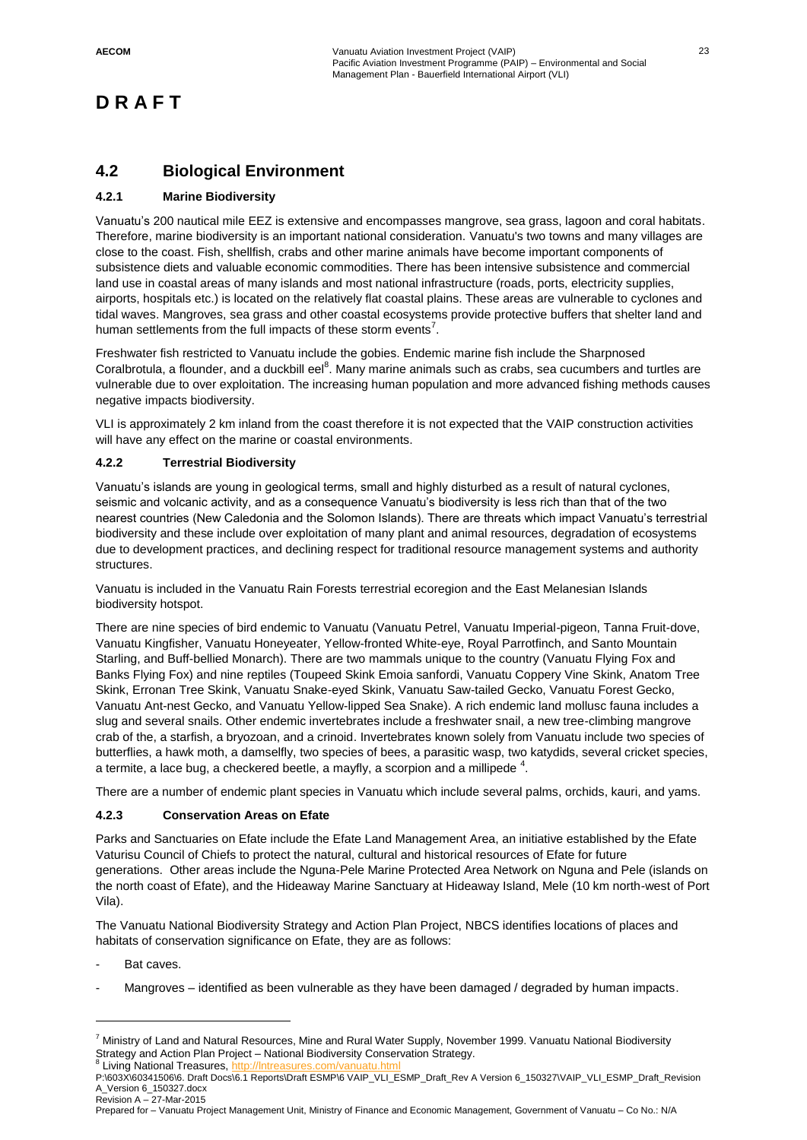### **4.2 Biological Environment**

### **4.2.1 Marine Biodiversity**

Vanuatu's 200 nautical mile EEZ is extensive and encompasses mangrove, sea grass, lagoon and coral habitats. Therefore, marine biodiversity is an important national consideration. Vanuatu's two towns and many villages are close to the coast. Fish, shellfish, crabs and other marine animals have become important components of subsistence diets and valuable economic commodities. There has been intensive subsistence and commercial land use in coastal areas of many islands and most national infrastructure (roads, ports, electricity supplies, airports, hospitals etc.) is located on the relatively flat coastal plains. These areas are vulnerable to cyclones and tidal waves. Mangroves, sea grass and other coastal ecosystems provide protective buffers that shelter land and human settlements from the full impacts of these storm events<sup>7</sup>.

Freshwater fish restricted to Vanuatu include the gobies. Endemic marine fish include the Sharpnosed Coralbrotula, a flounder, and a duckbill eel<sup>8</sup>. Many marine animals such as crabs, sea cucumbers and turtles are vulnerable due to over exploitation. The increasing human population and more advanced fishing methods causes negative impacts biodiversity.

VLI is approximately 2 km inland from the coast therefore it is not expected that the VAIP construction activities will have any effect on the marine or coastal environments.

### **4.2.2 Terrestrial Biodiversity**

Vanuatu's islands are young in geological terms, small and highly disturbed as a result of natural cyclones, seismic and volcanic activity, and as a consequence Vanuatu's biodiversity is less rich than that of the two nearest countries (New Caledonia and the Solomon Islands). There are threats which impact Vanuatu's terrestrial biodiversity and these include over exploitation of many plant and animal resources, degradation of ecosystems due to development practices, and declining respect for traditional resource management systems and authority structures.

Vanuatu is included in the Vanuatu Rain Forests terrestrial ecoregion and the East Melanesian Islands biodiversity hotspot.

There are nine species of bird endemic to Vanuatu (Vanuatu Petrel, Vanuatu Imperial-pigeon, Tanna Fruit-dove, Vanuatu Kingfisher, Vanuatu Honeyeater, Yellow-fronted White-eye, Royal Parrotfinch, and Santo Mountain Starling, and Buff-bellied Monarch). There are two mammals unique to the country (Vanuatu Flying Fox and Banks Flying Fox) and nine reptiles (Toupeed Skink Emoia sanfordi, Vanuatu Coppery Vine Skink, Anatom Tree Skink, Erronan Tree Skink, Vanuatu Snake-eyed Skink, Vanuatu Saw-tailed Gecko, Vanuatu Forest Gecko, Vanuatu Ant-nest Gecko, and Vanuatu Yellow-lipped Sea Snake). A rich endemic land mollusc fauna includes a slug and several snails. Other endemic invertebrates include a freshwater snail, a new tree-climbing mangrove crab of the, a starfish, a bryozoan, and a crinoid. Invertebrates known solely from Vanuatu include two species of butterflies, a hawk moth, a damselfly, two species of bees, a parasitic wasp, two katydids, several cricket species, a termite, a lace bug, a checkered beetle, a mayfly, a scorpion and a millipede  $^4$ .

There are a number of endemic plant species in Vanuatu which include several palms, orchids, kauri, and yams.

#### **4.2.3 Conservation Areas on Efate**

Parks and Sanctuaries on Efate include the Efate Land Management Area, an initiative established by the Efate Vaturisu Council of Chiefs to protect the natural, cultural and historical resources of Efate for future generations. Other areas include the Nguna-Pele Marine Protected Area Network on Nguna and Pele (islands on the north coast of Efate), and the Hideaway Marine Sanctuary at Hideaway Island, Mele (10 km north-west of Port Vila).

The Vanuatu National Biodiversity Strategy and Action Plan Project, NBCS identifies locations of places and habitats of conservation significance on Efate, they are as follows:

Bat caves.

 $\overline{a}$ 

Mangroves – identified as been vulnerable as they have been damaged / degraded by human impacts.

<sup>7</sup> Ministry of Land and Natural Resources, Mine and Rural Water Supply, November 1999. Vanuatu National Biodiversity Strategy and Action Plan Project – National Biodiversity Conservation Strategy. <sup>8</sup> Living National Treasures, http://Intreasures.com/vanuatu.html

P:\603X\60341506\6. Draft Docs\6.1 Reports\Draft ESMP\6 VAIP\_VLI\_ESMP\_Draft\_Rev A Version 6\_150327\VAIP\_VLI\_ESMP\_Draft\_Revision A\_Version 6\_150327.docx Revision A – 27-Mar-2015

Prepared for – Vanuatu Project Management Unit, Ministry of Finance and Economic Management, Government of Vanuatu – Co No.: N/A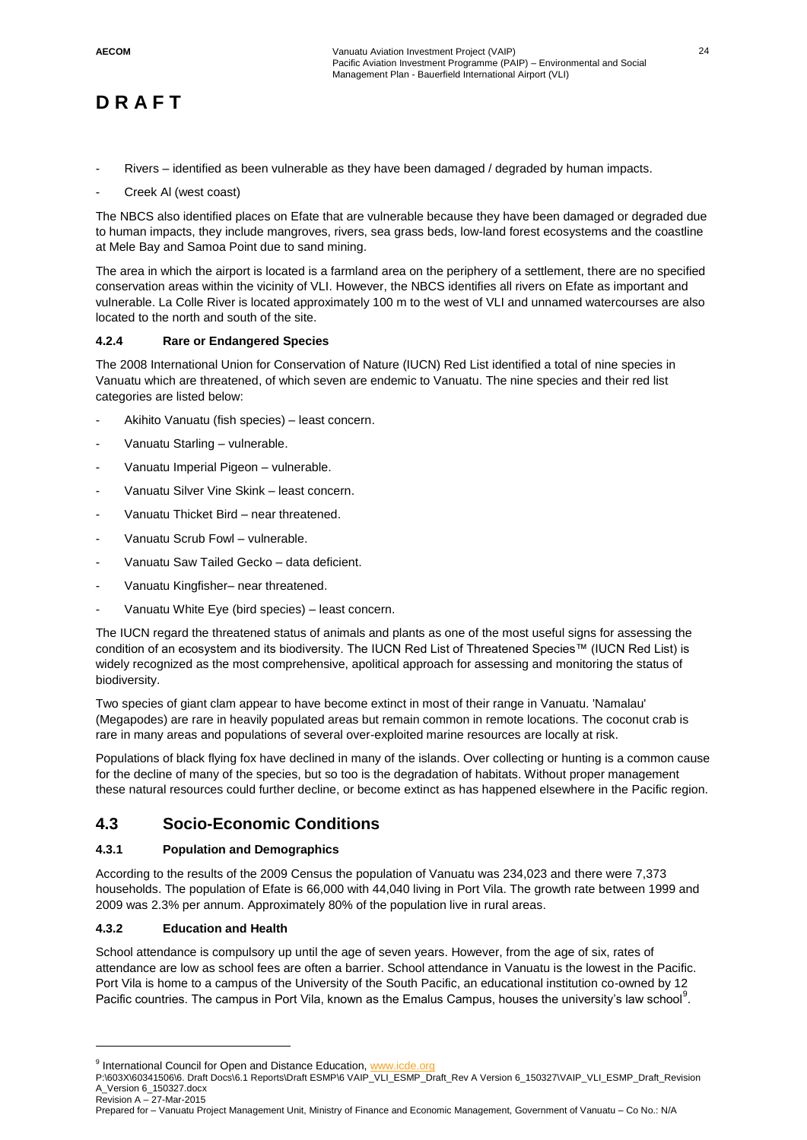- Rivers identified as been vulnerable as they have been damaged / degraded by human impacts.
- Creek AI (west coast)

The NBCS also identified places on Efate that are vulnerable because they have been damaged or degraded due to human impacts, they include mangroves, rivers, sea grass beds, low-land forest ecosystems and the coastline at Mele Bay and Samoa Point due to sand mining.

The area in which the airport is located is a farmland area on the periphery of a settlement, there are no specified conservation areas within the vicinity of VLI. However, the NBCS identifies all rivers on Efate as important and vulnerable. La Colle River is located approximately 100 m to the west of VLI and unnamed watercourses are also located to the north and south of the site.

### **4.2.4 Rare or Endangered Species**

The 2008 International Union for Conservation of Nature (IUCN) Red List identified a total of nine species in Vanuatu which are threatened, of which seven are endemic to Vanuatu. The nine species and their red list categories are listed below:

- Akihito Vanuatu (fish species) least concern.
- Vanuatu Starling vulnerable.
- Vanuatu Imperial Pigeon vulnerable.
- Vanuatu Silver Vine Skink least concern.
- Vanuatu Thicket Bird near threatened.
- Vanuatu Scrub Fowl vulnerable.
- Vanuatu Saw Tailed Gecko data deficient.
- Vanuatu Kingfisher- near threatened.
- Vanuatu White Eye (bird species) least concern.

The IUCN regard the threatened status of animals and plants as one of the most useful signs for assessing the condition of an ecosystem and its biodiversity. The IUCN Red List of Threatened Species™ (IUCN Red List) is widely recognized as the most comprehensive, apolitical approach for assessing and monitoring the status of biodiversity.

Two species of giant clam appear to have become extinct in most of their range in Vanuatu. 'Namalau' (Megapodes) are rare in heavily populated areas but remain common in remote locations. The coconut crab is rare in many areas and populations of several over-exploited marine resources are locally at risk.

Populations of black flying fox have declined in many of the islands. Over collecting or hunting is a common cause for the decline of many of the species, but so too is the degradation of habitats. Without proper management these natural resources could further decline, or become extinct as has happened elsewhere in the Pacific region.

### **4.3 Socio-Economic Conditions**

### **4.3.1 Population and Demographics**

According to the results of the 2009 Census the population of Vanuatu was 234,023 and there were 7,373 households. The population of Efate is 66,000 with 44,040 living in Port Vila. The growth rate between 1999 and 2009 was 2.3% per annum. Approximately 80% of the population live in rural areas.

### **4.3.2 Education and Health**

l

School attendance is compulsory up until the age of seven years. However, from the age of six, rates of attendance are low as school fees are often a barrier. School attendance in Vanuatu is the lowest in the Pacific. Port Vila is home to a campus of the University of the South Pacific, an educational institution co-owned by 12 Pacific countries. The campus in Port Vila, known as the Emalus Campus, houses the university's law school<sup>9</sup>.

<sup>&</sup>lt;sup>9</sup> International Council for Open and Distance Education, [www.icde.org](http://www.icde.org/)

P:\603X\60341506\6. Draft Docs\6.1 Reports\Draft ESMP\6 VAIP\_VLI\_ESMP\_Draft\_Rev A Version 6\_150327\VAIP\_VLI\_ESMP\_Draft\_Revision A\_Version 6\_150327.docx Revision A – 27-Mar-2015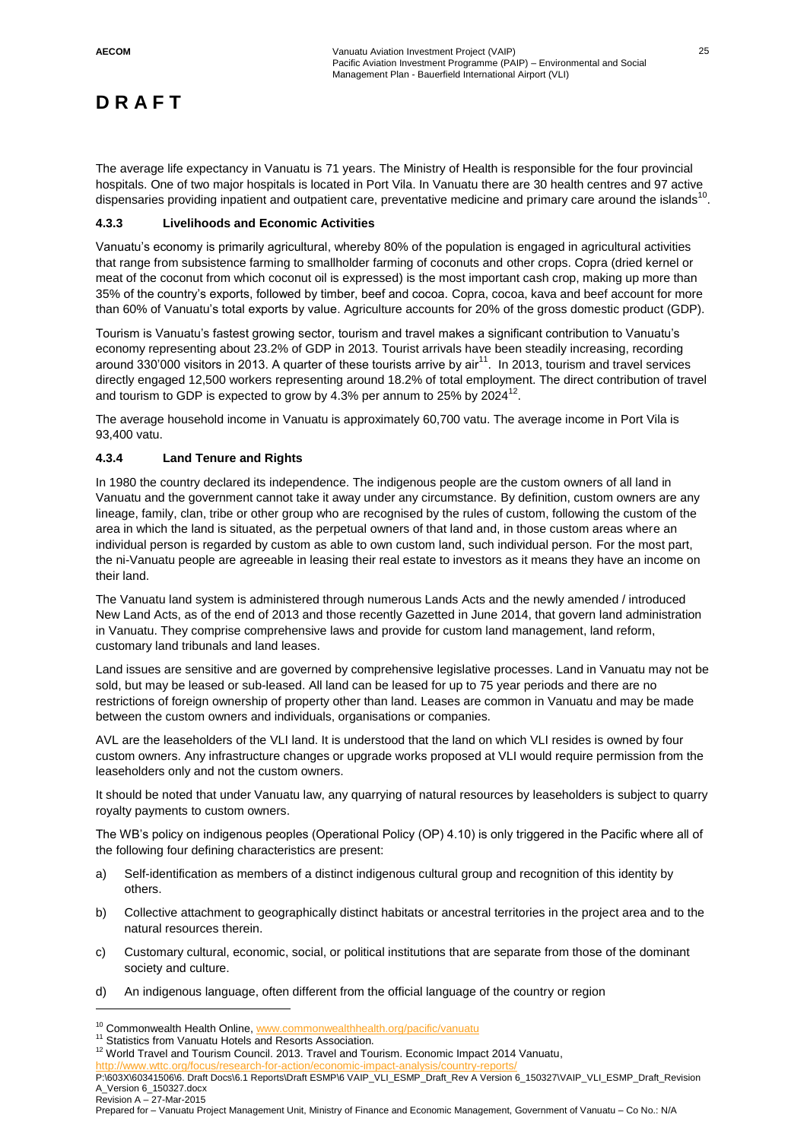The average life expectancy in Vanuatu is 71 years. The Ministry of Health is responsible for the four provincial hospitals. One of two major hospitals is located in Port Vila. In Vanuatu there are 30 health centres and 97 active dispensaries providing inpatient and outpatient care, preventative medicine and primary care around the islands<sup>10</sup>.

### **4.3.3 Livelihoods and Economic Activities**

Vanuatu's economy is primarily agricultural, whereby 80% of the population is engaged in agricultural activities that range from subsistence farming to smallholder farming of coconuts and other crops. Copra (dried kernel or meat of the coconut from which coconut oil is expressed) is the most important cash crop, making up more than 35% of the country's exports, followed by timber, beef and cocoa. Copra, cocoa, kava and beef account for more than 60% of Vanuatu's total exports by value. Agriculture accounts for 20% of the gross domestic product (GDP).

Tourism is Vanuatu's fastest growing sector, tourism and travel makes a significant contribution to Vanuatu's economy representing about 23.2% of GDP in 2013. Tourist arrivals have been steadily increasing, recording around  $330'000$  visitors in 2013. A quarter of these tourists arrive by air<sup>11</sup>. In 2013, tourism and travel services directly engaged 12,500 workers representing around 18.2% of total employment. The direct contribution of travel and tourism to GDP is expected to grow by 4.3% per annum to 25% by 2024 $^{12}$ .

The average household income in Vanuatu is approximately 60,700 vatu. The average income in Port Vila is 93,400 vatu.

### **4.3.4 Land Tenure and Rights**

In 1980 the country declared its independence. The indigenous people are the custom owners of all land in Vanuatu and the government cannot take it away under any circumstance. By definition, custom owners are any lineage, family, clan, tribe or other group who are recognised by the rules of custom, following the custom of the area in which the land is situated, as the perpetual owners of that land and, in those custom areas where an individual person is regarded by custom as able to own custom land, such individual person. For the most part, the ni-Vanuatu people are agreeable in leasing their real estate to investors as it means they have an income on their land.

The Vanuatu land system is administered through numerous Lands Acts and the newly amended / introduced New Land Acts, as of the end of 2013 and those recently Gazetted in June 2014, that govern land administration in Vanuatu. They comprise comprehensive laws and provide for custom land management, land reform, customary land tribunals and land leases.

Land issues are sensitive and are governed by comprehensive legislative processes. Land in Vanuatu may not be sold, but may be leased or sub-leased. All land can be leased for up to 75 year periods and there are no restrictions of foreign ownership of property other than land. Leases are common in Vanuatu and may be made between the custom owners and individuals, organisations or companies.

AVL are the leaseholders of the VLI land. It is understood that the land on which VLI resides is owned by four custom owners. Any infrastructure changes or upgrade works proposed at VLI would require permission from the leaseholders only and not the custom owners.

It should be noted that under Vanuatu law, any quarrying of natural resources by leaseholders is subject to quarry royalty payments to custom owners.

The WB's policy on indigenous peoples (Operational Policy (OP) 4.10) is only triggered in the Pacific where all of the following four defining characteristics are present:

- a) Self-identification as members of a distinct indigenous cultural group and recognition of this identity by others.
- b) Collective attachment to geographically distinct habitats or ancestral territories in the project area and to the natural resources therein.
- c) Customary cultural, economic, social, or political institutions that are separate from those of the dominant society and culture.
- d) An indigenous language, often different from the official language of the country or region

<http://www.wttc.org/focus/research-for-action/economic-impact-analysis/country-reports/>

P:\603X\60341506\6. Draft Docs\6.1 Reports\Draft ESMP\6 VAIP\_VLI\_ESMP\_Draft\_Rev A Version 6\_150327\VAIP\_VLI\_ESMP\_Draft\_Revision A\_Version 6\_150327.docx

Revision A – 27-Mar-2015

 $\overline{a}$ 

<sup>&</sup>lt;sup>10</sup> Commonwealth Health Online, [www.commonwealthhealth.org/pacific/vanuatu](http://www.commonwealthhealth.org/pacific/vanuatu)

<sup>&</sup>lt;sup>11</sup> Statistics from Vanuatu Hotels and Resorts Association.

 $12$  World Travel and Tourism Council. 2013. Travel and Tourism. Economic Impact 2014 Vanuatu,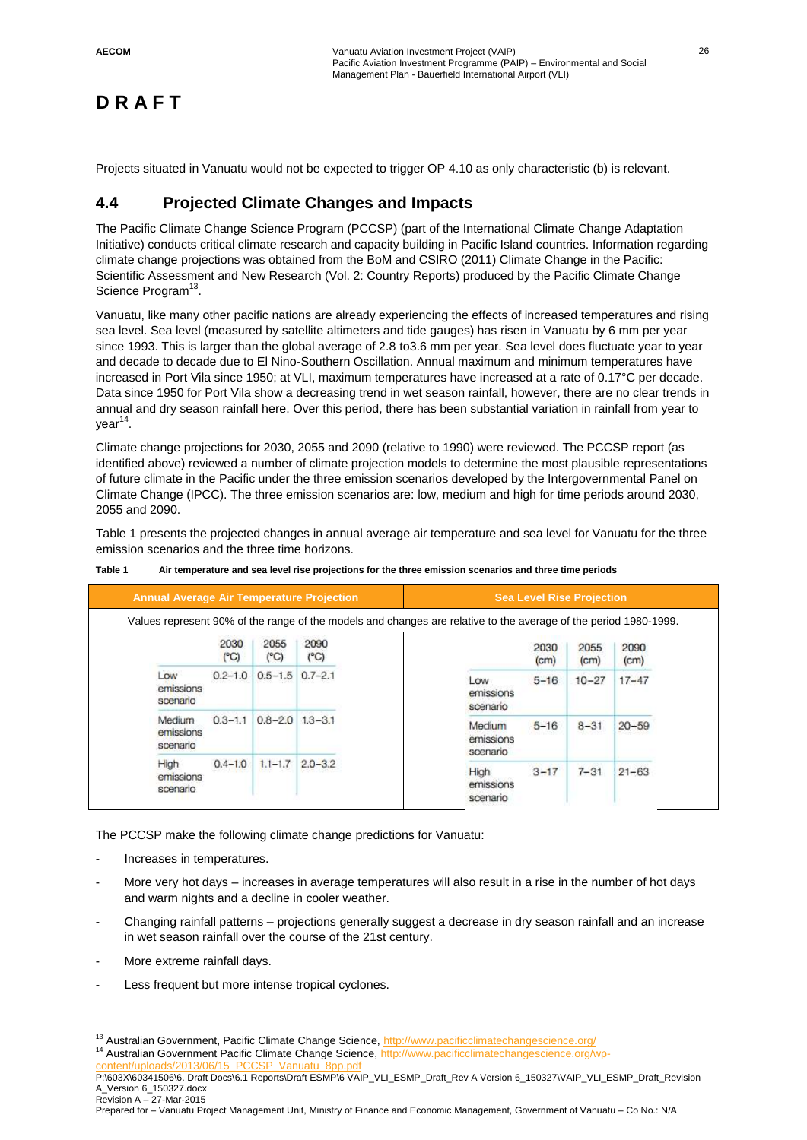Projects situated in Vanuatu would not be expected to trigger OP 4.10 as only characteristic (b) is relevant.

### **4.4 Projected Climate Changes and Impacts**

The Pacific Climate Change Science Program (PCCSP) (part of the International Climate Change Adaptation Initiative) conducts critical climate research and capacity building in Pacific Island countries. Information regarding climate change projections was obtained from the BoM and CSIRO (2011) Climate Change in the Pacific: Scientific Assessment and New Research (Vol. 2: Country Reports) produced by the Pacific Climate Change Science Program<sup>13</sup>.

Vanuatu, like many other pacific nations are already experiencing the effects of increased temperatures and rising sea level. Sea level (measured by satellite altimeters and tide gauges) has risen in Vanuatu by 6 mm per year since 1993. This is larger than the global average of 2.8 to3.6 mm per year. Sea level does fluctuate year to year and decade to decade due to El Nino-Southern Oscillation. Annual maximum and minimum temperatures have increased in Port Vila since 1950; at VLI, maximum temperatures have increased at a rate of 0.17°C per decade. Data since 1950 for Port Vila show a decreasing trend in wet season rainfall, however, there are no clear trends in annual and dry season rainfall here. Over this period, there has been substantial variation in rainfall from year to year<sup>14</sup>.

Climate change projections for 2030, 2055 and 2090 (relative to 1990) were reviewed. The PCCSP report (as identified above) reviewed a number of climate projection models to determine the most plausible representations of future climate in the Pacific under the three emission scenarios developed by the Intergovernmental Panel on Climate Change (IPCC). The three emission scenarios are: low, medium and high for time periods around 2030, 2055 and 2090.

Table 1 presents the projected changes in annual average air temperature and sea level for Vanuatu for the three emission scenarios and the three time horizons.

| <b>Annual Average Air Temperature Projection</b>                                                                 |             |                         | <b>Sea Level Rise Projection</b> |                                 |                           |              |                           |
|------------------------------------------------------------------------------------------------------------------|-------------|-------------------------|----------------------------------|---------------------------------|---------------------------|--------------|---------------------------|
| Values represent 90% of the range of the models and changes are relative to the average of the period 1980-1999. |             |                         |                                  |                                 |                           |              |                           |
|                                                                                                                  | 2030<br>(C) | 2055<br>$(^{\circ}C)$   | 2090<br>$(^{\circ}C)$            |                                 | 2030<br>(c <sub>m</sub> ) | 2055<br>(cm) | 2090<br>(c <sub>m</sub> ) |
| Low<br>emissions<br>scenario                                                                                     |             | $0.2 - 1.0$ $0.5 - 1.5$ | $0.7 - 2.1$                      | Low<br>emissions<br>scenario    | $5 - 16$                  | $10 - 27$    | $17 - 47$                 |
| Medium<br>emissions<br>scenario                                                                                  | $0.3 - 1.1$ | $0.8 - 2.0$ 1.3 - 3.1   |                                  | Medium<br>emissions<br>scenario | $5 - 16$                  | $8 - 31$     | $20 - 59$                 |
| High<br>emissions<br>scenario                                                                                    | $0.4 - 1.0$ | $1.1 - 1.7$             | $2.0 - 3.2$                      | High<br>emissions<br>scenario   | $3 - 17$                  | $7 - 31$     | $21 - 63$                 |

#### **Table 1 Air temperature and sea level rise projections for the three emission scenarios and three time periods**

The PCCSP make the following climate change predictions for Vanuatu:

- Increases in temperatures.
- More very hot days increases in average temperatures will also result in a rise in the number of hot days and warm nights and a decline in cooler weather.
- Changing rainfall patterns projections generally suggest a decrease in dry season rainfall and an increase in wet season rainfall over the course of the 21st century.
- More extreme rainfall days.

 $\overline{a}$ 

Less frequent but more intense tropical cyclones.

<sup>&</sup>lt;sup>13</sup> Australian Government, Pacific Climate Change Science,<http://www.pacificclimatechangescience.org/> <sup>14</sup> Australian Government Pacific Climate Change Science[, http://www.pacificclimatechangescience.org/wp](http://www.pacificclimatechangescience.org/wp-content/uploads/2013/06/15_PCCSP_Vanuatu_8pp.pdf)[content/uploads/2013/06/15\\_PCCSP\\_Vanuatu\\_8pp.pdf](http://www.pacificclimatechangescience.org/wp-content/uploads/2013/06/15_PCCSP_Vanuatu_8pp.pdf)

P:\603X\60341506\6. Draft Docs\6.1 Reports\Draft ESMP\6 VAIP\_VLI\_ESMP\_Draft\_Rev A Version 6\_150327\VAIP\_VLI\_ESMP\_Draft\_Revision A\_Version 6\_150327.docx

Revision A – 27-Mar-2015 Prepared for – Vanuatu Project Management Unit, Ministry of Finance and Economic Management, Government of Vanuatu – Co No.: N/A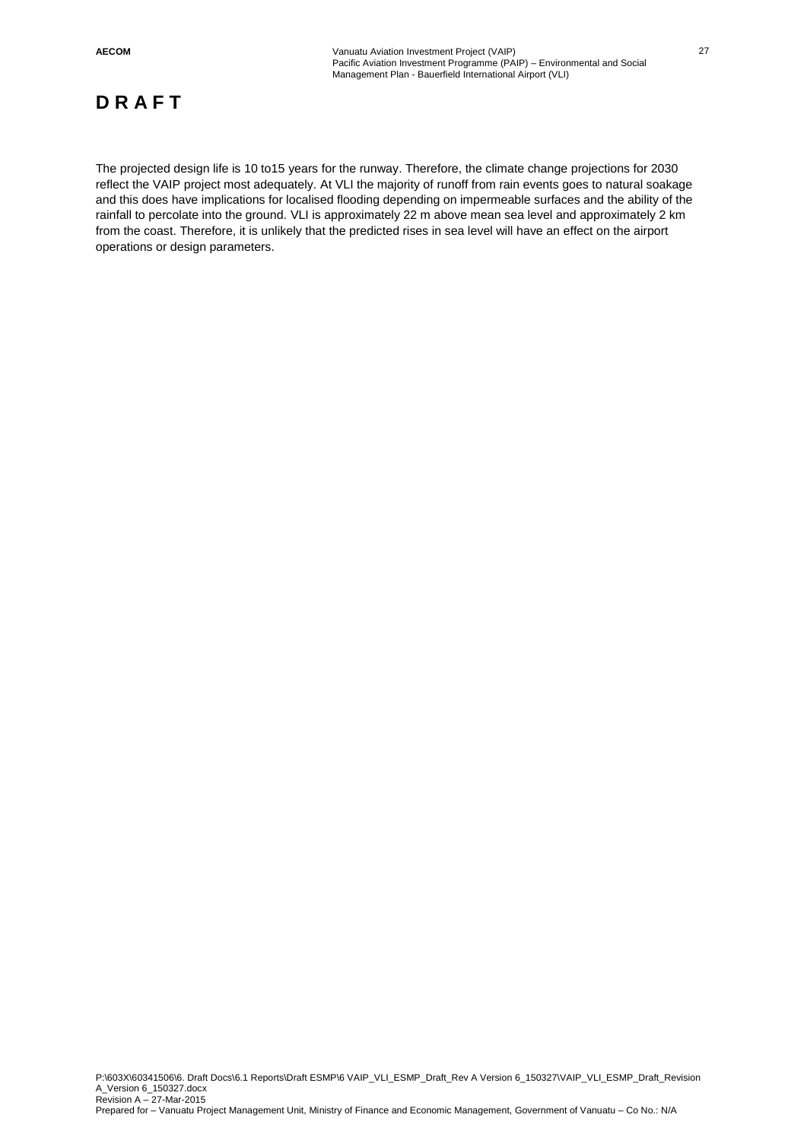The projected design life is 10 to15 years for the runway. Therefore, the climate change projections for 2030 reflect the VAIP project most adequately. At VLI the majority of runoff from rain events goes to natural soakage and this does have implications for localised flooding depending on impermeable surfaces and the ability of the rainfall to percolate into the ground. VLI is approximately 22 m above mean sea level and approximately 2 km from the coast. Therefore, it is unlikely that the predicted rises in sea level will have an effect on the airport operations or design parameters.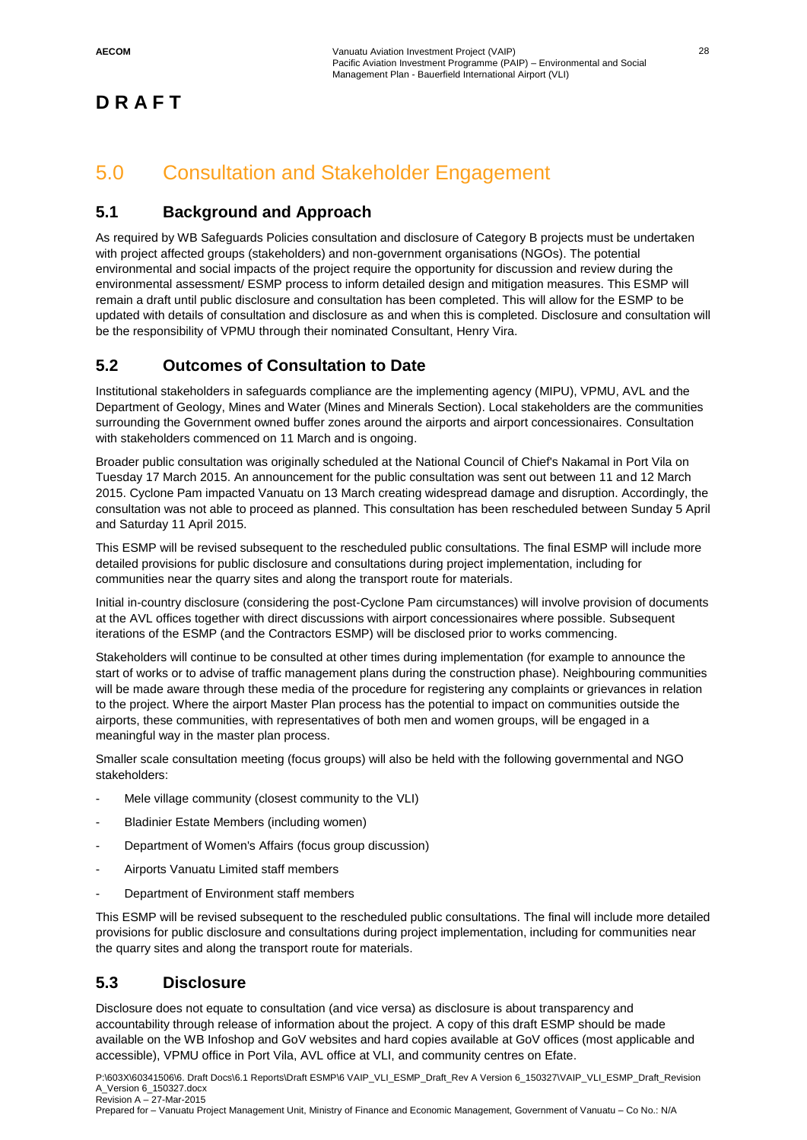## 5.0 Consultation and Stakeholder Engagement

## **5.1 Background and Approach**

As required by WB Safeguards Policies consultation and disclosure of Category B projects must be undertaken with project affected groups (stakeholders) and non-government organisations (NGOs). The potential environmental and social impacts of the project require the opportunity for discussion and review during the environmental assessment/ ESMP process to inform detailed design and mitigation measures. This ESMP will remain a draft until public disclosure and consultation has been completed. This will allow for the ESMP to be updated with details of consultation and disclosure as and when this is completed. Disclosure and consultation will be the responsibility of VPMU through their nominated Consultant, Henry Vira.

## **5.2 Outcomes of Consultation to Date**

Institutional stakeholders in safeguards compliance are the implementing agency (MIPU), VPMU, AVL and the Department of Geology, Mines and Water (Mines and Minerals Section). Local stakeholders are the communities surrounding the Government owned buffer zones around the airports and airport concessionaires. Consultation with stakeholders commenced on 11 March and is ongoing.

Broader public consultation was originally scheduled at the National Council of Chief's Nakamal in Port Vila on Tuesday 17 March 2015. An announcement for the public consultation was sent out between 11 and 12 March 2015. Cyclone Pam impacted Vanuatu on 13 March creating widespread damage and disruption. Accordingly, the consultation was not able to proceed as planned. This consultation has been rescheduled between Sunday 5 April and Saturday 11 April 2015.

This ESMP will be revised subsequent to the rescheduled public consultations. The final ESMP will include more detailed provisions for public disclosure and consultations during project implementation, including for communities near the quarry sites and along the transport route for materials.

Initial in-country disclosure (considering the post-Cyclone Pam circumstances) will involve provision of documents at the AVL offices together with direct discussions with airport concessionaires where possible. Subsequent iterations of the ESMP (and the Contractors ESMP) will be disclosed prior to works commencing.

Stakeholders will continue to be consulted at other times during implementation (for example to announce the start of works or to advise of traffic management plans during the construction phase). Neighbouring communities will be made aware through these media of the procedure for registering any complaints or grievances in relation to the project. Where the airport Master Plan process has the potential to impact on communities outside the airports, these communities, with representatives of both men and women groups, will be engaged in a meaningful way in the master plan process.

Smaller scale consultation meeting (focus groups) will also be held with the following governmental and NGO stakeholders:

- Mele village community (closest community to the VLI)
- Bladinier Estate Members (including women)
- Department of Women's Affairs (focus group discussion)
- Airports Vanuatu Limited staff members
- Department of Environment staff members

This ESMP will be revised subsequent to the rescheduled public consultations. The final will include more detailed provisions for public disclosure and consultations during project implementation, including for communities near the quarry sites and along the transport route for materials.

## **5.3 Disclosure**

Disclosure does not equate to consultation (and vice versa) as disclosure is about transparency and accountability through release of information about the project. A copy of this draft ESMP should be made available on the WB Infoshop and GoV websites and hard copies available at GoV offices (most applicable and accessible), VPMU office in Port Vila, AVL office at VLI, and community centres on Efate.

P:\603X\60341506\6. Draft Docs\6.1 Reports\Draft ESMP\6 VAIP\_VLI\_ESMP\_Draft\_Rev A Version 6\_150327\VAIP\_VLI\_ESMP\_Draft\_Revision A\_Version 6\_150327.docx Revision A – 27-Mar-2015

Prepared for – Vanuatu Project Management Unit, Ministry of Finance and Economic Management, Government of Vanuatu – Co No.: N/A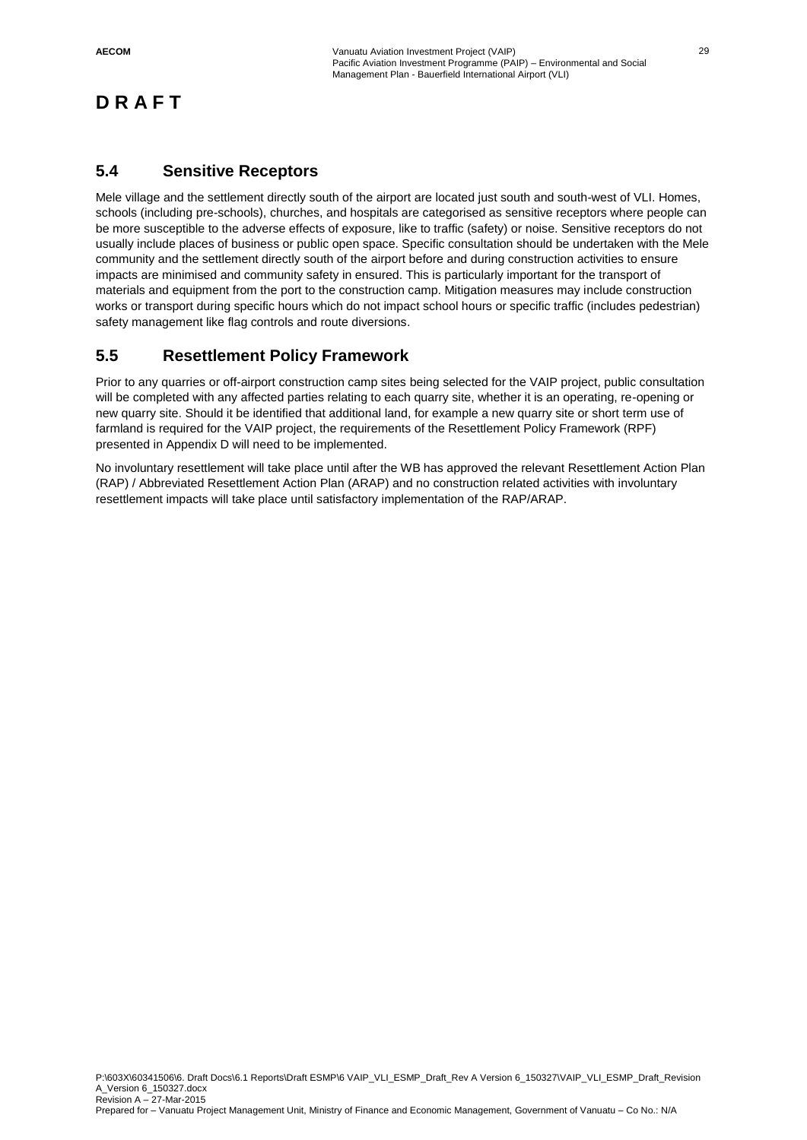## **5.4 Sensitive Receptors**

Mele village and the settlement directly south of the airport are located just south and south-west of VLI. Homes, schools (including pre-schools), churches, and hospitals are categorised as sensitive receptors where people can be more susceptible to the adverse effects of exposure, like to traffic (safety) or noise. Sensitive receptors do not usually include places of business or public open space. Specific consultation should be undertaken with the Mele community and the settlement directly south of the airport before and during construction activities to ensure impacts are minimised and community safety in ensured. This is particularly important for the transport of materials and equipment from the port to the construction camp. Mitigation measures may include construction works or transport during specific hours which do not impact school hours or specific traffic (includes pedestrian) safety management like flag controls and route diversions.

## **5.5 Resettlement Policy Framework**

Prior to any quarries or off-airport construction camp sites being selected for the VAIP project, public consultation will be completed with any affected parties relating to each quarry site, whether it is an operating, re-opening or new quarry site. Should it be identified that additional land, for example a new quarry site or short term use of farmland is required for the VAIP project, the requirements of the Resettlement Policy Framework (RPF) presented in Appendix D will need to be implemented.

No involuntary resettlement will take place until after the WB has approved the relevant Resettlement Action Plan (RAP) / Abbreviated Resettlement Action Plan (ARAP) and no construction related activities with involuntary resettlement impacts will take place until satisfactory implementation of the RAP/ARAP.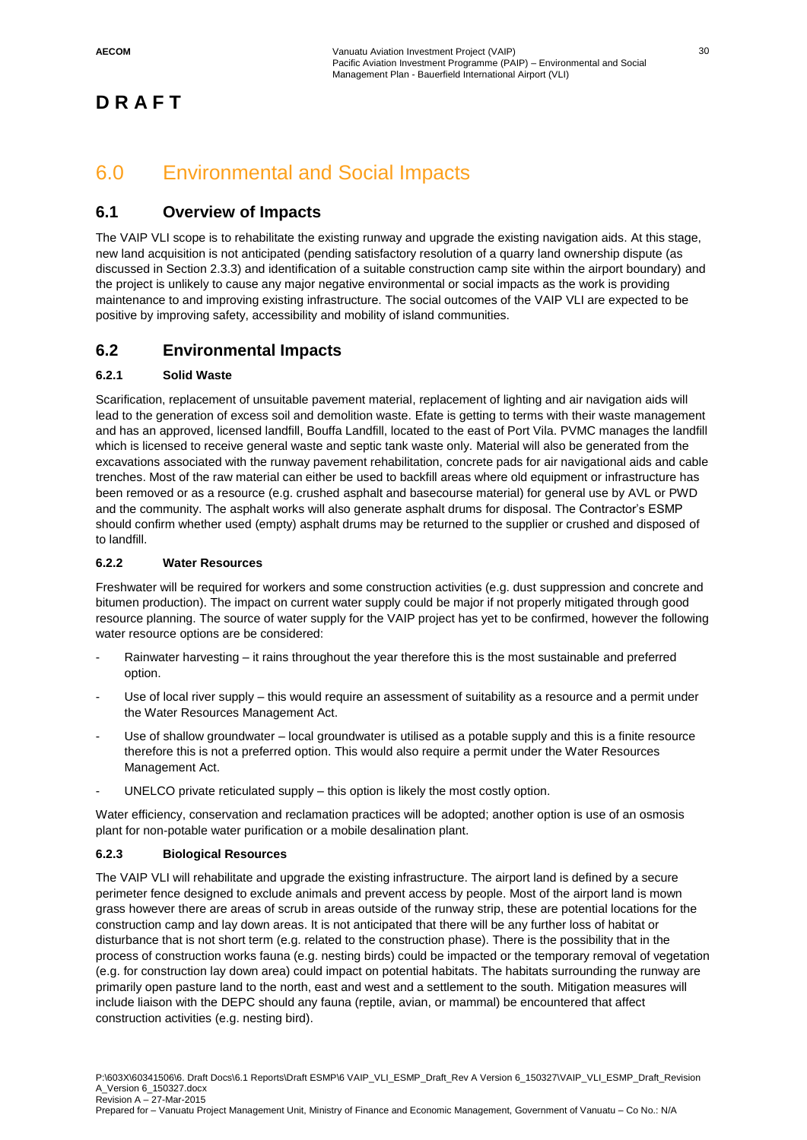## 6.0 Environmental and Social Impacts

## **6.1 Overview of Impacts**

The VAIP VLI scope is to rehabilitate the existing runway and upgrade the existing navigation aids. At this stage, new land acquisition is not anticipated (pending satisfactory resolution of a quarry land ownership dispute (as discussed in Section 2.3.3) and identification of a suitable construction camp site within the airport boundary) and the project is unlikely to cause any major negative environmental or social impacts as the work is providing maintenance to and improving existing infrastructure. The social outcomes of the VAIP VLI are expected to be positive by improving safety, accessibility and mobility of island communities.

## **6.2 Environmental Impacts**

#### **6.2.1 Solid Waste**

Scarification, replacement of unsuitable pavement material, replacement of lighting and air navigation aids will lead to the generation of excess soil and demolition waste. Efate is getting to terms with their waste management and has an approved, licensed landfill, Bouffa Landfill, located to the east of Port Vila. PVMC manages the landfill which is licensed to receive general waste and septic tank waste only. Material will also be generated from the excavations associated with the runway pavement rehabilitation, concrete pads for air navigational aids and cable trenches. Most of the raw material can either be used to backfill areas where old equipment or infrastructure has been removed or as a resource (e.g. crushed asphalt and basecourse material) for general use by AVL or PWD and the community. The asphalt works will also generate asphalt drums for disposal. The Contractor's ESMP should confirm whether used (empty) asphalt drums may be returned to the supplier or crushed and disposed of to landfill.

#### **6.2.2 Water Resources**

Freshwater will be required for workers and some construction activities (e.g. dust suppression and concrete and bitumen production). The impact on current water supply could be major if not properly mitigated through good resource planning. The source of water supply for the VAIP project has yet to be confirmed, however the following water resource options are be considered:

- Rainwater harvesting it rains throughout the year therefore this is the most sustainable and preferred option.
- Use of local river supply this would require an assessment of suitability as a resource and a permit under the Water Resources Management Act.
- Use of shallow groundwater local groundwater is utilised as a potable supply and this is a finite resource therefore this is not a preferred option. This would also require a permit under the Water Resources Management Act.
- UNELCO private reticulated supply this option is likely the most costly option.

Water efficiency, conservation and reclamation practices will be adopted; another option is use of an osmosis plant for non-potable water purification or a mobile desalination plant.

#### **6.2.3 Biological Resources**

The VAIP VLI will rehabilitate and upgrade the existing infrastructure. The airport land is defined by a secure perimeter fence designed to exclude animals and prevent access by people. Most of the airport land is mown grass however there are areas of scrub in areas outside of the runway strip, these are potential locations for the construction camp and lay down areas. It is not anticipated that there will be any further loss of habitat or disturbance that is not short term (e.g. related to the construction phase). There is the possibility that in the process of construction works fauna (e.g. nesting birds) could be impacted or the temporary removal of vegetation (e.g. for construction lay down area) could impact on potential habitats. The habitats surrounding the runway are primarily open pasture land to the north, east and west and a settlement to the south. Mitigation measures will include liaison with the DEPC should any fauna (reptile, avian, or mammal) be encountered that affect construction activities (e.g. nesting bird).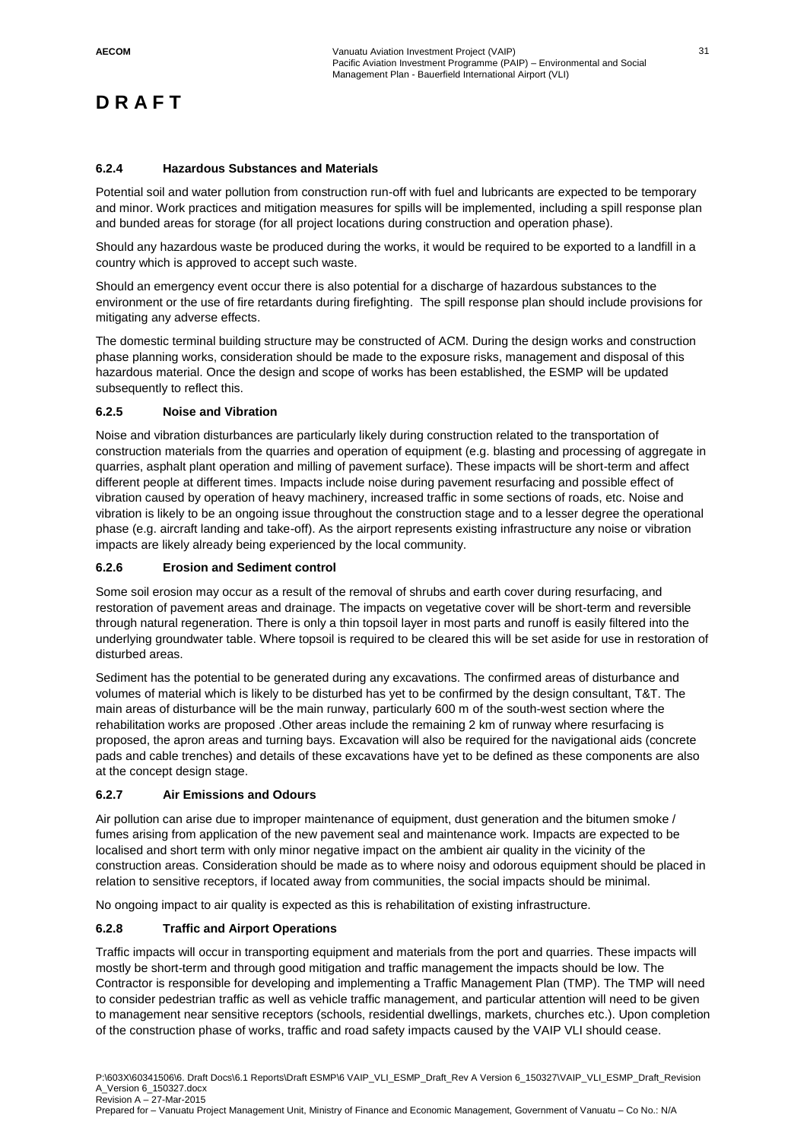#### **6.2.4 Hazardous Substances and Materials**

Potential soil and water pollution from construction run-off with fuel and lubricants are expected to be temporary and minor. Work practices and mitigation measures for spills will be implemented, including a spill response plan and bunded areas for storage (for all project locations during construction and operation phase).

Should any hazardous waste be produced during the works, it would be required to be exported to a landfill in a country which is approved to accept such waste.

Should an emergency event occur there is also potential for a discharge of hazardous substances to the environment or the use of fire retardants during firefighting. The spill response plan should include provisions for mitigating any adverse effects.

The domestic terminal building structure may be constructed of ACM. During the design works and construction phase planning works, consideration should be made to the exposure risks, management and disposal of this hazardous material. Once the design and scope of works has been established, the ESMP will be updated subsequently to reflect this.

#### **6.2.5 Noise and Vibration**

Noise and vibration disturbances are particularly likely during construction related to the transportation of construction materials from the quarries and operation of equipment (e.g. blasting and processing of aggregate in quarries, asphalt plant operation and milling of pavement surface). These impacts will be short-term and affect different people at different times. Impacts include noise during pavement resurfacing and possible effect of vibration caused by operation of heavy machinery, increased traffic in some sections of roads, etc. Noise and vibration is likely to be an ongoing issue throughout the construction stage and to a lesser degree the operational phase (e.g. aircraft landing and take-off). As the airport represents existing infrastructure any noise or vibration impacts are likely already being experienced by the local community.

#### **6.2.6 Erosion and Sediment control**

Some soil erosion may occur as a result of the removal of shrubs and earth cover during resurfacing, and restoration of pavement areas and drainage. The impacts on vegetative cover will be short-term and reversible through natural regeneration. There is only a thin topsoil layer in most parts and runoff is easily filtered into the underlying groundwater table. Where topsoil is required to be cleared this will be set aside for use in restoration of disturbed areas.

Sediment has the potential to be generated during any excavations. The confirmed areas of disturbance and volumes of material which is likely to be disturbed has yet to be confirmed by the design consultant, T&T. The main areas of disturbance will be the main runway, particularly 600 m of the south-west section where the rehabilitation works are proposed .Other areas include the remaining 2 km of runway where resurfacing is proposed, the apron areas and turning bays. Excavation will also be required for the navigational aids (concrete pads and cable trenches) and details of these excavations have yet to be defined as these components are also at the concept design stage.

#### **6.2.7 Air Emissions and Odours**

Air pollution can arise due to improper maintenance of equipment, dust generation and the bitumen smoke / fumes arising from application of the new pavement seal and maintenance work. Impacts are expected to be localised and short term with only minor negative impact on the ambient air quality in the vicinity of the construction areas. Consideration should be made as to where noisy and odorous equipment should be placed in relation to sensitive receptors, if located away from communities, the social impacts should be minimal.

No ongoing impact to air quality is expected as this is rehabilitation of existing infrastructure.

#### **6.2.8 Traffic and Airport Operations**

Traffic impacts will occur in transporting equipment and materials from the port and quarries. These impacts will mostly be short-term and through good mitigation and traffic management the impacts should be low. The Contractor is responsible for developing and implementing a Traffic Management Plan (TMP). The TMP will need to consider pedestrian traffic as well as vehicle traffic management, and particular attention will need to be given to management near sensitive receptors (schools, residential dwellings, markets, churches etc.). Upon completion of the construction phase of works, traffic and road safety impacts caused by the VAIP VLI should cease.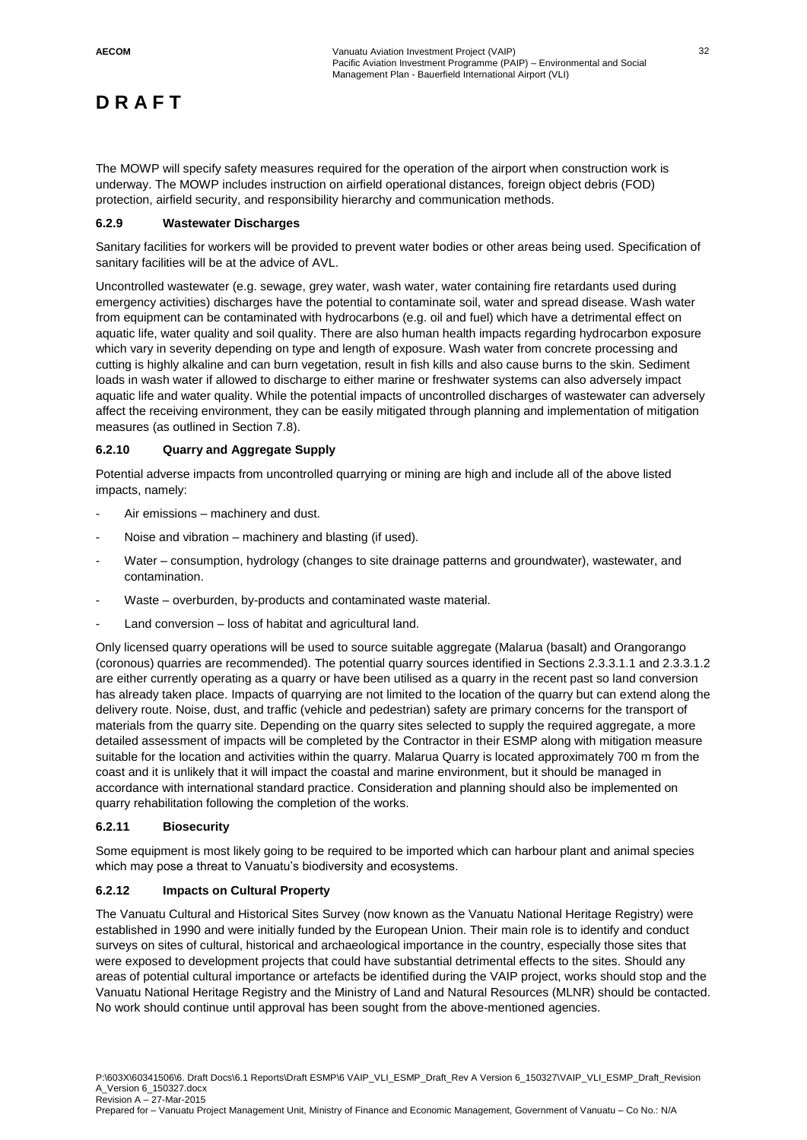The MOWP will specify safety measures required for the operation of the airport when construction work is underway. The MOWP includes instruction on airfield operational distances, foreign object debris (FOD) protection, airfield security, and responsibility hierarchy and communication methods.

#### **6.2.9 Wastewater Discharges**

Sanitary facilities for workers will be provided to prevent water bodies or other areas being used. Specification of sanitary facilities will be at the advice of AVL.

Uncontrolled wastewater (e.g. sewage, grey water, wash water, water containing fire retardants used during emergency activities) discharges have the potential to contaminate soil, water and spread disease. Wash water from equipment can be contaminated with hydrocarbons (e.g. oil and fuel) which have a detrimental effect on aquatic life, water quality and soil quality. There are also human health impacts regarding hydrocarbon exposure which vary in severity depending on type and length of exposure. Wash water from concrete processing and cutting is highly alkaline and can burn vegetation, result in fish kills and also cause burns to the skin. Sediment loads in wash water if allowed to discharge to either marine or freshwater systems can also adversely impact aquatic life and water quality. While the potential impacts of uncontrolled discharges of wastewater can adversely affect the receiving environment, they can be easily mitigated through planning and implementation of mitigation measures (as outlined in Section 7.8).

#### **6.2.10 Quarry and Aggregate Supply**

Potential adverse impacts from uncontrolled quarrying or mining are high and include all of the above listed impacts, namely:

- Air emissions machinery and dust.
- Noise and vibration machinery and blasting (if used).
- Water consumption, hydrology (changes to site drainage patterns and groundwater), wastewater, and contamination.
- Waste overburden, by-products and contaminated waste material.
- Land conversion loss of habitat and agricultural land.

Only licensed quarry operations will be used to source suitable aggregate (Malarua (basalt) and Orangorango (coronous) quarries are recommended). The potential quarry sources identified in Sections 2.3.3.1.1 and 2.3.3.1.2 are either currently operating as a quarry or have been utilised as a quarry in the recent past so land conversion has already taken place. Impacts of quarrying are not limited to the location of the quarry but can extend along the delivery route. Noise, dust, and traffic (vehicle and pedestrian) safety are primary concerns for the transport of materials from the quarry site. Depending on the quarry sites selected to supply the required aggregate, a more detailed assessment of impacts will be completed by the Contractor in their ESMP along with mitigation measure suitable for the location and activities within the quarry. Malarua Quarry is located approximately 700 m from the coast and it is unlikely that it will impact the coastal and marine environment, but it should be managed in accordance with international standard practice. Consideration and planning should also be implemented on quarry rehabilitation following the completion of the works.

#### **6.2.11 Biosecurity**

Some equipment is most likely going to be required to be imported which can harbour plant and animal species which may pose a threat to Vanuatu's biodiversity and ecosystems.

#### **6.2.12 Impacts on Cultural Property**

The Vanuatu Cultural and Historical Sites Survey (now known as the Vanuatu National Heritage Registry) were established in 1990 and were initially funded by the European Union. Their main role is to identify and conduct surveys on sites of cultural, historical and archaeological importance in the country, especially those sites that were exposed to development projects that could have substantial detrimental effects to the sites. Should any areas of potential cultural importance or artefacts be identified during the VAIP project, works should stop and the Vanuatu National Heritage Registry and the Ministry of Land and Natural Resources (MLNR) should be contacted. No work should continue until approval has been sought from the above-mentioned agencies.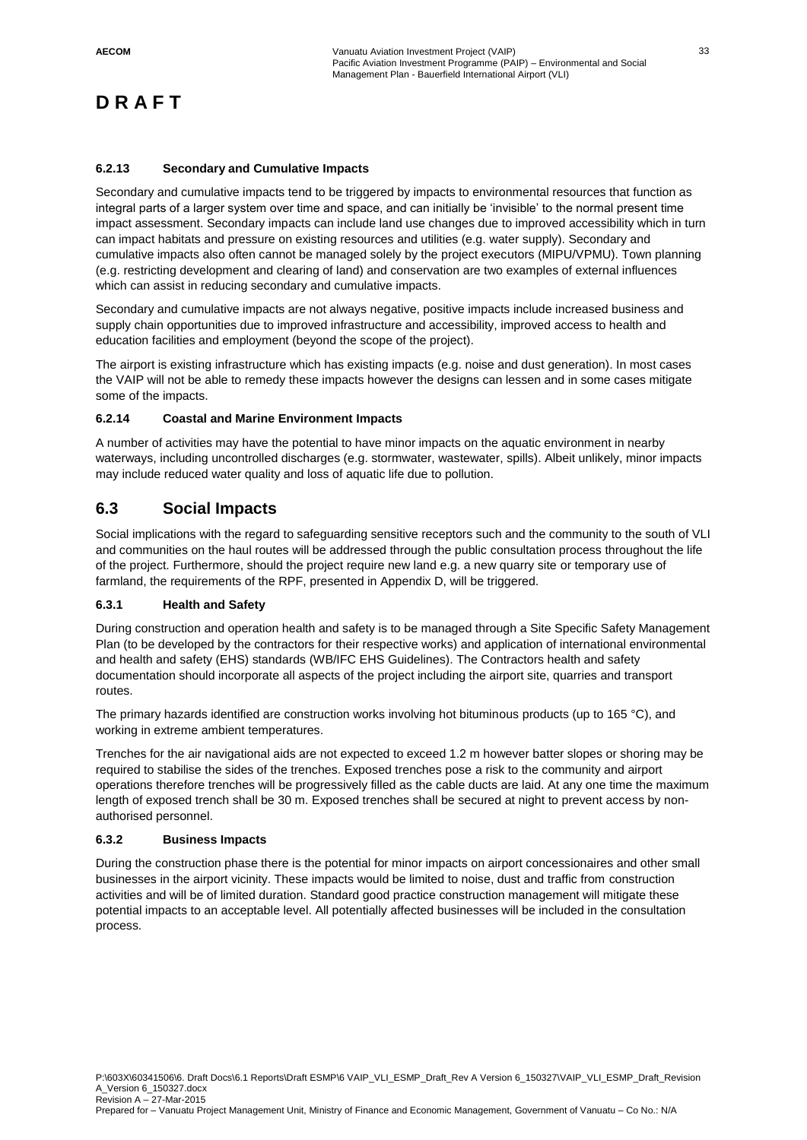#### **6.2.13 Secondary and Cumulative Impacts**

Secondary and cumulative impacts tend to be triggered by impacts to environmental resources that function as integral parts of a larger system over time and space, and can initially be 'invisible' to the normal present time impact assessment. Secondary impacts can include land use changes due to improved accessibility which in turn can impact habitats and pressure on existing resources and utilities (e.g. water supply). Secondary and cumulative impacts also often cannot be managed solely by the project executors (MIPU/VPMU). Town planning (e.g. restricting development and clearing of land) and conservation are two examples of external influences which can assist in reducing secondary and cumulative impacts.

Secondary and cumulative impacts are not always negative, positive impacts include increased business and supply chain opportunities due to improved infrastructure and accessibility, improved access to health and education facilities and employment (beyond the scope of the project).

The airport is existing infrastructure which has existing impacts (e.g. noise and dust generation). In most cases the VAIP will not be able to remedy these impacts however the designs can lessen and in some cases mitigate some of the impacts.

#### **6.2.14 Coastal and Marine Environment Impacts**

A number of activities may have the potential to have minor impacts on the aquatic environment in nearby waterways, including uncontrolled discharges (e.g. stormwater, wastewater, spills). Albeit unlikely, minor impacts may include reduced water quality and loss of aquatic life due to pollution.

## **6.3 Social Impacts**

Social implications with the regard to safeguarding sensitive receptors such and the community to the south of VLI and communities on the haul routes will be addressed through the public consultation process throughout the life of the project. Furthermore, should the project require new land e.g. a new quarry site or temporary use of farmland, the requirements of the RPF, presented in Appendix D, will be triggered.

#### **6.3.1 Health and Safety**

During construction and operation health and safety is to be managed through a Site Specific Safety Management Plan (to be developed by the contractors for their respective works) and application of international environmental and health and safety (EHS) standards (WB/IFC EHS Guidelines). The Contractors health and safety documentation should incorporate all aspects of the project including the airport site, quarries and transport routes.

The primary hazards identified are construction works involving hot bituminous products (up to 165 °C), and working in extreme ambient temperatures.

Trenches for the air navigational aids are not expected to exceed 1.2 m however batter slopes or shoring may be required to stabilise the sides of the trenches. Exposed trenches pose a risk to the community and airport operations therefore trenches will be progressively filled as the cable ducts are laid. At any one time the maximum length of exposed trench shall be 30 m. Exposed trenches shall be secured at night to prevent access by nonauthorised personnel.

#### **6.3.2 Business Impacts**

During the construction phase there is the potential for minor impacts on airport concessionaires and other small businesses in the airport vicinity. These impacts would be limited to noise, dust and traffic from construction activities and will be of limited duration. Standard good practice construction management will mitigate these potential impacts to an acceptable level. All potentially affected businesses will be included in the consultation process.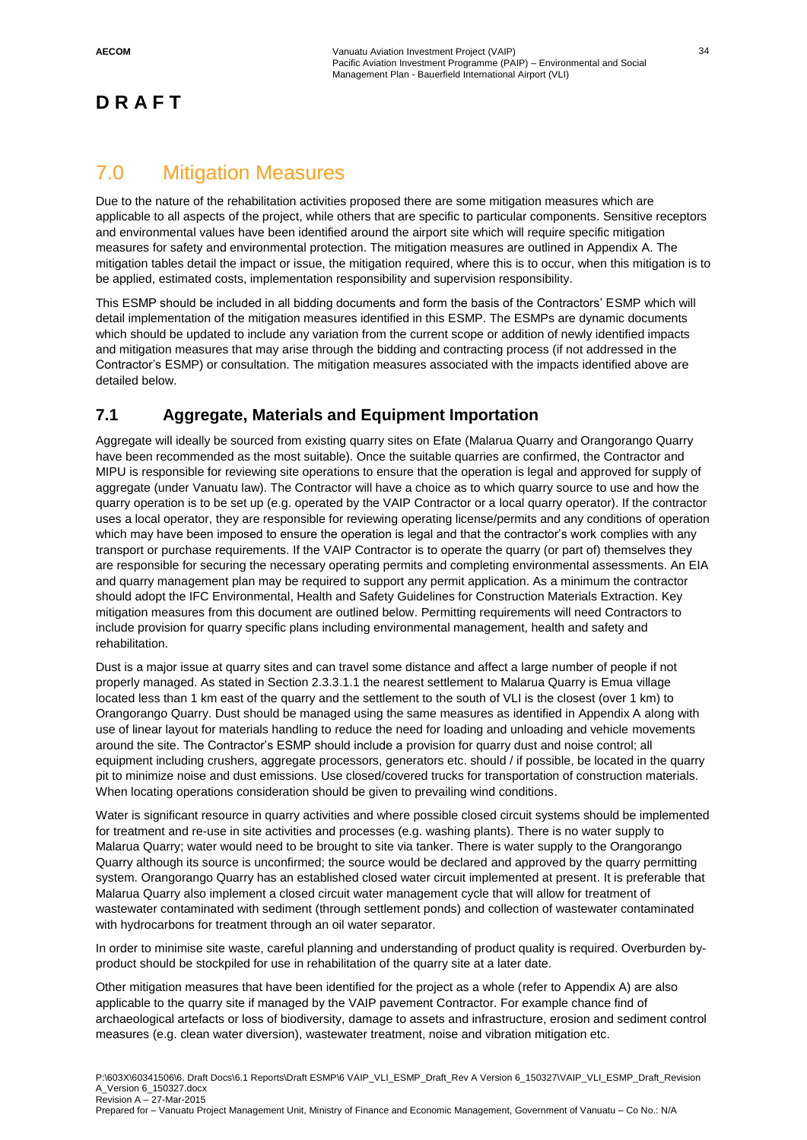## 7.0 Mitigation Measures

Due to the nature of the rehabilitation activities proposed there are some mitigation measures which are applicable to all aspects of the project, while others that are specific to particular components. Sensitive receptors and environmental values have been identified around the airport site which will require specific mitigation measures for safety and environmental protection. The mitigation measures are outlined in Appendix A. The mitigation tables detail the impact or issue, the mitigation required, where this is to occur, when this mitigation is to be applied, estimated costs, implementation responsibility and supervision responsibility.

This ESMP should be included in all bidding documents and form the basis of the Contractors' ESMP which will detail implementation of the mitigation measures identified in this ESMP. The ESMPs are dynamic documents which should be updated to include any variation from the current scope or addition of newly identified impacts and mitigation measures that may arise through the bidding and contracting process (if not addressed in the Contractor's ESMP) or consultation. The mitigation measures associated with the impacts identified above are detailed below.

## **7.1 Aggregate, Materials and Equipment Importation**

Aggregate will ideally be sourced from existing quarry sites on Efate (Malarua Quarry and Orangorango Quarry have been recommended as the most suitable). Once the suitable quarries are confirmed, the Contractor and MIPU is responsible for reviewing site operations to ensure that the operation is legal and approved for supply of aggregate (under Vanuatu law). The Contractor will have a choice as to which quarry source to use and how the quarry operation is to be set up (e.g. operated by the VAIP Contractor or a local quarry operator). If the contractor uses a local operator, they are responsible for reviewing operating license/permits and any conditions of operation which may have been imposed to ensure the operation is legal and that the contractor's work complies with any transport or purchase requirements. If the VAIP Contractor is to operate the quarry (or part of) themselves they are responsible for securing the necessary operating permits and completing environmental assessments. An EIA and quarry management plan may be required to support any permit application. As a minimum the contractor should adopt the IFC Environmental, Health and Safety Guidelines for Construction Materials Extraction. Key mitigation measures from this document are outlined below. Permitting requirements will need Contractors to include provision for quarry specific plans including environmental management, health and safety and rehabilitation.

Dust is a major issue at quarry sites and can travel some distance and affect a large number of people if not properly managed. As stated in Section 2.3.3.1.1 the nearest settlement to Malarua Quarry is Emua village located less than 1 km east of the quarry and the settlement to the south of VLI is the closest (over 1 km) to Orangorango Quarry. Dust should be managed using the same measures as identified in Appendix A along with use of linear layout for materials handling to reduce the need for loading and unloading and vehicle movements around the site. The Contractor's ESMP should include a provision for quarry dust and noise control; all equipment including crushers, aggregate processors, generators etc. should / if possible, be located in the quarry pit to minimize noise and dust emissions. Use closed/covered trucks for transportation of construction materials. When locating operations consideration should be given to prevailing wind conditions.

Water is significant resource in quarry activities and where possible closed circuit systems should be implemented for treatment and re-use in site activities and processes (e.g. washing plants). There is no water supply to Malarua Quarry; water would need to be brought to site via tanker. There is water supply to the Orangorango Quarry although its source is unconfirmed; the source would be declared and approved by the quarry permitting system. Orangorango Quarry has an established closed water circuit implemented at present. It is preferable that Malarua Quarry also implement a closed circuit water management cycle that will allow for treatment of wastewater contaminated with sediment (through settlement ponds) and collection of wastewater contaminated with hydrocarbons for treatment through an oil water separator.

In order to minimise site waste, careful planning and understanding of product quality is required. Overburden byproduct should be stockpiled for use in rehabilitation of the quarry site at a later date.

Other mitigation measures that have been identified for the project as a whole (refer to Appendix A) are also applicable to the quarry site if managed by the VAIP pavement Contractor. For example chance find of archaeological artefacts or loss of biodiversity, damage to assets and infrastructure, erosion and sediment control measures (e.g. clean water diversion), wastewater treatment, noise and vibration mitigation etc.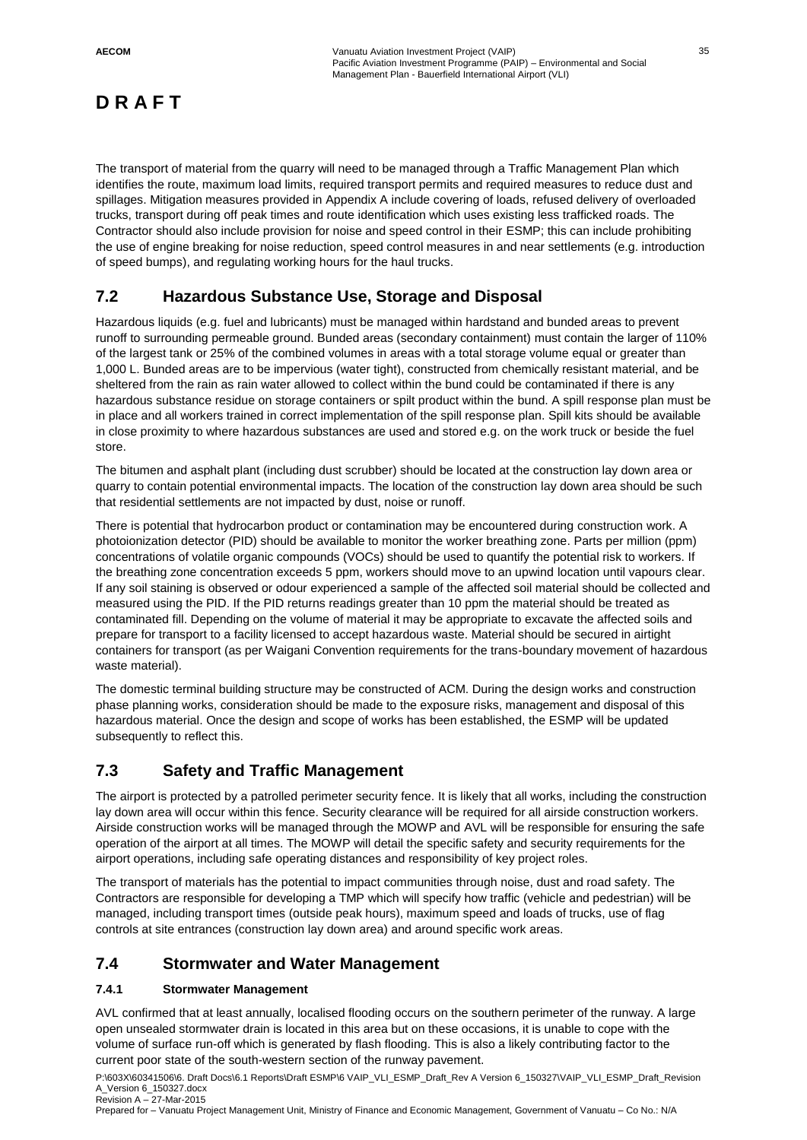The transport of material from the quarry will need to be managed through a Traffic Management Plan which identifies the route, maximum load limits, required transport permits and required measures to reduce dust and spillages. Mitigation measures provided in Appendix A include covering of loads, refused delivery of overloaded trucks, transport during off peak times and route identification which uses existing less trafficked roads. The Contractor should also include provision for noise and speed control in their ESMP; this can include prohibiting the use of engine breaking for noise reduction, speed control measures in and near settlements (e.g. introduction of speed bumps), and regulating working hours for the haul trucks.

## **7.2 Hazardous Substance Use, Storage and Disposal**

Hazardous liquids (e.g. fuel and lubricants) must be managed within hardstand and bunded areas to prevent runoff to surrounding permeable ground. Bunded areas (secondary containment) must contain the larger of 110% of the largest tank or 25% of the combined volumes in areas with a total storage volume equal or greater than 1,000 L. Bunded areas are to be impervious (water tight), constructed from chemically resistant material, and be sheltered from the rain as rain water allowed to collect within the bund could be contaminated if there is any hazardous substance residue on storage containers or spilt product within the bund. A spill response plan must be in place and all workers trained in correct implementation of the spill response plan. Spill kits should be available in close proximity to where hazardous substances are used and stored e.g. on the work truck or beside the fuel store.

The bitumen and asphalt plant (including dust scrubber) should be located at the construction lay down area or quarry to contain potential environmental impacts. The location of the construction lay down area should be such that residential settlements are not impacted by dust, noise or runoff.

There is potential that hydrocarbon product or contamination may be encountered during construction work. A photoionization detector (PID) should be available to monitor the worker breathing zone. Parts per million (ppm) concentrations of volatile organic compounds (VOCs) should be used to quantify the potential risk to workers. If the breathing zone concentration exceeds 5 ppm, workers should move to an upwind location until vapours clear. If any soil staining is observed or odour experienced a sample of the affected soil material should be collected and measured using the PID. If the PID returns readings greater than 10 ppm the material should be treated as contaminated fill. Depending on the volume of material it may be appropriate to excavate the affected soils and prepare for transport to a facility licensed to accept hazardous waste. Material should be secured in airtight containers for transport (as per Waigani Convention requirements for the trans-boundary movement of hazardous waste material).

The domestic terminal building structure may be constructed of ACM. During the design works and construction phase planning works, consideration should be made to the exposure risks, management and disposal of this hazardous material. Once the design and scope of works has been established, the ESMP will be updated subsequently to reflect this.

## **7.3 Safety and Traffic Management**

The airport is protected by a patrolled perimeter security fence. It is likely that all works, including the construction lay down area will occur within this fence. Security clearance will be required for all airside construction workers. Airside construction works will be managed through the MOWP and AVL will be responsible for ensuring the safe operation of the airport at all times. The MOWP will detail the specific safety and security requirements for the airport operations, including safe operating distances and responsibility of key project roles.

The transport of materials has the potential to impact communities through noise, dust and road safety. The Contractors are responsible for developing a TMP which will specify how traffic (vehicle and pedestrian) will be managed, including transport times (outside peak hours), maximum speed and loads of trucks, use of flag controls at site entrances (construction lay down area) and around specific work areas.

#### **7.4 Stormwater and Water Management**

#### **7.4.1 Stormwater Management**

AVL confirmed that at least annually, localised flooding occurs on the southern perimeter of the runway. A large open unsealed stormwater drain is located in this area but on these occasions, it is unable to cope with the volume of surface run-off which is generated by flash flooding. This is also a likely contributing factor to the current poor state of the south-western section of the runway pavement.

P:\603X\60341506\6. Draft Docs\6.1 Reports\Draft ESMP\6 VAIP\_VLI\_ESMP\_Draft\_Rev A Version 6\_150327\VAIP\_VLI\_ESMP\_Draft\_Revision A\_Version 6\_150327.docx Revision A – 27-Mar-2015

Prepared for – Vanuatu Project Management Unit, Ministry of Finance and Economic Management, Government of Vanuatu – Co No.: N/A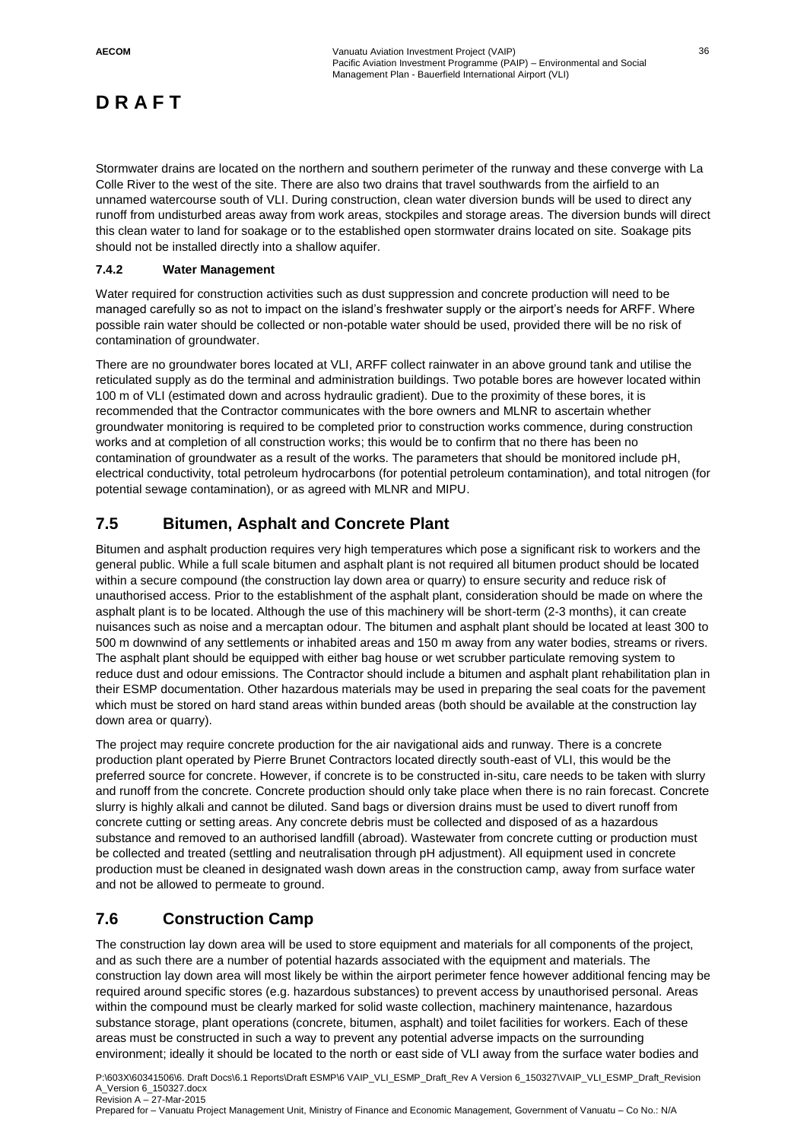Stormwater drains are located on the northern and southern perimeter of the runway and these converge with La Colle River to the west of the site. There are also two drains that travel southwards from the airfield to an unnamed watercourse south of VLI. During construction, clean water diversion bunds will be used to direct any runoff from undisturbed areas away from work areas, stockpiles and storage areas. The diversion bunds will direct this clean water to land for soakage or to the established open stormwater drains located on site. Soakage pits should not be installed directly into a shallow aquifer.

#### **7.4.2 Water Management**

Water required for construction activities such as dust suppression and concrete production will need to be managed carefully so as not to impact on the island's freshwater supply or the airport's needs for ARFF. Where possible rain water should be collected or non-potable water should be used, provided there will be no risk of contamination of groundwater.

There are no groundwater bores located at VLI, ARFF collect rainwater in an above ground tank and utilise the reticulated supply as do the terminal and administration buildings. Two potable bores are however located within 100 m of VLI (estimated down and across hydraulic gradient). Due to the proximity of these bores, it is recommended that the Contractor communicates with the bore owners and MLNR to ascertain whether groundwater monitoring is required to be completed prior to construction works commence, during construction works and at completion of all construction works; this would be to confirm that no there has been no contamination of groundwater as a result of the works. The parameters that should be monitored include pH, electrical conductivity, total petroleum hydrocarbons (for potential petroleum contamination), and total nitrogen (for potential sewage contamination), or as agreed with MLNR and MIPU.

## **7.5 Bitumen, Asphalt and Concrete Plant**

Bitumen and asphalt production requires very high temperatures which pose a significant risk to workers and the general public. While a full scale bitumen and asphalt plant is not required all bitumen product should be located within a secure compound (the construction lay down area or quarry) to ensure security and reduce risk of unauthorised access. Prior to the establishment of the asphalt plant, consideration should be made on where the asphalt plant is to be located. Although the use of this machinery will be short-term (2-3 months), it can create nuisances such as noise and a mercaptan odour. The bitumen and asphalt plant should be located at least 300 to 500 m downwind of any settlements or inhabited areas and 150 m away from any water bodies, streams or rivers. The asphalt plant should be equipped with either bag house or wet scrubber particulate removing system to reduce dust and odour emissions. The Contractor should include a bitumen and asphalt plant rehabilitation plan in their ESMP documentation. Other hazardous materials may be used in preparing the seal coats for the pavement which must be stored on hard stand areas within bunded areas (both should be available at the construction lay down area or quarry).

The project may require concrete production for the air navigational aids and runway. There is a concrete production plant operated by Pierre Brunet Contractors located directly south-east of VLI, this would be the preferred source for concrete. However, if concrete is to be constructed in-situ, care needs to be taken with slurry and runoff from the concrete. Concrete production should only take place when there is no rain forecast. Concrete slurry is highly alkali and cannot be diluted. Sand bags or diversion drains must be used to divert runoff from concrete cutting or setting areas. Any concrete debris must be collected and disposed of as a hazardous substance and removed to an authorised landfill (abroad). Wastewater from concrete cutting or production must be collected and treated (settling and neutralisation through pH adjustment). All equipment used in concrete production must be cleaned in designated wash down areas in the construction camp, away from surface water and not be allowed to permeate to ground.

## **7.6 Construction Camp**

The construction lay down area will be used to store equipment and materials for all components of the project, and as such there are a number of potential hazards associated with the equipment and materials. The construction lay down area will most likely be within the airport perimeter fence however additional fencing may be required around specific stores (e.g. hazardous substances) to prevent access by unauthorised personal. Areas within the compound must be clearly marked for solid waste collection, machinery maintenance, hazardous substance storage, plant operations (concrete, bitumen, asphalt) and toilet facilities for workers. Each of these areas must be constructed in such a way to prevent any potential adverse impacts on the surrounding environment; ideally it should be located to the north or east side of VLI away from the surface water bodies and

P:\603X\60341506\6. Draft Docs\6.1 Reports\Draft ESMP\6 VAIP\_VLI\_ESMP\_Draft\_Rev A Version 6\_150327\VAIP\_VLI\_ESMP\_Draft\_Revision A\_Version 6\_150327.docx Revision A – 27-Mar-2015

Prepared for – Vanuatu Project Management Unit, Ministry of Finance and Economic Management, Government of Vanuatu – Co No.: N/A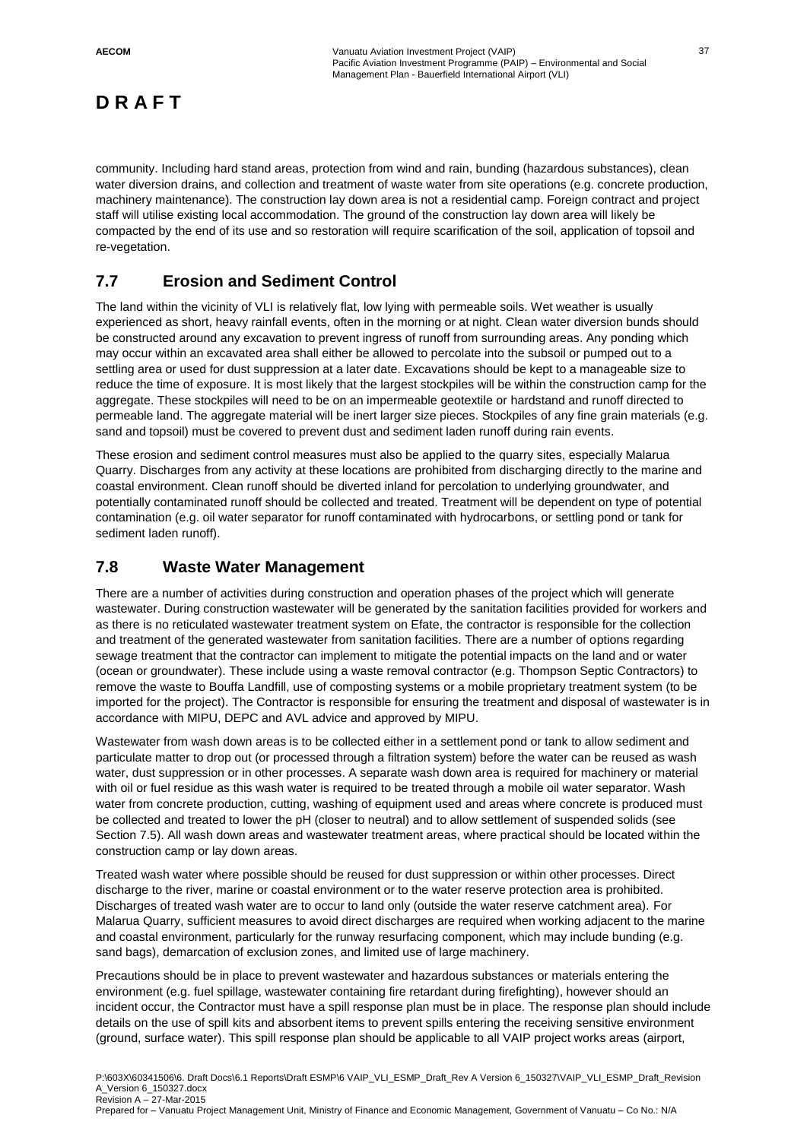community. Including hard stand areas, protection from wind and rain, bunding (hazardous substances), clean water diversion drains, and collection and treatment of waste water from site operations (e.g. concrete production, machinery maintenance). The construction lay down area is not a residential camp. Foreign contract and project staff will utilise existing local accommodation. The ground of the construction lay down area will likely be compacted by the end of its use and so restoration will require scarification of the soil, application of topsoil and re-vegetation.

## **7.7 Erosion and Sediment Control**

The land within the vicinity of VLI is relatively flat, low lying with permeable soils. Wet weather is usually experienced as short, heavy rainfall events, often in the morning or at night. Clean water diversion bunds should be constructed around any excavation to prevent ingress of runoff from surrounding areas. Any ponding which may occur within an excavated area shall either be allowed to percolate into the subsoil or pumped out to a settling area or used for dust suppression at a later date. Excavations should be kept to a manageable size to reduce the time of exposure. It is most likely that the largest stockpiles will be within the construction camp for the aggregate. These stockpiles will need to be on an impermeable geotextile or hardstand and runoff directed to permeable land. The aggregate material will be inert larger size pieces. Stockpiles of any fine grain materials (e.g. sand and topsoil) must be covered to prevent dust and sediment laden runoff during rain events.

These erosion and sediment control measures must also be applied to the quarry sites, especially Malarua Quarry. Discharges from any activity at these locations are prohibited from discharging directly to the marine and coastal environment. Clean runoff should be diverted inland for percolation to underlying groundwater, and potentially contaminated runoff should be collected and treated. Treatment will be dependent on type of potential contamination (e.g. oil water separator for runoff contaminated with hydrocarbons, or settling pond or tank for sediment laden runoff).

## **7.8 Waste Water Management**

There are a number of activities during construction and operation phases of the project which will generate wastewater. During construction wastewater will be generated by the sanitation facilities provided for workers and as there is no reticulated wastewater treatment system on Efate, the contractor is responsible for the collection and treatment of the generated wastewater from sanitation facilities. There are a number of options regarding sewage treatment that the contractor can implement to mitigate the potential impacts on the land and or water (ocean or groundwater). These include using a waste removal contractor (e.g. Thompson Septic Contractors) to remove the waste to Bouffa Landfill, use of composting systems or a mobile proprietary treatment system (to be imported for the project). The Contractor is responsible for ensuring the treatment and disposal of wastewater is in accordance with MIPU, DEPC and AVL advice and approved by MIPU.

Wastewater from wash down areas is to be collected either in a settlement pond or tank to allow sediment and particulate matter to drop out (or processed through a filtration system) before the water can be reused as wash water, dust suppression or in other processes. A separate wash down area is required for machinery or material with oil or fuel residue as this wash water is required to be treated through a mobile oil water separator. Wash water from concrete production, cutting, washing of equipment used and areas where concrete is produced must be collected and treated to lower the pH (closer to neutral) and to allow settlement of suspended solids (see Section 7.5). All wash down areas and wastewater treatment areas, where practical should be located within the construction camp or lay down areas.

Treated wash water where possible should be reused for dust suppression or within other processes. Direct discharge to the river, marine or coastal environment or to the water reserve protection area is prohibited. Discharges of treated wash water are to occur to land only (outside the water reserve catchment area). For Malarua Quarry, sufficient measures to avoid direct discharges are required when working adjacent to the marine and coastal environment, particularly for the runway resurfacing component, which may include bunding (e.g. sand bags), demarcation of exclusion zones, and limited use of large machinery.

Precautions should be in place to prevent wastewater and hazardous substances or materials entering the environment (e.g. fuel spillage, wastewater containing fire retardant during firefighting), however should an incident occur, the Contractor must have a spill response plan must be in place. The response plan should include details on the use of spill kits and absorbent items to prevent spills entering the receiving sensitive environment (ground, surface water). This spill response plan should be applicable to all VAIP project works areas (airport,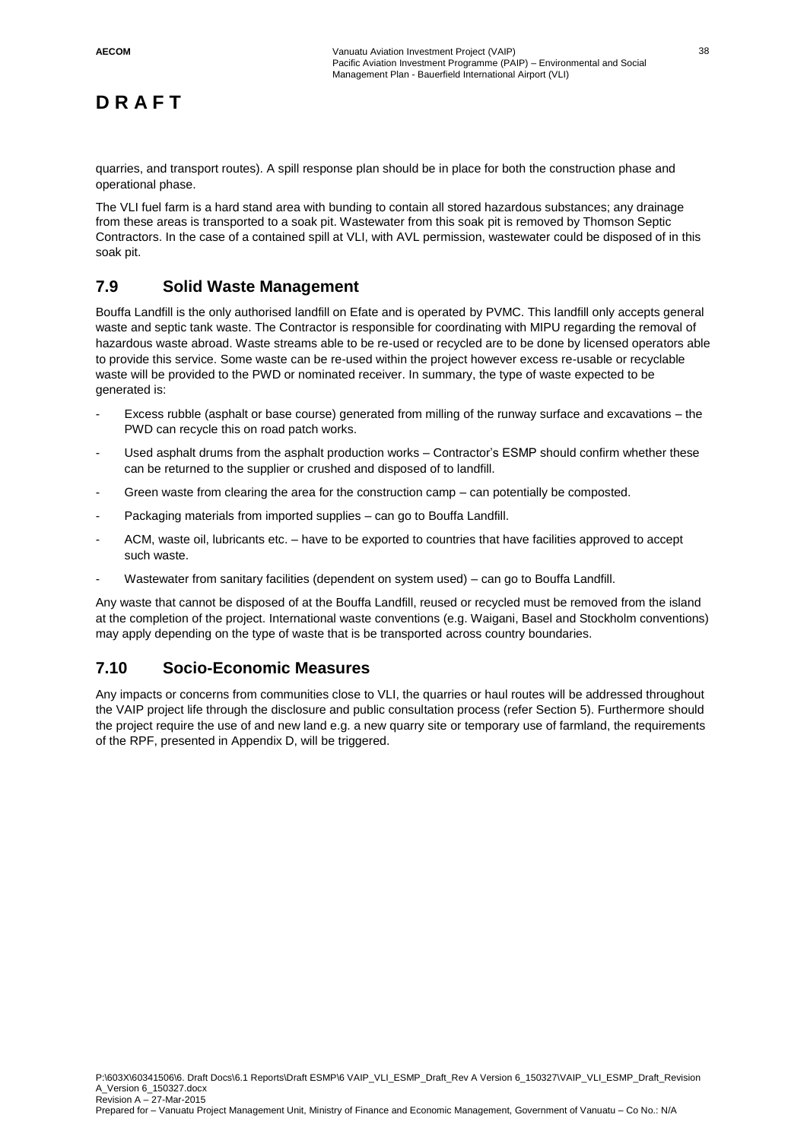quarries, and transport routes). A spill response plan should be in place for both the construction phase and operational phase.

The VLI fuel farm is a hard stand area with bunding to contain all stored hazardous substances; any drainage from these areas is transported to a soak pit. Wastewater from this soak pit is removed by Thomson Septic Contractors. In the case of a contained spill at VLI, with AVL permission, wastewater could be disposed of in this soak pit.

## **7.9 Solid Waste Management**

Bouffa Landfill is the only authorised landfill on Efate and is operated by PVMC. This landfill only accepts general waste and septic tank waste. The Contractor is responsible for coordinating with MIPU regarding the removal of hazardous waste abroad. Waste streams able to be re-used or recycled are to be done by licensed operators able to provide this service. Some waste can be re-used within the project however excess re-usable or recyclable waste will be provided to the PWD or nominated receiver. In summary, the type of waste expected to be generated is:

- Excess rubble (asphalt or base course) generated from milling of the runway surface and excavations the PWD can recycle this on road patch works.
- Used asphalt drums from the asphalt production works Contractor's ESMP should confirm whether these can be returned to the supplier or crushed and disposed of to landfill.
- Green waste from clearing the area for the construction camp can potentially be composted.
- Packaging materials from imported supplies can go to Bouffa Landfill.
- ACM, waste oil, lubricants etc. have to be exported to countries that have facilities approved to accept such waste.
- Wastewater from sanitary facilities (dependent on system used) can go to Bouffa Landfill.

Any waste that cannot be disposed of at the Bouffa Landfill, reused or recycled must be removed from the island at the completion of the project. International waste conventions (e.g. Waigani, Basel and Stockholm conventions) may apply depending on the type of waste that is be transported across country boundaries.

#### **7.10 Socio-Economic Measures**

Any impacts or concerns from communities close to VLI, the quarries or haul routes will be addressed throughout the VAIP project life through the disclosure and public consultation process (refer Section 5). Furthermore should the project require the use of and new land e.g. a new quarry site or temporary use of farmland, the requirements of the RPF, presented in Appendix D, will be triggered.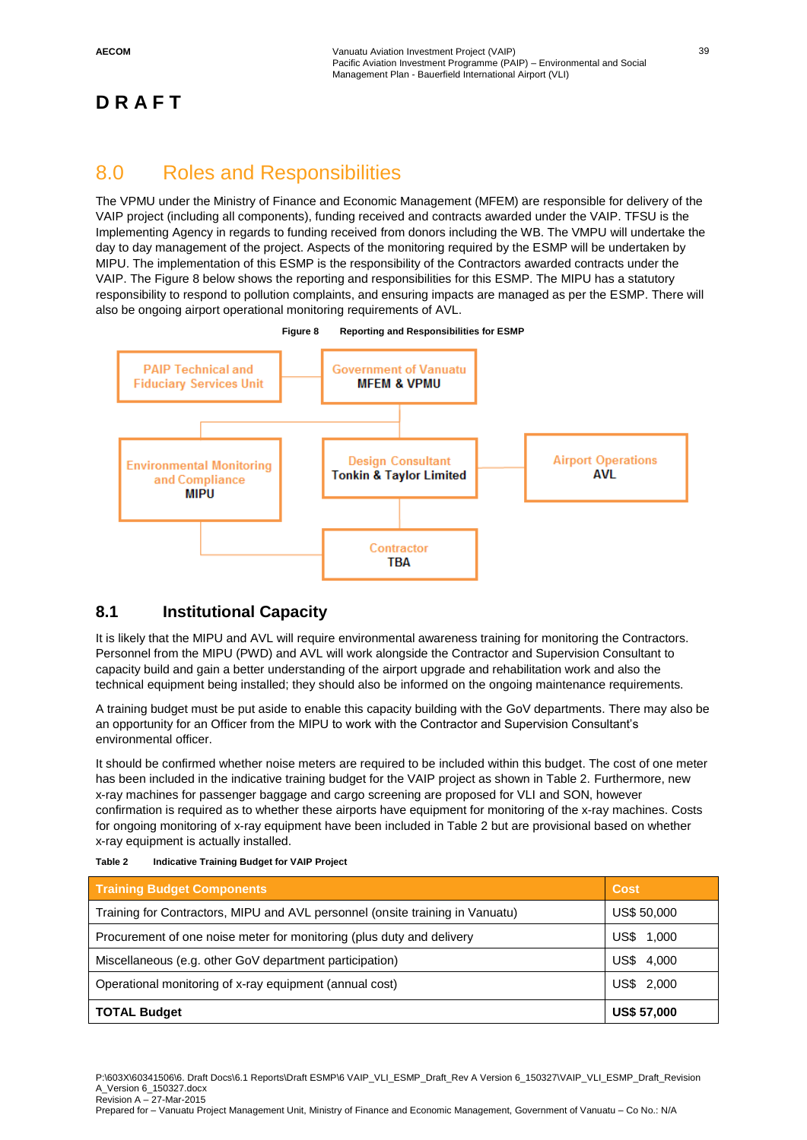## 8.0 Roles and Responsibilities

The VPMU under the Ministry of Finance and Economic Management (MFEM) are responsible for delivery of the VAIP project (including all components), funding received and contracts awarded under the VAIP. TFSU is the Implementing Agency in regards to funding received from donors including the WB. The VMPU will undertake the day to day management of the project. Aspects of the monitoring required by the ESMP will be undertaken by MIPU. The implementation of this ESMP is the responsibility of the Contractors awarded contracts under the VAIP. The Figure 8 below shows the reporting and responsibilities for this ESMP. The MIPU has a statutory responsibility to respond to pollution complaints, and ensuring impacts are managed as per the ESMP. There will also be ongoing airport operational monitoring requirements of AVL.





## **8.1 Institutional Capacity**

It is likely that the MIPU and AVL will require environmental awareness training for monitoring the Contractors. Personnel from the MIPU (PWD) and AVL will work alongside the Contractor and Supervision Consultant to capacity build and gain a better understanding of the airport upgrade and rehabilitation work and also the technical equipment being installed; they should also be informed on the ongoing maintenance requirements.

A training budget must be put aside to enable this capacity building with the GoV departments. There may also be an opportunity for an Officer from the MIPU to work with the Contractor and Supervision Consultant's environmental officer.

It should be confirmed whether noise meters are required to be included within this budget. The cost of one meter has been included in the indicative training budget for the VAIP project as shown in Table 2. Furthermore, new x-ray machines for passenger baggage and cargo screening are proposed for VLI and SON, however confirmation is required as to whether these airports have equipment for monitoring of the x-ray machines. Costs for ongoing monitoring of x-ray equipment have been included in Table 2 but are provisional based on whether x-ray equipment is actually installed.

| <b>Training Budget Components</b>                                             | <b>Cost</b>        |
|-------------------------------------------------------------------------------|--------------------|
| Training for Contractors, MIPU and AVL personnel (onsite training in Vanuatu) | <b>US\$ 50,000</b> |
| Procurement of one noise meter for monitoring (plus duty and delivery         | US\$.<br>1,000     |
| Miscellaneous (e.g. other GoV department participation)                       | US\$<br>4,000      |
| Operational monitoring of x-ray equipment (annual cost)                       | US\$ 2,000         |
| <b>TOTAL Budget</b>                                                           | <b>US\$ 57,000</b> |

P:\603X\60341506\6. Draft Docs\6.1 Reports\Draft ESMP\6 VAIP\_VLI\_ESMP\_Draft\_Rev A Version 6\_150327\VAIP\_VLI\_ESMP\_Draft\_Revision A\_Version 6\_150327.docx Revision A – 27-Mar-2015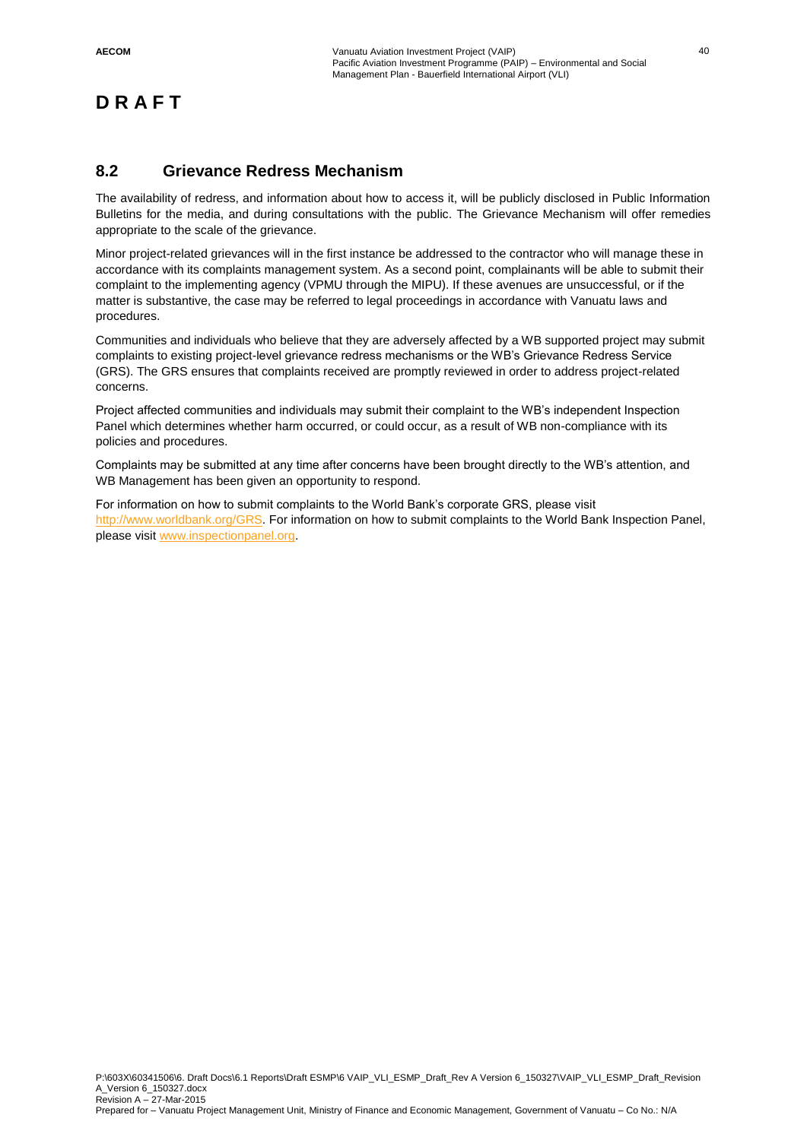## **8.2 Grievance Redress Mechanism**

The availability of redress, and information about how to access it, will be publicly disclosed in Public Information Bulletins for the media, and during consultations with the public. The Grievance Mechanism will offer remedies appropriate to the scale of the grievance.

Minor project-related grievances will in the first instance be addressed to the contractor who will manage these in accordance with its complaints management system. As a second point, complainants will be able to submit their complaint to the implementing agency (VPMU through the MIPU). If these avenues are unsuccessful, or if the matter is substantive, the case may be referred to legal proceedings in accordance with Vanuatu laws and procedures.

Communities and individuals who believe that they are adversely affected by a WB supported project may submit complaints to existing project-level grievance redress mechanisms or the WB's Grievance Redress Service (GRS). The GRS ensures that complaints received are promptly reviewed in order to address project-related concerns.

Project affected communities and individuals may submit their complaint to the WB's independent Inspection Panel which determines whether harm occurred, or could occur, as a result of WB non-compliance with its policies and procedures.

Complaints may be submitted at any time after concerns have been brought directly to the WB's attention, and WB Management has been given an opportunity to respond.

For information on how to submit complaints to the World Bank's corporate GRS, please visit [http://www.worldbank.org/GRS.](http://www.worldbank.org/GRS) For information on how to submit complaints to the World Bank Inspection Panel, please visi[t www.inspectionpanel.org.](http://www.inspectionpanel.org/)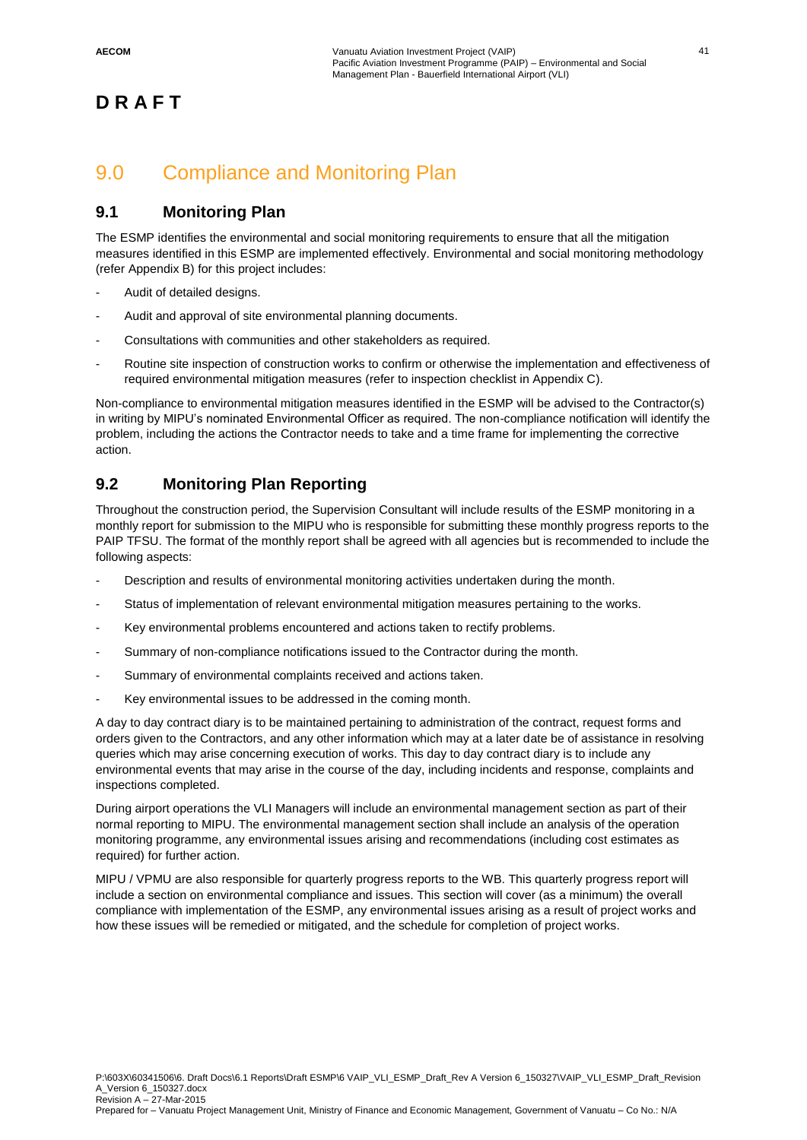## 9.0 Compliance and Monitoring Plan

## **9.1 Monitoring Plan**

The ESMP identifies the environmental and social monitoring requirements to ensure that all the mitigation measures identified in this ESMP are implemented effectively. Environmental and social monitoring methodology (refer Appendix B) for this project includes:

- Audit of detailed designs.
- Audit and approval of site environmental planning documents.
- Consultations with communities and other stakeholders as required.
- Routine site inspection of construction works to confirm or otherwise the implementation and effectiveness of required environmental mitigation measures (refer to inspection checklist in Appendix C).

Non-compliance to environmental mitigation measures identified in the ESMP will be advised to the Contractor(s) in writing by MIPU's nominated Environmental Officer as required. The non-compliance notification will identify the problem, including the actions the Contractor needs to take and a time frame for implementing the corrective action.

## **9.2 Monitoring Plan Reporting**

Throughout the construction period, the Supervision Consultant will include results of the ESMP monitoring in a monthly report for submission to the MIPU who is responsible for submitting these monthly progress reports to the PAIP TFSU. The format of the monthly report shall be agreed with all agencies but is recommended to include the following aspects:

- Description and results of environmental monitoring activities undertaken during the month.
- Status of implementation of relevant environmental mitigation measures pertaining to the works.
- Key environmental problems encountered and actions taken to rectify problems.
- Summary of non-compliance notifications issued to the Contractor during the month.
- Summary of environmental complaints received and actions taken.
- Key environmental issues to be addressed in the coming month.

A day to day contract diary is to be maintained pertaining to administration of the contract, request forms and orders given to the Contractors, and any other information which may at a later date be of assistance in resolving queries which may arise concerning execution of works. This day to day contract diary is to include any environmental events that may arise in the course of the day, including incidents and response, complaints and inspections completed.

During airport operations the VLI Managers will include an environmental management section as part of their normal reporting to MIPU. The environmental management section shall include an analysis of the operation monitoring programme, any environmental issues arising and recommendations (including cost estimates as required) for further action.

MIPU / VPMU are also responsible for quarterly progress reports to the WB. This quarterly progress report will include a section on environmental compliance and issues. This section will cover (as a minimum) the overall compliance with implementation of the ESMP, any environmental issues arising as a result of project works and how these issues will be remedied or mitigated, and the schedule for completion of project works.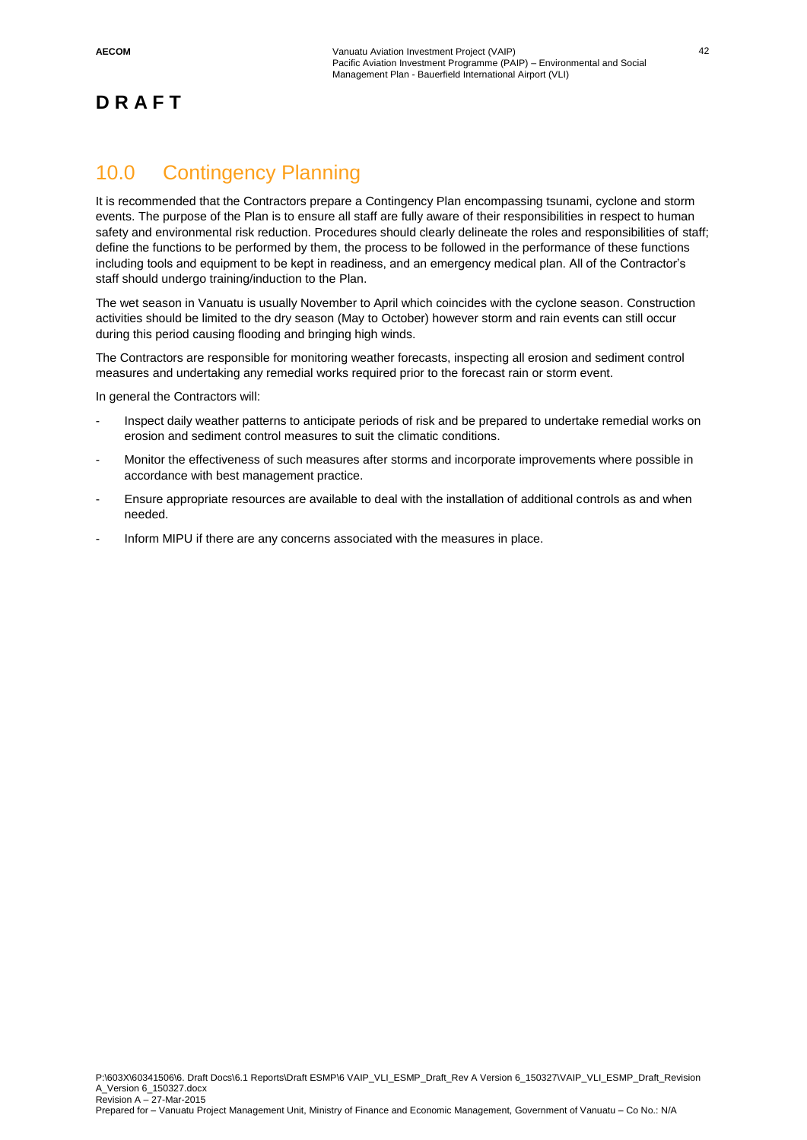## 10.0 Contingency Planning

It is recommended that the Contractors prepare a Contingency Plan encompassing tsunami, cyclone and storm events. The purpose of the Plan is to ensure all staff are fully aware of their responsibilities in respect to human safety and environmental risk reduction. Procedures should clearly delineate the roles and responsibilities of staff; define the functions to be performed by them, the process to be followed in the performance of these functions including tools and equipment to be kept in readiness, and an emergency medical plan. All of the Contractor's staff should undergo training/induction to the Plan.

The wet season in Vanuatu is usually November to April which coincides with the cyclone season. Construction activities should be limited to the dry season (May to October) however storm and rain events can still occur during this period causing flooding and bringing high winds.

The Contractors are responsible for monitoring weather forecasts, inspecting all erosion and sediment control measures and undertaking any remedial works required prior to the forecast rain or storm event.

In general the Contractors will:

- Inspect daily weather patterns to anticipate periods of risk and be prepared to undertake remedial works on erosion and sediment control measures to suit the climatic conditions.
- Monitor the effectiveness of such measures after storms and incorporate improvements where possible in accordance with best management practice.
- Ensure appropriate resources are available to deal with the installation of additional controls as and when needed.
- Inform MIPU if there are any concerns associated with the measures in place.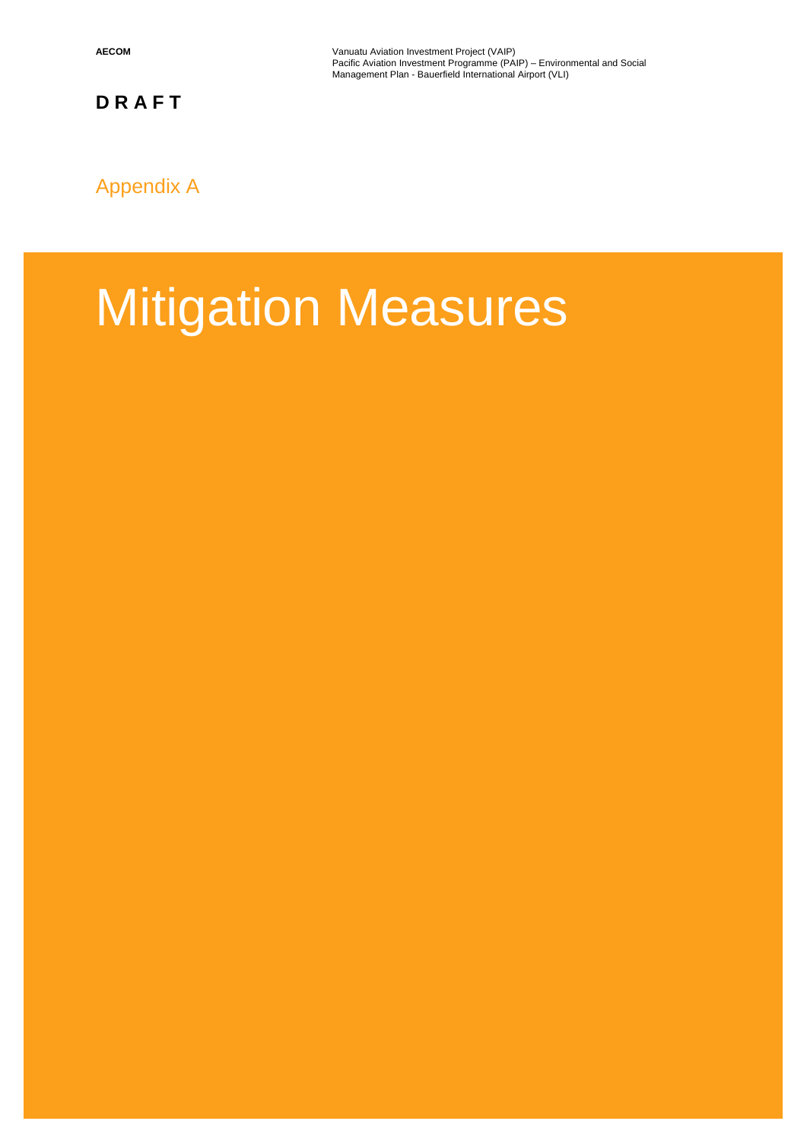**AECOM** Vanuatu Aviation Investment Project (VAIP) Pacific Aviation Investment Programme (PAIP) – Environmental and Social Management Plan - Bauerfield International Airport (VLI)

## Appendix A

# Mitigation Measures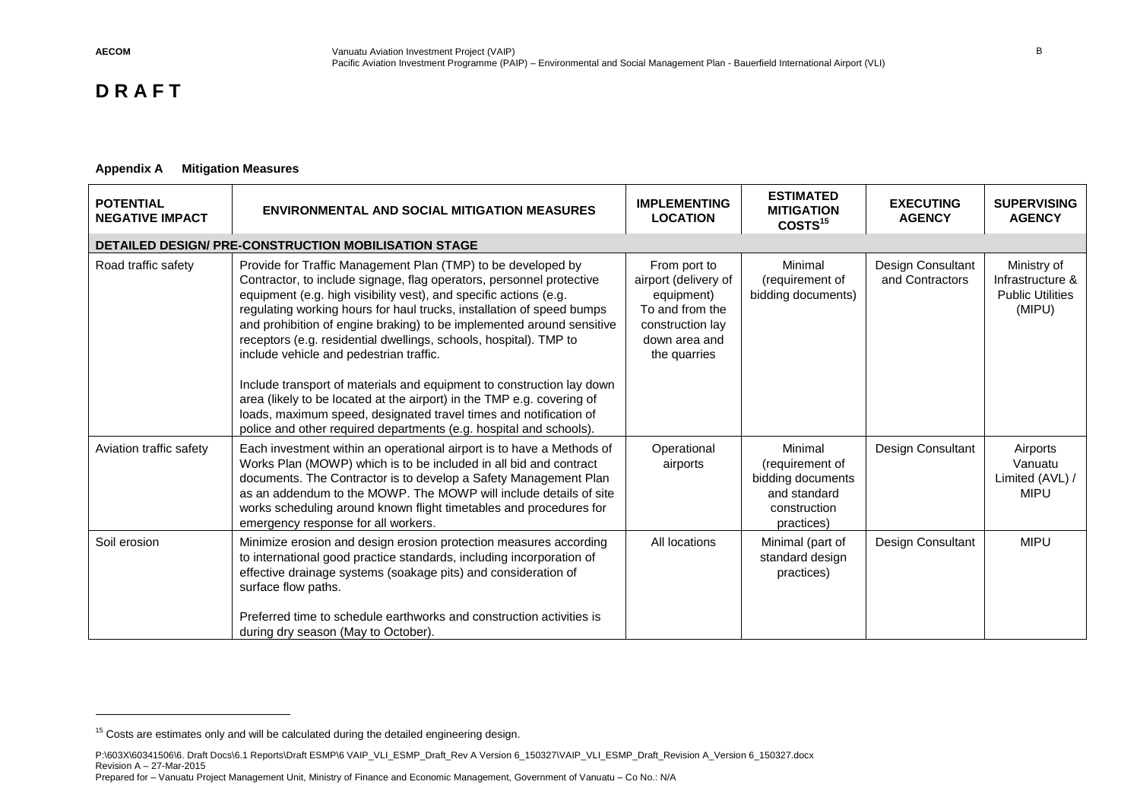$\overline{a}$ 

## **D R A F T**

#### **Appendix A Mitigation Measures**

| <b>POTENTIAL</b><br><b>NEGATIVE IMPACT</b> | <b>ENVIRONMENTAL AND SOCIAL MITIGATION MEASURES</b>                                                                                                                                                                                                                                                                                                                                                                                                                                                                                                                                                                                                                                                                                                                       | <b>IMPLEMENTING</b><br><b>LOCATION</b>                                                                                     | <b>ESTIMATED</b><br><b>MITIGATION</b><br>COSTS <sup>15</sup>                                  | <b>EXECUTING</b><br><b>AGENCY</b>    | <b>SUPERVISING</b><br><b>AGENCY</b>                                  |
|--------------------------------------------|---------------------------------------------------------------------------------------------------------------------------------------------------------------------------------------------------------------------------------------------------------------------------------------------------------------------------------------------------------------------------------------------------------------------------------------------------------------------------------------------------------------------------------------------------------------------------------------------------------------------------------------------------------------------------------------------------------------------------------------------------------------------------|----------------------------------------------------------------------------------------------------------------------------|-----------------------------------------------------------------------------------------------|--------------------------------------|----------------------------------------------------------------------|
|                                            | <b>DETAILED DESIGN/ PRE-CONSTRUCTION MOBILISATION STAGE</b>                                                                                                                                                                                                                                                                                                                                                                                                                                                                                                                                                                                                                                                                                                               |                                                                                                                            |                                                                                               |                                      |                                                                      |
| Road traffic safety                        | Provide for Traffic Management Plan (TMP) to be developed by<br>Contractor, to include signage, flag operators, personnel protective<br>equipment (e.g. high visibility vest), and specific actions (e.g.<br>regulating working hours for haul trucks, installation of speed bumps<br>and prohibition of engine braking) to be implemented around sensitive<br>receptors (e.g. residential dwellings, schools, hospital). TMP to<br>include vehicle and pedestrian traffic.<br>Include transport of materials and equipment to construction lay down<br>area (likely to be located at the airport) in the TMP e.g. covering of<br>loads, maximum speed, designated travel times and notification of<br>police and other required departments (e.g. hospital and schools). | From port to<br>airport (delivery of<br>equipment)<br>To and from the<br>construction lay<br>down area and<br>the quarries | Minimal<br>(requirement of<br>bidding documents)                                              | Design Consultant<br>and Contractors | Ministry of<br>Infrastructure &<br><b>Public Utilities</b><br>(MIPU) |
| Aviation traffic safety                    | Each investment within an operational airport is to have a Methods of<br>Works Plan (MOWP) which is to be included in all bid and contract<br>documents. The Contractor is to develop a Safety Management Plan<br>as an addendum to the MOWP. The MOWP will include details of site<br>works scheduling around known flight timetables and procedures for<br>emergency response for all workers.                                                                                                                                                                                                                                                                                                                                                                          | Operational<br>airports                                                                                                    | Minimal<br>(requirement of<br>bidding documents<br>and standard<br>construction<br>practices) | Design Consultant                    | Airports<br>Vanuatu<br>Limited (AVL) /<br><b>MIPU</b>                |
| Soil erosion                               | Minimize erosion and design erosion protection measures according<br>to international good practice standards, including incorporation of<br>effective drainage systems (soakage pits) and consideration of<br>surface flow paths.<br>Preferred time to schedule earthworks and construction activities is<br>during dry season (May to October).                                                                                                                                                                                                                                                                                                                                                                                                                         | All locations                                                                                                              | Minimal (part of<br>standard design<br>practices)                                             | Design Consultant                    | <b>MIPU</b>                                                          |

<sup>&</sup>lt;sup>15</sup> Costs are estimates only and will be calculated during the detailed engineering design.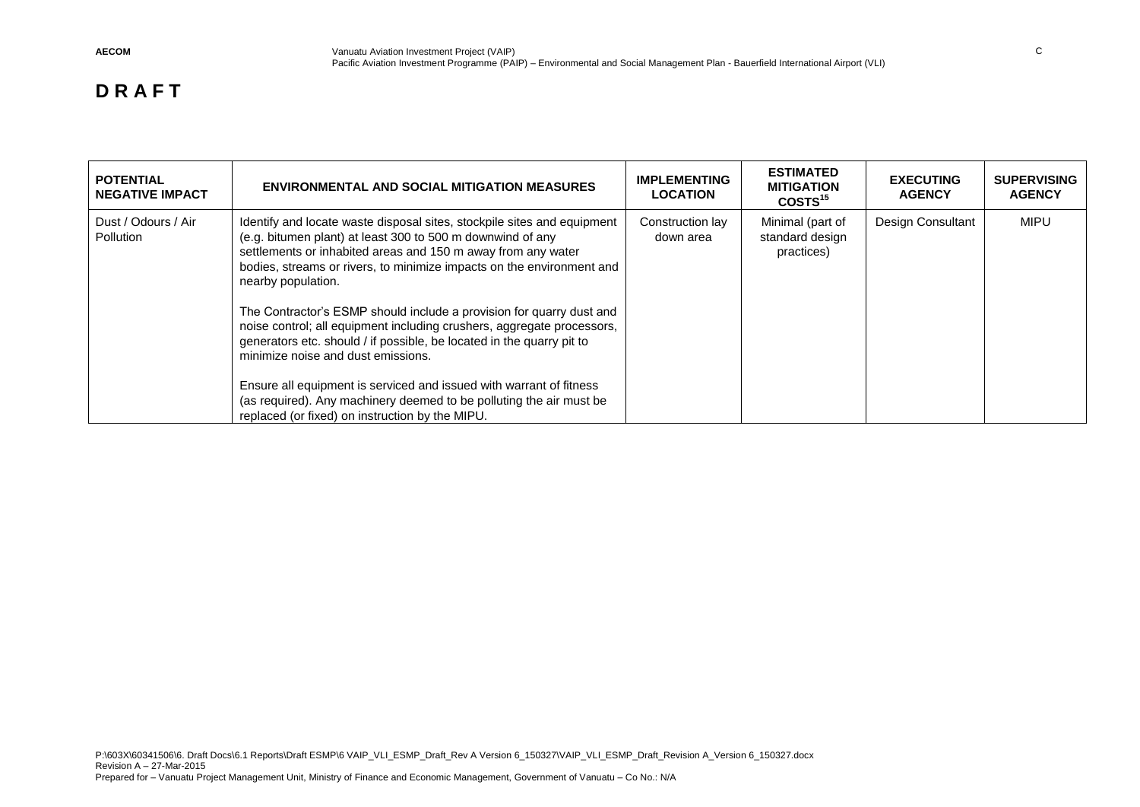| <b>POTENTIAL</b><br><b>NEGATIVE IMPACT</b> | <b>ENVIRONMENTAL AND SOCIAL MITIGATION MEASURES</b>                                                                                                                                                                                                                                                                                                                                                                                                                                                                                                                                                                                                                                                                                                                    | <b>IMPLEMENTING</b><br><b>LOCATION</b> | <b>ESTIMATED</b><br><b>MITIGATION</b><br>COSTS <sup>15</sup> | <b>EXECUTING</b><br><b>AGENCY</b> | <b>SUPERVISING</b><br><b>AGENCY</b> |
|--------------------------------------------|------------------------------------------------------------------------------------------------------------------------------------------------------------------------------------------------------------------------------------------------------------------------------------------------------------------------------------------------------------------------------------------------------------------------------------------------------------------------------------------------------------------------------------------------------------------------------------------------------------------------------------------------------------------------------------------------------------------------------------------------------------------------|----------------------------------------|--------------------------------------------------------------|-----------------------------------|-------------------------------------|
| Dust / Odours / Air<br>Pollution           | Identify and locate waste disposal sites, stockpile sites and equipment<br>(e.g. bitumen plant) at least 300 to 500 m downwind of any<br>settlements or inhabited areas and 150 m away from any water<br>bodies, streams or rivers, to minimize impacts on the environment and<br>nearby population.<br>The Contractor's ESMP should include a provision for quarry dust and<br>noise control; all equipment including crushers, aggregate processors,<br>generators etc. should / if possible, be located in the quarry pit to<br>minimize noise and dust emissions.<br>Ensure all equipment is serviced and issued with warrant of fitness<br>(as required). Any machinery deemed to be polluting the air must be<br>replaced (or fixed) on instruction by the MIPU. | Construction lay<br>down area          | Minimal (part of<br>standard design<br>practices)            | Design Consultant                 | <b>MIPU</b>                         |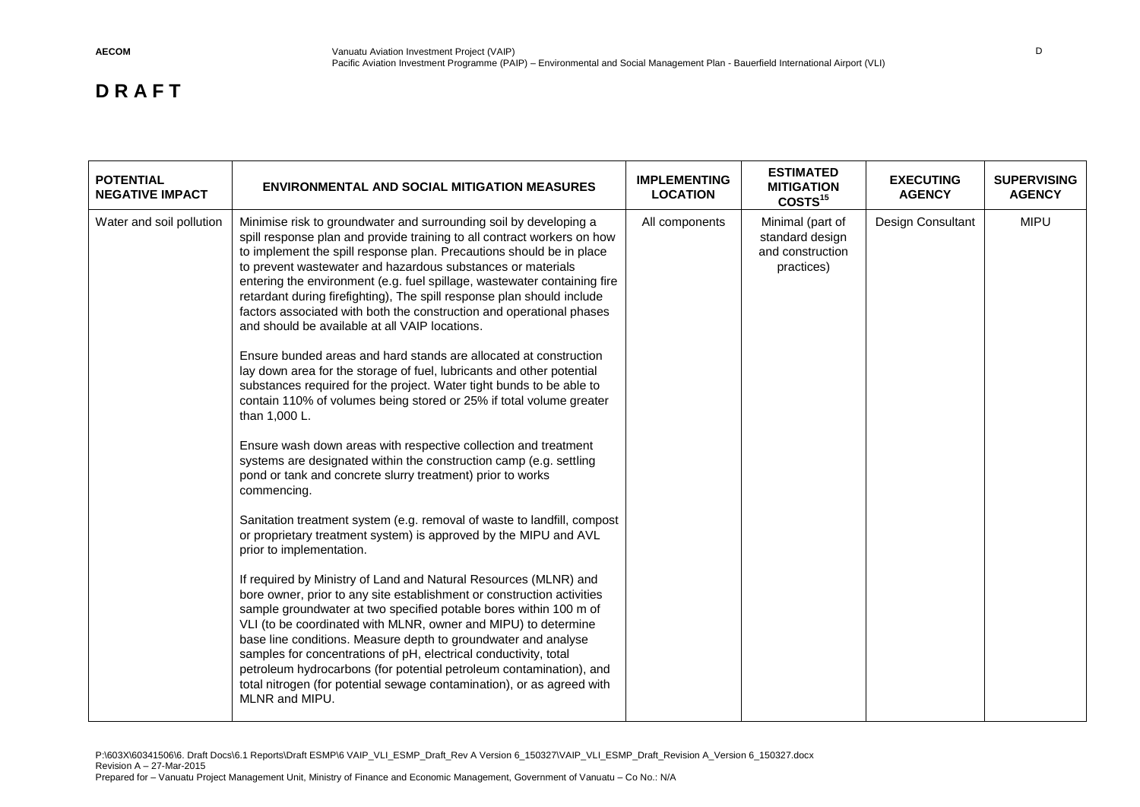| <b>POTENTIAL</b><br><b>NEGATIVE IMPACT</b> | <b>ENVIRONMENTAL AND SOCIAL MITIGATION MEASURES</b>                                                                                                                                                                                                                                                                                                                                                                                                                                                                                                                                                                                                                                                                                                                                                                                                                                                                                                                                                                                                                                                                                                                                                                                                                                                                                                                                                                                                                                                                                                                                                                                                                                                                                                                                                                                                                              | <b>IMPLEMENTING</b><br><b>LOCATION</b> | <b>ESTIMATED</b><br><b>MITIGATION</b><br>COSTS <sup>15</sup>          | <b>EXECUTING</b><br><b>AGENCY</b> | <b>SUPERVISING</b><br><b>AGENCY</b> |
|--------------------------------------------|----------------------------------------------------------------------------------------------------------------------------------------------------------------------------------------------------------------------------------------------------------------------------------------------------------------------------------------------------------------------------------------------------------------------------------------------------------------------------------------------------------------------------------------------------------------------------------------------------------------------------------------------------------------------------------------------------------------------------------------------------------------------------------------------------------------------------------------------------------------------------------------------------------------------------------------------------------------------------------------------------------------------------------------------------------------------------------------------------------------------------------------------------------------------------------------------------------------------------------------------------------------------------------------------------------------------------------------------------------------------------------------------------------------------------------------------------------------------------------------------------------------------------------------------------------------------------------------------------------------------------------------------------------------------------------------------------------------------------------------------------------------------------------------------------------------------------------------------------------------------------------|----------------------------------------|-----------------------------------------------------------------------|-----------------------------------|-------------------------------------|
| Water and soil pollution                   | Minimise risk to groundwater and surrounding soil by developing a<br>spill response plan and provide training to all contract workers on how<br>to implement the spill response plan. Precautions should be in place<br>to prevent wastewater and hazardous substances or materials<br>entering the environment (e.g. fuel spillage, wastewater containing fire<br>retardant during firefighting), The spill response plan should include<br>factors associated with both the construction and operational phases<br>and should be available at all VAIP locations.<br>Ensure bunded areas and hard stands are allocated at construction<br>lay down area for the storage of fuel, lubricants and other potential<br>substances required for the project. Water tight bunds to be able to<br>contain 110% of volumes being stored or 25% if total volume greater<br>than 1,000 L.<br>Ensure wash down areas with respective collection and treatment<br>systems are designated within the construction camp (e.g. settling<br>pond or tank and concrete slurry treatment) prior to works<br>commencing.<br>Sanitation treatment system (e.g. removal of waste to landfill, compost<br>or proprietary treatment system) is approved by the MIPU and AVL<br>prior to implementation.<br>If required by Ministry of Land and Natural Resources (MLNR) and<br>bore owner, prior to any site establishment or construction activities<br>sample groundwater at two specified potable bores within 100 m of<br>VLI (to be coordinated with MLNR, owner and MIPU) to determine<br>base line conditions. Measure depth to groundwater and analyse<br>samples for concentrations of pH, electrical conductivity, total<br>petroleum hydrocarbons (for potential petroleum contamination), and<br>total nitrogen (for potential sewage contamination), or as agreed with<br>MLNR and MIPU. | All components                         | Minimal (part of<br>standard design<br>and construction<br>practices) | Design Consultant                 | <b>MIPU</b>                         |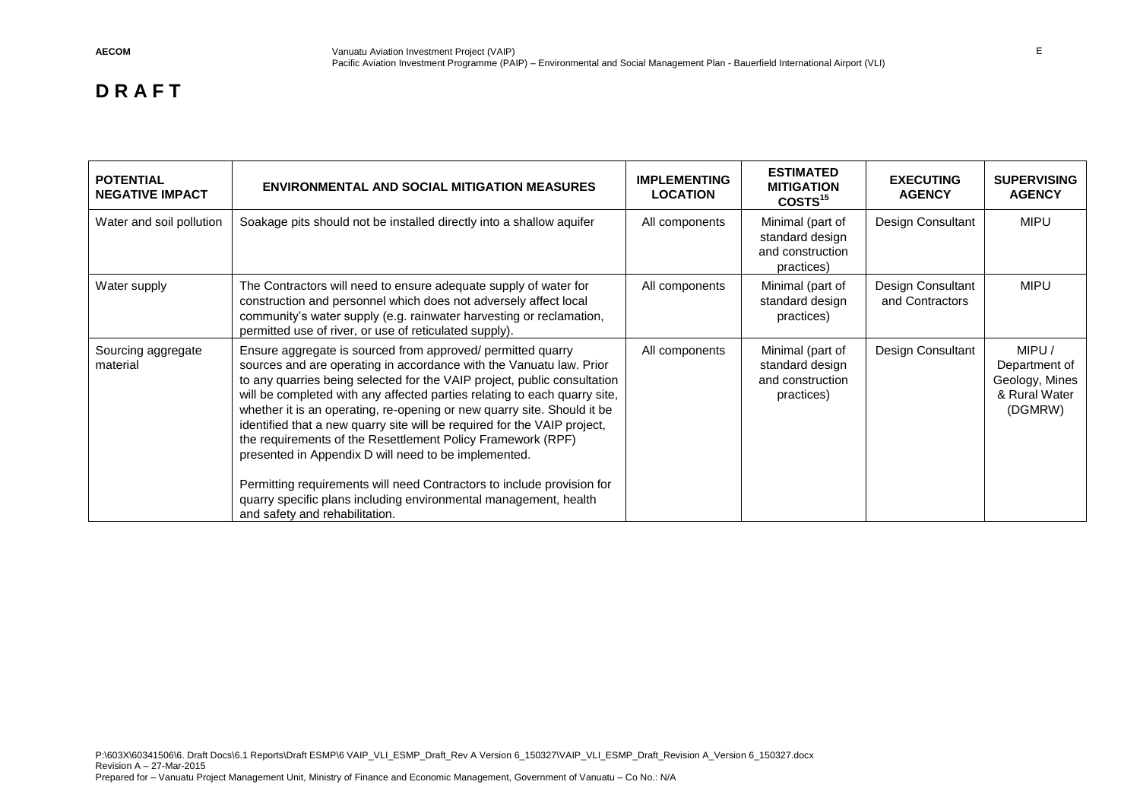| <b>POTENTIAL</b><br><b>NEGATIVE IMPACT</b> | <b>ENVIRONMENTAL AND SOCIAL MITIGATION MEASURES</b>                                                                                                                                                                                                                                                                                                                                                                                                                                                                                                                                                                                                                                                                                                       | <b>IMPLEMENTING</b><br><b>LOCATION</b> | <b>ESTIMATED</b><br><b>MITIGATION</b><br>COSTS <sup>15</sup>          | <b>EXECUTING</b><br><b>AGENCY</b>    | <b>SUPERVISING</b><br><b>AGENCY</b>                                   |
|--------------------------------------------|-----------------------------------------------------------------------------------------------------------------------------------------------------------------------------------------------------------------------------------------------------------------------------------------------------------------------------------------------------------------------------------------------------------------------------------------------------------------------------------------------------------------------------------------------------------------------------------------------------------------------------------------------------------------------------------------------------------------------------------------------------------|----------------------------------------|-----------------------------------------------------------------------|--------------------------------------|-----------------------------------------------------------------------|
| Water and soil pollution                   | Soakage pits should not be installed directly into a shallow aquifer                                                                                                                                                                                                                                                                                                                                                                                                                                                                                                                                                                                                                                                                                      | All components                         | Minimal (part of<br>standard design<br>and construction<br>practices) | Design Consultant                    | <b>MIPU</b>                                                           |
| Water supply                               | The Contractors will need to ensure adequate supply of water for<br>construction and personnel which does not adversely affect local<br>community's water supply (e.g. rainwater harvesting or reclamation,<br>permitted use of river, or use of reticulated supply).                                                                                                                                                                                                                                                                                                                                                                                                                                                                                     | All components                         | Minimal (part of<br>standard design<br>practices)                     | Design Consultant<br>and Contractors | <b>MIPU</b>                                                           |
| Sourcing aggregate<br>material             | Ensure aggregate is sourced from approved/ permitted quarry<br>sources and are operating in accordance with the Vanuatu law. Prior<br>to any quarries being selected for the VAIP project, public consultation<br>will be completed with any affected parties relating to each quarry site,<br>whether it is an operating, re-opening or new quarry site. Should it be<br>identified that a new quarry site will be required for the VAIP project,<br>the requirements of the Resettlement Policy Framework (RPF)<br>presented in Appendix D will need to be implemented.<br>Permitting requirements will need Contractors to include provision for<br>quarry specific plans including environmental management, health<br>and safety and rehabilitation. | All components                         | Minimal (part of<br>standard design<br>and construction<br>practices) | Design Consultant                    | MIPU /<br>Department of<br>Geology, Mines<br>& Rural Water<br>(DGMRW) |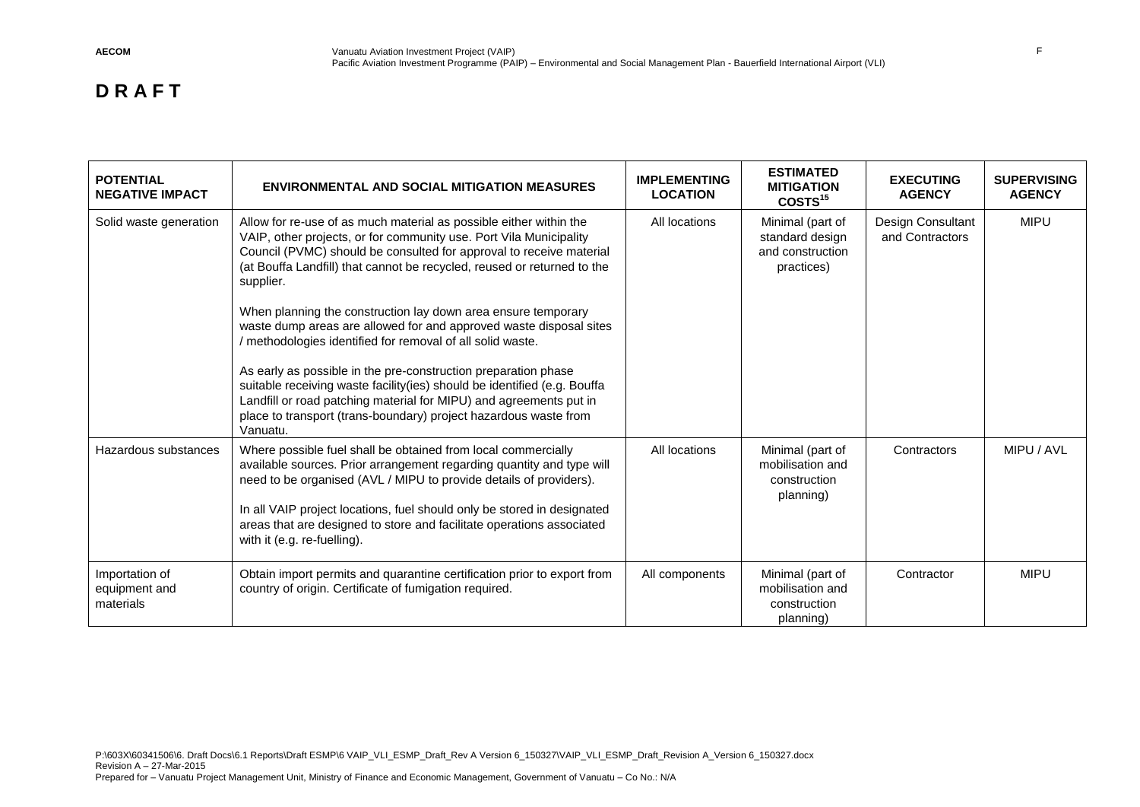| <b>POTENTIAL</b><br><b>NEGATIVE IMPACT</b>   | <b>ENVIRONMENTAL AND SOCIAL MITIGATION MEASURES</b>                                                                                                                                                                                                                                                                                                                                                                                                                                                                                                                                                                                                                                                                                                                                                  | <b>IMPLEMENTING</b><br><b>LOCATION</b> | <b>ESTIMATED</b><br><b>MITIGATION</b><br>COSTS <sup>15</sup>          | <b>EXECUTING</b><br><b>AGENCY</b>    | <b>SUPERVISING</b><br><b>AGENCY</b> |
|----------------------------------------------|------------------------------------------------------------------------------------------------------------------------------------------------------------------------------------------------------------------------------------------------------------------------------------------------------------------------------------------------------------------------------------------------------------------------------------------------------------------------------------------------------------------------------------------------------------------------------------------------------------------------------------------------------------------------------------------------------------------------------------------------------------------------------------------------------|----------------------------------------|-----------------------------------------------------------------------|--------------------------------------|-------------------------------------|
| Solid waste generation                       | Allow for re-use of as much material as possible either within the<br>VAIP, other projects, or for community use. Port Vila Municipality<br>Council (PVMC) should be consulted for approval to receive material<br>(at Bouffa Landfill) that cannot be recycled, reused or returned to the<br>supplier.<br>When planning the construction lay down area ensure temporary<br>waste dump areas are allowed for and approved waste disposal sites<br>/ methodologies identified for removal of all solid waste.<br>As early as possible in the pre-construction preparation phase<br>suitable receiving waste facility(ies) should be identified (e.g. Bouffa<br>Landfill or road patching material for MIPU) and agreements put in<br>place to transport (trans-boundary) project hazardous waste from | All locations                          | Minimal (part of<br>standard design<br>and construction<br>practices) | Design Consultant<br>and Contractors | <b>MIPU</b>                         |
| Hazardous substances                         | Vanuatu.<br>Where possible fuel shall be obtained from local commercially<br>available sources. Prior arrangement regarding quantity and type will<br>need to be organised (AVL / MIPU to provide details of providers).<br>In all VAIP project locations, fuel should only be stored in designated<br>areas that are designed to store and facilitate operations associated<br>with it (e.g. re-fuelling).                                                                                                                                                                                                                                                                                                                                                                                          | All locations                          | Minimal (part of<br>mobilisation and<br>construction<br>planning)     | Contractors                          | MIPU / AVL                          |
| Importation of<br>equipment and<br>materials | Obtain import permits and quarantine certification prior to export from<br>country of origin. Certificate of fumigation required.                                                                                                                                                                                                                                                                                                                                                                                                                                                                                                                                                                                                                                                                    | All components                         | Minimal (part of<br>mobilisation and<br>construction<br>planning)     | Contractor                           | <b>MIPU</b>                         |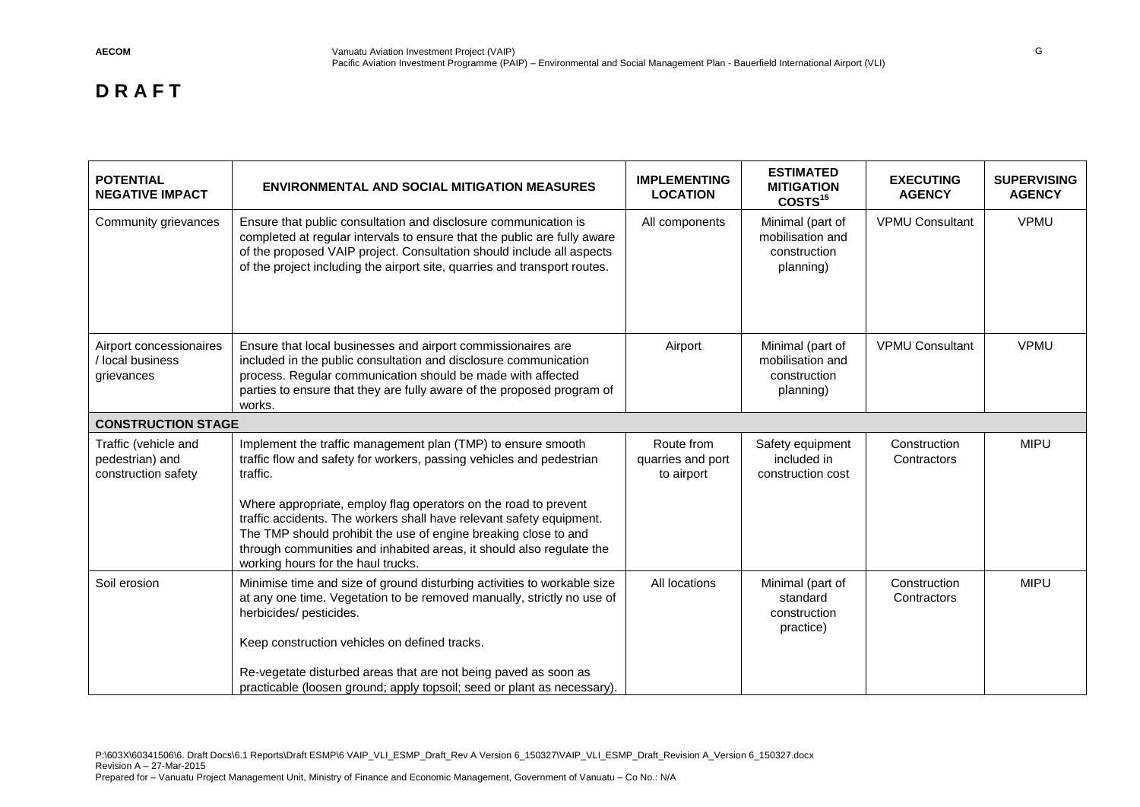| <b>POTENTIAL</b><br><b>NEGATIVE IMPACT</b>                     | <b>ENVIRONMENTAL AND SOCIAL MITIGATION MEASURES</b>                                                                                                                                                                                                                                                                                                                                                                                                                          | <b>IMPLEMENTING</b><br><b>LOCATION</b>        | <b>ESTIMATED</b><br><b>MITIGATION</b><br>COSTS <sup>15</sup>      | <b>EXECUTING</b><br><b>AGENCY</b> | <b>SUPERVISING</b><br><b>AGENCY</b> |
|----------------------------------------------------------------|------------------------------------------------------------------------------------------------------------------------------------------------------------------------------------------------------------------------------------------------------------------------------------------------------------------------------------------------------------------------------------------------------------------------------------------------------------------------------|-----------------------------------------------|-------------------------------------------------------------------|-----------------------------------|-------------------------------------|
| Community grievances                                           | Ensure that public consultation and disclosure communication is<br>completed at regular intervals to ensure that the public are fully aware<br>of the proposed VAIP project. Consultation should include all aspects<br>of the project including the airport site, quarries and transport routes.                                                                                                                                                                            | All components                                | Minimal (part of<br>mobilisation and<br>construction<br>planning) | <b>VPMU Consultant</b>            | <b>VPMU</b>                         |
| Airport concessionaires<br>/ local business<br>grievances      | Ensure that local businesses and airport commissionaires are<br>included in the public consultation and disclosure communication<br>process. Regular communication should be made with affected<br>parties to ensure that they are fully aware of the proposed program of<br>works.                                                                                                                                                                                          | Airport                                       | Minimal (part of<br>mobilisation and<br>construction<br>planning) | <b>VPMU Consultant</b>            | <b>VPMU</b>                         |
| <b>CONSTRUCTION STAGE</b>                                      |                                                                                                                                                                                                                                                                                                                                                                                                                                                                              |                                               |                                                                   |                                   |                                     |
| Traffic (vehicle and<br>pedestrian) and<br>construction safety | Implement the traffic management plan (TMP) to ensure smooth<br>traffic flow and safety for workers, passing vehicles and pedestrian<br>traffic.<br>Where appropriate, employ flag operators on the road to prevent<br>traffic accidents. The workers shall have relevant safety equipment.<br>The TMP should prohibit the use of engine breaking close to and<br>through communities and inhabited areas, it should also regulate the<br>working hours for the haul trucks. | Route from<br>quarries and port<br>to airport | Safety equipment<br>included in<br>construction cost              | Construction<br>Contractors       | <b>MIPU</b>                         |
| Soil erosion                                                   | Minimise time and size of ground disturbing activities to workable size<br>at any one time. Vegetation to be removed manually, strictly no use of<br>herbicides/ pesticides.<br>Keep construction vehicles on defined tracks.<br>Re-vegetate disturbed areas that are not being paved as soon as<br>practicable (loosen ground; apply topsoil; seed or plant as necessary).                                                                                                  | All locations                                 | Minimal (part of<br>standard<br>construction<br>practice)         | Construction<br>Contractors       | <b>MIPU</b>                         |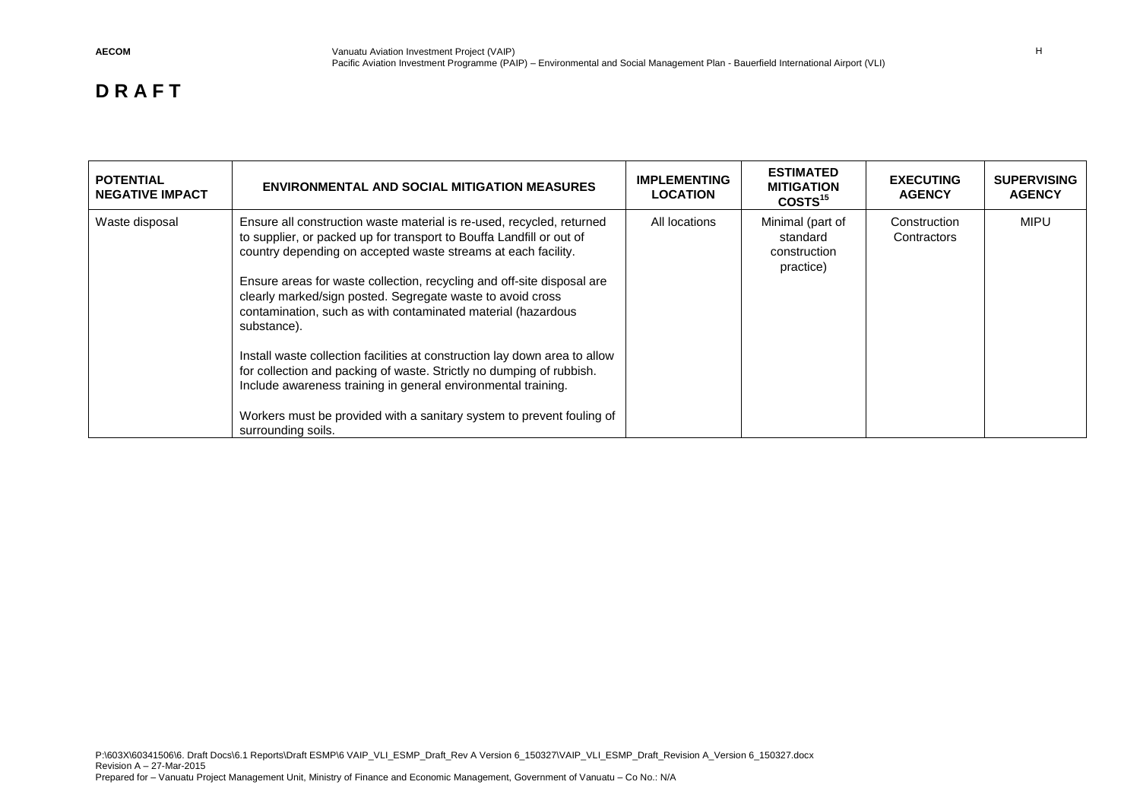| <b>POTENTIAL</b><br><b>NEGATIVE IMPACT</b> | <b>ENVIRONMENTAL AND SOCIAL MITIGATION MEASURES</b>                                                                                                                                                                                                                                                                                                                                                                                                                                                                                                                                                                                                                                                                                                         | <b>IMPLEMENTING</b><br><b>LOCATION</b> | <b>ESTIMATED</b><br><b>MITIGATION</b><br>COSTS <sup>15</sup> | <b>EXECUTING</b><br><b>AGENCY</b> | <b>SUPERVISING</b><br><b>AGENCY</b> |
|--------------------------------------------|-------------------------------------------------------------------------------------------------------------------------------------------------------------------------------------------------------------------------------------------------------------------------------------------------------------------------------------------------------------------------------------------------------------------------------------------------------------------------------------------------------------------------------------------------------------------------------------------------------------------------------------------------------------------------------------------------------------------------------------------------------------|----------------------------------------|--------------------------------------------------------------|-----------------------------------|-------------------------------------|
| Waste disposal                             | Ensure all construction waste material is re-used, recycled, returned<br>to supplier, or packed up for transport to Bouffa Landfill or out of<br>country depending on accepted waste streams at each facility.<br>Ensure areas for waste collection, recycling and off-site disposal are<br>clearly marked/sign posted. Segregate waste to avoid cross<br>contamination, such as with contaminated material (hazardous<br>substance).<br>Install waste collection facilities at construction lay down area to allow<br>for collection and packing of waste. Strictly no dumping of rubbish.<br>Include awareness training in general environmental training.<br>Workers must be provided with a sanitary system to prevent fouling of<br>surrounding soils. | All locations                          | Minimal (part of<br>standard<br>construction<br>practice)    | Construction<br>Contractors       | <b>MIPU</b>                         |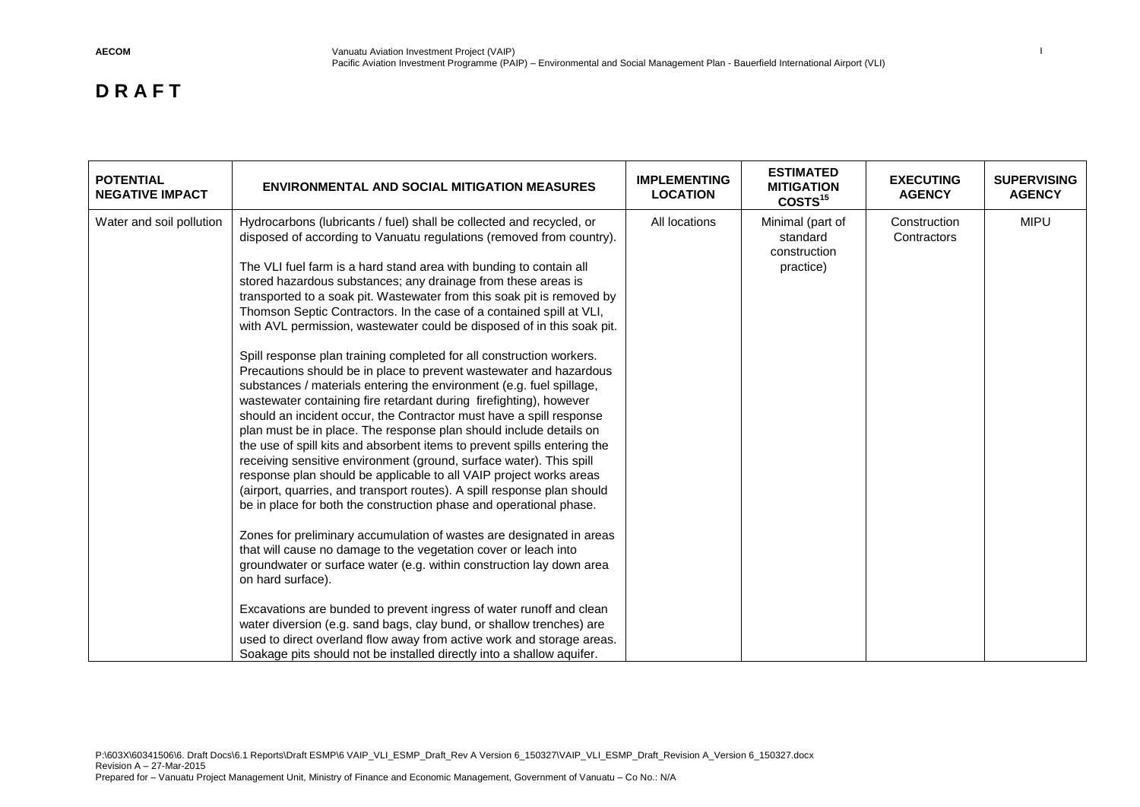| <b>POTENTIAL</b><br><b>NEGATIVE IMPACT</b> | <b>ENVIRONMENTAL AND SOCIAL MITIGATION MEASURES</b>                                                                                                                                                                                                                                                                                                                                                                                                                                                                                                                                                                                                                                                                                                                                                                                                                                                                                                                                                                                                                                                                                                                                                                                                                                                                                                                                                                                                                                                                                                                                                                                                                                                                                                                                                                                                                         | <b>IMPLEMENTING</b><br><b>LOCATION</b> | <b>ESTIMATED</b><br><b>MITIGATION</b><br>COSTS <sup>15</sup> | <b>EXECUTING</b><br><b>AGENCY</b> | <b>SUPERVISING</b><br><b>AGENCY</b> |
|--------------------------------------------|-----------------------------------------------------------------------------------------------------------------------------------------------------------------------------------------------------------------------------------------------------------------------------------------------------------------------------------------------------------------------------------------------------------------------------------------------------------------------------------------------------------------------------------------------------------------------------------------------------------------------------------------------------------------------------------------------------------------------------------------------------------------------------------------------------------------------------------------------------------------------------------------------------------------------------------------------------------------------------------------------------------------------------------------------------------------------------------------------------------------------------------------------------------------------------------------------------------------------------------------------------------------------------------------------------------------------------------------------------------------------------------------------------------------------------------------------------------------------------------------------------------------------------------------------------------------------------------------------------------------------------------------------------------------------------------------------------------------------------------------------------------------------------------------------------------------------------------------------------------------------------|----------------------------------------|--------------------------------------------------------------|-----------------------------------|-------------------------------------|
| Water and soil pollution                   | Hydrocarbons (lubricants / fuel) shall be collected and recycled, or<br>disposed of according to Vanuatu regulations (removed from country).<br>The VLI fuel farm is a hard stand area with bunding to contain all<br>stored hazardous substances; any drainage from these areas is<br>transported to a soak pit. Wastewater from this soak pit is removed by<br>Thomson Septic Contractors. In the case of a contained spill at VLI,<br>with AVL permission, wastewater could be disposed of in this soak pit.<br>Spill response plan training completed for all construction workers.<br>Precautions should be in place to prevent wastewater and hazardous<br>substances / materials entering the environment (e.g. fuel spillage,<br>wastewater containing fire retardant during firefighting), however<br>should an incident occur, the Contractor must have a spill response<br>plan must be in place. The response plan should include details on<br>the use of spill kits and absorbent items to prevent spills entering the<br>receiving sensitive environment (ground, surface water). This spill<br>response plan should be applicable to all VAIP project works areas<br>(airport, quarries, and transport routes). A spill response plan should<br>be in place for both the construction phase and operational phase.<br>Zones for preliminary accumulation of wastes are designated in areas<br>that will cause no damage to the vegetation cover or leach into<br>groundwater or surface water (e.g. within construction lay down area<br>on hard surface).<br>Excavations are bunded to prevent ingress of water runoff and clean<br>water diversion (e.g. sand bags, clay bund, or shallow trenches) are<br>used to direct overland flow away from active work and storage areas.<br>Soakage pits should not be installed directly into a shallow aquifer. | All locations                          | Minimal (part of<br>standard<br>construction<br>practice)    | Construction<br>Contractors       | <b>MIPU</b>                         |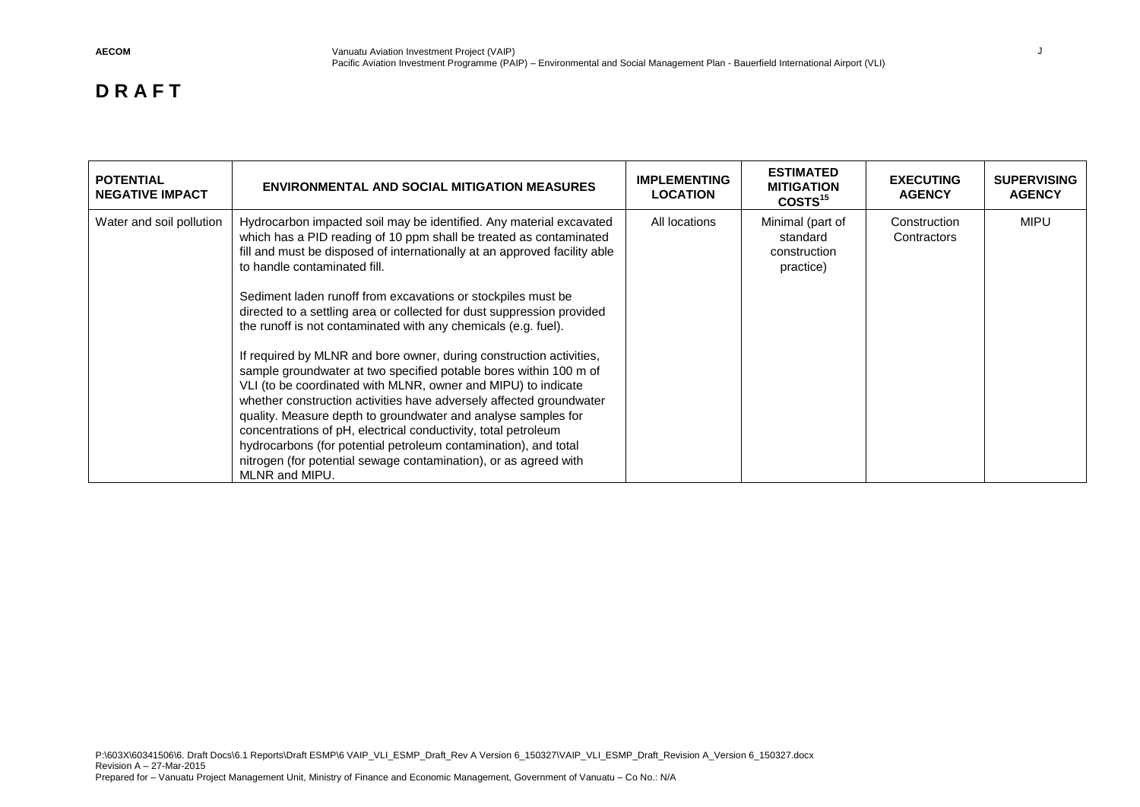| <b>POTENTIAL</b><br><b>NEGATIVE IMPACT</b> | <b>ENVIRONMENTAL AND SOCIAL MITIGATION MEASURES</b>                                                                                                                                                                                                                                                                                                                                                                                                                                                                                                                                                                                                                                                                                                                                                                                                                                                                                                                                                                                                | <b>IMPLEMENTING</b><br><b>LOCATION</b> | <b>ESTIMATED</b><br><b>MITIGATION</b><br>COSTS <sup>15</sup> | <b>EXECUTING</b><br><b>AGENCY</b> | <b>SUPERVISING</b><br><b>AGENCY</b> |
|--------------------------------------------|----------------------------------------------------------------------------------------------------------------------------------------------------------------------------------------------------------------------------------------------------------------------------------------------------------------------------------------------------------------------------------------------------------------------------------------------------------------------------------------------------------------------------------------------------------------------------------------------------------------------------------------------------------------------------------------------------------------------------------------------------------------------------------------------------------------------------------------------------------------------------------------------------------------------------------------------------------------------------------------------------------------------------------------------------|----------------------------------------|--------------------------------------------------------------|-----------------------------------|-------------------------------------|
| Water and soil pollution                   | Hydrocarbon impacted soil may be identified. Any material excavated<br>which has a PID reading of 10 ppm shall be treated as contaminated<br>fill and must be disposed of internationally at an approved facility able<br>to handle contaminated fill.<br>Sediment laden runoff from excavations or stockpiles must be<br>directed to a settling area or collected for dust suppression provided<br>the runoff is not contaminated with any chemicals (e.g. fuel).<br>If required by MLNR and bore owner, during construction activities,<br>sample groundwater at two specified potable bores within 100 m of<br>VLI (to be coordinated with MLNR, owner and MIPU) to indicate<br>whether construction activities have adversely affected groundwater<br>quality. Measure depth to groundwater and analyse samples for<br>concentrations of pH, electrical conductivity, total petroleum<br>hydrocarbons (for potential petroleum contamination), and total<br>nitrogen (for potential sewage contamination), or as agreed with<br>MLNR and MIPU. | All locations                          | Minimal (part of<br>standard<br>construction<br>practice)    | Construction<br>Contractors       | <b>MIPU</b>                         |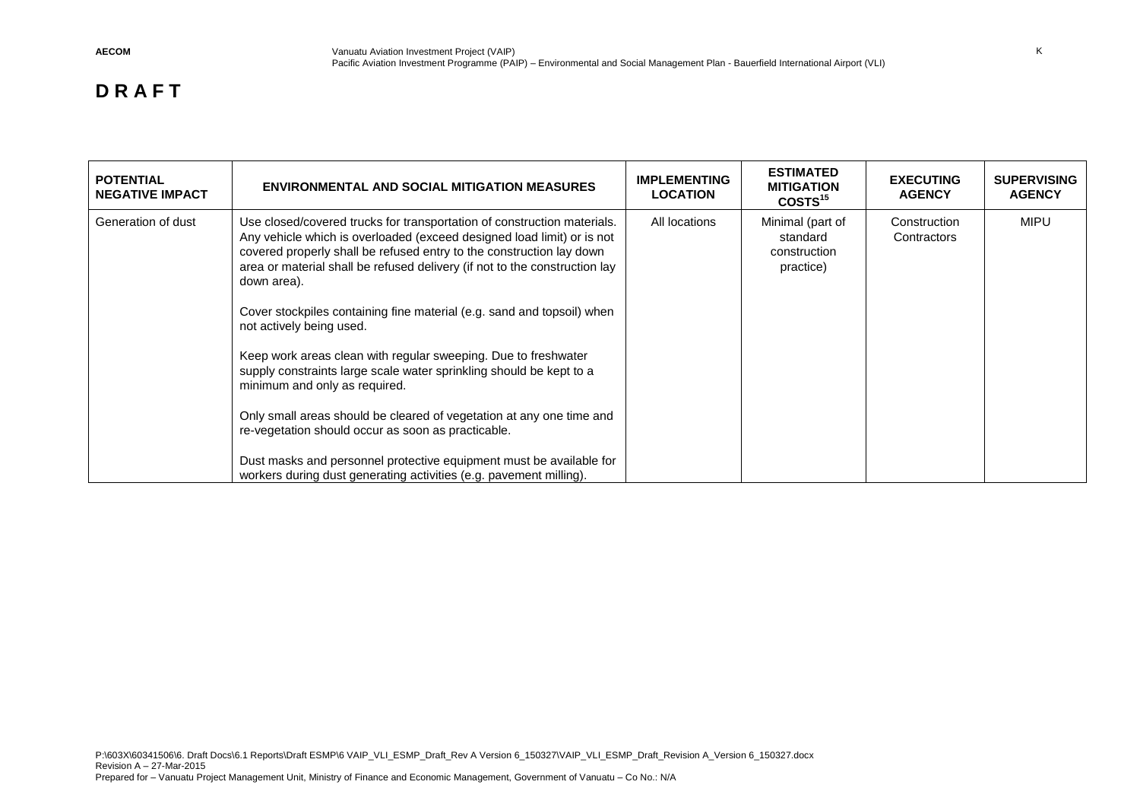| <b>POTENTIAL</b><br><b>NEGATIVE IMPACT</b> | <b>ENVIRONMENTAL AND SOCIAL MITIGATION MEASURES</b>                                                                                                                                                                                                                                                                                                                                                                                                                                                                                                                                                                                                                                                                                                                                                                                                                               | <b>IMPLEMENTING</b><br><b>LOCATION</b> | <b>ESTIMATED</b><br><b>MITIGATION</b><br>COSTS <sup>15</sup> | <b>EXECUTING</b><br><b>AGENCY</b> | <b>SUPERVISING</b><br><b>AGENCY</b> |
|--------------------------------------------|-----------------------------------------------------------------------------------------------------------------------------------------------------------------------------------------------------------------------------------------------------------------------------------------------------------------------------------------------------------------------------------------------------------------------------------------------------------------------------------------------------------------------------------------------------------------------------------------------------------------------------------------------------------------------------------------------------------------------------------------------------------------------------------------------------------------------------------------------------------------------------------|----------------------------------------|--------------------------------------------------------------|-----------------------------------|-------------------------------------|
| Generation of dust                         | Use closed/covered trucks for transportation of construction materials.<br>Any vehicle which is overloaded (exceed designed load limit) or is not<br>covered properly shall be refused entry to the construction lay down<br>area or material shall be refused delivery (if not to the construction lay<br>down area).<br>Cover stockpiles containing fine material (e.g. sand and topsoil) when<br>not actively being used.<br>Keep work areas clean with regular sweeping. Due to freshwater<br>supply constraints large scale water sprinkling should be kept to a<br>minimum and only as required.<br>Only small areas should be cleared of vegetation at any one time and<br>re-vegetation should occur as soon as practicable.<br>Dust masks and personnel protective equipment must be available for<br>workers during dust generating activities (e.g. pavement milling). | All locations                          | Minimal (part of<br>standard<br>construction<br>practice)    | Construction<br>Contractors       | <b>MIPU</b>                         |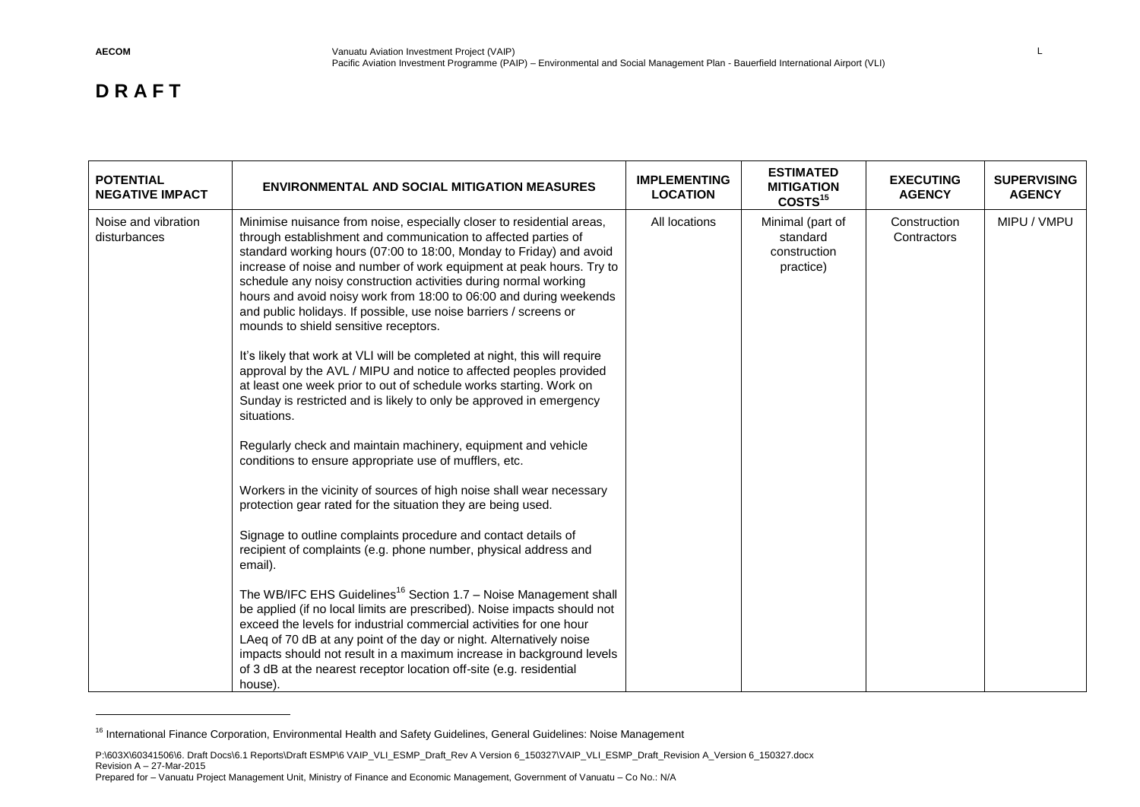$\overline{a}$ 

| <b>POTENTIAL</b><br><b>NEGATIVE IMPACT</b> | <b>ENVIRONMENTAL AND SOCIAL MITIGATION MEASURES</b>                                                                                                                                                                                                                                                                                                                                                                                                                                                                                                                                                                                                                                                                                                                                                                                                                                                                                                                                                                                                                                                                                                                                                                                                                                                                                                                                                                                                                                                                                                                                                                                                                                                                                                     | <b>IMPLEMENTING</b><br><b>LOCATION</b> | <b>ESTIMATED</b><br><b>MITIGATION</b><br>COSTS <sup>15</sup> | <b>EXECUTING</b><br><b>AGENCY</b> | <b>SUPERVISING</b><br><b>AGENCY</b> |
|--------------------------------------------|---------------------------------------------------------------------------------------------------------------------------------------------------------------------------------------------------------------------------------------------------------------------------------------------------------------------------------------------------------------------------------------------------------------------------------------------------------------------------------------------------------------------------------------------------------------------------------------------------------------------------------------------------------------------------------------------------------------------------------------------------------------------------------------------------------------------------------------------------------------------------------------------------------------------------------------------------------------------------------------------------------------------------------------------------------------------------------------------------------------------------------------------------------------------------------------------------------------------------------------------------------------------------------------------------------------------------------------------------------------------------------------------------------------------------------------------------------------------------------------------------------------------------------------------------------------------------------------------------------------------------------------------------------------------------------------------------------------------------------------------------------|----------------------------------------|--------------------------------------------------------------|-----------------------------------|-------------------------------------|
| Noise and vibration<br>disturbances        | Minimise nuisance from noise, especially closer to residential areas,<br>through establishment and communication to affected parties of<br>standard working hours (07:00 to 18:00, Monday to Friday) and avoid<br>increase of noise and number of work equipment at peak hours. Try to<br>schedule any noisy construction activities during normal working<br>hours and avoid noisy work from 18:00 to 06:00 and during weekends<br>and public holidays. If possible, use noise barriers / screens or<br>mounds to shield sensitive receptors.<br>It's likely that work at VLI will be completed at night, this will require<br>approval by the AVL / MIPU and notice to affected peoples provided<br>at least one week prior to out of schedule works starting. Work on<br>Sunday is restricted and is likely to only be approved in emergency<br>situations.<br>Regularly check and maintain machinery, equipment and vehicle<br>conditions to ensure appropriate use of mufflers, etc.<br>Workers in the vicinity of sources of high noise shall wear necessary<br>protection gear rated for the situation they are being used.<br>Signage to outline complaints procedure and contact details of<br>recipient of complaints (e.g. phone number, physical address and<br>email).<br>The WB/IFC EHS Guidelines <sup>16</sup> Section 1.7 - Noise Management shall<br>be applied (if no local limits are prescribed). Noise impacts should not<br>exceed the levels for industrial commercial activities for one hour<br>LAeq of 70 dB at any point of the day or night. Alternatively noise<br>impacts should not result in a maximum increase in background levels<br>of 3 dB at the nearest receptor location off-site (e.g. residential<br>house). | All locations                          | Minimal (part of<br>standard<br>construction<br>practice)    | Construction<br>Contractors       | MIPU / VMPU                         |

<sup>&</sup>lt;sup>16</sup> International Finance Corporation, Environmental Health and Safety Guidelines, General Guidelines: Noise Management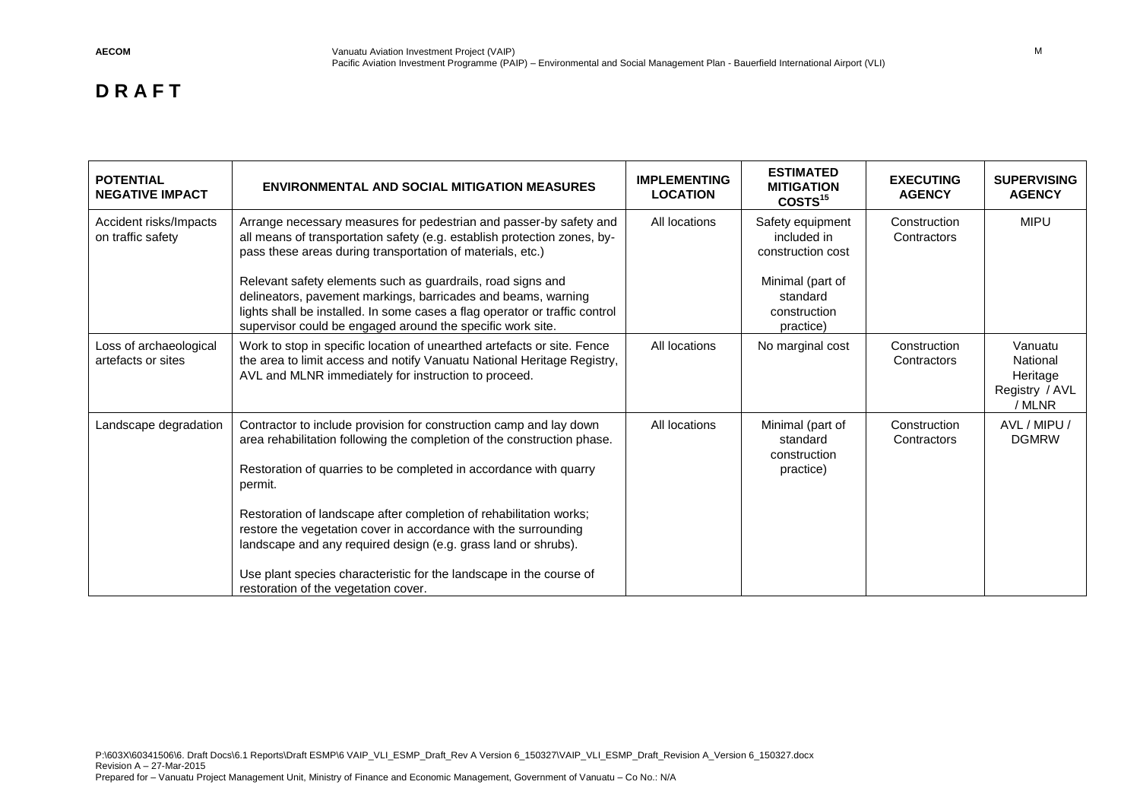| <b>POTENTIAL</b><br><b>NEGATIVE IMPACT</b>   | <b>ENVIRONMENTAL AND SOCIAL MITIGATION MEASURES</b>                                                                                                                                                                                                                                                                                          | <b>IMPLEMENTING</b><br><b>LOCATION</b> | <b>ESTIMATED</b><br><b>MITIGATION</b><br>COSTS <sup>15</sup>                         | <b>EXECUTING</b><br><b>AGENCY</b> | <b>SUPERVISING</b><br><b>AGENCY</b>                         |
|----------------------------------------------|----------------------------------------------------------------------------------------------------------------------------------------------------------------------------------------------------------------------------------------------------------------------------------------------------------------------------------------------|----------------------------------------|--------------------------------------------------------------------------------------|-----------------------------------|-------------------------------------------------------------|
| Accident risks/Impacts<br>on traffic safety  | Arrange necessary measures for pedestrian and passer-by safety and<br>all means of transportation safety (e.g. establish protection zones, by-<br>pass these areas during transportation of materials, etc.)<br>Relevant safety elements such as guardrails, road signs and<br>delineators, pavement markings, barricades and beams, warning | All locations                          | Safety equipment<br>included in<br>construction cost<br>Minimal (part of<br>standard | Construction<br>Contractors       | <b>MIPU</b>                                                 |
|                                              | lights shall be installed. In some cases a flag operator or traffic control<br>supervisor could be engaged around the specific work site.                                                                                                                                                                                                    |                                        | construction<br>practice)                                                            |                                   |                                                             |
| Loss of archaeological<br>artefacts or sites | Work to stop in specific location of unearthed artefacts or site. Fence<br>the area to limit access and notify Vanuatu National Heritage Registry,<br>AVL and MLNR immediately for instruction to proceed.                                                                                                                                   | All locations                          | No marginal cost                                                                     | Construction<br>Contractors       | Vanuatu<br>National<br>Heritage<br>Registry / AVL<br>/ MLNR |
| Landscape degradation                        | Contractor to include provision for construction camp and lay down<br>area rehabilitation following the completion of the construction phase.<br>Restoration of quarries to be completed in accordance with quarry<br>permit.                                                                                                                | All locations                          | Minimal (part of<br>standard<br>construction<br>practice)                            | Construction<br>Contractors       | AVL / MIPU /<br><b>DGMRW</b>                                |
|                                              | Restoration of landscape after completion of rehabilitation works;<br>restore the vegetation cover in accordance with the surrounding<br>landscape and any required design (e.g. grass land or shrubs).<br>Use plant species characteristic for the landscape in the course of<br>restoration of the vegetation cover.                       |                                        |                                                                                      |                                   |                                                             |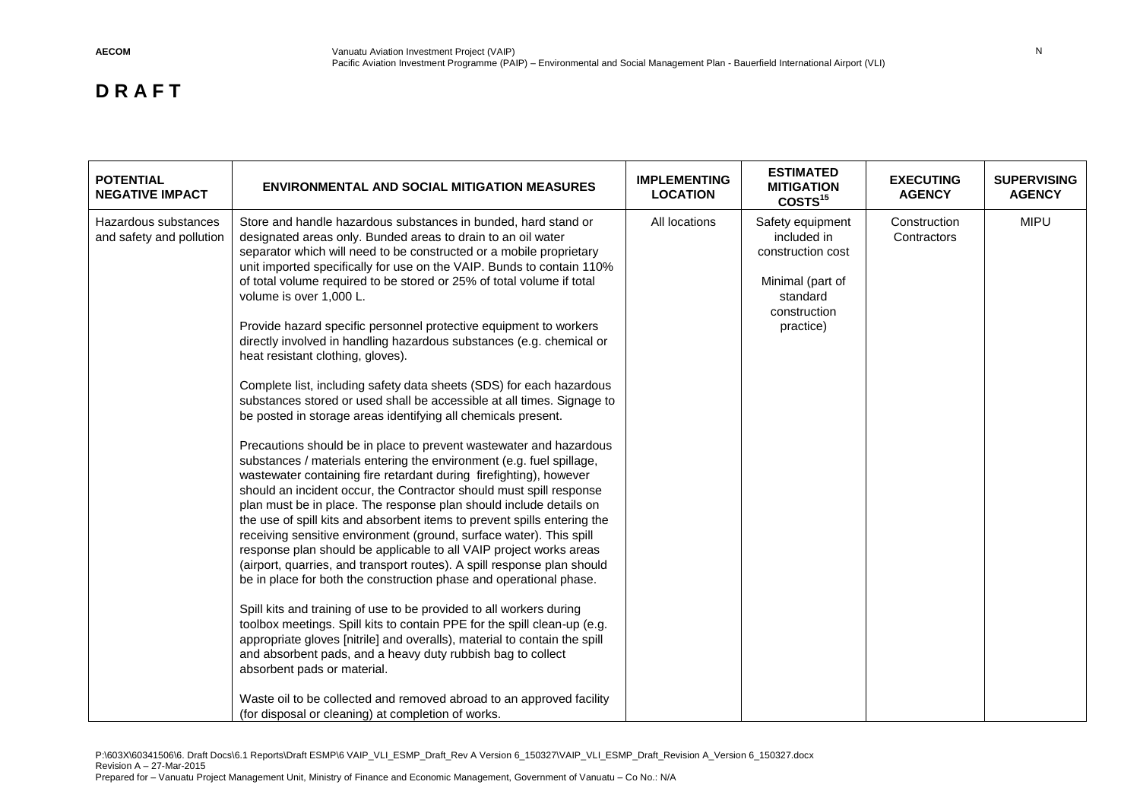| <b>POTENTIAL</b><br><b>NEGATIVE IMPACT</b>       | <b>ENVIRONMENTAL AND SOCIAL MITIGATION MEASURES</b>                                                                                                                                                                                                                                                                                                                                                                                                                                                                                                                                                                                                                                                                                                                                                                                                                                                                                                                                                                                                                                                                                                                                                                                                                                                                                                                                                                                                                                                                                                                                                                                                                                                                                                                                                                                                                                                                                                                                            | <b>IMPLEMENTING</b><br><b>LOCATION</b> | <b>ESTIMATED</b><br><b>MITIGATION</b><br>COSTS <sup>15</sup>                                                      | <b>EXECUTING</b><br><b>AGENCY</b> | <b>SUPERVISING</b><br><b>AGENCY</b> |
|--------------------------------------------------|------------------------------------------------------------------------------------------------------------------------------------------------------------------------------------------------------------------------------------------------------------------------------------------------------------------------------------------------------------------------------------------------------------------------------------------------------------------------------------------------------------------------------------------------------------------------------------------------------------------------------------------------------------------------------------------------------------------------------------------------------------------------------------------------------------------------------------------------------------------------------------------------------------------------------------------------------------------------------------------------------------------------------------------------------------------------------------------------------------------------------------------------------------------------------------------------------------------------------------------------------------------------------------------------------------------------------------------------------------------------------------------------------------------------------------------------------------------------------------------------------------------------------------------------------------------------------------------------------------------------------------------------------------------------------------------------------------------------------------------------------------------------------------------------------------------------------------------------------------------------------------------------------------------------------------------------------------------------------------------------|----------------------------------------|-------------------------------------------------------------------------------------------------------------------|-----------------------------------|-------------------------------------|
| Hazardous substances<br>and safety and pollution | Store and handle hazardous substances in bunded, hard stand or<br>designated areas only. Bunded areas to drain to an oil water<br>separator which will need to be constructed or a mobile proprietary<br>unit imported specifically for use on the VAIP. Bunds to contain 110%<br>of total volume required to be stored or 25% of total volume if total<br>volume is over 1,000 L.<br>Provide hazard specific personnel protective equipment to workers<br>directly involved in handling hazardous substances (e.g. chemical or<br>heat resistant clothing, gloves).<br>Complete list, including safety data sheets (SDS) for each hazardous<br>substances stored or used shall be accessible at all times. Signage to<br>be posted in storage areas identifying all chemicals present.<br>Precautions should be in place to prevent wastewater and hazardous<br>substances / materials entering the environment (e.g. fuel spillage,<br>wastewater containing fire retardant during firefighting), however<br>should an incident occur, the Contractor should must spill response<br>plan must be in place. The response plan should include details on<br>the use of spill kits and absorbent items to prevent spills entering the<br>receiving sensitive environment (ground, surface water). This spill<br>response plan should be applicable to all VAIP project works areas<br>(airport, quarries, and transport routes). A spill response plan should<br>be in place for both the construction phase and operational phase.<br>Spill kits and training of use to be provided to all workers during<br>toolbox meetings. Spill kits to contain PPE for the spill clean-up (e.g.<br>appropriate gloves [nitrile] and overalls), material to contain the spill<br>and absorbent pads, and a heavy duty rubbish bag to collect<br>absorbent pads or material.<br>Waste oil to be collected and removed abroad to an approved facility<br>(for disposal or cleaning) at completion of works. | All locations                          | Safety equipment<br>included in<br>construction cost<br>Minimal (part of<br>standard<br>construction<br>practice) | Construction<br>Contractors       | <b>MIPU</b>                         |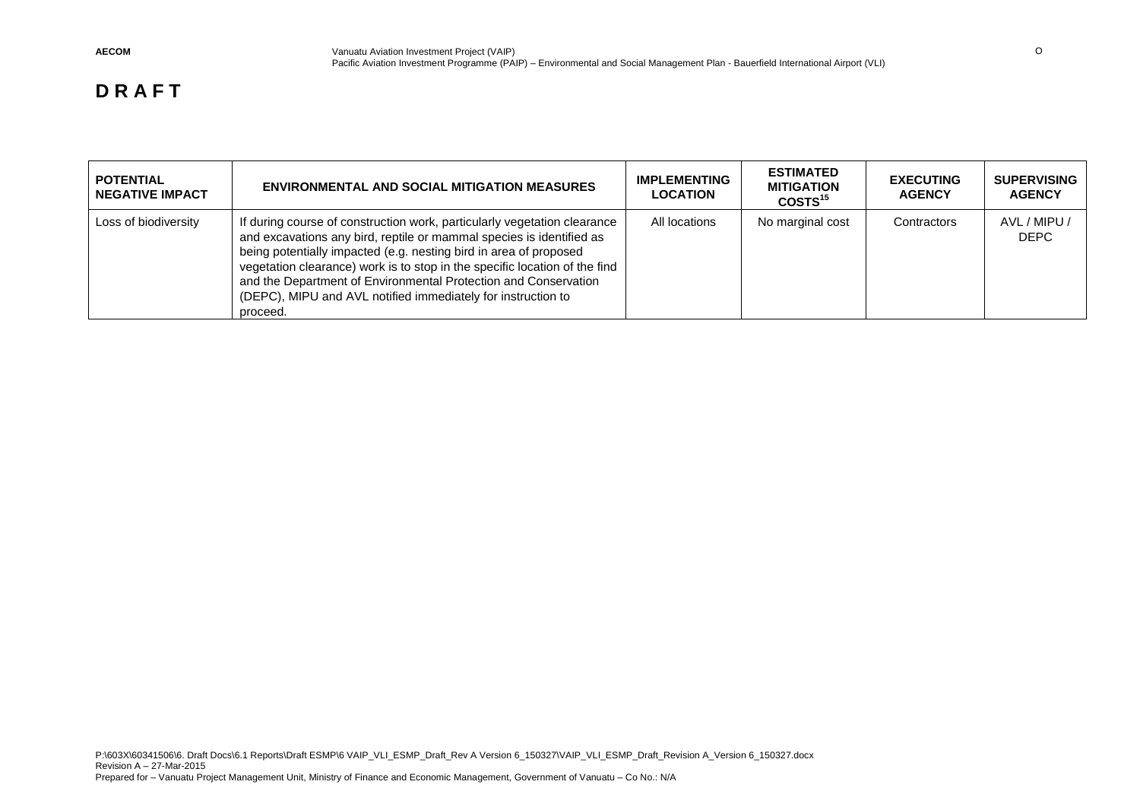| <b>POTENTIAL</b><br><b>NEGATIVE IMPACT</b> | <b>ENVIRONMENTAL AND SOCIAL MITIGATION MEASURES</b>                                                                                                                                                                                                                                                                                                                                                                                                | <b>IMPLEMENTING</b><br><b>LOCATION</b> | <b>ESTIMATED</b><br><b>MITIGATION</b><br>COSTS <sup>15</sup> | <b>EXECUTING</b><br><b>AGENCY</b> | <b>SUPERVISING</b><br><b>AGENCY</b> |
|--------------------------------------------|----------------------------------------------------------------------------------------------------------------------------------------------------------------------------------------------------------------------------------------------------------------------------------------------------------------------------------------------------------------------------------------------------------------------------------------------------|----------------------------------------|--------------------------------------------------------------|-----------------------------------|-------------------------------------|
| Loss of biodiversity                       | If during course of construction work, particularly vegetation clearance<br>and excavations any bird, reptile or mammal species is identified as<br>being potentially impacted (e.g. nesting bird in area of proposed<br>vegetation clearance) work is to stop in the specific location of the find<br>and the Department of Environmental Protection and Conservation<br>(DEPC), MIPU and AVL notified immediately for instruction to<br>proceed. | All locations                          | No marginal cost                                             | Contractors                       | AVL / MIPU /<br><b>DEPC</b>         |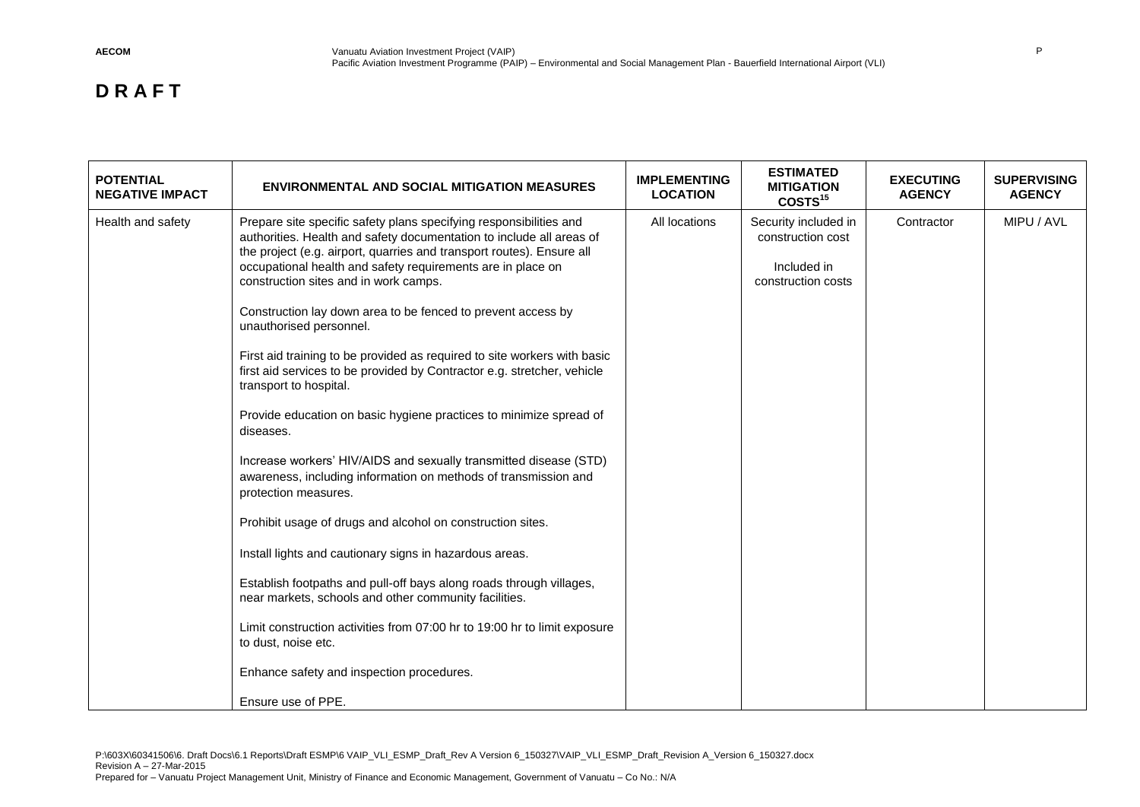| <b>NEGATIVE IMPACT</b><br><b>LOCATION</b>                                                                                                                                                                                                                                                                                                                                                                                                                                                                                                                                                                                                                                                                                                                                                                                                                                                                                                                                                                                                                                                                                                                                                                                                                                                                                        | COSTS <sup>15</sup>                                                            | <b>AGENCY</b> | <b>SUPERVISING</b><br><b>AGENCY</b> |
|----------------------------------------------------------------------------------------------------------------------------------------------------------------------------------------------------------------------------------------------------------------------------------------------------------------------------------------------------------------------------------------------------------------------------------------------------------------------------------------------------------------------------------------------------------------------------------------------------------------------------------------------------------------------------------------------------------------------------------------------------------------------------------------------------------------------------------------------------------------------------------------------------------------------------------------------------------------------------------------------------------------------------------------------------------------------------------------------------------------------------------------------------------------------------------------------------------------------------------------------------------------------------------------------------------------------------------|--------------------------------------------------------------------------------|---------------|-------------------------------------|
| Health and safety<br>Prepare site specific safety plans specifying responsibilities and<br>All locations<br>authorities. Health and safety documentation to include all areas of<br>the project (e.g. airport, quarries and transport routes). Ensure all<br>occupational health and safety requirements are in place on<br>construction sites and in work camps.<br>Construction lay down area to be fenced to prevent access by<br>unauthorised personnel.<br>First aid training to be provided as required to site workers with basic<br>first aid services to be provided by Contractor e.g. stretcher, vehicle<br>transport to hospital.<br>Provide education on basic hygiene practices to minimize spread of<br>diseases.<br>Increase workers' HIV/AIDS and sexually transmitted disease (STD)<br>awareness, including information on methods of transmission and<br>protection measures.<br>Prohibit usage of drugs and alcohol on construction sites.<br>Install lights and cautionary signs in hazardous areas.<br>Establish footpaths and pull-off bays along roads through villages,<br>near markets, schools and other community facilities.<br>Limit construction activities from 07:00 hr to 19:00 hr to limit exposure<br>to dust, noise etc.<br>Enhance safety and inspection procedures.<br>Ensure use of PPE. | Security included in<br>construction cost<br>Included in<br>construction costs | Contractor    | MIPU / AVL                          |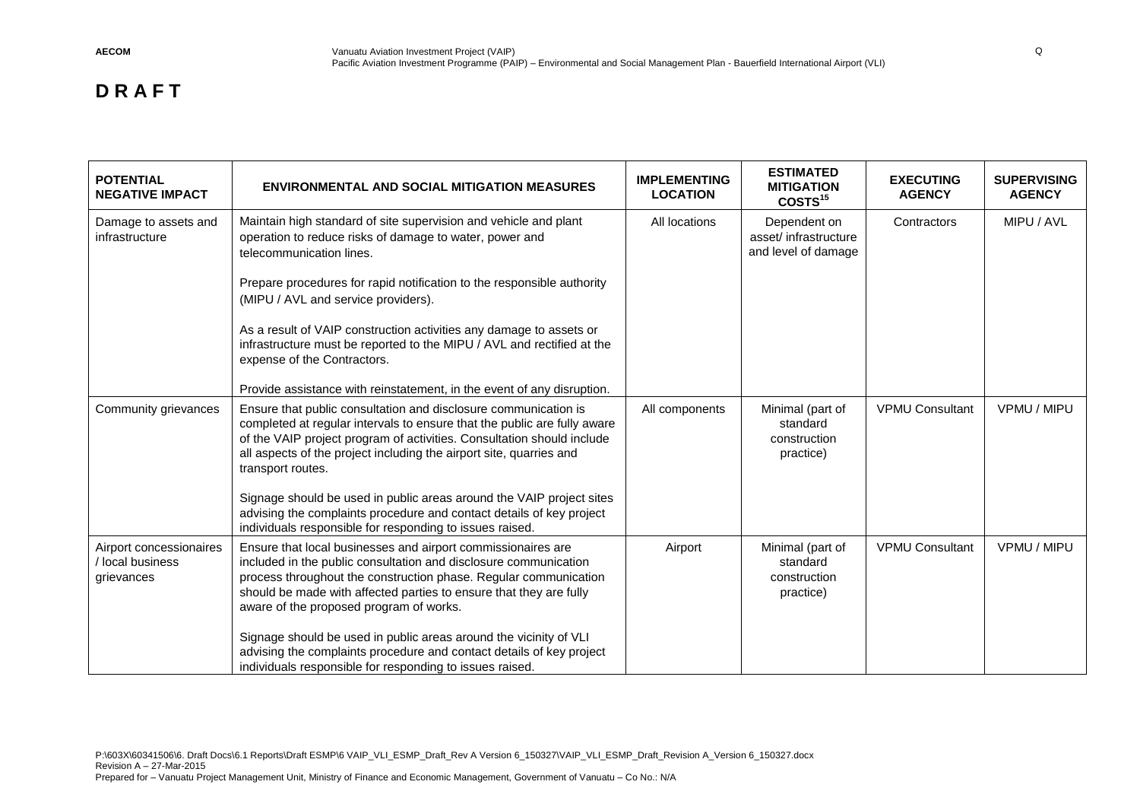| <b>POTENTIAL</b><br><b>NEGATIVE IMPACT</b>                | <b>ENVIRONMENTAL AND SOCIAL MITIGATION MEASURES</b>                                                                                                                                                                                                                                                                                                                                                                                                                                                                                | <b>IMPLEMENTING</b><br><b>LOCATION</b> | <b>ESTIMATED</b><br><b>MITIGATION</b><br>COSTS <sup>15</sup> | <b>EXECUTING</b><br><b>AGENCY</b> | <b>SUPERVISING</b><br><b>AGENCY</b> |
|-----------------------------------------------------------|------------------------------------------------------------------------------------------------------------------------------------------------------------------------------------------------------------------------------------------------------------------------------------------------------------------------------------------------------------------------------------------------------------------------------------------------------------------------------------------------------------------------------------|----------------------------------------|--------------------------------------------------------------|-----------------------------------|-------------------------------------|
| Damage to assets and<br>infrastructure                    | Maintain high standard of site supervision and vehicle and plant<br>operation to reduce risks of damage to water, power and<br>telecommunication lines.<br>Prepare procedures for rapid notification to the responsible authority<br>(MIPU / AVL and service providers).<br>As a result of VAIP construction activities any damage to assets or<br>infrastructure must be reported to the MIPU / AVL and rectified at the<br>expense of the Contractors.<br>Provide assistance with reinstatement, in the event of any disruption. | All locations                          | Dependent on<br>asset/ infrastructure<br>and level of damage | Contractors                       | MIPU / AVL                          |
| Community grievances                                      | Ensure that public consultation and disclosure communication is<br>completed at regular intervals to ensure that the public are fully aware<br>of the VAIP project program of activities. Consultation should include<br>all aspects of the project including the airport site, quarries and<br>transport routes.<br>Signage should be used in public areas around the VAIP project sites<br>advising the complaints procedure and contact details of key project<br>individuals responsible for responding to issues raised.      | All components                         | Minimal (part of<br>standard<br>construction<br>practice)    | <b>VPMU Consultant</b>            | VPMU / MIPU                         |
| Airport concessionaires<br>/ local business<br>grievances | Ensure that local businesses and airport commissionaires are<br>included in the public consultation and disclosure communication<br>process throughout the construction phase. Regular communication<br>should be made with affected parties to ensure that they are fully<br>aware of the proposed program of works.<br>Signage should be used in public areas around the vicinity of VLI<br>advising the complaints procedure and contact details of key project<br>individuals responsible for responding to issues raised.     | Airport                                | Minimal (part of<br>standard<br>construction<br>practice)    | <b>VPMU Consultant</b>            | VPMU / MIPU                         |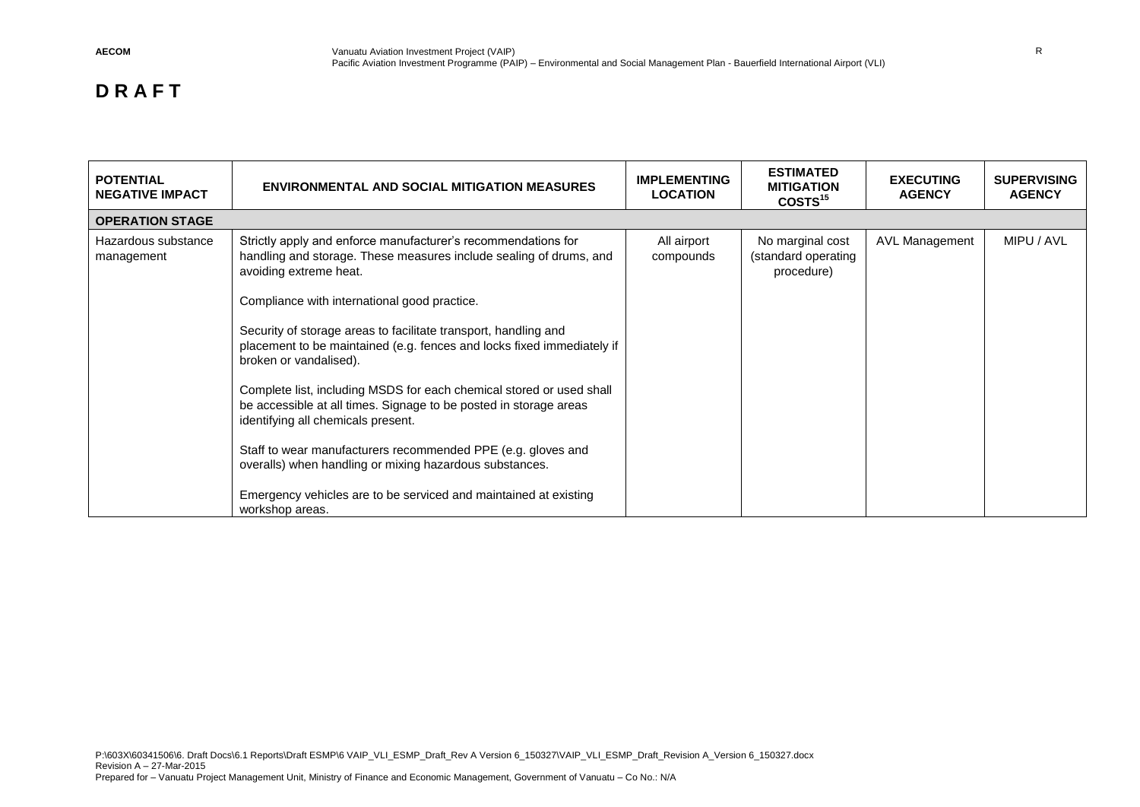| <b>POTENTIAL</b><br><b>NEGATIVE IMPACT</b> | <b>ENVIRONMENTAL AND SOCIAL MITIGATION MEASURES</b>                                                                                                                                                                                                                                                                                                                                                                                                                                                                                                                                                                                                                                                                                                                                       | <b>IMPLEMENTING</b><br><b>LOCATION</b> | <b>ESTIMATED</b><br><b>MITIGATION</b><br>COSTS <sup>15</sup> | <b>EXECUTING</b><br><b>AGENCY</b> | <b>SUPERVISING</b><br><b>AGENCY</b> |
|--------------------------------------------|-------------------------------------------------------------------------------------------------------------------------------------------------------------------------------------------------------------------------------------------------------------------------------------------------------------------------------------------------------------------------------------------------------------------------------------------------------------------------------------------------------------------------------------------------------------------------------------------------------------------------------------------------------------------------------------------------------------------------------------------------------------------------------------------|----------------------------------------|--------------------------------------------------------------|-----------------------------------|-------------------------------------|
| <b>OPERATION STAGE</b>                     |                                                                                                                                                                                                                                                                                                                                                                                                                                                                                                                                                                                                                                                                                                                                                                                           |                                        |                                                              |                                   |                                     |
| Hazardous substance<br>management          | Strictly apply and enforce manufacturer's recommendations for<br>handling and storage. These measures include sealing of drums, and<br>avoiding extreme heat.<br>Compliance with international good practice.<br>Security of storage areas to facilitate transport, handling and<br>placement to be maintained (e.g. fences and locks fixed immediately if<br>broken or vandalised).<br>Complete list, including MSDS for each chemical stored or used shall<br>be accessible at all times. Signage to be posted in storage areas<br>identifying all chemicals present.<br>Staff to wear manufacturers recommended PPE (e.g. gloves and<br>overalls) when handling or mixing hazardous substances.<br>Emergency vehicles are to be serviced and maintained at existing<br>workshop areas. | All airport<br>compounds               | No marginal cost<br>(standard operating<br>procedure)        | AVL Management                    | MIPU / AVL                          |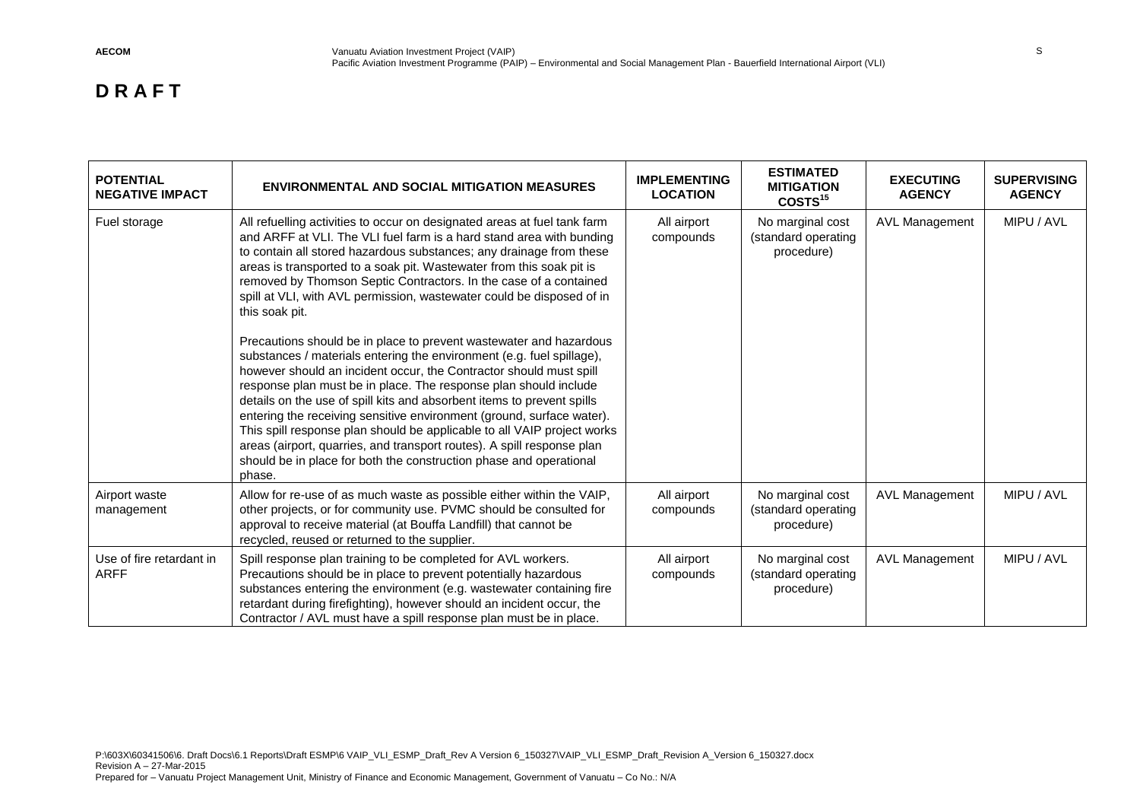| <b>POTENTIAL</b><br><b>NEGATIVE IMPACT</b> | <b>ENVIRONMENTAL AND SOCIAL MITIGATION MEASURES</b>                                                                                                                                                                                                                                                                                                                                                                                                                                                                                                                                                                                                                           | <b>IMPLEMENTING</b><br><b>LOCATION</b> | <b>ESTIMATED</b><br><b>MITIGATION</b><br>COSTS <sup>15</sup> | <b>EXECUTING</b><br><b>AGENCY</b> | <b>SUPERVISING</b><br><b>AGENCY</b> |
|--------------------------------------------|-------------------------------------------------------------------------------------------------------------------------------------------------------------------------------------------------------------------------------------------------------------------------------------------------------------------------------------------------------------------------------------------------------------------------------------------------------------------------------------------------------------------------------------------------------------------------------------------------------------------------------------------------------------------------------|----------------------------------------|--------------------------------------------------------------|-----------------------------------|-------------------------------------|
| Fuel storage                               | All refuelling activities to occur on designated areas at fuel tank farm<br>and ARFF at VLI. The VLI fuel farm is a hard stand area with bunding<br>to contain all stored hazardous substances; any drainage from these<br>areas is transported to a soak pit. Wastewater from this soak pit is<br>removed by Thomson Septic Contractors. In the case of a contained<br>spill at VLI, with AVL permission, wastewater could be disposed of in<br>this soak pit.                                                                                                                                                                                                               | All airport<br>compounds               | No marginal cost<br>(standard operating<br>procedure)        | <b>AVL Management</b>             | MIPU / AVL                          |
|                                            | Precautions should be in place to prevent wastewater and hazardous<br>substances / materials entering the environment (e.g. fuel spillage),<br>however should an incident occur, the Contractor should must spill<br>response plan must be in place. The response plan should include<br>details on the use of spill kits and absorbent items to prevent spills<br>entering the receiving sensitive environment (ground, surface water).<br>This spill response plan should be applicable to all VAIP project works<br>areas (airport, quarries, and transport routes). A spill response plan<br>should be in place for both the construction phase and operational<br>phase. |                                        |                                                              |                                   |                                     |
| Airport waste<br>management                | Allow for re-use of as much waste as possible either within the VAIP,<br>other projects, or for community use. PVMC should be consulted for<br>approval to receive material (at Bouffa Landfill) that cannot be<br>recycled, reused or returned to the supplier.                                                                                                                                                                                                                                                                                                                                                                                                              | All airport<br>compounds               | No marginal cost<br>(standard operating<br>procedure)        | <b>AVL Management</b>             | MIPU / AVL                          |
| Use of fire retardant in<br><b>ARFF</b>    | Spill response plan training to be completed for AVL workers.<br>Precautions should be in place to prevent potentially hazardous<br>substances entering the environment (e.g. wastewater containing fire<br>retardant during firefighting), however should an incident occur, the<br>Contractor / AVL must have a spill response plan must be in place.                                                                                                                                                                                                                                                                                                                       | All airport<br>compounds               | No marginal cost<br>(standard operating<br>procedure)        | <b>AVL Management</b>             | MIPU / AVL                          |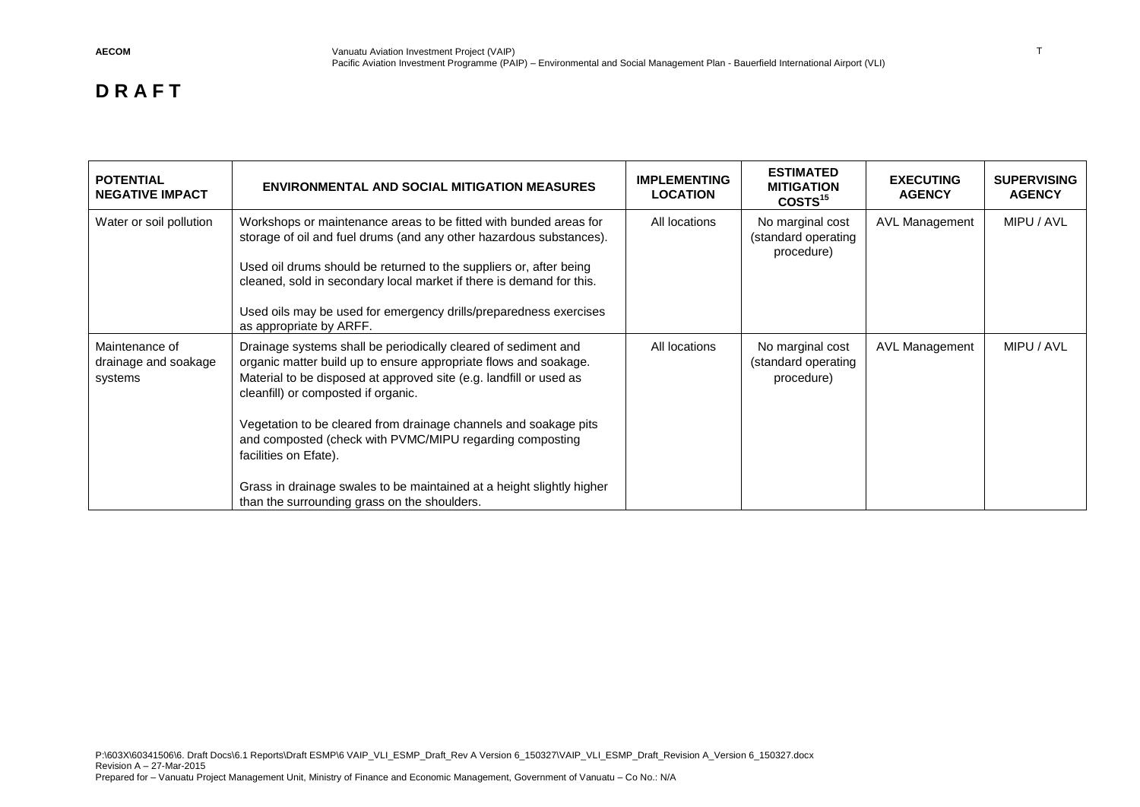| <b>POTENTIAL</b><br><b>NEGATIVE IMPACT</b>        | <b>ENVIRONMENTAL AND SOCIAL MITIGATION MEASURES</b>                                                                                                                                                                                                                                                                                                                                                                                                                                                                               | <b>IMPLEMENTING</b><br><b>LOCATION</b> | <b>ESTIMATED</b><br><b>MITIGATION</b><br>COSTS <sup>15</sup> | <b>EXECUTING</b><br><b>AGENCY</b> | <b>SUPERVISING</b><br><b>AGENCY</b> |
|---------------------------------------------------|-----------------------------------------------------------------------------------------------------------------------------------------------------------------------------------------------------------------------------------------------------------------------------------------------------------------------------------------------------------------------------------------------------------------------------------------------------------------------------------------------------------------------------------|----------------------------------------|--------------------------------------------------------------|-----------------------------------|-------------------------------------|
| Water or soil pollution                           | Workshops or maintenance areas to be fitted with bunded areas for<br>storage of oil and fuel drums (and any other hazardous substances).<br>Used oil drums should be returned to the suppliers or, after being<br>cleaned, sold in secondary local market if there is demand for this.<br>Used oils may be used for emergency drills/preparedness exercises<br>as appropriate by ARFF.                                                                                                                                            | All locations                          | No marginal cost<br>(standard operating<br>procedure)        | AVL Management                    | MIPU / AVL                          |
| Maintenance of<br>drainage and soakage<br>systems | Drainage systems shall be periodically cleared of sediment and<br>organic matter build up to ensure appropriate flows and soakage.<br>Material to be disposed at approved site (e.g. landfill or used as<br>cleanfill) or composted if organic.<br>Vegetation to be cleared from drainage channels and soakage pits<br>and composted (check with PVMC/MIPU regarding composting<br>facilities on Efate).<br>Grass in drainage swales to be maintained at a height slightly higher<br>than the surrounding grass on the shoulders. | All locations                          | No marginal cost<br>(standard operating<br>procedure)        | <b>AVL Management</b>             | MIPU / AVL                          |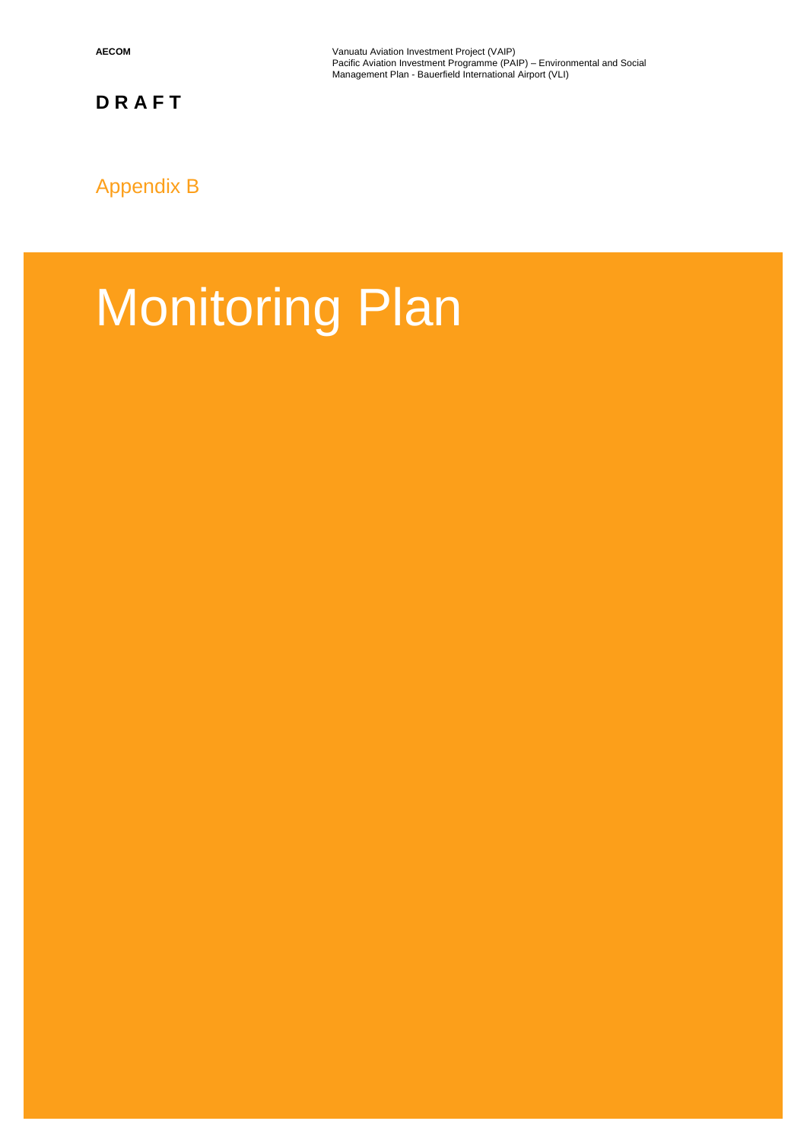**AECOM Vanuatu Aviation Investment Project (VAIP) Vanuatu Aviation Investment Project (VAIP)** Pacific Aviation Investment Programme (PAIP) – Environmental and Social Management Plan - Bauerfield International Airport (VLI)

## Appendix B

# Monitoring Plan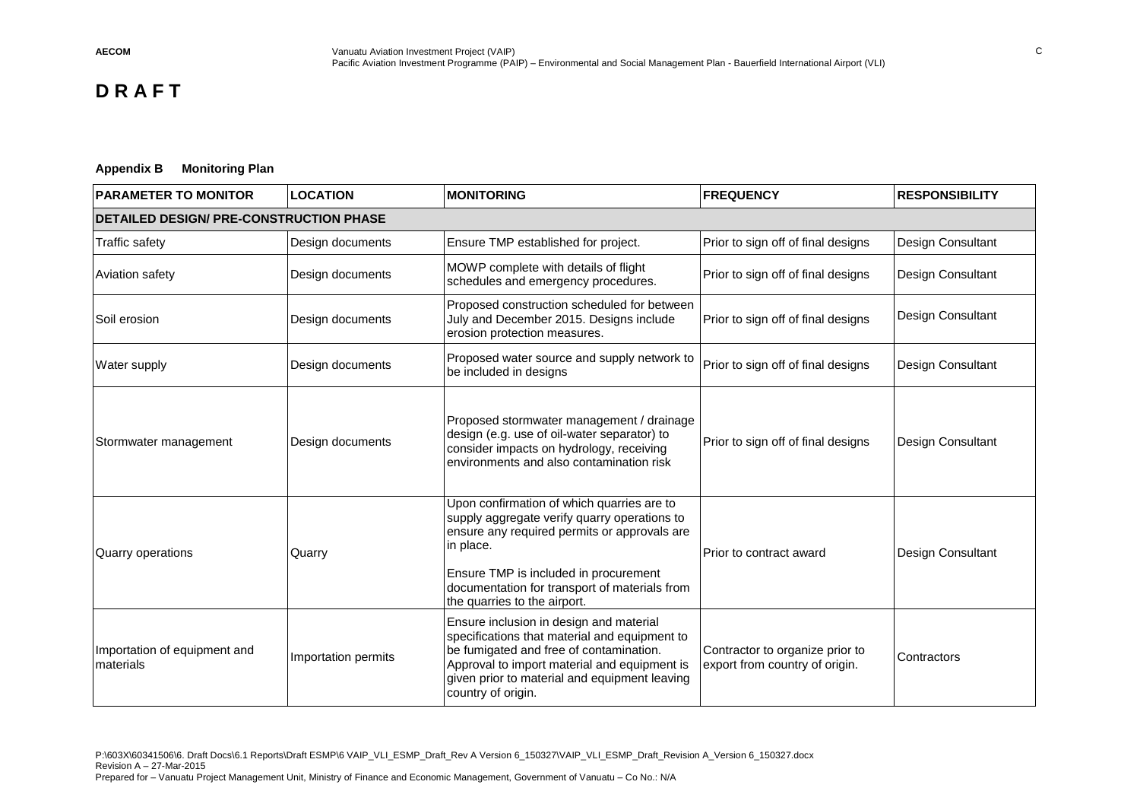#### **Appendix B Monitoring Plan**

| <b>PARAMETER TO MONITOR</b>                    | <b>LOCATION</b>     | <b>MONITORING</b>                                                                                                                                                                                                                                                                 | <b>FREQUENCY</b>                                                  | <b>RESPONSIBILITY</b> |
|------------------------------------------------|---------------------|-----------------------------------------------------------------------------------------------------------------------------------------------------------------------------------------------------------------------------------------------------------------------------------|-------------------------------------------------------------------|-----------------------|
| <b>DETAILED DESIGN/ PRE-CONSTRUCTION PHASE</b> |                     |                                                                                                                                                                                                                                                                                   |                                                                   |                       |
| Traffic safety                                 | Design documents    | Ensure TMP established for project.                                                                                                                                                                                                                                               | Prior to sign off of final designs                                | Design Consultant     |
| Aviation safety                                | Design documents    | MOWP complete with details of flight<br>schedules and emergency procedures.                                                                                                                                                                                                       | Prior to sign off of final designs                                | Design Consultant     |
| Soil erosion                                   | Design documents    | Proposed construction scheduled for between<br>July and December 2015. Designs include<br>erosion protection measures.                                                                                                                                                            | Prior to sign off of final designs                                | Design Consultant     |
| Water supply                                   | Design documents    | Proposed water source and supply network to<br>be included in designs                                                                                                                                                                                                             | Prior to sign off of final designs                                | Design Consultant     |
| Stormwater management                          | Design documents    | Proposed stormwater management / drainage<br>design (e.g. use of oil-water separator) to<br>consider impacts on hydrology, receiving<br>environments and also contamination risk                                                                                                  | Prior to sign off of final designs                                | Design Consultant     |
| Quarry operations                              | Quarry              | Upon confirmation of which quarries are to<br>supply aggregate verify quarry operations to<br>ensure any required permits or approvals are<br>in place.<br>Ensure TMP is included in procurement<br>documentation for transport of materials from<br>the quarries to the airport. | Prior to contract award                                           | Design Consultant     |
| Importation of equipment and<br>materials      | Importation permits | Ensure inclusion in design and material<br>specifications that material and equipment to<br>be fumigated and free of contamination.<br>Approval to import material and equipment is<br>given prior to material and equipment leaving<br>country of origin.                        | Contractor to organize prior to<br>export from country of origin. | Contractors           |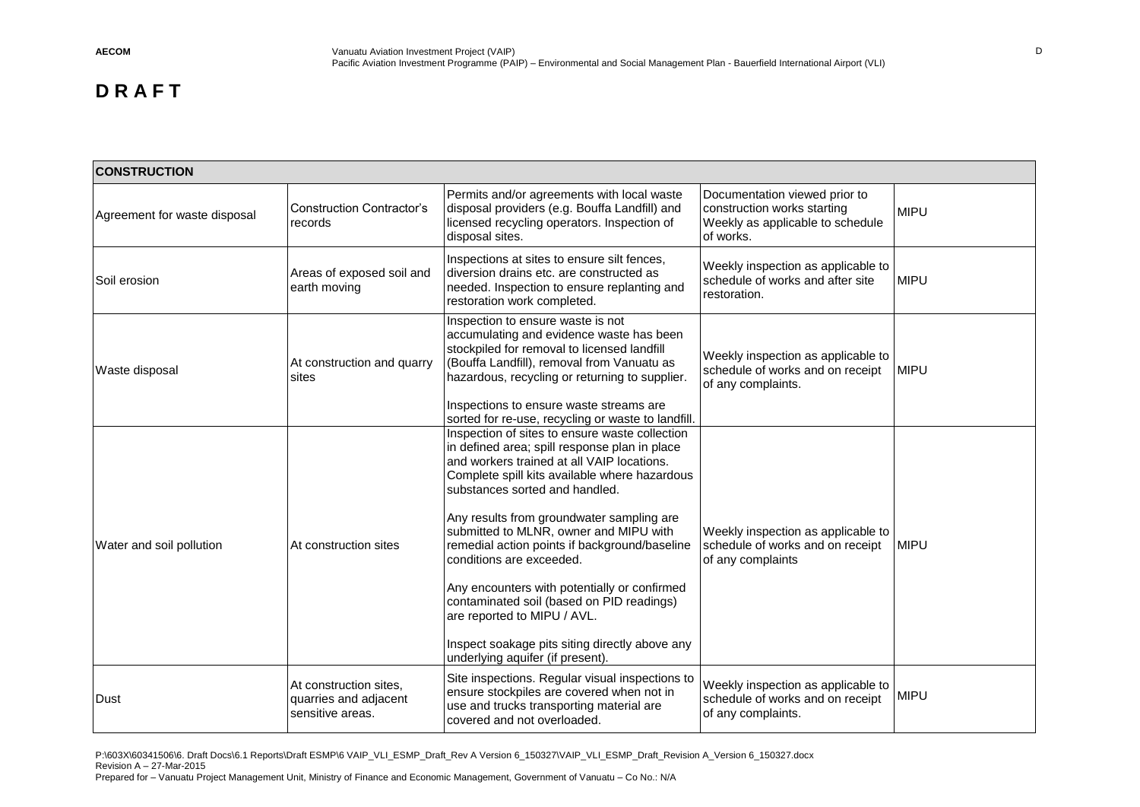| <b>CONSTRUCTION</b>          |                                                                     |                                                                                                                                                                                                                                                                                                                                                                                                                                                                                                                                                                                                                        |                                                                                                               |             |
|------------------------------|---------------------------------------------------------------------|------------------------------------------------------------------------------------------------------------------------------------------------------------------------------------------------------------------------------------------------------------------------------------------------------------------------------------------------------------------------------------------------------------------------------------------------------------------------------------------------------------------------------------------------------------------------------------------------------------------------|---------------------------------------------------------------------------------------------------------------|-------------|
| Agreement for waste disposal | <b>Construction Contractor's</b><br>records                         | Permits and/or agreements with local waste<br>disposal providers (e.g. Bouffa Landfill) and<br>licensed recycling operators. Inspection of<br>disposal sites.                                                                                                                                                                                                                                                                                                                                                                                                                                                          | Documentation viewed prior to<br>construction works starting<br>Weekly as applicable to schedule<br>of works. | <b>MIPU</b> |
| Soil erosion                 | Areas of exposed soil and<br>earth moving                           | Inspections at sites to ensure silt fences,<br>diversion drains etc. are constructed as<br>needed. Inspection to ensure replanting and<br>restoration work completed.                                                                                                                                                                                                                                                                                                                                                                                                                                                  | Weekly inspection as applicable to<br>schedule of works and after site<br>restoration.                        | <b>MIPU</b> |
| Waste disposal               | At construction and quarry<br>sites                                 | Inspection to ensure waste is not<br>accumulating and evidence waste has been<br>stockpiled for removal to licensed landfill<br>(Bouffa Landfill), removal from Vanuatu as<br>hazardous, recycling or returning to supplier.<br>Inspections to ensure waste streams are<br>sorted for re-use, recycling or waste to landfill.                                                                                                                                                                                                                                                                                          | Weekly inspection as applicable to<br>schedule of works and on receipt<br>of any complaints.                  | <b>MIPU</b> |
| Water and soil pollution     | At construction sites                                               | Inspection of sites to ensure waste collection<br>in defined area; spill response plan in place<br>and workers trained at all VAIP locations.<br>Complete spill kits available where hazardous<br>substances sorted and handled.<br>Any results from groundwater sampling are<br>submitted to MLNR, owner and MIPU with<br>remedial action points if background/baseline<br>conditions are exceeded.<br>Any encounters with potentially or confirmed<br>contaminated soil (based on PID readings)<br>are reported to MIPU / AVL.<br>Inspect soakage pits siting directly above any<br>underlying aquifer (if present). | Weekly inspection as applicable to<br>schedule of works and on receipt<br>of any complaints                   | <b>MIPU</b> |
| Dust                         | At construction sites,<br>quarries and adjacent<br>sensitive areas. | Site inspections. Regular visual inspections to<br>ensure stockpiles are covered when not in<br>use and trucks transporting material are<br>covered and not overloaded.                                                                                                                                                                                                                                                                                                                                                                                                                                                | Weekly inspection as applicable to<br>schedule of works and on receipt<br>of any complaints.                  | <b>MIPU</b> |

P:\603X\60341506\6. Draft Docs\6.1 Reports\Draft ESMP\6 VAIP\_VLI\_ESMP\_Draft\_Rev A Version 6\_150327\VAIP\_VLI\_ESMP\_Draft\_Revision A\_Version 6\_150327.docx Revision A – 27-Mar-2015 Prepared for – Vanuatu Project Management Unit, Ministry of Finance and Economic Management, Government of Vanuatu – Co No.: N/A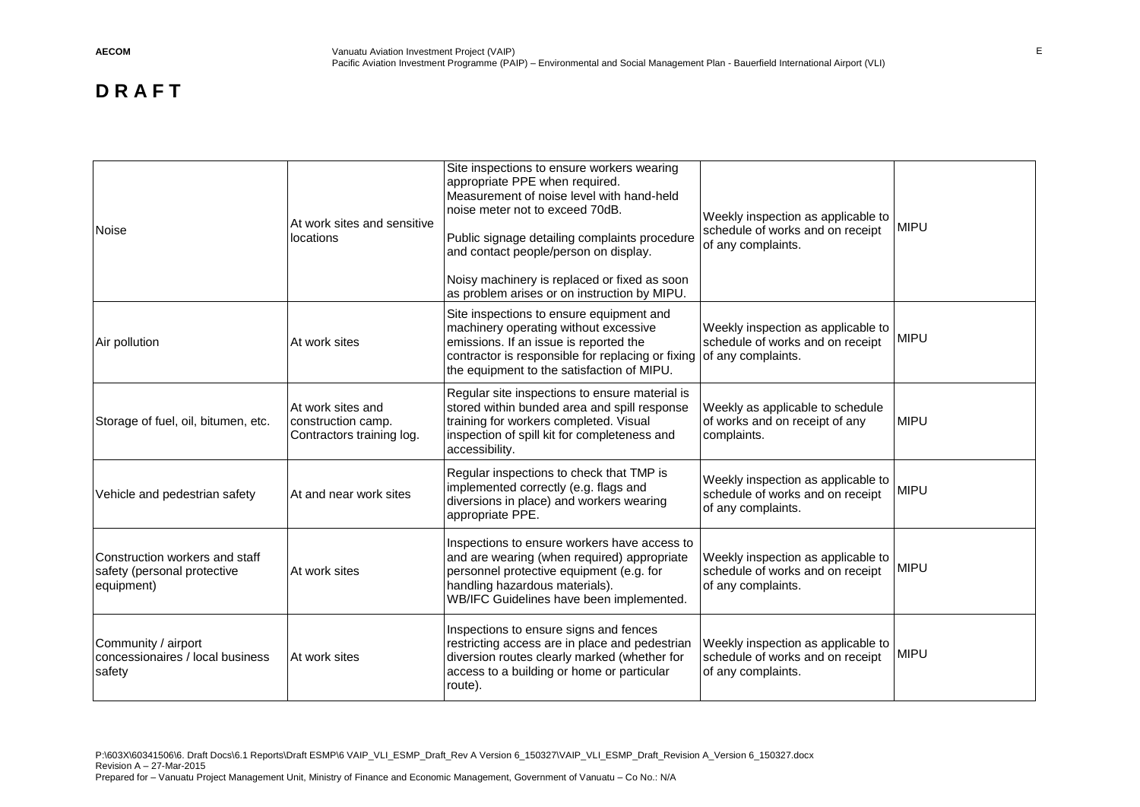| <b>Noise</b>                                                                | At work sites and sensitive<br>locations                             | Site inspections to ensure workers wearing<br>appropriate PPE when required.<br>Measurement of noise level with hand-held<br>noise meter not to exceed 70dB.<br>Public signage detailing complaints procedure<br>and contact people/person on display.<br>Noisy machinery is replaced or fixed as soon<br>as problem arises or on instruction by MIPU. | Weekly inspection as applicable to<br>schedule of works and on receipt<br>of any complaints. | <b>MIPU</b> |
|-----------------------------------------------------------------------------|----------------------------------------------------------------------|--------------------------------------------------------------------------------------------------------------------------------------------------------------------------------------------------------------------------------------------------------------------------------------------------------------------------------------------------------|----------------------------------------------------------------------------------------------|-------------|
| Air pollution                                                               | At work sites                                                        | Site inspections to ensure equipment and<br>machinery operating without excessive<br>emissions. If an issue is reported the<br>contractor is responsible for replacing or fixing of any complaints.<br>the equipment to the satisfaction of MIPU.                                                                                                      | Weekly inspection as applicable to<br>schedule of works and on receipt                       | <b>MIPU</b> |
| Storage of fuel, oil, bitumen, etc.                                         | At work sites and<br>construction camp.<br>Contractors training log. | Regular site inspections to ensure material is<br>stored within bunded area and spill response<br>training for workers completed. Visual<br>inspection of spill kit for completeness and<br>accessibility.                                                                                                                                             | Weekly as applicable to schedule<br>of works and on receipt of any<br>complaints.            | <b>MIPU</b> |
| Vehicle and pedestrian safety                                               | At and near work sites                                               | Regular inspections to check that TMP is<br>implemented correctly (e.g. flags and<br>diversions in place) and workers wearing<br>appropriate PPE.                                                                                                                                                                                                      | Weekly inspection as applicable to<br>schedule of works and on receipt<br>of any complaints. | <b>MIPU</b> |
| Construction workers and staff<br>safety (personal protective<br>equipment) | At work sites                                                        | Inspections to ensure workers have access to<br>and are wearing (when required) appropriate<br>personnel protective equipment (e.g. for<br>handling hazardous materials).<br>WB/IFC Guidelines have been implemented.                                                                                                                                  | Weekly inspection as applicable to<br>schedule of works and on receipt<br>of any complaints. | <b>MIPU</b> |
| Community / airport<br>concessionaires / local business<br>safety           | At work sites                                                        | Inspections to ensure signs and fences<br>restricting access are in place and pedestrian<br>diversion routes clearly marked (whether for<br>access to a building or home or particular<br>route).                                                                                                                                                      | Weekly inspection as applicable to<br>schedule of works and on receipt<br>of any complaints. | <b>MIPU</b> |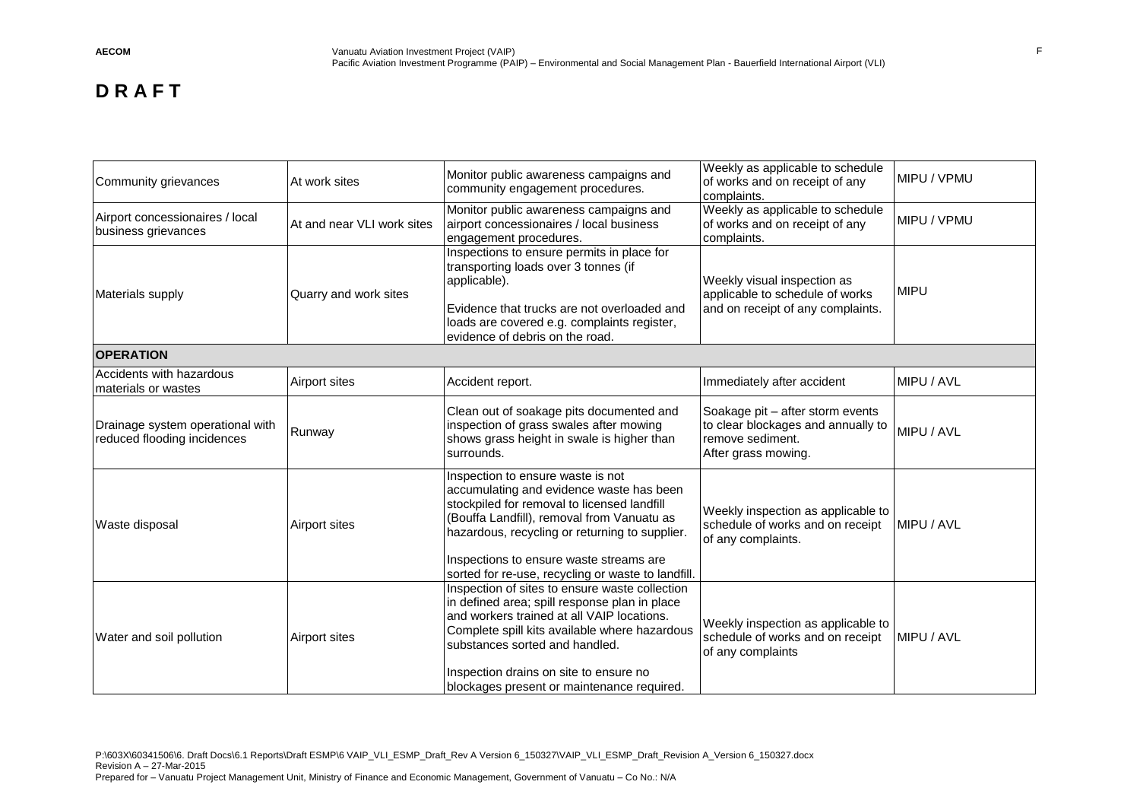| Community grievances                                            | At work sites              | Monitor public awareness campaigns and<br>community engagement procedures.                                                                                                                                                                                                                                                    | Weekly as applicable to schedule<br>of works and on receipt of any<br>complaints.                                 | MIPU / VPMU |
|-----------------------------------------------------------------|----------------------------|-------------------------------------------------------------------------------------------------------------------------------------------------------------------------------------------------------------------------------------------------------------------------------------------------------------------------------|-------------------------------------------------------------------------------------------------------------------|-------------|
| Airport concessionaires / local<br>business grievances          | At and near VLI work sites | Monitor public awareness campaigns and<br>airport concessionaires / local business<br>engagement procedures.                                                                                                                                                                                                                  | Weekly as applicable to schedule<br>of works and on receipt of any<br>complaints.                                 | MIPU / VPMU |
| Materials supply                                                | Quarry and work sites      | Inspections to ensure permits in place for<br>transporting loads over 3 tonnes (if<br>applicable).<br>Evidence that trucks are not overloaded and<br>loads are covered e.g. complaints register,<br>evidence of debris on the road.                                                                                           | Weekly visual inspection as<br>applicable to schedule of works<br>and on receipt of any complaints.               | <b>MIPU</b> |
| <b>OPERATION</b>                                                |                            |                                                                                                                                                                                                                                                                                                                               |                                                                                                                   |             |
| Accidents with hazardous<br>materials or wastes                 | Airport sites              | Accident report.                                                                                                                                                                                                                                                                                                              | Immediately after accident                                                                                        | MIPU / AVL  |
| Drainage system operational with<br>reduced flooding incidences | Runway                     | Clean out of soakage pits documented and<br>inspection of grass swales after mowing<br>shows grass height in swale is higher than<br>surrounds.                                                                                                                                                                               | Soakage pit - after storm events<br>to clear blockages and annually to<br>remove sediment.<br>After grass mowing. | MIPU / AVL  |
| Waste disposal                                                  | Airport sites              | Inspection to ensure waste is not<br>accumulating and evidence waste has been<br>stockpiled for removal to licensed landfill<br>(Bouffa Landfill), removal from Vanuatu as<br>hazardous, recycling or returning to supplier.<br>Inspections to ensure waste streams are<br>sorted for re-use, recycling or waste to landfill. | Weekly inspection as applicable to<br>schedule of works and on receipt<br>of any complaints.                      | MIPU / AVL  |
| Water and soil pollution                                        | Airport sites              | Inspection of sites to ensure waste collection<br>in defined area; spill response plan in place<br>and workers trained at all VAIP locations.<br>Complete spill kits available where hazardous<br>substances sorted and handled.<br>Inspection drains on site to ensure no<br>blockages present or maintenance required.      | Weekly inspection as applicable to<br>schedule of works and on receipt<br>of any complaints                       | MIPU / AVL  |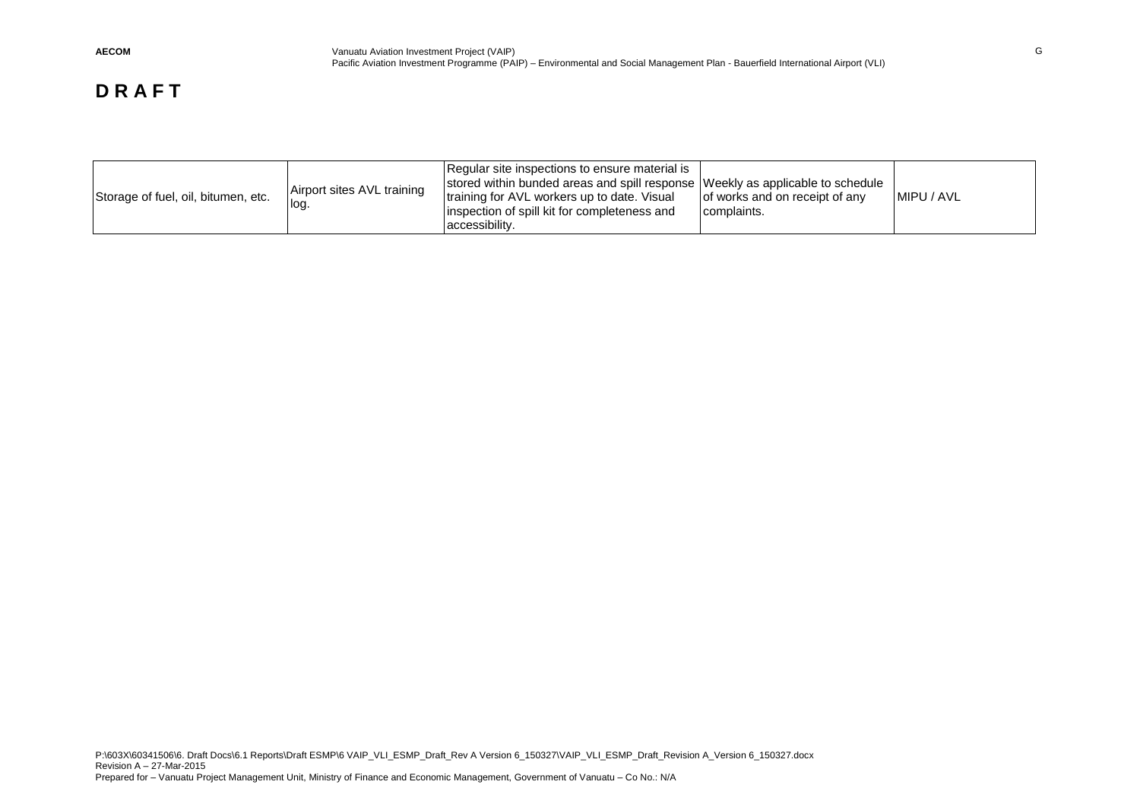| Airport sites AVL training<br>Storage of fuel, oil, bitumen, etc.<br>log | Regular site inspections to ensure material is<br>stored within bunded areas and spill response Weekly as applicable to schedule<br>training for AVL workers up to date. Visual<br>inspection of spill kit for completeness and<br>accessibility. | of works and on receipt of any<br>complaints. | MIPU / AVL |  |
|--------------------------------------------------------------------------|---------------------------------------------------------------------------------------------------------------------------------------------------------------------------------------------------------------------------------------------------|-----------------------------------------------|------------|--|
|--------------------------------------------------------------------------|---------------------------------------------------------------------------------------------------------------------------------------------------------------------------------------------------------------------------------------------------|-----------------------------------------------|------------|--|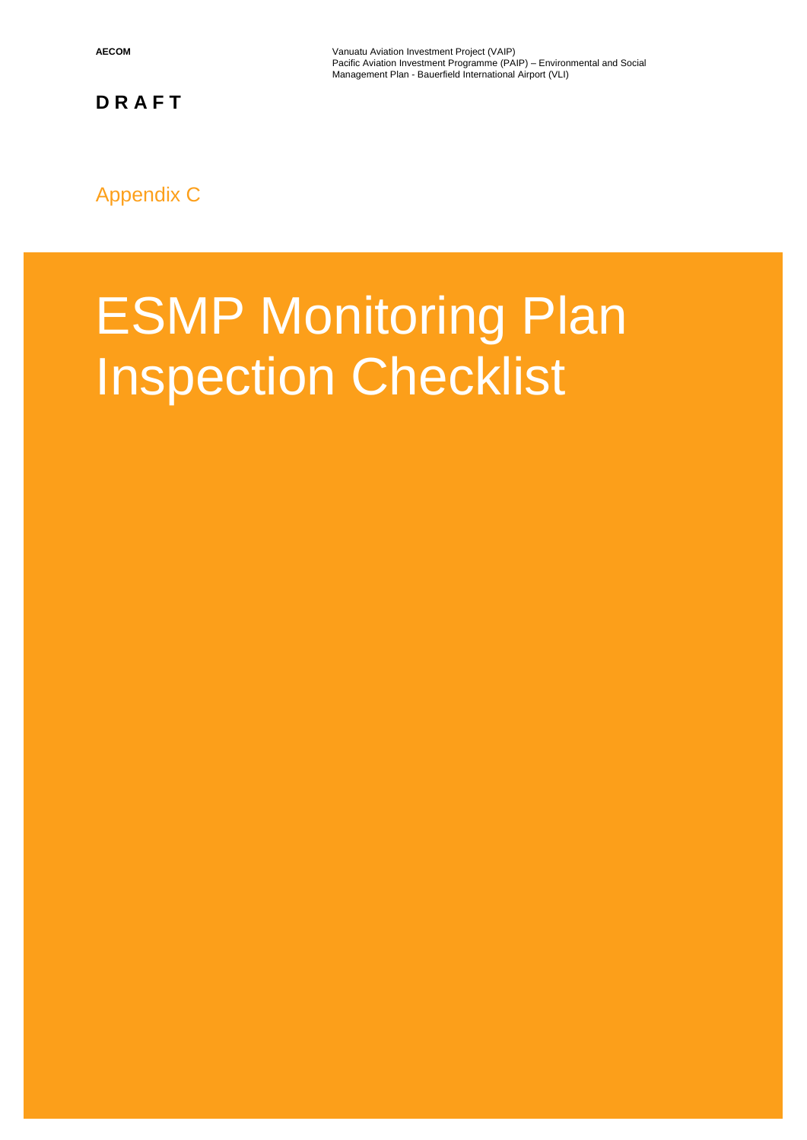**AECOM** Vanuatu Aviation Investment Project (VAIP) Pacific Aviation Investment Programme (PAIP) – Environmental and Social Management Plan - Bauerfield International Airport (VLI)

**D R A F T**

Appendix C

# ESMP Monitoring Plan Inspection Checklist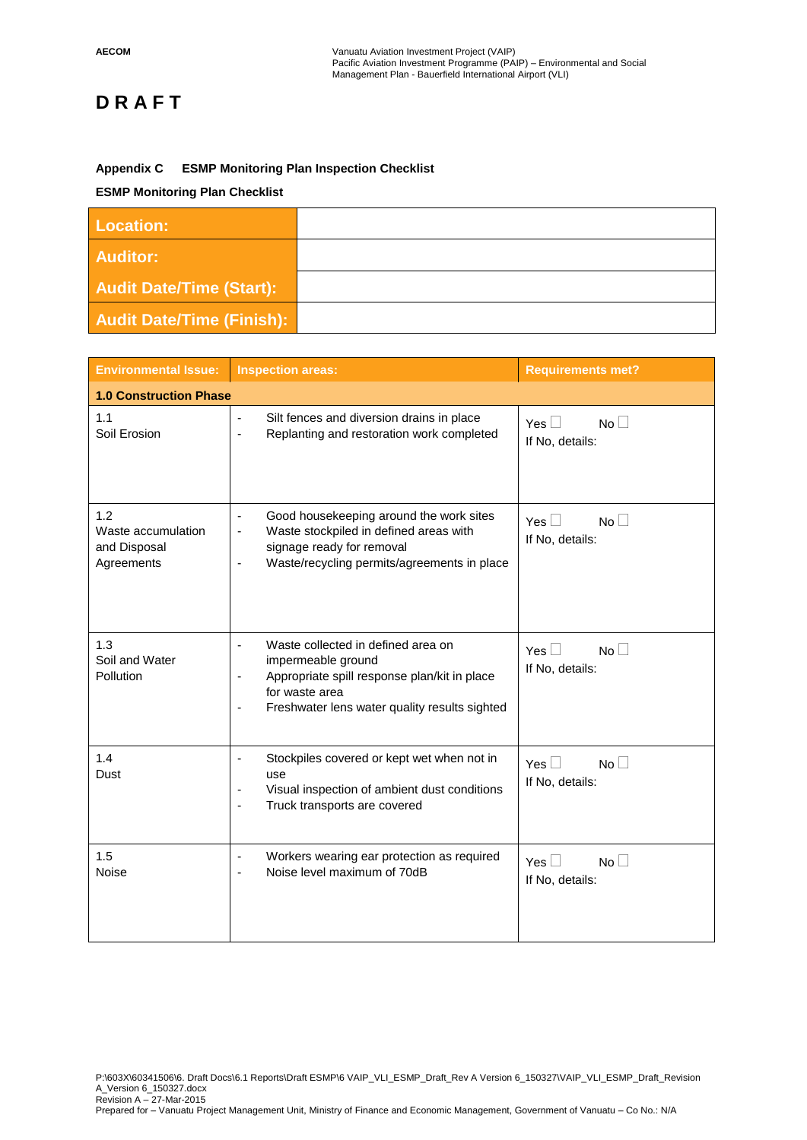## **Appendix C ESMP Monitoring Plan Inspection Checklist**

## **ESMP Monitoring Plan Checklist**

| <b>Location:</b>                 |  |
|----------------------------------|--|
| <b>Auditor:</b>                  |  |
| <b>Audit Date/Time (Start):</b>  |  |
| <b>Audit Date/Time (Finish):</b> |  |

| <b>Environmental Issue:</b>                             | <b>Inspection areas:</b>                                                                                                                                                                                                                              | <b>Requirements met?</b>                     |  |
|---------------------------------------------------------|-------------------------------------------------------------------------------------------------------------------------------------------------------------------------------------------------------------------------------------------------------|----------------------------------------------|--|
| <b>1.0 Construction Phase</b>                           |                                                                                                                                                                                                                                                       |                                              |  |
| 1.1<br>Soil Erosion                                     | Silt fences and diversion drains in place<br>$\overline{\phantom{a}}$<br>Replanting and restoration work completed<br>$\overline{\phantom{a}}$                                                                                                        | Yes $\Box$<br>No<br>If No, details:          |  |
| 1.2<br>Waste accumulation<br>and Disposal<br>Agreements | Good housekeeping around the work sites<br>$\overline{\phantom{a}}$<br>Waste stockpiled in defined areas with<br>-<br>signage ready for removal<br>Waste/recycling permits/agreements in place<br>$\overline{\phantom{a}}$                            | No<br>Yes $\Box$<br>If No, details:          |  |
| 1.3<br>Soil and Water<br><b>Pollution</b>               | Waste collected in defined area on<br>$\blacksquare$<br>impermeable ground<br>Appropriate spill response plan/kit in place<br>$\overline{\phantom{a}}$<br>for waste area<br>Freshwater lens water quality results sighted<br>$\overline{\phantom{a}}$ | Yes $\Box$<br>No<br>If No, details:          |  |
| 1.4<br>Dust                                             | Stockpiles covered or kept wet when not in<br>$\overline{\phantom{a}}$<br>use<br>Visual inspection of ambient dust conditions<br>٠<br>Truck transports are covered<br>÷,                                                                              | Yes $\square$<br>No<br>If No, details:       |  |
| 1.5<br><b>Noise</b>                                     | Workers wearing ear protection as required<br>$\blacksquare$<br>Noise level maximum of 70dB                                                                                                                                                           | $No$ $\Box$<br>Yes $\Box$<br>If No, details: |  |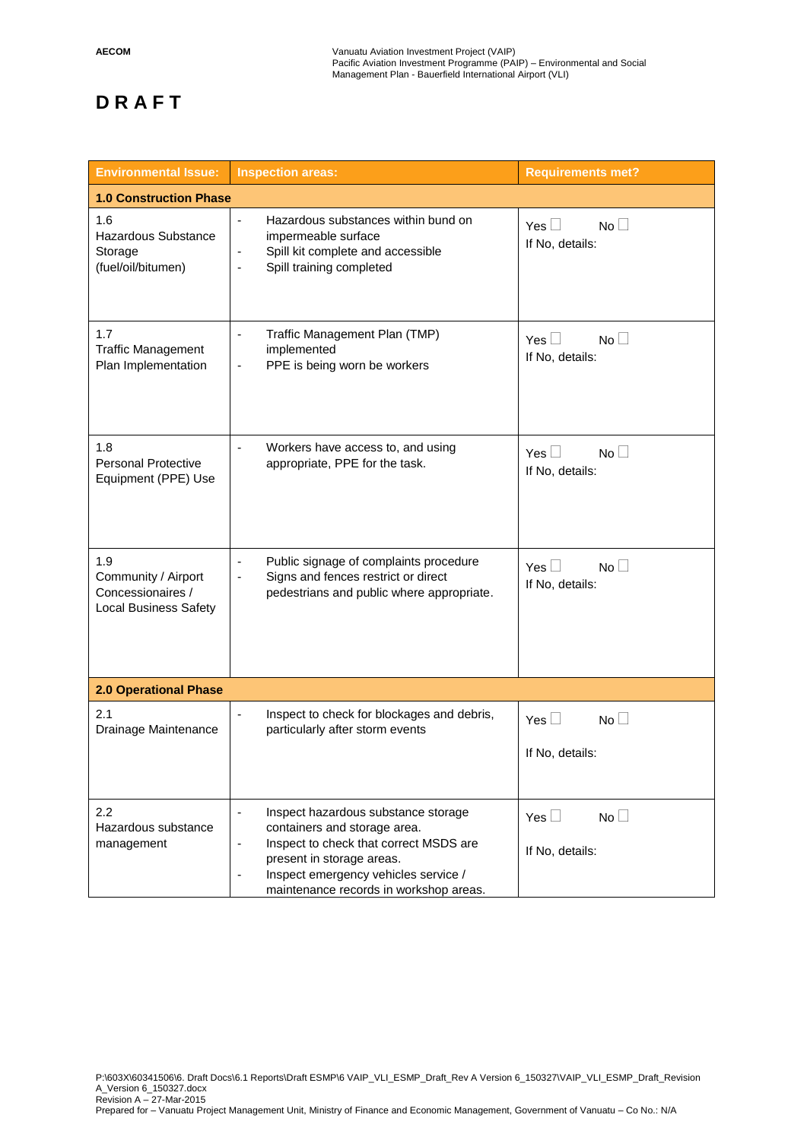| <b>Environmental Issue:</b>                                                     | <b>Inspection areas:</b>                                                                                                                                                                                                                                           | <b>Requirements met?</b>                            |  |  |  |
|---------------------------------------------------------------------------------|--------------------------------------------------------------------------------------------------------------------------------------------------------------------------------------------------------------------------------------------------------------------|-----------------------------------------------------|--|--|--|
| <b>1.0 Construction Phase</b>                                                   |                                                                                                                                                                                                                                                                    |                                                     |  |  |  |
| 1.6<br>Hazardous Substance<br>Storage<br>(fuel/oil/bitumen)                     | Hazardous substances within bund on<br>$\frac{1}{2}$<br>impermeable surface<br>Spill kit complete and accessible<br>٠<br>Spill training completed<br>$\blacksquare$                                                                                                | Yes $\square$<br>No<br>If No, details:              |  |  |  |
| 1.7<br><b>Traffic Management</b><br>Plan Implementation                         | Traffic Management Plan (TMP)<br>$\overline{\phantom{0}}$<br>implemented<br>PPE is being worn be workers<br>$\qquad \qquad \blacksquare$                                                                                                                           | Yes $\square$<br>No <sub>1</sub><br>If No, details: |  |  |  |
| 1.8<br><b>Personal Protective</b><br>Equipment (PPE) Use                        | Workers have access to, and using<br>$\overline{\phantom{0}}$<br>appropriate, PPE for the task.                                                                                                                                                                    | Yes $\square$<br>No<br>If No, details:              |  |  |  |
| 1.9<br>Community / Airport<br>Concessionaires /<br><b>Local Business Safety</b> | Public signage of complaints procedure<br>٠<br>Signs and fences restrict or direct<br>$\qquad \qquad \blacksquare$<br>pedestrians and public where appropriate.                                                                                                    | Yes $\square$<br>No<br>If No, details:              |  |  |  |
| 2.0 Operational Phase                                                           |                                                                                                                                                                                                                                                                    |                                                     |  |  |  |
| 2.1<br>Drainage Maintenance                                                     | Inspect to check for blockages and debris,<br>$\blacksquare$<br>particularly after storm events                                                                                                                                                                    | $Yes \Box$<br>No<br>If No, details:                 |  |  |  |
| 2.2<br>Hazardous substance<br>management                                        | Inspect hazardous substance storage<br>$\overline{\phantom{0}}$<br>containers and storage area.<br>Inspect to check that correct MSDS are<br>-<br>present in storage areas.<br>Inspect emergency vehicles service /<br>٠<br>maintenance records in workshop areas. | No $\square$<br>Yes $\Box$<br>If No, details:       |  |  |  |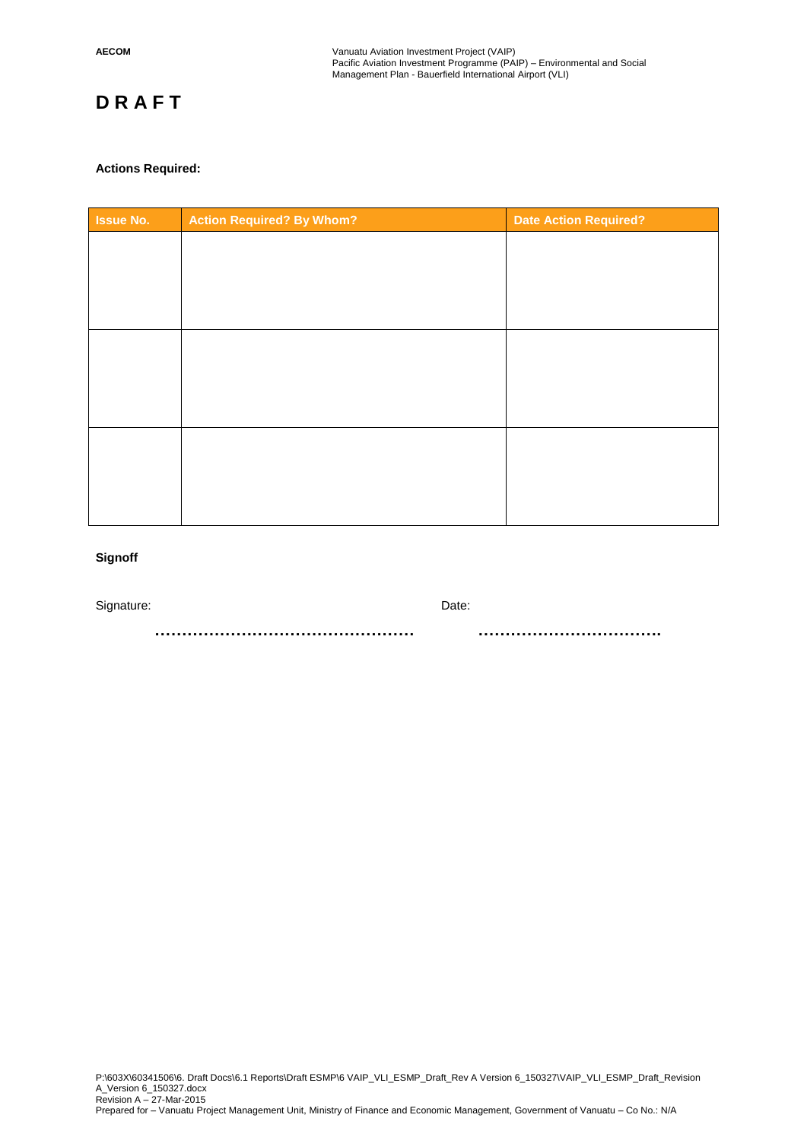## **Actions Required:**

| <b>Issue No.</b> | <b>Action Required? By Whom?</b> | <b>Date Action Required?</b> |
|------------------|----------------------------------|------------------------------|
|                  |                                  |                              |
|                  |                                  |                              |
|                  |                                  |                              |
|                  |                                  |                              |
|                  |                                  |                              |
|                  |                                  |                              |
|                  |                                  |                              |
|                  |                                  |                              |
|                  |                                  |                              |
|                  |                                  |                              |
|                  |                                  |                              |

## **Signoff**

Signature: Date: Date: Date: Date: Date: Date: Date: Date: Date: Date: Date: Date: Date: Date: Date: Date: Date: Date: Date: Date: Date: Date: Date: Date: Date: Date: Date: Date: Date: Date: Date: Date: Date: Date: Date: D

 **………………………………………… …………………………….**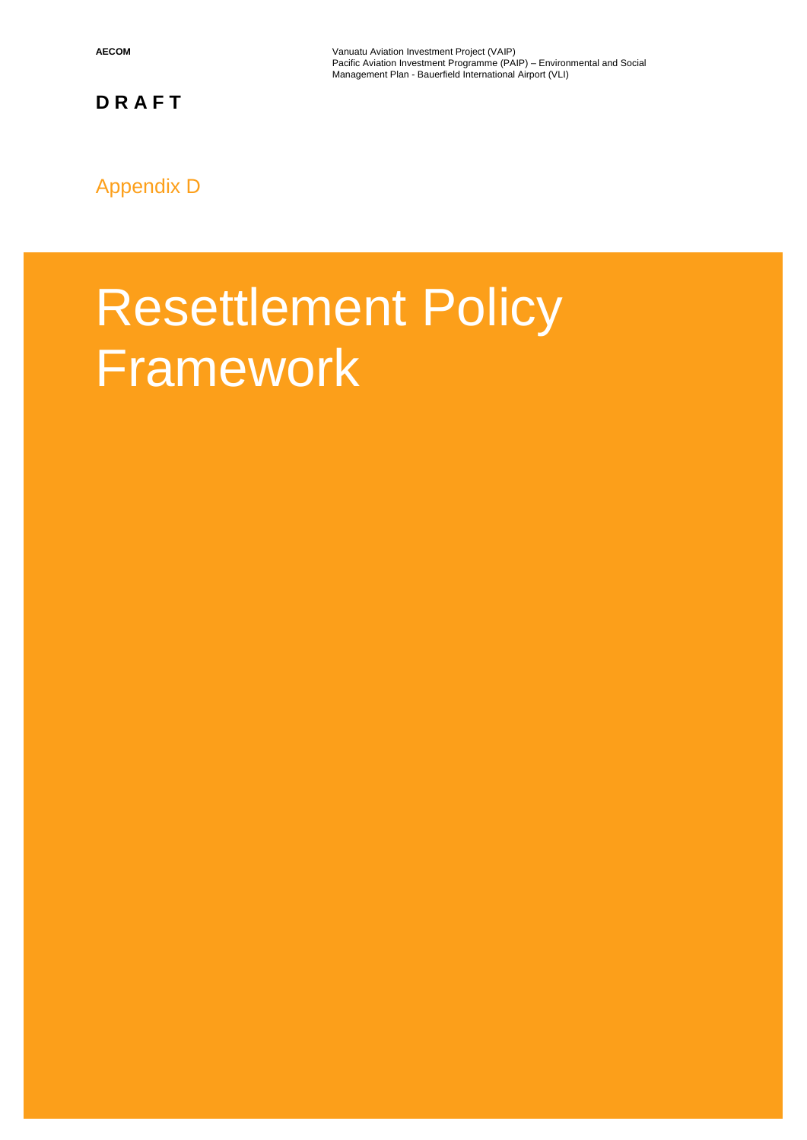**AECOM** Vanuatu Aviation Investment Project (VAIP) Pacific Aviation Investment Programme (PAIP) – Environmental and Social Management Plan - Bauerfield International Airport (VLI)

**D R A F T**

## Appendix D

## Resettlement Policy **Framework**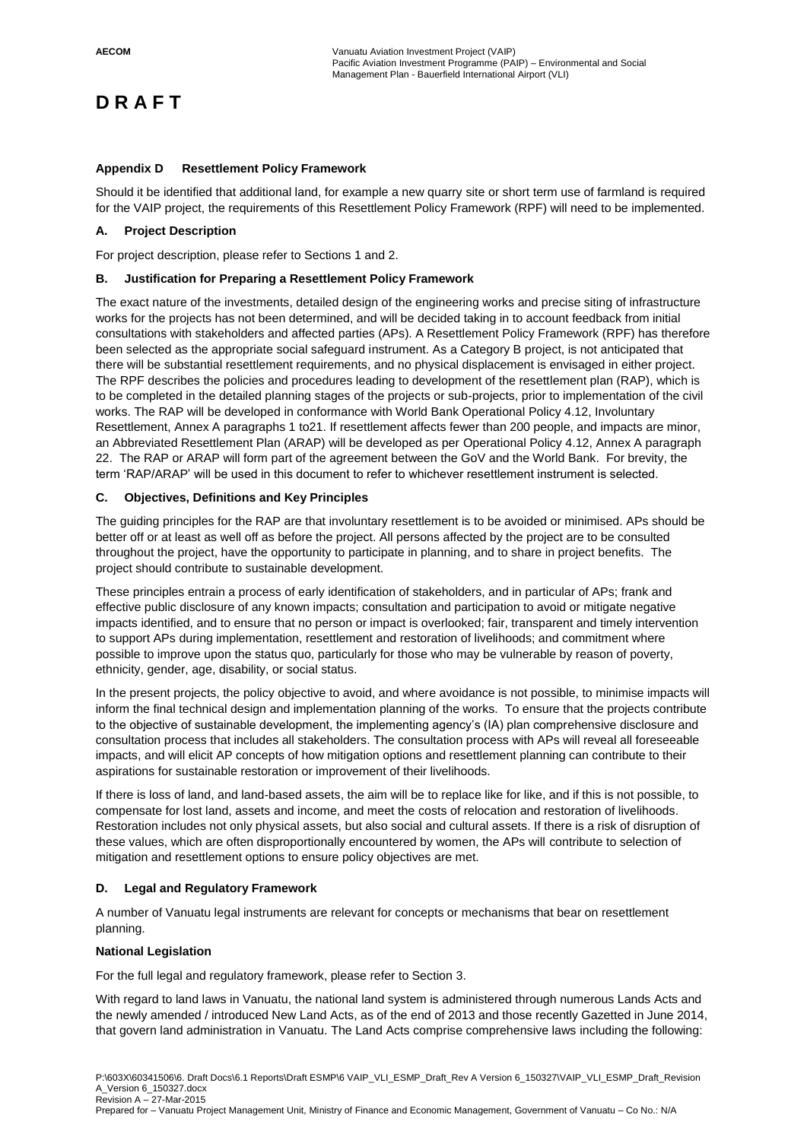#### **Appendix D Resettlement Policy Framework**

Should it be identified that additional land, for example a new quarry site or short term use of farmland is required for the VAIP project, the requirements of this Resettlement Policy Framework (RPF) will need to be implemented.

## **A. Project Description**

For project description, please refer to Sections 1 and 2.

#### **B. Justification for Preparing a Resettlement Policy Framework**

The exact nature of the investments, detailed design of the engineering works and precise siting of infrastructure works for the projects has not been determined, and will be decided taking in to account feedback from initial consultations with stakeholders and affected parties (APs). A Resettlement Policy Framework (RPF) has therefore been selected as the appropriate social safeguard instrument. As a Category B project, is not anticipated that there will be substantial resettlement requirements, and no physical displacement is envisaged in either project. The RPF describes the policies and procedures leading to development of the resettlement plan (RAP), which is to be completed in the detailed planning stages of the projects or sub-projects, prior to implementation of the civil works. The RAP will be developed in conformance with World Bank Operational Policy 4.12, Involuntary Resettlement, Annex A paragraphs 1 to21. If resettlement affects fewer than 200 people, and impacts are minor, an Abbreviated Resettlement Plan (ARAP) will be developed as per Operational Policy 4.12, Annex A paragraph 22. The RAP or ARAP will form part of the agreement between the GoV and the World Bank. For brevity, the term 'RAP/ARAP' will be used in this document to refer to whichever resettlement instrument is selected.

#### **C. Objectives, Definitions and Key Principles**

The guiding principles for the RAP are that involuntary resettlement is to be avoided or minimised. APs should be better off or at least as well off as before the project. All persons affected by the project are to be consulted throughout the project, have the opportunity to participate in planning, and to share in project benefits. The project should contribute to sustainable development.

These principles entrain a process of early identification of stakeholders, and in particular of APs; frank and effective public disclosure of any known impacts; consultation and participation to avoid or mitigate negative impacts identified, and to ensure that no person or impact is overlooked; fair, transparent and timely intervention to support APs during implementation, resettlement and restoration of livelihoods; and commitment where possible to improve upon the status quo, particularly for those who may be vulnerable by reason of poverty, ethnicity, gender, age, disability, or social status.

In the present projects, the policy objective to avoid, and where avoidance is not possible, to minimise impacts will inform the final technical design and implementation planning of the works. To ensure that the projects contribute to the objective of sustainable development, the implementing agency's (IA) plan comprehensive disclosure and consultation process that includes all stakeholders. The consultation process with APs will reveal all foreseeable impacts, and will elicit AP concepts of how mitigation options and resettlement planning can contribute to their aspirations for sustainable restoration or improvement of their livelihoods.

If there is loss of land, and land-based assets, the aim will be to replace like for like, and if this is not possible, to compensate for lost land, assets and income, and meet the costs of relocation and restoration of livelihoods. Restoration includes not only physical assets, but also social and cultural assets. If there is a risk of disruption of these values, which are often disproportionally encountered by women, the APs will contribute to selection of mitigation and resettlement options to ensure policy objectives are met.

## **D. Legal and Regulatory Framework**

A number of Vanuatu legal instruments are relevant for concepts or mechanisms that bear on resettlement planning.

#### **National Legislation**

For the full legal and regulatory framework, please refer to Section 3.

With regard to land laws in Vanuatu, the national land system is administered through numerous Lands Acts and the newly amended / introduced New Land Acts, as of the end of 2013 and those recently Gazetted in June 2014, that govern land administration in Vanuatu. The Land Acts comprise comprehensive laws including the following: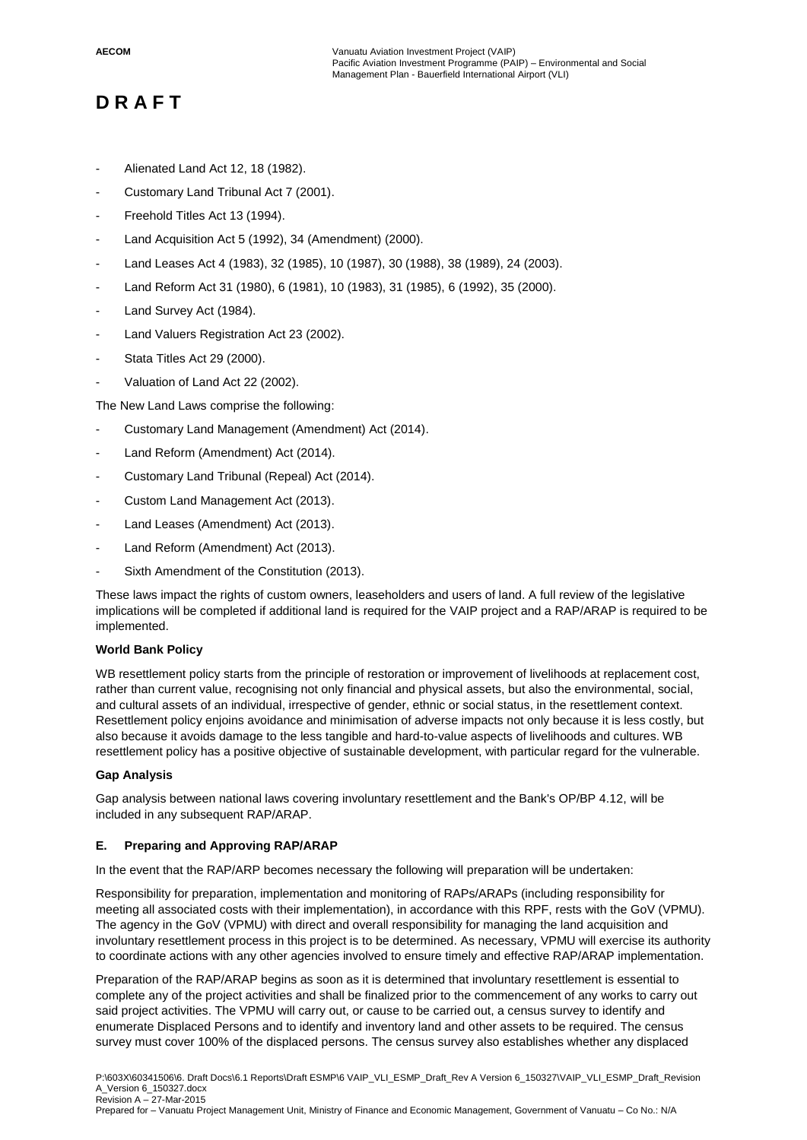- Alienated Land Act 12, 18 (1982).
- Customary Land Tribunal Act 7 (2001).
- Freehold Titles Act 13 (1994).
- Land Acquisition Act 5 (1992), 34 (Amendment) (2000).
- Land Leases Act 4 (1983), 32 (1985), 10 (1987), 30 (1988), 38 (1989), 24 (2003).
- Land Reform Act 31 (1980), 6 (1981), 10 (1983), 31 (1985), 6 (1992), 35 (2000).
- Land Survey Act (1984).
- Land Valuers Registration Act 23 (2002).
- Stata Titles Act 29 (2000).
- Valuation of Land Act 22 (2002).

The New Land Laws comprise the following:

- Customary Land Management (Amendment) Act (2014).
- Land Reform (Amendment) Act (2014).
- Customary Land Tribunal (Repeal) Act (2014).
- Custom Land Management Act (2013).
- Land Leases (Amendment) Act (2013).
- Land Reform (Amendment) Act (2013).
- Sixth Amendment of the Constitution (2013).

These laws impact the rights of custom owners, leaseholders and users of land. A full review of the legislative implications will be completed if additional land is required for the VAIP project and a RAP/ARAP is required to be implemented.

## **World Bank Policy**

WB resettlement policy starts from the principle of restoration or improvement of livelihoods at replacement cost, rather than current value, recognising not only financial and physical assets, but also the environmental, social, and cultural assets of an individual, irrespective of gender, ethnic or social status, in the resettlement context. Resettlement policy enjoins avoidance and minimisation of adverse impacts not only because it is less costly, but also because it avoids damage to the less tangible and hard-to-value aspects of livelihoods and cultures. WB resettlement policy has a positive objective of sustainable development, with particular regard for the vulnerable.

## **Gap Analysis**

Gap analysis between national laws covering involuntary resettlement and the Bank's OP/BP 4.12, will be included in any subsequent RAP/ARAP.

## **E. Preparing and Approving RAP/ARAP**

In the event that the RAP/ARP becomes necessary the following will preparation will be undertaken:

Responsibility for preparation, implementation and monitoring of RAPs/ARAPs (including responsibility for meeting all associated costs with their implementation), in accordance with this RPF, rests with the GoV (VPMU). The agency in the GoV (VPMU) with direct and overall responsibility for managing the land acquisition and involuntary resettlement process in this project is to be determined. As necessary, VPMU will exercise its authority to coordinate actions with any other agencies involved to ensure timely and effective RAP/ARAP implementation.

Preparation of the RAP/ARAP begins as soon as it is determined that involuntary resettlement is essential to complete any of the project activities and shall be finalized prior to the commencement of any works to carry out said project activities. The VPMU will carry out, or cause to be carried out, a census survey to identify and enumerate Displaced Persons and to identify and inventory land and other assets to be required. The census survey must cover 100% of the displaced persons. The census survey also establishes whether any displaced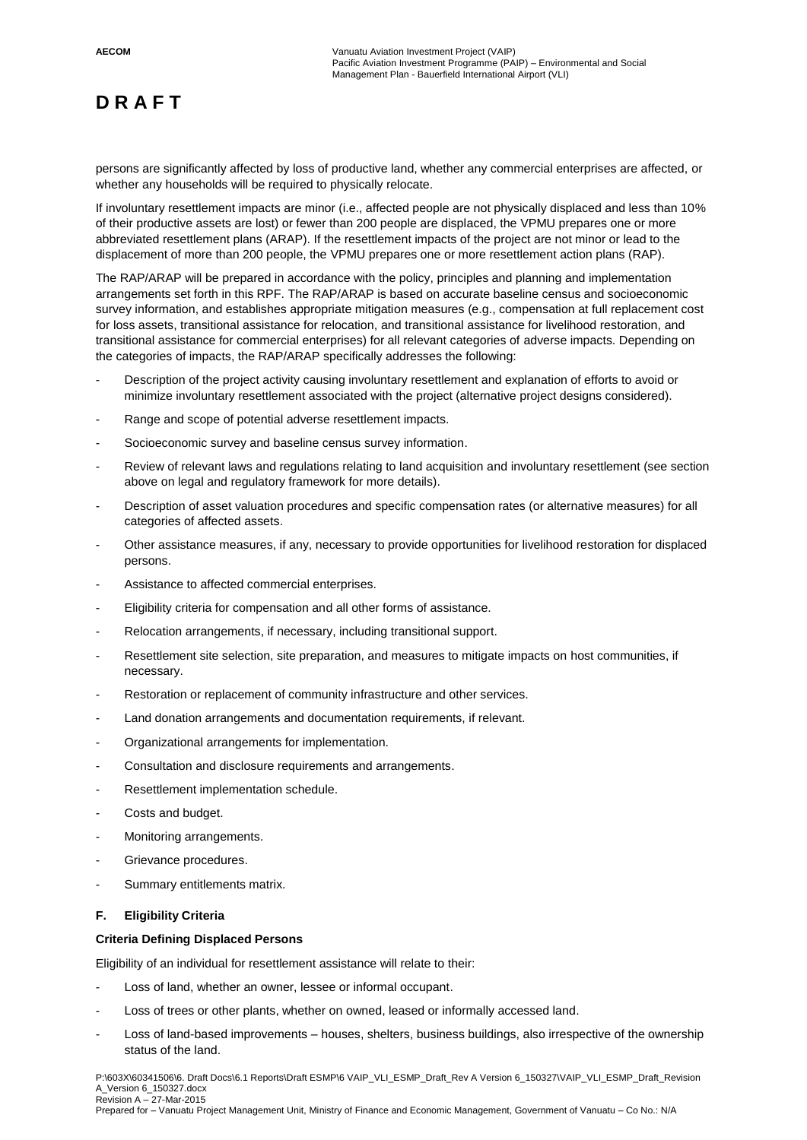persons are significantly affected by loss of productive land, whether any commercial enterprises are affected, or whether any households will be required to physically relocate.

If involuntary resettlement impacts are minor (i.e., affected people are not physically displaced and less than 10% of their productive assets are lost) or fewer than 200 people are displaced, the VPMU prepares one or more abbreviated resettlement plans (ARAP). If the resettlement impacts of the project are not minor or lead to the displacement of more than 200 people, the VPMU prepares one or more resettlement action plans (RAP).

The RAP/ARAP will be prepared in accordance with the policy, principles and planning and implementation arrangements set forth in this RPF. The RAP/ARAP is based on accurate baseline census and socioeconomic survey information, and establishes appropriate mitigation measures (e.g., compensation at full replacement cost for loss assets, transitional assistance for relocation, and transitional assistance for livelihood restoration, and transitional assistance for commercial enterprises) for all relevant categories of adverse impacts. Depending on the categories of impacts, the RAP/ARAP specifically addresses the following:

- Description of the project activity causing involuntary resettlement and explanation of efforts to avoid or minimize involuntary resettlement associated with the project (alternative project designs considered).
- Range and scope of potential adverse resettlement impacts.
- Socioeconomic survey and baseline census survey information.
- Review of relevant laws and regulations relating to land acquisition and involuntary resettlement (see section above on legal and regulatory framework for more details).
- Description of asset valuation procedures and specific compensation rates (or alternative measures) for all categories of affected assets.
- Other assistance measures, if any, necessary to provide opportunities for livelihood restoration for displaced persons.
- Assistance to affected commercial enterprises.
- Eligibility criteria for compensation and all other forms of assistance.
- Relocation arrangements, if necessary, including transitional support.
- Resettlement site selection, site preparation, and measures to mitigate impacts on host communities, if necessary.
- Restoration or replacement of community infrastructure and other services.
- Land donation arrangements and documentation requirements, if relevant.
- Organizational arrangements for implementation.
- Consultation and disclosure requirements and arrangements.
- Resettlement implementation schedule.
- Costs and budget.
- Monitoring arrangements.
- Grievance procedures.
- Summary entitlements matrix.

## **F. Eligibility Criteria**

#### **Criteria Defining Displaced Persons**

Eligibility of an individual for resettlement assistance will relate to their:

- Loss of land, whether an owner, lessee or informal occupant.
- Loss of trees or other plants, whether on owned, leased or informally accessed land.
- Loss of land-based improvements houses, shelters, business buildings, also irrespective of the ownership status of the land.

P:\603X\60341506\6. Draft Docs\6.1 Reports\Draft ESMP\6 VAIP\_VLI\_ESMP\_Draft\_Rev A Version 6\_150327\VAIP\_VLI\_ESMP\_Draft\_Revision A\_Version 6\_150327.docx Revision A – 27-Mar-2015

Prepared for – Vanuatu Project Management Unit, Ministry of Finance and Economic Management, Government of Vanuatu – Co No.: N/A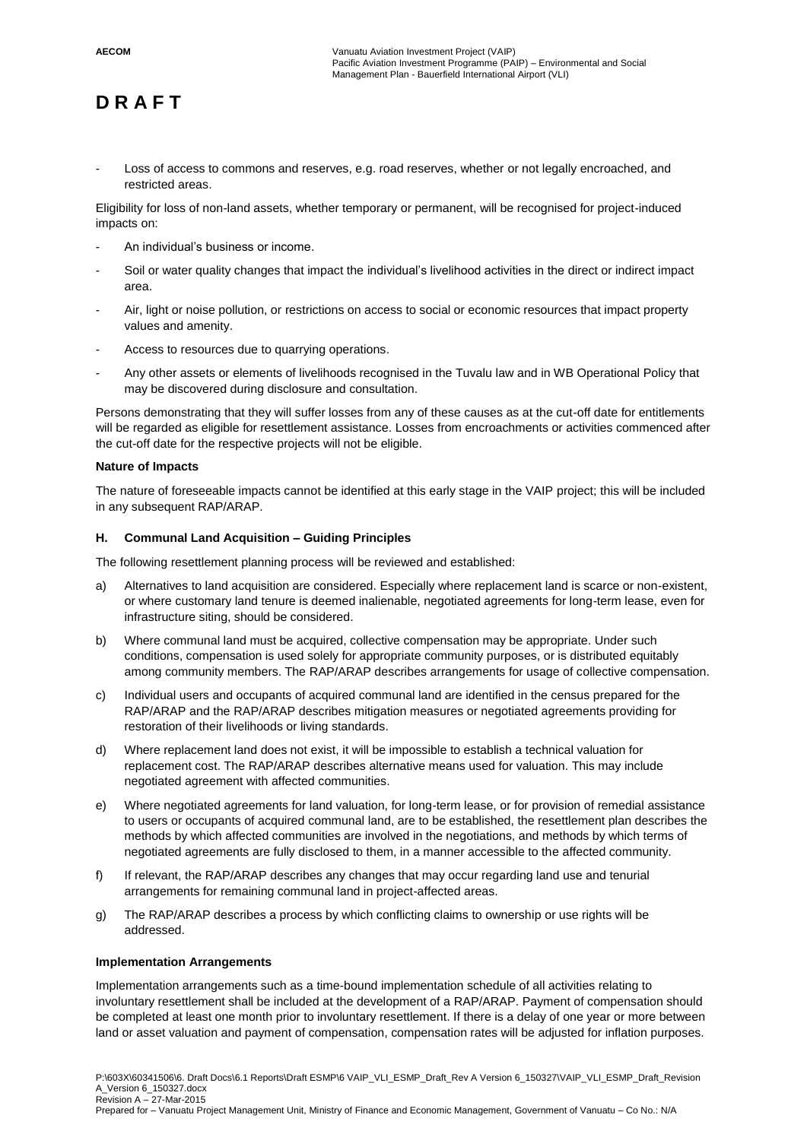Loss of access to commons and reserves, e.g. road reserves, whether or not legally encroached, and restricted areas.

Eligibility for loss of non-land assets, whether temporary or permanent, will be recognised for project-induced impacts on:

- An individual's business or income.
- Soil or water quality changes that impact the individual's livelihood activities in the direct or indirect impact area.
- Air, light or noise pollution, or restrictions on access to social or economic resources that impact property values and amenity.
- Access to resources due to quarrying operations.
- Any other assets or elements of livelihoods recognised in the Tuvalu law and in WB Operational Policy that may be discovered during disclosure and consultation.

Persons demonstrating that they will suffer losses from any of these causes as at the cut-off date for entitlements will be regarded as eligible for resettlement assistance. Losses from encroachments or activities commenced after the cut-off date for the respective projects will not be eligible.

#### **Nature of Impacts**

The nature of foreseeable impacts cannot be identified at this early stage in the VAIP project; this will be included in any subsequent RAP/ARAP.

#### **H. Communal Land Acquisition – Guiding Principles**

The following resettlement planning process will be reviewed and established:

- a) Alternatives to land acquisition are considered. Especially where replacement land is scarce or non-existent, or where customary land tenure is deemed inalienable, negotiated agreements for long-term lease, even for infrastructure siting, should be considered.
- b) Where communal land must be acquired, collective compensation may be appropriate. Under such conditions, compensation is used solely for appropriate community purposes, or is distributed equitably among community members. The RAP/ARAP describes arrangements for usage of collective compensation.
- c) Individual users and occupants of acquired communal land are identified in the census prepared for the RAP/ARAP and the RAP/ARAP describes mitigation measures or negotiated agreements providing for restoration of their livelihoods or living standards.
- d) Where replacement land does not exist, it will be impossible to establish a technical valuation for replacement cost. The RAP/ARAP describes alternative means used for valuation. This may include negotiated agreement with affected communities.
- e) Where negotiated agreements for land valuation, for long-term lease, or for provision of remedial assistance to users or occupants of acquired communal land, are to be established, the resettlement plan describes the methods by which affected communities are involved in the negotiations, and methods by which terms of negotiated agreements are fully disclosed to them, in a manner accessible to the affected community.
- f) If relevant, the RAP/ARAP describes any changes that may occur regarding land use and tenurial arrangements for remaining communal land in project-affected areas.
- g) The RAP/ARAP describes a process by which conflicting claims to ownership or use rights will be addressed.

#### **Implementation Arrangements**

Implementation arrangements such as a time-bound implementation schedule of all activities relating to involuntary resettlement shall be included at the development of a RAP/ARAP. Payment of compensation should be completed at least one month prior to involuntary resettlement. If there is a delay of one year or more between land or asset valuation and payment of compensation, compensation rates will be adjusted for inflation purposes.